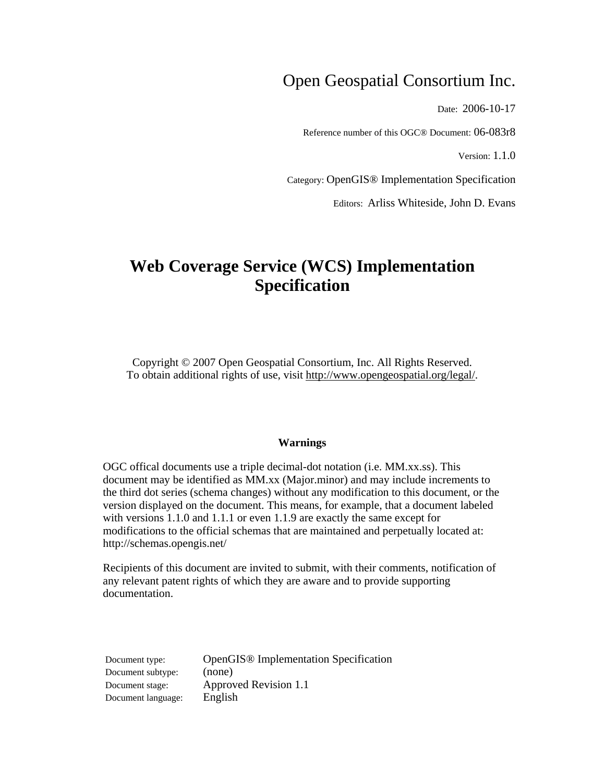# Open Geospatial Consortium Inc.

Date: 2006-10-17

Reference number of this OGC® Document: 06-083r8

Version: 1.1.0

Category: OpenGIS® Implementation Specification

Editors: Arliss Whiteside, John D. Evans

# **Web Coverage Service (WCS) Implementation Specification**

Copyright © 2007 Open Geospatial Consortium, Inc. All Rights Reserved. To obtain additional rights of use, visit [http://www.opengeospatial.org/legal/.](http://www.opengeospatial.org/legal/)

#### **Warnings**

OGC offical documents use a triple decimal-dot notation (i.e. MM.xx.ss). This document may be identified as MM.xx (Major.minor) and may include increments to the third dot series (schema changes) without any modification to this document, or the version displayed on the document. This means, for example, that a document labeled with versions 1.1.0 and 1.1.1 or even 1.1.9 are exactly the same except for modifications to the official schemas that are maintained and perpetually located at: http://schemas.opengis.net/

Recipients of this document are invited to submit, with their comments, notification of any relevant patent rights of which they are aware and to provide supporting documentation.

| Document type:     | OpenGIS <sup>®</sup> Implementation Specification |
|--------------------|---------------------------------------------------|
| Document subtype:  | (none)                                            |
| Document stage:    | Approved Revision 1.1                             |
| Document language: | English                                           |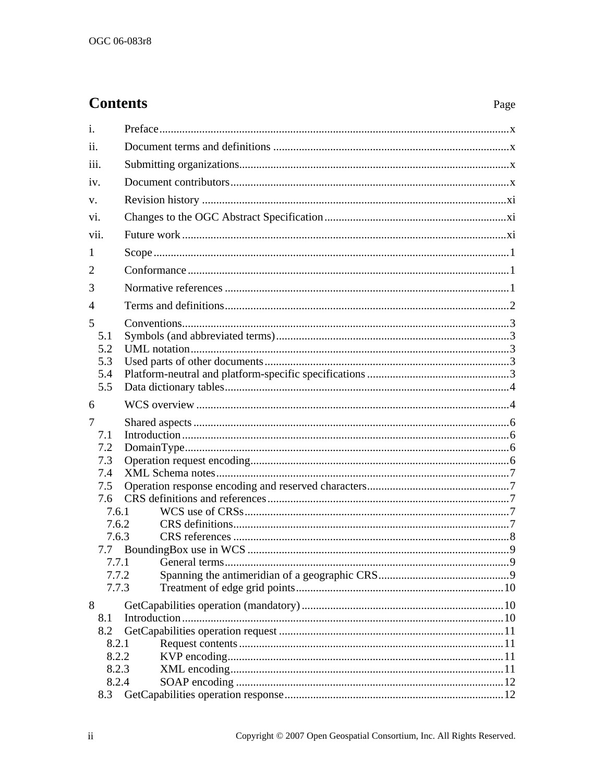# **Contents**

# Page

| i.         |       |
|------------|-------|
| ii.        |       |
| 111.       |       |
| iv.        |       |
| V.         |       |
| vi.        |       |
| vii.       |       |
| 1          |       |
| 2          |       |
| 3          |       |
| 4          |       |
| 5          |       |
| 5.1        |       |
| 5.2<br>5.3 |       |
| 5.4        |       |
| 5.5        |       |
| 6          |       |
| 7<br>7.1   |       |
| 7.2        |       |
| 7.3        |       |
| 7.4        |       |
| 7.5<br>7.6 |       |
|            | 7.6.1 |
|            | 7.6.2 |
|            | 7.6.3 |
| 7.7        | 7.7.1 |
|            | 7.7.2 |
|            | 7.7.3 |
| 8          |       |
| 8.1        |       |
| 8.2        | 8.2.1 |
|            | 8.2.2 |
|            | 8.2.3 |
|            | 8.2.4 |
| 8.3        |       |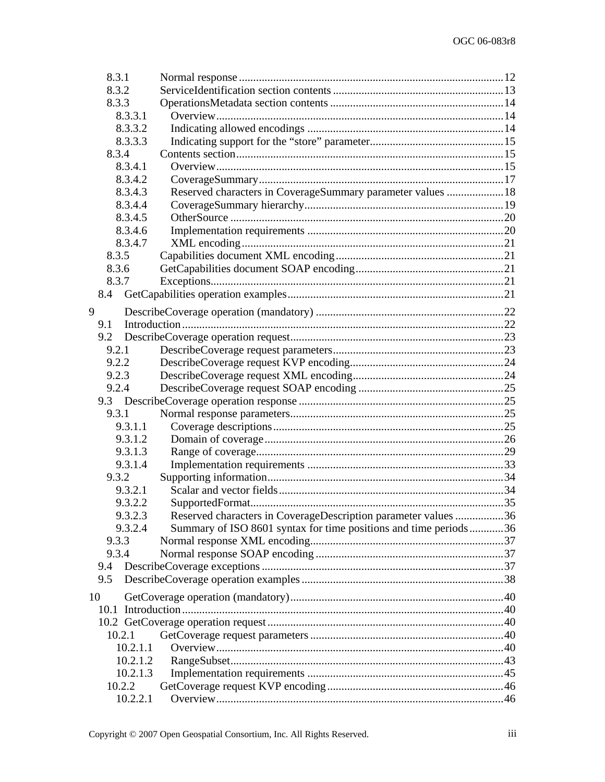| 8.3.1    |                                                                  |  |
|----------|------------------------------------------------------------------|--|
| 8.3.2    |                                                                  |  |
| 8.3.3    |                                                                  |  |
| 8.3.3.1  |                                                                  |  |
| 8.3.3.2  |                                                                  |  |
| 8.3.3.3  |                                                                  |  |
| 8.3.4    |                                                                  |  |
| 8.3.4.1  |                                                                  |  |
| 8.3.4.2  |                                                                  |  |
| 8.3.4.3  | Reserved characters in CoverageSummary parameter values  18      |  |
| 8.3.4.4  |                                                                  |  |
| 8.3.4.5  |                                                                  |  |
| 8.3.4.6  |                                                                  |  |
| 8.3.4.7  |                                                                  |  |
| 8.3.5    |                                                                  |  |
| 8.3.6    |                                                                  |  |
| 8.3.7    |                                                                  |  |
| 8.4      |                                                                  |  |
| 9        |                                                                  |  |
| 9.1      |                                                                  |  |
| 9.2      |                                                                  |  |
| 9.2.1    |                                                                  |  |
| 9.2.2    |                                                                  |  |
| 9.2.3    |                                                                  |  |
| 9.2.4    |                                                                  |  |
|          |                                                                  |  |
| 9.3.1    |                                                                  |  |
| 9.3.1.1  |                                                                  |  |
| 9.3.1.2  |                                                                  |  |
| 9.3.1.3  |                                                                  |  |
|          |                                                                  |  |
| 9.3.1.4  |                                                                  |  |
| 9.3.2    |                                                                  |  |
| 9.3.2.1  |                                                                  |  |
| 9.3.2.2  |                                                                  |  |
| 9.3.2.3  | Reserved characters in CoverageDescription parameter values 36   |  |
| 9.3.2.4  | Summary of ISO 8601 syntax for time positions and time periods36 |  |
| 9.3.3    |                                                                  |  |
| 9.3.4    |                                                                  |  |
| 9.4      |                                                                  |  |
| 9.5      |                                                                  |  |
| 10       |                                                                  |  |
|          |                                                                  |  |
|          |                                                                  |  |
| 10.2.1   |                                                                  |  |
| 10.2.1.1 |                                                                  |  |
| 10.2.1.2 |                                                                  |  |
| 10.2.1.3 |                                                                  |  |
| 10.2.2   |                                                                  |  |
| 10.2.2.1 |                                                                  |  |
|          |                                                                  |  |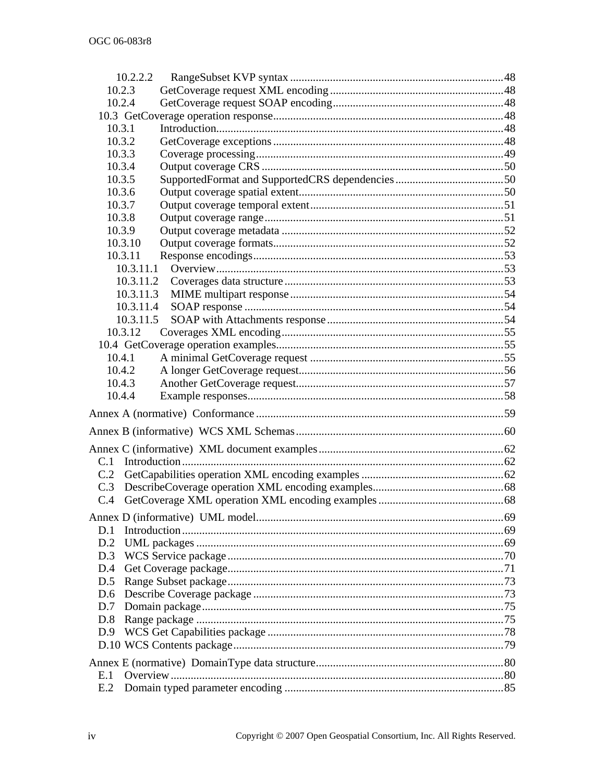| 10.2.2.2  |  |
|-----------|--|
| 10.2.3    |  |
| 10.2.4    |  |
|           |  |
| 10.3.1    |  |
| 10.3.2    |  |
| 10.3.3    |  |
| 10.3.4    |  |
| 10.3.5    |  |
| 10.3.6    |  |
| 10.3.7    |  |
| 10.3.8    |  |
| 10.3.9    |  |
| 10.3.10   |  |
| 10.3.11   |  |
| 10.3.11.1 |  |
| 10.3.11.2 |  |
| 10.3.11.3 |  |
| 10.3.11.4 |  |
| 10.3.11.5 |  |
| 10.3.12   |  |
|           |  |
| 10.4.1    |  |
| 10.4.2    |  |
| 10.4.3    |  |
| 10.4.4    |  |
|           |  |
|           |  |
|           |  |
|           |  |
|           |  |
| C.2       |  |
| C.3       |  |
| C.4       |  |
|           |  |
| D.1       |  |
| D.2       |  |
| D.3       |  |
| D.4       |  |
| D.5       |  |
| D.6       |  |
| D.7       |  |
| D.8       |  |
| D.9       |  |
|           |  |
|           |  |
| E.1       |  |
| E.2       |  |
|           |  |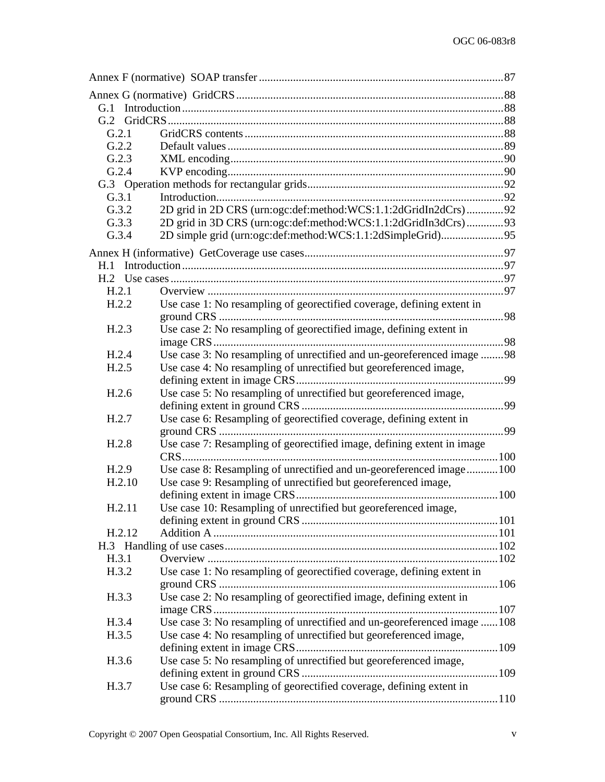| G.2.1  |                                                                         |  |
|--------|-------------------------------------------------------------------------|--|
| G.2.2  |                                                                         |  |
| G.2.3  |                                                                         |  |
| G.2.4  |                                                                         |  |
|        |                                                                         |  |
| G.3.1  |                                                                         |  |
| G.3.2  | 2D grid in 2D CRS (urn:ogc:def:method:WCS:1.1:2dGridIn2dCrs)92          |  |
| G.3.3  | 2D grid in 3D CRS (urn:ogc:def:method:WCS:1.1:2dGridIn3dCrs)93          |  |
| G.3.4  |                                                                         |  |
|        |                                                                         |  |
|        |                                                                         |  |
|        |                                                                         |  |
| H.2.1  |                                                                         |  |
| H.2.2  | Use case 1: No resampling of georectified coverage, defining extent in  |  |
|        |                                                                         |  |
| H.2.3  | Use case 2: No resampling of georectified image, defining extent in     |  |
|        |                                                                         |  |
| H.2.4  | Use case 3: No resampling of unrectified and un-georeferenced image 98  |  |
| H.2.5  | Use case 4: No resampling of unrectified but georeferenced image,       |  |
|        |                                                                         |  |
| H.2.6  | Use case 5: No resampling of unrectified but georeferenced image,       |  |
|        |                                                                         |  |
| H.2.7  | Use case 6: Resampling of georectified coverage, defining extent in     |  |
|        |                                                                         |  |
| H.2.8  | Use case 7: Resampling of georectified image, defining extent in image  |  |
|        |                                                                         |  |
| H.2.9  | Use case 8: Resampling of unrectified and un-georeferenced image100     |  |
| H.2.10 | Use case 9: Resampling of unrectified but georeferenced image,          |  |
|        |                                                                         |  |
| H.2.11 | Use case 10: Resampling of unrectified but georeferenced image,         |  |
|        |                                                                         |  |
| H.2.12 |                                                                         |  |
|        |                                                                         |  |
| H.3.1  |                                                                         |  |
| H.3.2  | Use case 1: No resampling of georectified coverage, defining extent in  |  |
|        |                                                                         |  |
| H.3.3  | Use case 2: No resampling of georectified image, defining extent in     |  |
|        |                                                                         |  |
| H.3.4  | Use case 3: No resampling of unrectified and un-georeferenced image 108 |  |
| H.3.5  | Use case 4: No resampling of unrectified but georeferenced image,       |  |
| H.3.6  | Use case 5: No resampling of unrectified but georeferenced image,       |  |
|        |                                                                         |  |
| H.3.7  | Use case 6: Resampling of georectified coverage, defining extent in     |  |
|        |                                                                         |  |
|        |                                                                         |  |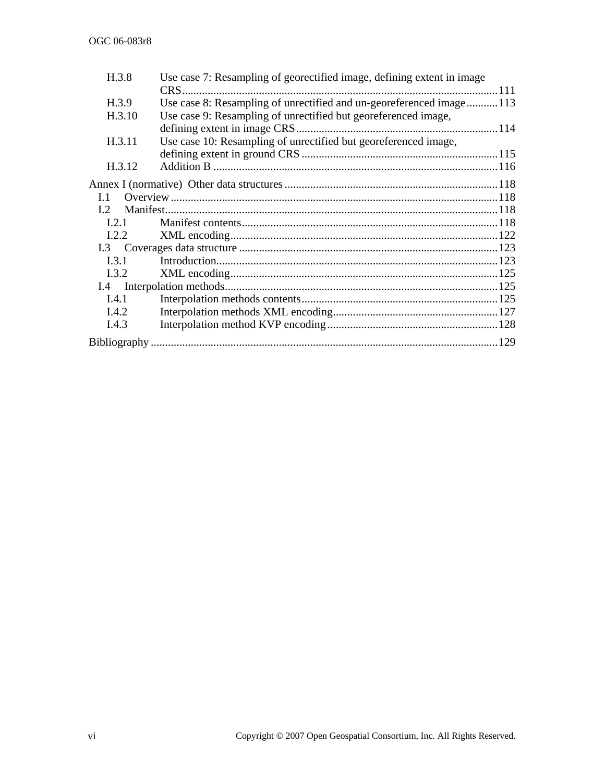| H.3.8  | Use case 7: Resampling of georectified image, defining extent in image |  |
|--------|------------------------------------------------------------------------|--|
|        |                                                                        |  |
| H.3.9  | Use case 8: Resampling of unrectified and un-georeferenced image113    |  |
| H.3.10 | Use case 9: Resampling of unrectified but georeferenced image,         |  |
|        |                                                                        |  |
| H.3.11 | Use case 10: Resampling of unrectified but georeferenced image,        |  |
|        |                                                                        |  |
| H.3.12 |                                                                        |  |
|        |                                                                        |  |
| L1     |                                                                        |  |
| L2     |                                                                        |  |
| 1.2.1  |                                                                        |  |
| 1.2.2  |                                                                        |  |
|        |                                                                        |  |
| I.3.1  |                                                                        |  |
| I.3.2  |                                                                        |  |
|        |                                                                        |  |
| I.4.1  |                                                                        |  |
| I.4.2  |                                                                        |  |
| I.4.3  |                                                                        |  |
|        |                                                                        |  |
|        |                                                                        |  |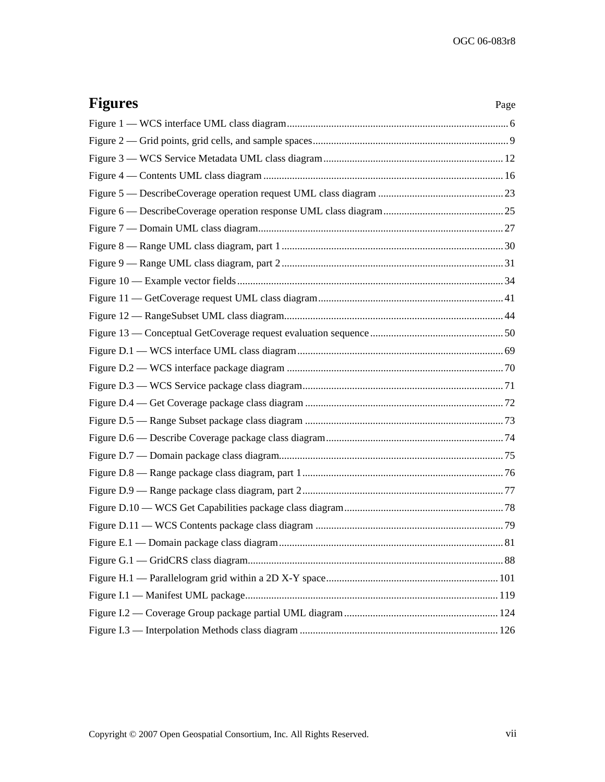| <b>Figures</b> | Page |
|----------------|------|
|                |      |
|                |      |
|                |      |
|                |      |
|                |      |
|                |      |
|                |      |
|                |      |
|                |      |
|                |      |
|                |      |
|                |      |
|                |      |
|                |      |
|                |      |
|                |      |
|                |      |
|                |      |
|                |      |
|                |      |
|                |      |
|                |      |
|                |      |
|                |      |
|                |      |
|                |      |
|                |      |
|                |      |
|                |      |
|                |      |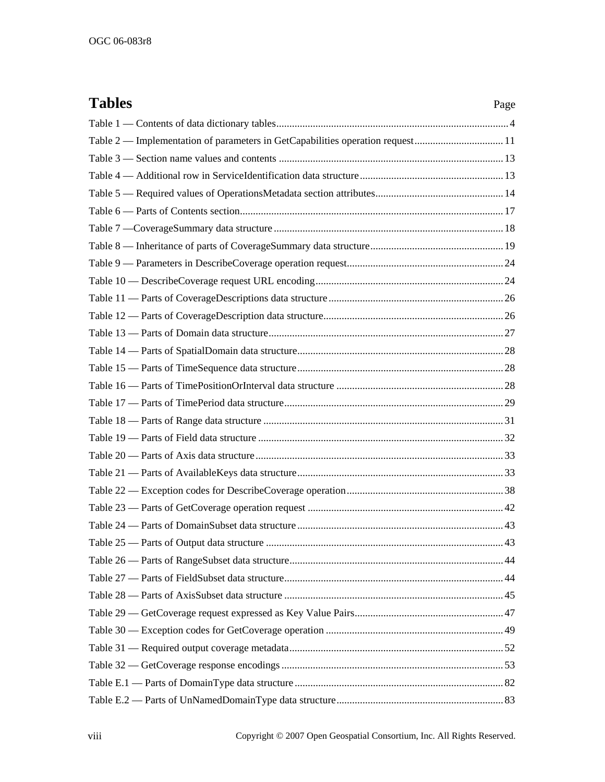| <b>Tables</b> |  |
|---------------|--|
|---------------|--|

| <b>Tables</b>                                                                 | Page |
|-------------------------------------------------------------------------------|------|
|                                                                               |      |
| Table 2 — Implementation of parameters in GetCapabilities operation request11 |      |
|                                                                               |      |
|                                                                               |      |
|                                                                               |      |
|                                                                               |      |
|                                                                               |      |
|                                                                               |      |
|                                                                               |      |
|                                                                               |      |
|                                                                               |      |
|                                                                               |      |
|                                                                               |      |
|                                                                               |      |
|                                                                               |      |
|                                                                               |      |
|                                                                               |      |
|                                                                               |      |
|                                                                               |      |
|                                                                               |      |
|                                                                               |      |
|                                                                               |      |
|                                                                               |      |
|                                                                               |      |
|                                                                               |      |
|                                                                               |      |
|                                                                               |      |
|                                                                               |      |
|                                                                               |      |
|                                                                               |      |
|                                                                               |      |
|                                                                               |      |
|                                                                               |      |
|                                                                               |      |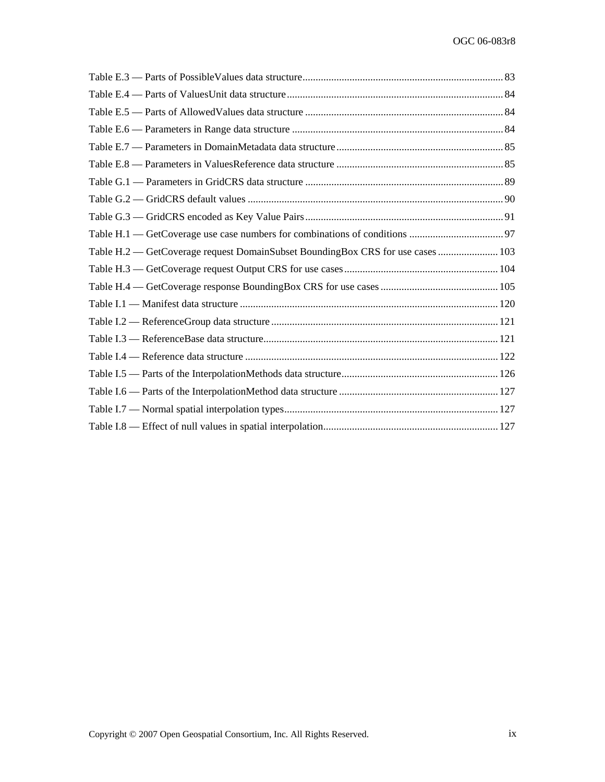| Table H.2 — GetCoverage request DomainSubset BoundingBox CRS for use cases  103 |  |
|---------------------------------------------------------------------------------|--|
|                                                                                 |  |
|                                                                                 |  |
|                                                                                 |  |
|                                                                                 |  |
|                                                                                 |  |
|                                                                                 |  |
|                                                                                 |  |
|                                                                                 |  |
|                                                                                 |  |
|                                                                                 |  |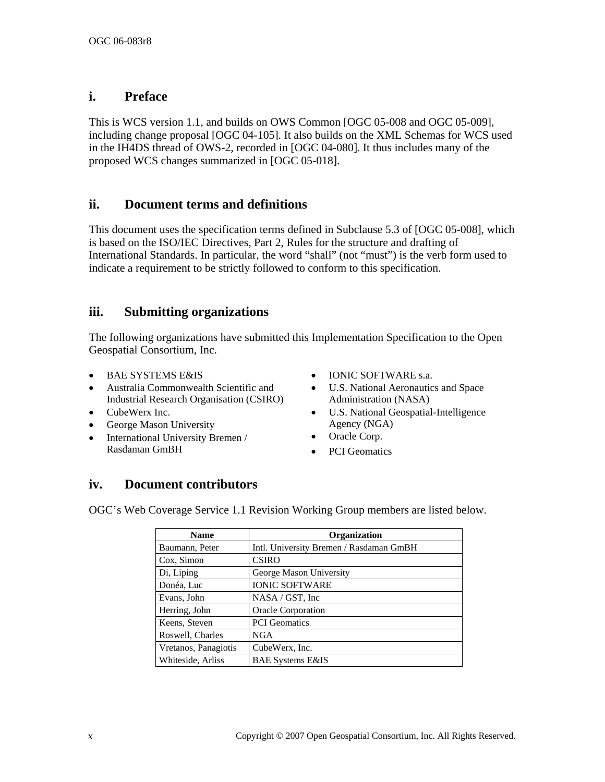# <span id="page-9-0"></span>**i. Preface**

This is WCS version 1.1, and builds on OWS Common [OGC 05-008 and OGC 05-009], including change proposal [OGC 04-105]. It also builds on the XML Schemas for WCS used in the IH4DS thread of OWS-2, recorded in [OGC 04-080]. It thus includes many of the proposed WCS changes summarized in [OGC 05-018].

# **ii. Document terms and definitions**

This document uses the specification terms defined in Subclause 5.3 of [OGC 05-008], which is based on the ISO/IEC Directives, Part 2, Rules for the structure and drafting of International Standards. In particular, the word "shall" (not "must") is the verb form used to indicate a requirement to be strictly followed to conform to this specification.

# **iii. Submitting organizations**

The following organizations have submitted this Implementation Specification to the Open Geospatial Consortium, Inc.

- BAE SYSTEMS E&IS
- Australia Commonwealth Scientific and Industrial Research Organisation (CSIRO)
- CubeWerx Inc.
- George Mason University
- International University Bremen / Rasdaman GmBH
- IONIC SOFTWARE s.a.
- U.S. National Aeronautics and Space Administration (NASA)
- U.S. National Geospatial-Intelligence Agency (NGA)
- Oracle Corp.
- PCI Geomatics

# **iv. Document contributors**

OGC's Web Coverage Service 1.1 Revision Working Group members are listed below.

| <b>Name</b>          | <b>Organization</b>                     |
|----------------------|-----------------------------------------|
| Baumann, Peter       | Intl. University Bremen / Rasdaman GmBH |
| Cox, Simon           | <b>CSIRO</b>                            |
| Di, Liping           | George Mason University                 |
| Donéa, Luc           | <b>IONIC SOFTWARE</b>                   |
| Evans, John          | NASA / GST, Inc                         |
| Herring, John        | <b>Oracle Corporation</b>               |
| Keens, Steven        | <b>PCI</b> Geomatics                    |
| Roswell, Charles     | <b>NGA</b>                              |
| Vretanos, Panagiotis | CubeWerx, Inc.                          |
| Whiteside, Arliss    | <b>BAE Systems E&amp;IS</b>             |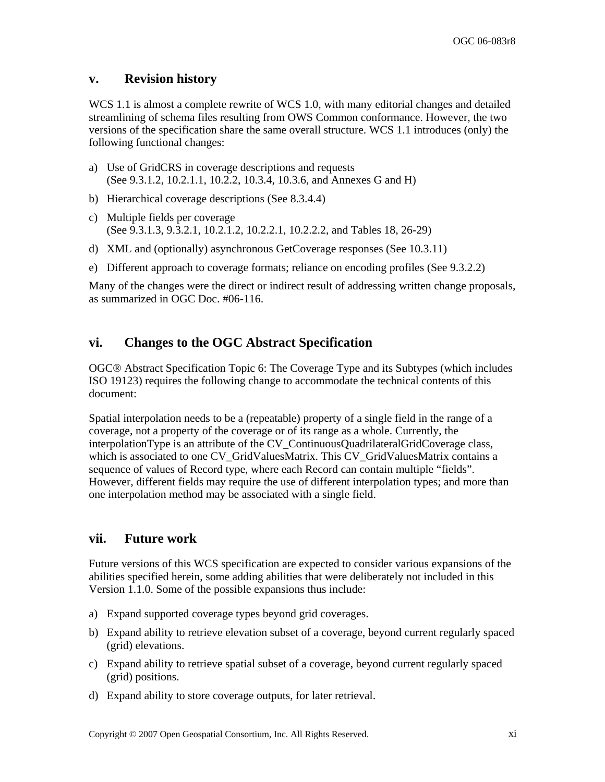# <span id="page-10-0"></span>**v. Revision history**

WCS 1.1 is almost a complete rewrite of WCS 1.0, with many editorial changes and detailed streamlining of schema files resulting from OWS Common conformance. However, the two versions of the specification share the same overall structure. WCS 1.1 introduces (only) the following functional changes:

- a) Use of GridCRS in coverage descriptions and requests (See 9.3.1.2, 10.2.1.1, 10.2.2, 10.3.4, 10.3.6, and Annexes G and H)
- b) Hierarchical coverage descriptions (See 8.3.4.4)
- c) Multiple fields per coverage (See 9.3.1.3, 9.3.2.1, 10.2.1.2, 10.2.2.1, 10.2.2.2, and Tables 18, 26-29)
- d) XML and (optionally) asynchronous GetCoverage responses (See 10.3.11)
- e) Different approach to coverage formats; reliance on encoding profiles (See 9.3.2.2)

Many of the changes were the direct or indirect result of addressing written change proposals, as summarized in OGC Doc. #06-116.

# **vi. Changes to the OGC Abstract Specification**

OGC® Abstract Specification Topic 6: The Coverage Type and its Subtypes (which includes ISO 19123) requires the following change to accommodate the technical contents of this document:

Spatial interpolation needs to be a (repeatable) property of a single field in the range of a coverage, not a property of the coverage or of its range as a whole. Currently, the interpolationType is an attribute of the CV\_ContinuousQuadrilateralGridCoverage class, which is associated to one CV\_GridValuesMatrix. This CV\_GridValuesMatrix contains a sequence of values of Record type, where each Record can contain multiple "fields". However, different fields may require the use of different interpolation types; and more than one interpolation method may be associated with a single field.

# **vii. Future work**

Future versions of this WCS specification are expected to consider various expansions of the abilities specified herein, some adding abilities that were deliberately not included in this Version 1.1.0. Some of the possible expansions thus include:

- a) Expand supported coverage types beyond grid coverages.
- b) Expand ability to retrieve elevation subset of a coverage, beyond current regularly spaced (grid) elevations.
- c) Expand ability to retrieve spatial subset of a coverage, beyond current regularly spaced (grid) positions.
- d) Expand ability to store coverage outputs, for later retrieval.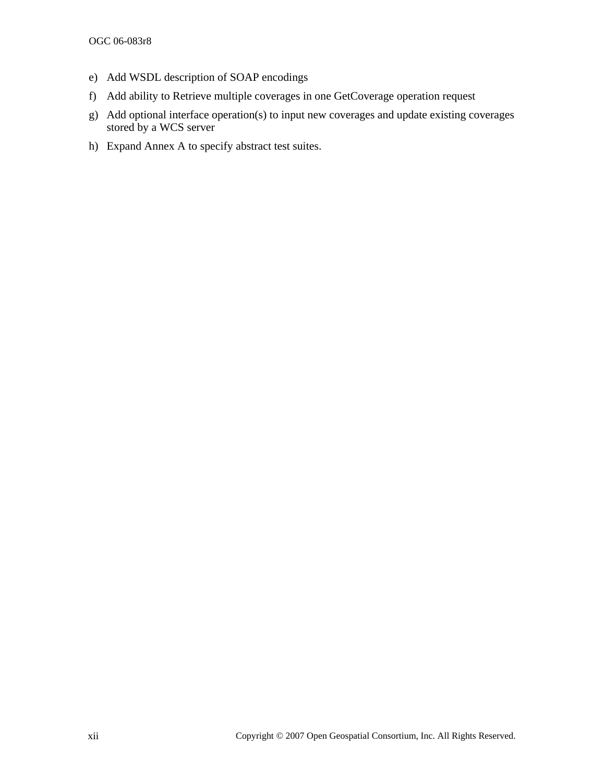- e) Add WSDL description of SOAP encodings
- f) Add ability to Retrieve multiple coverages in one GetCoverage operation request
- g) Add optional interface operation(s) to input new coverages and update existing coverages stored by a WCS server
- h) Expand Annex A to specify abstract test suites.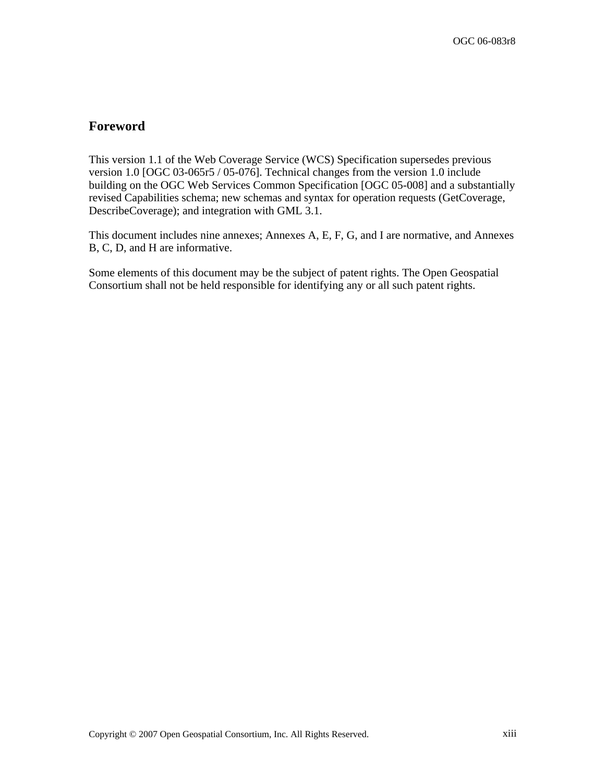# **Foreword**

This version 1.1 of the Web Coverage Service (WCS) Specification supersedes previous version 1.0 [OGC 03-065r5 / 05-076]. Technical changes from the version 1.0 include building on the OGC Web Services Common Specification [OGC 05-008] and a substantially revised Capabilities schema; new schemas and syntax for operation requests (GetCoverage, DescribeCoverage); and integration with GML 3.1.

This document includes nine annexes; Annexes A, E, F, G, and I are normative, and Annexes B, C, D, and H are informative.

Some elements of this document may be the subject of patent rights. The Open Geospatial Consortium shall not be held responsible for identifying any or all such patent rights.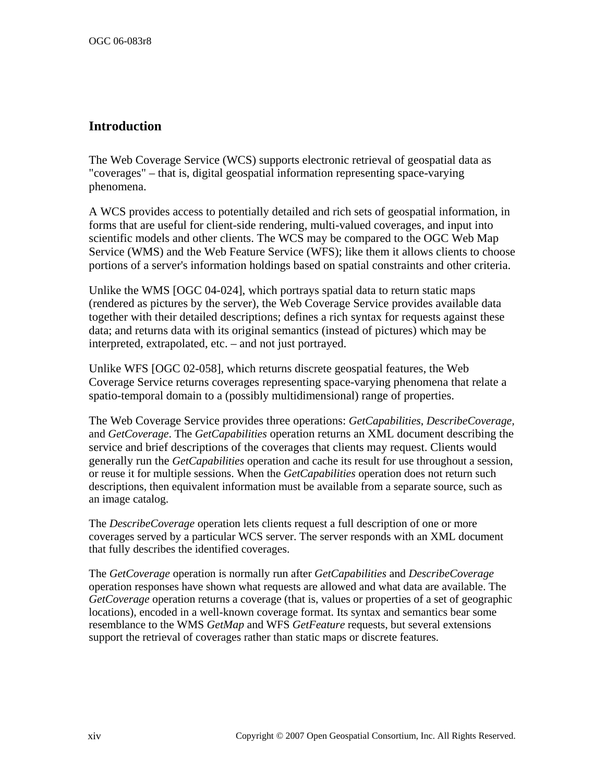# **Introduction**

The Web Coverage Service (WCS) supports electronic retrieval of geospatial data as "coverages" – that is, digital geospatial information representing space-varying phenomena.

A WCS provides access to potentially detailed and rich sets of geospatial information, in forms that are useful for client-side rendering, multi-valued coverages, and input into scientific models and other clients. The WCS may be compared to the OGC Web Map Service (WMS) and the Web Feature Service (WFS); like them it allows clients to choose portions of a server's information holdings based on spatial constraints and other criteria.

Unlike the WMS [OGC 04-024], which portrays spatial data to return static maps (rendered as pictures by the server), the Web Coverage Service provides available data together with their detailed descriptions; defines a rich syntax for requests against these data; and returns data with its original semantics (instead of pictures) which may be interpreted, extrapolated, etc. – and not just portrayed.

Unlike WFS [OGC 02-058], which returns discrete geospatial features, the Web Coverage Service returns coverages representing space-varying phenomena that relate a spatio-temporal domain to a (possibly multidimensional) range of properties.

The Web Coverage Service provides three operations: *GetCapabilities*, *DescribeCoverage,*  and *GetCoverage*. The *GetCapabilities* operation returns an XML document describing the service and brief descriptions of the coverages that clients may request. Clients would generally run the *GetCapabilities* operation and cache its result for use throughout a session, or reuse it for multiple sessions. When the *GetCapabilities* operation does not return such descriptions, then equivalent information must be available from a separate source, such as an image catalog.

The *DescribeCoverage* operation lets clients request a full description of one or more coverages served by a particular WCS server. The server responds with an XML document that fully describes the identified coverages.

The *GetCoverage* operation is normally run after *GetCapabilities* and *DescribeCoverage* operation responses have shown what requests are allowed and what data are available. The *GetCoverage* operation returns a coverage (that is, values or properties of a set of geographic locations), encoded in a well-known coverage format. Its syntax and semantics bear some resemblance to the WMS *GetMap* and WFS *GetFeature* requests, but several extensions support the retrieval of coverages rather than static maps or discrete features.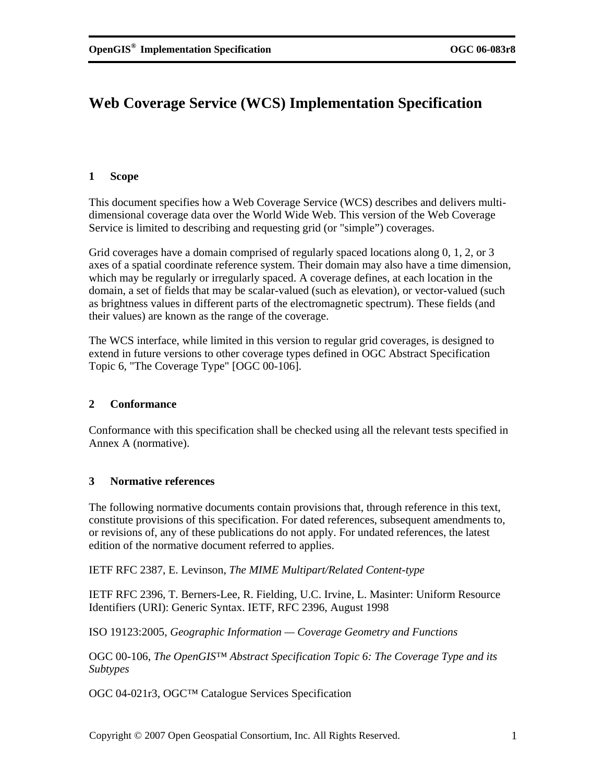# <span id="page-14-0"></span>**Web Coverage Service (WCS) Implementation Specification**

### **1 Scope**

This document specifies how a Web Coverage Service (WCS) describes and delivers multidimensional coverage data over the World Wide Web. This version of the Web Coverage Service is limited to describing and requesting grid (or "simple") coverages.

Grid coverages have a domain comprised of regularly spaced locations along 0, 1, 2, or 3 axes of a spatial coordinate reference system. Their domain may also have a time dimension, which may be regularly or irregularly spaced. A coverage defines, at each location in the domain, a set of fields that may be scalar-valued (such as elevation), or vector-valued (such as brightness values in different parts of the electromagnetic spectrum). These fields (and their values) are known as the range of the coverage.

The WCS interface, while limited in this version to regular grid coverages, is designed to extend in future versions to other coverage types defined in OGC Abstract Specification Topic 6, "The Coverage Type" [OGC 00-106].

#### **2 Conformance**

Conformance with this specification shall be checked using all the relevant tests specified in Annex A (normative).

#### **3 Normative references**

The following normative documents contain provisions that, through reference in this text, constitute provisions of this specification. For dated references, subsequent amendments to, or revisions of, any of these publications do not apply. For undated references, the latest edition of the normative document referred to applies.

IETF RFC 2387, E. Levinson, *The MIME Multipart/Related Content-type*

IETF RFC 2396, T. Berners-Lee, R. Fielding, U.C. Irvine, L. Masinter: Uniform Resource Identifiers (URI): Generic Syntax. IETF, RFC 2396, August 1998

ISO 19123:2005, *Geographic Information — Coverage Geometry and Functions* 

OGC 00-106, *The OpenGIS™ Abstract Specification Topic 6: The Coverage Type and its Subtypes* 

OGC 04-021r3, OGC™ Catalogue Services Specification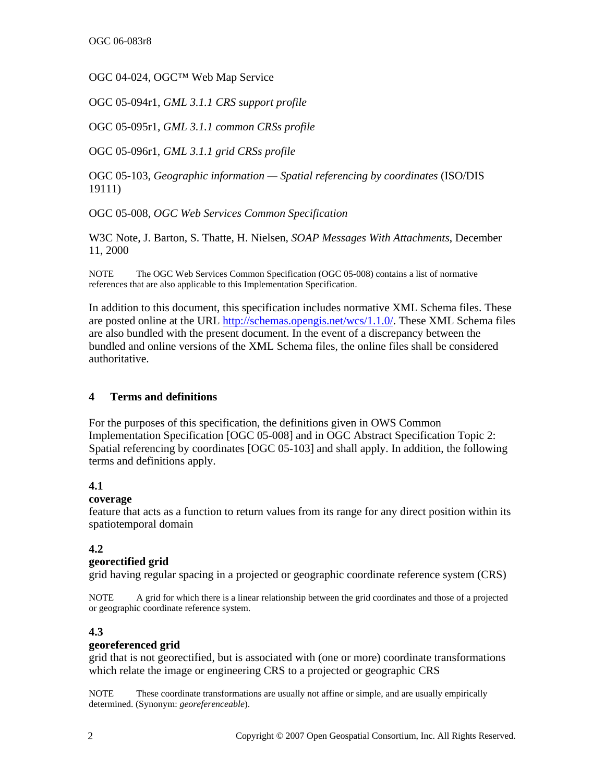<span id="page-15-0"></span>OGC 04-024, OGC™ Web Map Service

OGC 05-094r1, *GML 3.1.1 CRS support profile*

OGC 05-095r1, *GML 3.1.1 common CRSs profile*

OGC 05-096r1, *GML 3.1.1 grid CRSs profile*

OGC 05-103, *Geographic information — Spatial referencing by coordinates* (ISO/DIS 19111)

OGC 05-008, *OGC Web Services Common Specification* 

W3C Note, J. Barton, S. Thatte, H. Nielsen, *SOAP Messages With Attachments*, December 11, 2000

NOTE The OGC Web Services Common Specification (OGC 05-008) contains a list of normative references that are also applicable to this Implementation Specification.

In addition to this document, this specification includes normative XML Schema files. These are posted online at the URL [http://schemas.opengis.net/wcs/1](http://schemas.opengis.net/wcs/).1.0/. These XML Schema files are also bundled with the present document. In the event of a discrepancy between the bundled and online versions of the XML Schema files, the online files shall be considered authoritative.

# **4 Terms and definitions**

For the purposes of this specification, the definitions given in OWS Common Implementation Specification [OGC 05-008] and in OGC Abstract Specification Topic 2: Spatial referencing by coordinates [OGC 05-103] and shall apply. In addition, the following terms and definitions apply.

# **4.1**

# **coverage**

feature that acts as a function to return values from its range for any direct position within its spatiotemporal domain

# **4.2**

# **georectified grid**

grid having regular spacing in a projected or geographic coordinate reference system (CRS)

NOTE A grid for which there is a linear relationship between the grid coordinates and those of a projected or geographic coordinate reference system.

# **4.3**

# **georeferenced grid**

grid that is not georectified, but is associated with (one or more) coordinate transformations which relate the image or engineering CRS to a projected or geographic CRS

NOTE These coordinate transformations are usually not affine or simple, and are usually empirically determined. (Synonym: *georeferenceable*).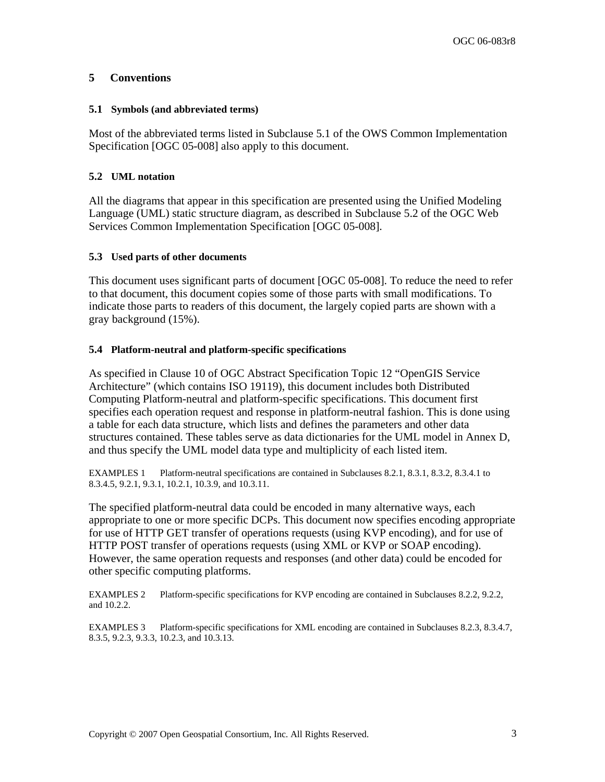### <span id="page-16-0"></span>**5 Conventions**

#### **5.1 Symbols (and abbreviated terms)**

Most of the abbreviated terms listed in Subclause 5.1 of the OWS Common Implementation Specification [OGC 05-008] also apply to this document.

#### **5.2 UML notation**

All the diagrams that appear in this specification are presented using the Unified Modeling Language (UML) static structure diagram, as described in Subclause 5.2 of the OGC Web Services Common Implementation Specification [OGC 05-008].

#### **5.3 Used parts of other documents**

This document uses significant parts of document [OGC 05-008]. To reduce the need to refer to that document, this document copies some of those parts with small modifications. To indicate those parts to readers of this document, the largely copied parts are shown with a gray background (15%).

### **5.4 Platform-neutral and platform-specific specifications**

As specified in Clause 10 of OGC Abstract Specification Topic 12 "OpenGIS Service Architecture" (which contains ISO 19119), this document includes both Distributed Computing Platform-neutral and platform-specific specifications. This document first specifies each operation request and response in platform-neutral fashion. This is done using a table for each data structure, which lists and defines the parameters and other data structures contained. These tables serve as data dictionaries for the UML model in Annex D, and thus specify the UML model data type and multiplicity of each listed item.

EXAMPLES 1 Platform-neutral specifications are contained in Subclauses 8.2.1, 8.3.1, 8.3.2, 8.3.4.1 to 8.3.4.5, 9.2.1, 9.3.1, 10.2.1, 10.3.9, and 10.3.11.

The specified platform-neutral data could be encoded in many alternative ways, each appropriate to one or more specific DCPs. This document now specifies encoding appropriate for use of HTTP GET transfer of operations requests (using KVP encoding), and for use of HTTP POST transfer of operations requests (using XML or KVP or SOAP encoding). However, the same operation requests and responses (and other data) could be encoded for other specific computing platforms.

EXAMPLES 2 Platform-specific specifications for KVP encoding are contained in Subclauses 8.2.2, 9.2.2, and 10.2.2.

EXAMPLES 3 Platform-specific specifications for XML encoding are contained in Subclauses 8.2.3, 8.3.4.7, 8.3.5, 9.2.3, 9.3.3, 10.2.3, and 10.3.13.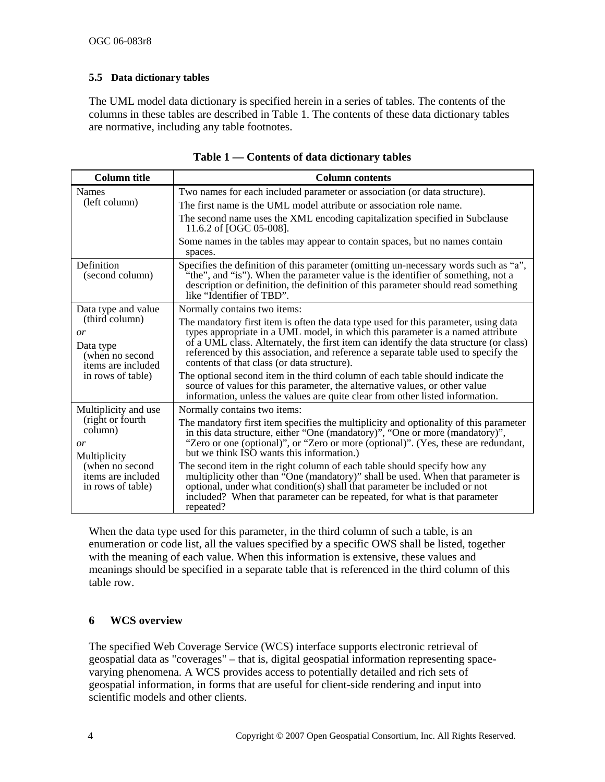# <span id="page-17-0"></span>**5.5 Data dictionary tables**

The UML model data dictionary is specified herein in a series of tables. The contents of the columns in these tables are described in Table 1. The contents of these data dictionary tables are normative, including any table footnotes.

| <b>Column title</b>                                                                                                                     | <b>Column contents</b>                                                                                                                                                                                                                                                                                                                                                                                                                                                                                                                                                                                                                                                                 |
|-----------------------------------------------------------------------------------------------------------------------------------------|----------------------------------------------------------------------------------------------------------------------------------------------------------------------------------------------------------------------------------------------------------------------------------------------------------------------------------------------------------------------------------------------------------------------------------------------------------------------------------------------------------------------------------------------------------------------------------------------------------------------------------------------------------------------------------------|
| <b>Names</b><br>(left column)                                                                                                           | Two names for each included parameter or association (or data structure).<br>The first name is the UML model attribute or association role name.<br>The second name uses the XML encoding capitalization specified in Subclause<br>11.6.2 of [OGC 05-008].<br>Some names in the tables may appear to contain spaces, but no names contain<br>spaces.                                                                                                                                                                                                                                                                                                                                   |
| Definition<br>(second column)                                                                                                           | Specifies the definition of this parameter (omitting un-necessary words such as "a",<br>"the", and "is"). When the parameter value is the identifier of something, not a<br>description or definition, the definition of this parameter should read something<br>like "Identifier of TBD".                                                                                                                                                                                                                                                                                                                                                                                             |
| Data type and value<br>(third column)<br><i>or</i><br>Data type<br>(when no second<br>items are included<br>in rows of table)           | Normally contains two items:<br>The mandatory first item is often the data type used for this parameter, using data<br>types appropriate in a UML model, in which this parameter is a named attribute<br>of a UML class. Alternately, the first item can identify the data structure (or class)<br>referenced by this association, and reference a separate table used to specify the<br>contents of that class (or data structure).<br>The optional second item in the third column of each table should indicate the<br>source of values for this parameter, the alternative values, or other value<br>information, unless the values are quite clear from other listed information. |
| Multiplicity and use<br>(right or fourth<br>column)<br>or<br>Multiplicity<br>(when no second<br>items are included<br>in rows of table) | Normally contains two items:<br>The mandatory first item specifies the multiplicity and optionality of this parameter<br>in this data structure, either "One (mandatory)", "One or more (mandatory)",<br>"Zero or one (optional)", or "Zero or more (optional)". (Yes, these are redundant,<br>but we think ISO wants this information.)<br>The second item in the right column of each table should specify how any<br>multiplicity other than "One (mandatory)" shall be used. When that parameter is<br>optional, under what condition(s) shall that parameter be included or not<br>included? When that parameter can be repeated, for what is that parameter<br>repeated?         |

**Table 1 — Contents of data dictionary tables** 

When the data type used for this parameter, in the third column of such a table, is an enumeration or code list, all the values specified by a specific OWS shall be listed, together with the meaning of each value. When this information is extensive, these values and meanings should be specified in a separate table that is referenced in the third column of this table row.

# **6 WCS overview**

The specified Web Coverage Service (WCS) interface supports electronic retrieval of geospatial data as "coverages" – that is, digital geospatial information representing spacevarying phenomena. A WCS provides access to potentially detailed and rich sets of geospatial information, in forms that are useful for client-side rendering and input into scientific models and other clients.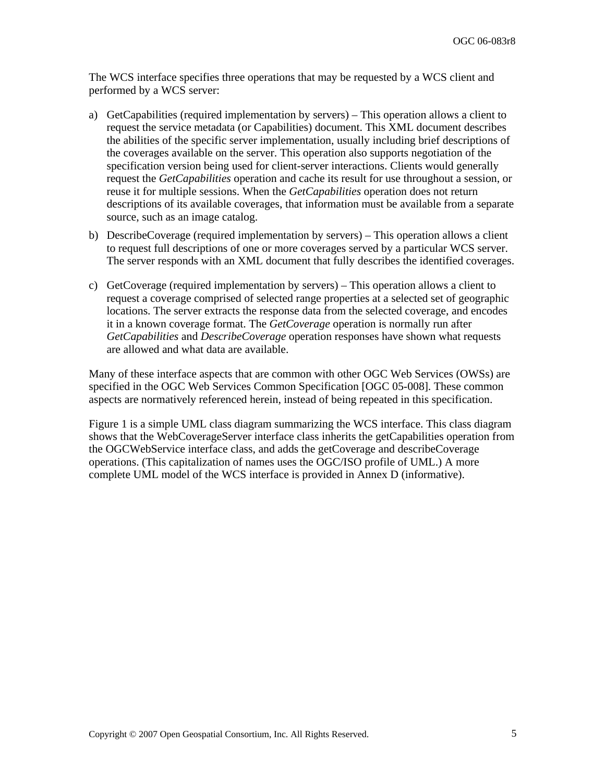The WCS interface specifies three operations that may be requested by a WCS client and performed by a WCS server:

- a) GetCapabilities (required implementation by servers) This operation allows a client to request the service metadata (or Capabilities) document. This XML document describes the abilities of the specific server implementation, usually including brief descriptions of the coverages available on the server. This operation also supports negotiation of the specification version being used for client-server interactions. Clients would generally request the *GetCapabilities* operation and cache its result for use throughout a session, or reuse it for multiple sessions. When the *GetCapabilities* operation does not return descriptions of its available coverages, that information must be available from a separate source, such as an image catalog.
- b) DescribeCoverage (required implementation by servers) This operation allows a client to request full descriptions of one or more coverages served by a particular WCS server. The server responds with an XML document that fully describes the identified coverages.
- c) GetCoverage (required implementation by servers) This operation allows a client to request a coverage comprised of selected range properties at a selected set of geographic locations. The server extracts the response data from the selected coverage, and encodes it in a known coverage format. The *GetCoverage* operation is normally run after *GetCapabilities* and *DescribeCoverage* operation responses have shown what requests are allowed and what data are available.

Many of these interface aspects that are common with other OGC Web Services (OWSs) are specified in the OGC Web Services Common Specification [OGC 05-008]. These common aspects are normatively referenced herein, instead of being repeated in this specification.

[Figure 1](#page-19-0) is a simple UML class diagram summarizing the WCS interface. This class diagram shows that the WebCoverageServer interface class inherits the getCapabilities operation from the OGCWebService interface class, and adds the getCoverage and describeCoverage operations. (This capitalization of names uses the OGC/ISO profile of UML.) A more complete UML model of the WCS interface is provided in Annex D (informative).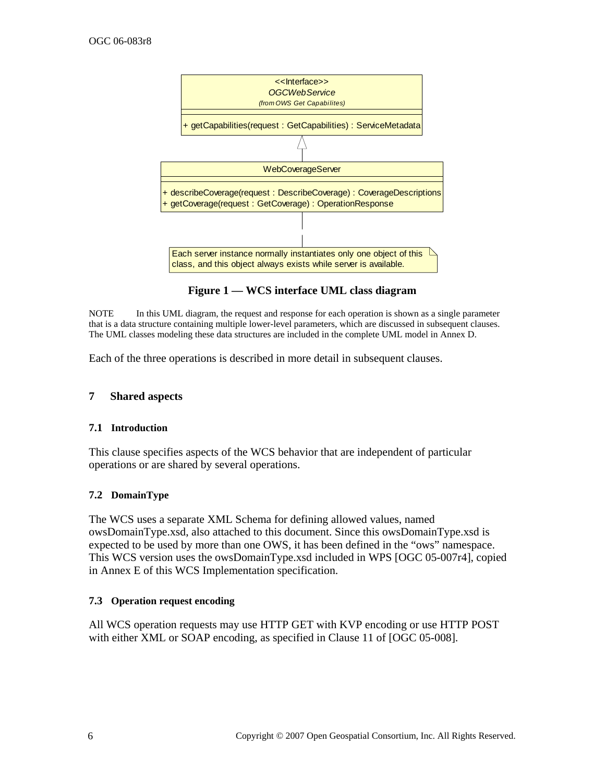<span id="page-19-0"></span>

**Figure 1 — WCS interface UML class diagram** 

NOTE In this UML diagram, the request and response for each operation is shown as a single parameter that is a data structure containing multiple lower-level parameters, which are discussed in subsequent clauses. The UML classes modeling these data structures are included in the complete UML model in Annex D.

Each of the three operations is described in more detail in subsequent clauses.

#### **7 Shared aspects**

#### **7.1 Introduction**

This clause specifies aspects of the WCS behavior that are independent of particular operations or are shared by several operations.

#### **7.2 DomainType**

The WCS uses a separate XML Schema for defining allowed values, named owsDomainType.xsd, also attached to this document. Since this owsDomainType.xsd is expected to be used by more than one OWS, it has been defined in the "ows" namespace. This WCS version uses the owsDomainType.xsd included in WPS [OGC 05-007r4], copied in Annex E of this WCS Implementation specification.

#### **7.3 Operation request encoding**

All WCS operation requests may use HTTP GET with KVP encoding or use HTTP POST with either XML or SOAP encoding, as specified in Clause 11 of [OGC 05-008].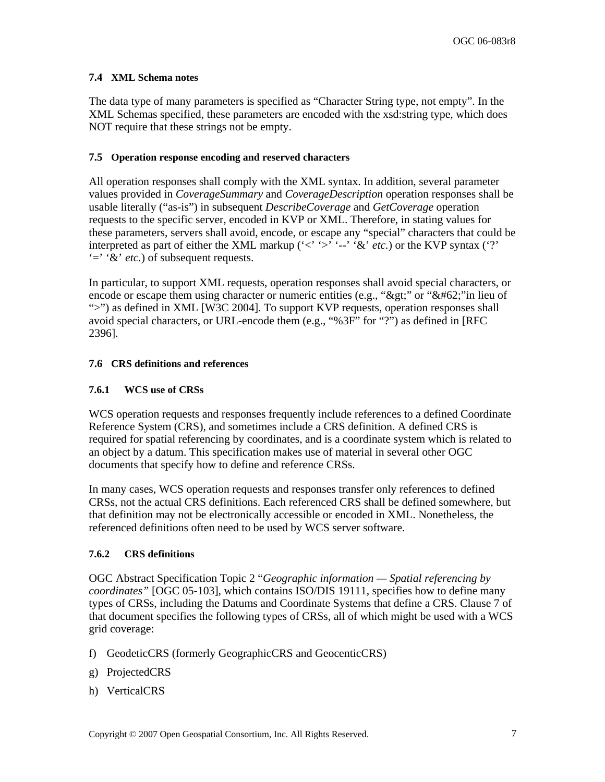### <span id="page-20-0"></span>**7.4 XML Schema notes**

The data type of many parameters is specified as "Character String type, not empty". In the XML Schemas specified, these parameters are encoded with the xsd:string type, which does NOT require that these strings not be empty.

### **7.5 Operation response encoding and reserved characters**

All operation responses shall comply with the XML syntax. In addition, several parameter values provided in *CoverageSummary* and *CoverageDescription* operation responses shall be usable literally ("as-is") in subsequent *DescribeCoverage* and *GetCoverage* operation requests to the specific server, encoded in KVP or XML. Therefore, in stating values for these parameters, servers shall avoid, encode, or escape any "special" characters that could be interpreted as part of either the XML markup  $(\langle \cdot, \cdot \rangle)$   $\langle \cdot, \cdot \rangle$  *etc.*) or the KVP syntax ( $\langle \cdot, \cdot \rangle$ '=' '&' *etc.*) of subsequent requests.

In particular, to support XML requests, operation responses shall avoid special characters, or encode or escape them using character or numeric entities (e.g., " $\&$ gt;" or " $\&\#62$ ;" in lieu of ">") as defined in XML [W3C 2004]. To support KVP requests, operation responses shall avoid special characters, or URL-encode them (e.g., "%3F" for "?") as defined in [RFC 2396].

### **7.6 CRS definitions and references**

### **7.6.1 WCS use of CRSs**

WCS operation requests and responses frequently include references to a defined Coordinate Reference System (CRS), and sometimes include a CRS definition. A defined CRS is required for spatial referencing by coordinates, and is a coordinate system which is related to an object by a datum. This specification makes use of material in several other OGC documents that specify how to define and reference CRSs.

In many cases, WCS operation requests and responses transfer only references to defined CRSs, not the actual CRS definitions. Each referenced CRS shall be defined somewhere, but that definition may not be electronically accessible or encoded in XML. Nonetheless, the referenced definitions often need to be used by WCS server software.

# **7.6.2 CRS definitions**

OGC Abstract Specification Topic 2 "*Geographic information — Spatial referencing by coordinates"* [OGC 05-103], which contains ISO/DIS 19111, specifies how to define many types of CRSs, including the Datums and Coordinate Systems that define a CRS. Clause 7 of that document specifies the following types of CRSs, all of which might be used with a WCS grid coverage:

- f) GeodeticCRS (formerly GeographicCRS and GeocenticCRS)
- g) ProjectedCRS
- h) VerticalCRS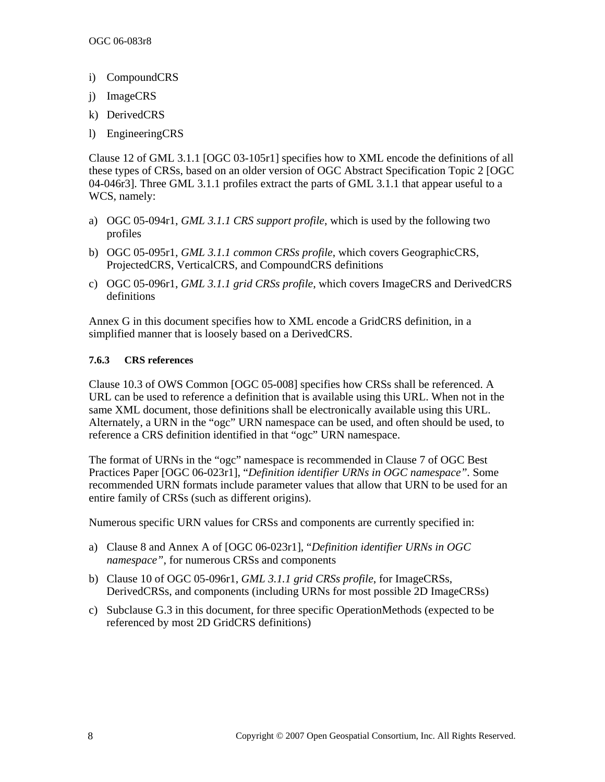- <span id="page-21-0"></span>i) CompoundCRS
- j) ImageCRS
- k) DerivedCRS
- l) EngineeringCRS

Clause 12 of GML 3.1.1 [OGC 03-105r1] specifies how to XML encode the definitions of all these types of CRSs, based on an older version of OGC Abstract Specification Topic 2 [OGC 04-046r3]. Three GML 3.1.1 profiles extract the parts of GML 3.1.1 that appear useful to a WCS, namely:

- a) OGC 05-094r1, *GML 3.1.1 CRS support profile*, which is used by the following two profiles
- b) OGC 05-095r1, *GML 3.1.1 common CRSs profile*, which covers GeographicCRS, ProjectedCRS, VerticalCRS, and CompoundCRS definitions
- c) OGC 05-096r1, *GML 3.1.1 grid CRSs profile*, which covers ImageCRS and DerivedCRS definitions

Annex G in this document specifies how to XML encode a GridCRS definition, in a simplified manner that is loosely based on a DerivedCRS.

# **7.6.3 CRS references**

Clause 10.3 of OWS Common [OGC 05-008] specifies how CRSs shall be referenced. A URL can be used to reference a definition that is available using this URL. When not in the same XML document, those definitions shall be electronically available using this URL. Alternately, a URN in the "ogc" URN namespace can be used, and often should be used, to reference a CRS definition identified in that "ogc" URN namespace.

The format of URNs in the "ogc" namespace is recommended in Clause 7 of OGC Best Practices Paper [OGC 06-023r1], "*Definition identifier URNs in OGC namespace".* Some recommended URN formats include parameter values that allow that URN to be used for an entire family of CRSs (such as different origins).

Numerous specific URN values for CRSs and components are currently specified in:

- a) Clause 8 and Annex A of [OGC 06-023r1], "*Definition identifier URNs in OGC namespace"*, for numerous CRSs and components
- b) Clause 10 of OGC 05-096r1, *GML 3.1.1 grid CRSs profile*, for ImageCRSs, DerivedCRSs, and components (including URNs for most possible 2D ImageCRSs)
- c) Subclause G.3 in this document, for three specific OperationMethods (expected to be referenced by most 2D GridCRS definitions)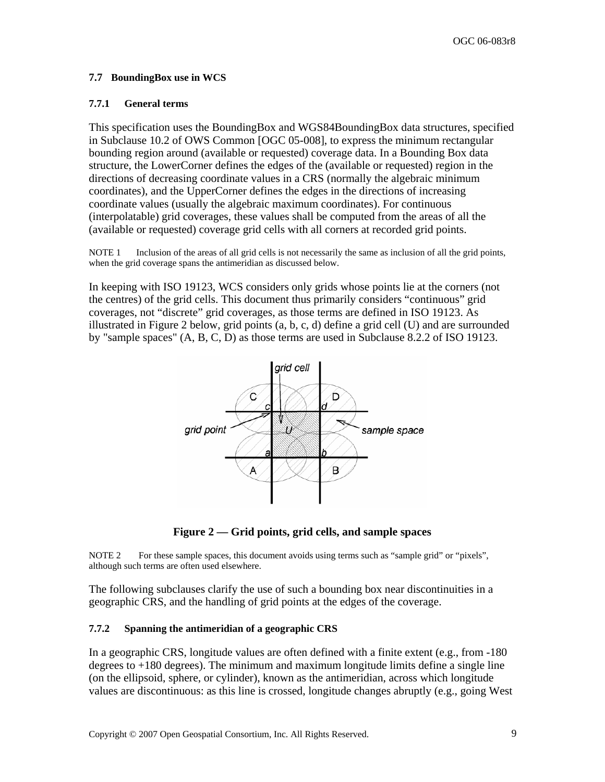#### <span id="page-22-0"></span>**7.7 BoundingBox use in WCS**

#### **7.7.1 General terms**

This specification uses the BoundingBox and WGS84BoundingBox data structures, specified in Subclause 10.2 of OWS Common [OGC 05-008], to express the minimum rectangular bounding region around (available or requested) coverage data. In a Bounding Box data structure, the LowerCorner defines the edges of the (available or requested) region in the directions of decreasing coordinate values in a CRS (normally the algebraic minimum coordinates), and the UpperCorner defines the edges in the directions of increasing coordinate values (usually the algebraic maximum coordinates). For continuous (interpolatable) grid coverages, these values shall be computed from the areas of all the (available or requested) coverage grid cells with all corners at recorded grid points.

NOTE 1 Inclusion of the areas of all grid cells is not necessarily the same as inclusion of all the grid points, when the grid coverage spans the antimeridian as discussed below.

In keeping with ISO 19123, WCS considers only grids whose points lie at the corners (not the centres) of the grid cells. This document thus primarily considers "continuous" grid coverages, not "discrete" grid coverages, as those terms are defined in ISO 19123. As illustrated in [Figure 2](#page-22-0) below, grid points (a, b, c, d) define a grid cell (U) and are surrounded by "sample spaces" (A, B, C, D) as those terms are used in Subclause 8.2.2 of ISO 19123.



**Figure 2 — Grid points, grid cells, and sample spaces** 

NOTE 2 For these sample spaces, this document avoids using terms such as "sample grid" or "pixels", although such terms are often used elsewhere.

The following subclauses clarify the use of such a bounding box near discontinuities in a geographic CRS, and the handling of grid points at the edges of the coverage.

#### **7.7.2 Spanning the antimeridian of a geographic CRS**

In a geographic CRS, longitude values are often defined with a finite extent (e.g., from -180 degrees to +180 degrees). The minimum and maximum longitude limits define a single line (on the ellipsoid, sphere, or cylinder), known as the antimeridian, across which longitude values are discontinuous: as this line is crossed, longitude changes abruptly (e.g., going West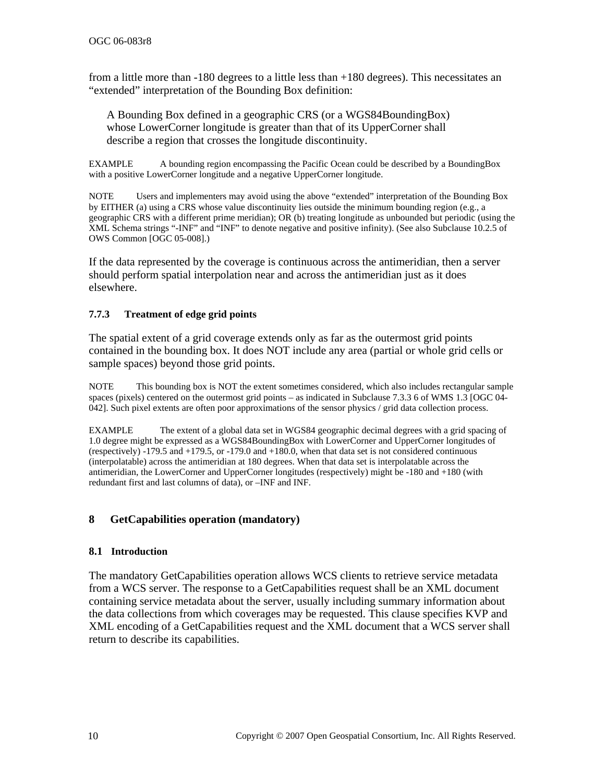<span id="page-23-0"></span>from a little more than -180 degrees to a little less than +180 degrees). This necessitates an "extended" interpretation of the Bounding Box definition:

A Bounding Box defined in a geographic CRS (or a WGS84BoundingBox) whose LowerCorner longitude is greater than that of its UpperCorner shall describe a region that crosses the longitude discontinuity.

EXAMPLE A bounding region encompassing the Pacific Ocean could be described by a BoundingBox with a positive LowerCorner longitude and a negative UpperCorner longitude.

NOTE Users and implementers may avoid using the above "extended" interpretation of the Bounding Box by EITHER (a) using a CRS whose value discontinuity lies outside the minimum bounding region (e.g., a geographic CRS with a different prime meridian); OR (b) treating longitude as unbounded but periodic (using the XML Schema strings "-INF" and "INF" to denote negative and positive infinity). (See also Subclause 10.2.5 of OWS Common [OGC 05-008].)

If the data represented by the coverage is continuous across the antimeridian, then a server should perform spatial interpolation near and across the antimeridian just as it does elsewhere.

### **7.7.3 Treatment of edge grid points**

The spatial extent of a grid coverage extends only as far as the outermost grid points contained in the bounding box. It does NOT include any area (partial or whole grid cells or sample spaces) beyond those grid points.

NOTE This bounding box is NOT the extent sometimes considered, which also includes rectangular sample spaces (pixels) centered on the outermost grid points – as indicated in Subclause 7.3.3 6 of WMS 1.3 [OGC 04- 042]. Such pixel extents are often poor approximations of the sensor physics / grid data collection process.

EXAMPLE The extent of a global data set in WGS84 geographic decimal degrees with a grid spacing of 1.0 degree might be expressed as a WGS84BoundingBox with LowerCorner and UpperCorner longitudes of (respectively) -179.5 and +179.5, or -179.0 and +180.0, when that data set is not considered continuous (interpolatable) across the antimeridian at 180 degrees. When that data set is interpolatable across the antimeridian, the LowerCorner and UpperCorner longitudes (respectively) might be -180 and +180 (with redundant first and last columns of data), or –INF and INF.

# **8 GetCapabilities operation (mandatory)**

#### **8.1 Introduction**

The mandatory GetCapabilities operation allows WCS clients to retrieve service metadata from a WCS server. The response to a GetCapabilities request shall be an XML document containing service metadata about the server, usually including summary information about the data collections from which coverages may be requested. This clause specifies KVP and XML encoding of a GetCapabilities request and the XML document that a WCS server shall return to describe its capabilities.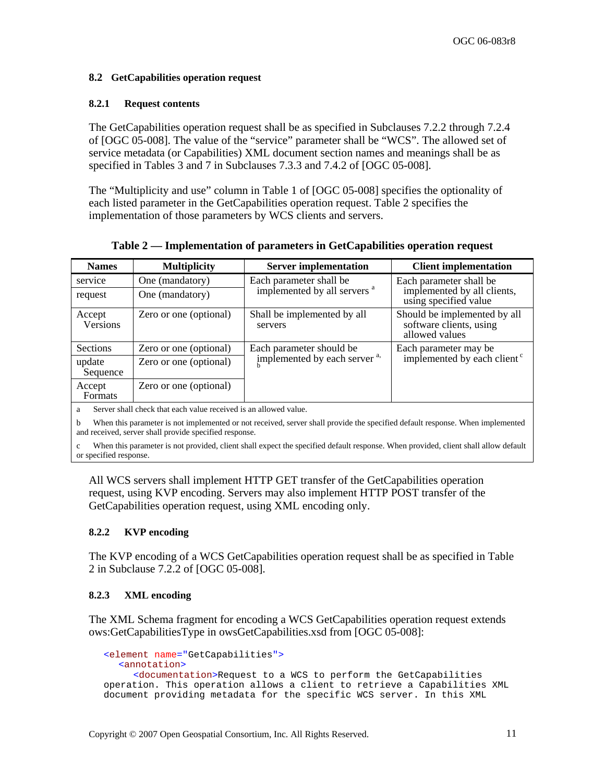#### <span id="page-24-0"></span>**8.2 GetCapabilities operation request**

#### **8.2.1 Request contents**

The GetCapabilities operation request shall be as specified in Subclauses 7.2.2 through 7.2.4 of [OGC 05-008]. The value of the "service" parameter shall be "WCS". The allowed set of service metadata (or Capabilities) XML document section names and meanings shall be as specified in Tables 3 and 7 in Subclauses 7.3.3 and 7.4.2 of [OGC 05-008].

The "Multiplicity and use" column in Table 1 of [OGC 05-008] specifies the optionality of each listed parameter in the GetCapabilities operation request. [Table 2](#page-24-0) specifies the implementation of those parameters by WCS clients and servers.

| <b>Names</b>                                                          | <b>Multiplicity</b>    | <b>Server implementation</b>             | <b>Client implementation</b>                                              |
|-----------------------------------------------------------------------|------------------------|------------------------------------------|---------------------------------------------------------------------------|
| service                                                               | One (mandatory)        | Each parameter shall be                  | Each parameter shall be                                                   |
| request                                                               | One (mandatory)        | implemented by all servers <sup>a</sup>  | implemented by all clients,<br>using specified value                      |
| Accept<br>Versions                                                    | Zero or one (optional) | Shall be implemented by all<br>servers   | Should be implemented by all<br>software clients, using<br>allowed values |
| <b>Sections</b>                                                       | Zero or one (optional) | Each parameter should be                 | Each parameter may be<br>implemented by each client <sup>c</sup>          |
| update<br>Sequence                                                    | Zero or one (optional) | implemented by each server <sup>a,</sup> |                                                                           |
| Accept<br>Formats                                                     | Zero or one (optional) |                                          |                                                                           |
| Server shall check that each value received is an allowed value.<br>a |                        |                                          |                                                                           |

**Table 2 — Implementation of parameters in GetCapabilities operation request** 

b When this parameter is not implemented or not received, server shall provide the specified default response. When implemented and received, server shall provide specified response.

When this parameter is not provided, client shall expect the specified default response. When provided, client shall allow default or specified response.

All WCS servers shall implement HTTP GET transfer of the GetCapabilities operation request, using KVP encoding. Servers may also implement HTTP POST transfer of the GetCapabilities operation request, using XML encoding only.

#### **8.2.2 KVP encoding**

The KVP encoding of a WCS GetCapabilities operation request shall be as specified in Table 2 in Subclause 7.2.2 of [OGC 05-008].

#### **8.2.3 XML encoding**

The XML Schema fragment for encoding a WCS GetCapabilities operation request extends ows:GetCapabilitiesType in owsGetCapabilities.xsd from [OGC 05-008]:

```
<element name="GetCapabilities">
  <annotation>
      <documentation>Request to a WCS to perform the GetCapabilities 
operation. This operation allows a client to retrieve a Capabilities XML 
document providing metadata for the specific WCS server. In this XML
```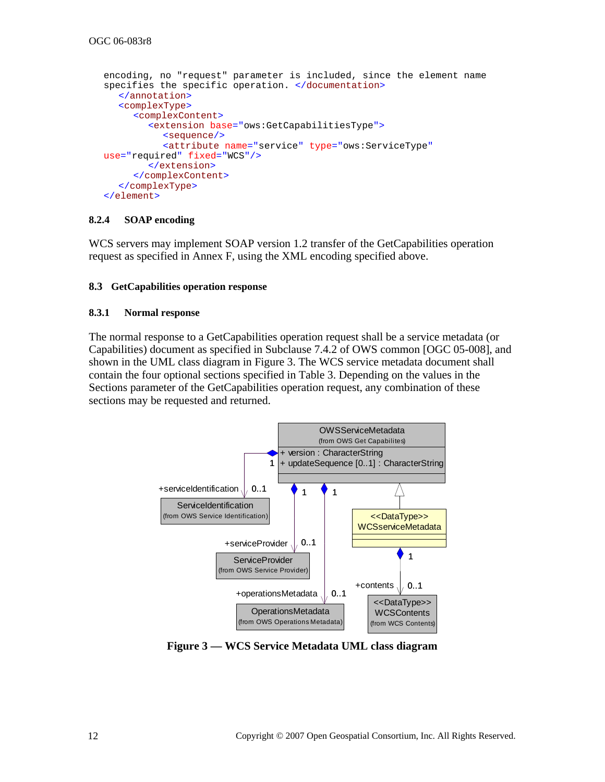```
encoding, no "request" parameter is included, since the element name 
specifies the specific operation. </documentation>
  </annotation>
  <complexType>
      <complexContent>
         <extension base="ows:GetCapabilitiesType">
            <sequence/>
            <attribute name="service" type="ows:ServiceType"
use="required" fixed="WCS"/>
         </extension>
      </complexContent>
  </complexType>
</element>
```
### **8.2.4 SOAP encoding**

WCS servers may implement SOAP version 1.2 transfer of the GetCapabilities operation request as specified in Annex F, using the XML encoding specified above.

#### **8.3 GetCapabilities operation response**

#### **8.3.1 Normal response**

The normal response to a GetCapabilities operation request shall be a service metadata (or Capabilities) document as specified in Subclause 7.4.2 of OWS common [OGC 05-008], and shown in the UML class diagram in [Figure 3](#page-25-0). The WCS service metadata document shall contain the four optional sections specified in [Table 3](#page-26-0). Depending on the values in the Sections parameter of the GetCapabilities operation request, any combination of these sections may be requested and returned.



**Figure 3 — WCS Service Metadata UML class diagram**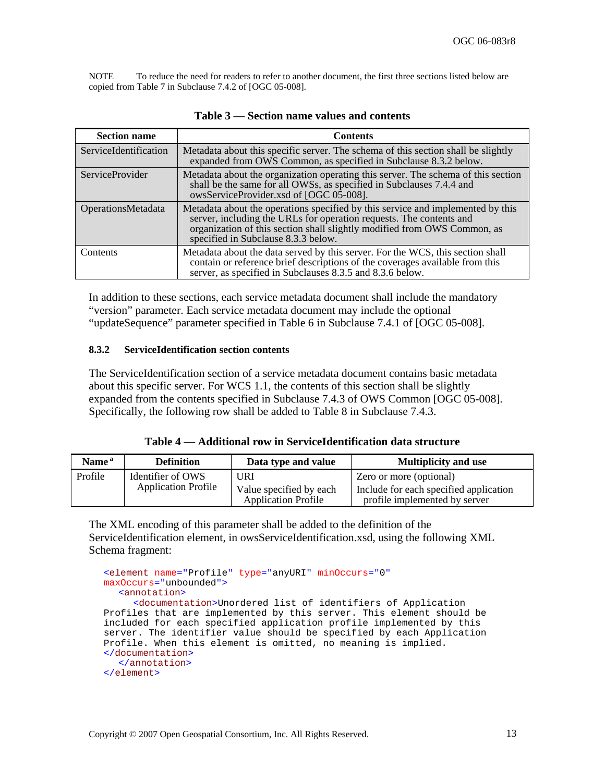<span id="page-26-0"></span>NOTE To reduce the need for readers to refer to another document, the first three sections listed below are copied from Table 7 in Subclause 7.4.2 of [OGC 05-008].

| <b>Section name</b>    | <b>Contents</b>                                                                                                                                                                                                                                                           |  |
|------------------------|---------------------------------------------------------------------------------------------------------------------------------------------------------------------------------------------------------------------------------------------------------------------------|--|
| ServiceIdentification  | Metadata about this specific server. The schema of this section shall be slightly<br>expanded from OWS Common, as specified in Subclause 8.3.2 below.                                                                                                                     |  |
| <b>ServiceProvider</b> | Metadata about the organization operating this server. The schema of this section<br>shall be the same for all OWSs, as specified in Subclauses 7.4.4 and<br>owsServiceProvider.xsd of [OGC 05-008].                                                                      |  |
| OperationsMetadata     | Metadata about the operations specified by this service and implemented by this<br>server, including the URLs for operation requests. The contents and<br>organization of this section shall slightly modified from OWS Common, as<br>specified in Subclause 8.3.3 below. |  |
| Contents               | Metadata about the data served by this server. For the WCS, this section shall<br>contain or reference brief descriptions of the coverages available from this<br>server, as specified in Subclauses 8.3.5 and 8.3.6 below.                                               |  |

**Table 3 — Section name values and contents** 

In addition to these sections, each service metadata document shall include the mandatory "version" parameter. Each service metadata document may include the optional "updateSequence" parameter specified in Table 6 in Subclause 7.4.1 of [OGC 05-008].

#### **8.3.2 ServiceIdentification section contents**

The ServiceIdentification section of a service metadata document contains basic metadata about this specific server. For WCS 1.1, the contents of this section shall be slightly expanded from the contents specified in Subclause 7.4.3 of OWS Common [OGC 05-008]. Specifically, the following row shall be added to Table 8 in Subclause 7.4.3.

| Name <sup>a</sup> | <b>Definition</b>                               | Data type and value                                          | <b>Multiplicity and use</b>                                                                        |
|-------------------|-------------------------------------------------|--------------------------------------------------------------|----------------------------------------------------------------------------------------------------|
| Profile           | Identifier of OWS<br><b>Application Profile</b> | URI<br>Value specified by each<br><b>Application Profile</b> | Zero or more (optional)<br>Include for each specified application<br>profile implemented by server |

The XML encoding of this parameter shall be added to the definition of the ServiceIdentification element, in owsServiceIdentification.xsd, using the following XML Schema fragment:

```
<element name="Profile" type="anyURI" minOccurs="0"
maxOccurs="unbounded">
  <annotation>
      <documentation>Unordered list of identifiers of Application 
Profiles that are implemented by this server. This element should be 
included for each specified application profile implemented by this 
server. The identifier value should be specified by each Application 
Profile. When this element is omitted, no meaning is implied. 
</documentation>
  </annotation>
</element>
```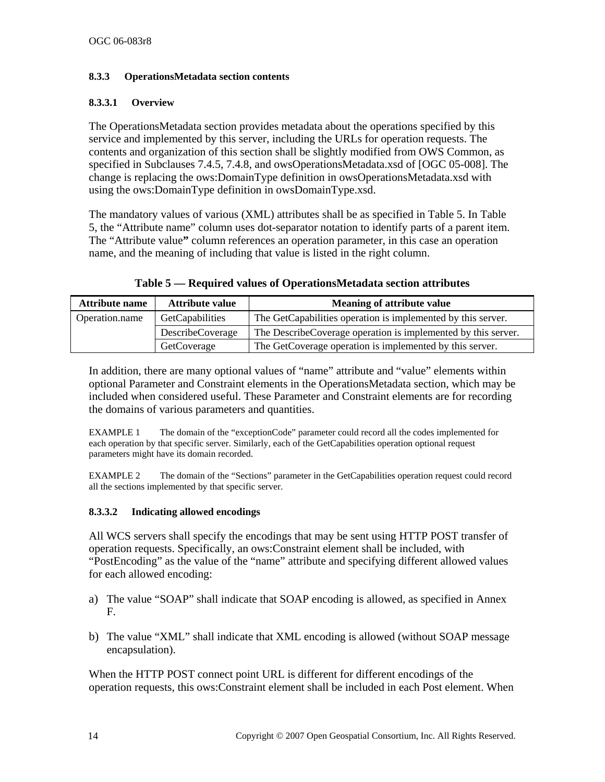# <span id="page-27-0"></span>**8.3.3 OperationsMetadata section contents**

# **8.3.3.1 Overview**

The OperationsMetadata section provides metadata about the operations specified by this service and implemented by this server, including the URLs for operation requests. The contents and organization of this section shall be slightly modified from OWS Common, as specified in Subclauses 7.4.5, 7.4.8, and owsOperationsMetadata.xsd of [OGC 05-008]. The change is replacing the ows:DomainType definition in owsOperationsMetadata.xsd with using the ows:DomainType definition in owsDomainType.xsd.

The mandatory values of various (XML) attributes shall be as specified in [Table 5](#page-27-0). In [Table](#page-27-0)  [5,](#page-27-0) the "Attribute name" column uses dot-separator notation to identify parts of a parent item. The "Attribute value**"** column references an operation parameter, in this case an operation name, and the meaning of including that value is listed in the right column.

**Table 5 — Required values of OperationsMetadata section attributes** 

| Attribute name | <b>Attribute value</b>  | <b>Meaning of attribute value</b>                              |  |
|----------------|-------------------------|----------------------------------------------------------------|--|
| Operation.name | GetCapabilities         | The GetCapabilities operation is implemented by this server.   |  |
|                | <b>DescribeCoverage</b> | The Describe Coverage operation is implemented by this server. |  |
|                | GetCoverage             | The GetCoverage operation is implemented by this server.       |  |

In addition, there are many optional values of "name" attribute and "value" elements within optional Parameter and Constraint elements in the OperationsMetadata section, which may be included when considered useful. These Parameter and Constraint elements are for recording the domains of various parameters and quantities.

EXAMPLE 1 The domain of the "exceptionCode" parameter could record all the codes implemented for each operation by that specific server. Similarly, each of the GetCapabilities operation optional request parameters might have its domain recorded.

EXAMPLE 2 The domain of the "Sections" parameter in the GetCapabilities operation request could record all the sections implemented by that specific server.

# **8.3.3.2 Indicating allowed encodings**

All WCS servers shall specify the encodings that may be sent using HTTP POST transfer of operation requests. Specifically, an ows:Constraint element shall be included, with "PostEncoding" as the value of the "name" attribute and specifying different allowed values for each allowed encoding:

- a) The value "SOAP" shall indicate that SOAP encoding is allowed, as specified in Annex F.
- b) The value "XML" shall indicate that XML encoding is allowed (without SOAP message encapsulation).

When the HTTP POST connect point URL is different for different encodings of the operation requests, this ows:Constraint element shall be included in each Post element. When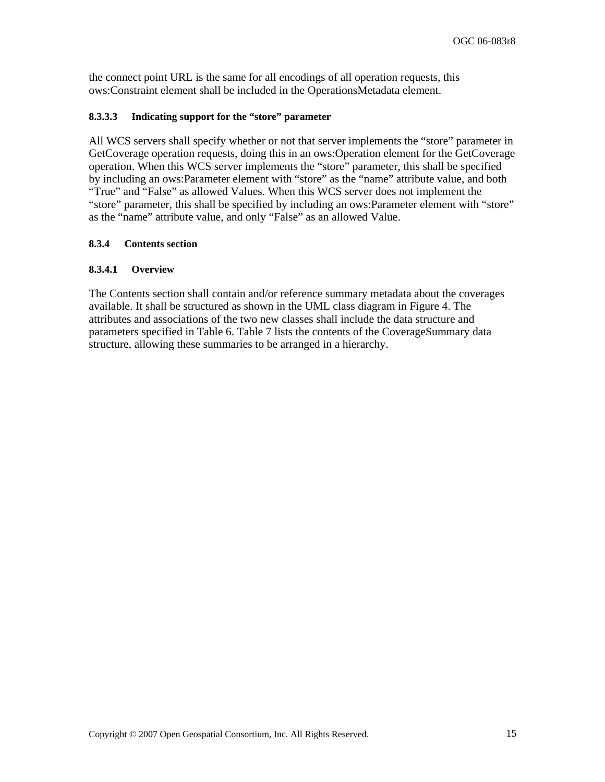<span id="page-28-0"></span>the connect point URL is the same for all encodings of all operation requests, this ows:Constraint element shall be included in the OperationsMetadata element.

#### **8.3.3.3 Indicating support for the "store" parameter**

All WCS servers shall specify whether or not that server implements the "store" parameter in GetCoverage operation requests, doing this in an ows:Operation element for the GetCoverage operation. When this WCS server implements the "store" parameter, this shall be specified by including an ows:Parameter element with "store" as the "name" attribute value, and both "True" and "False" as allowed Values. When this WCS server does not implement the "store" parameter, this shall be specified by including an ows:Parameter element with "store" as the "name" attribute value, and only "False" as an allowed Value.

#### **8.3.4 Contents section**

#### **8.3.4.1 Overview**

The Contents section shall contain and/or reference summary metadata about the coverages available. It shall be structured as shown in the UML class diagram in [Figure 4](#page-29-0). The attributes and associations of the two new classes shall include the data structure and parameters specified in [Table 6](#page-30-0). [Table 7](#page-31-0) lists the contents of the CoverageSummary data structure, allowing these summaries to be arranged in a hierarchy.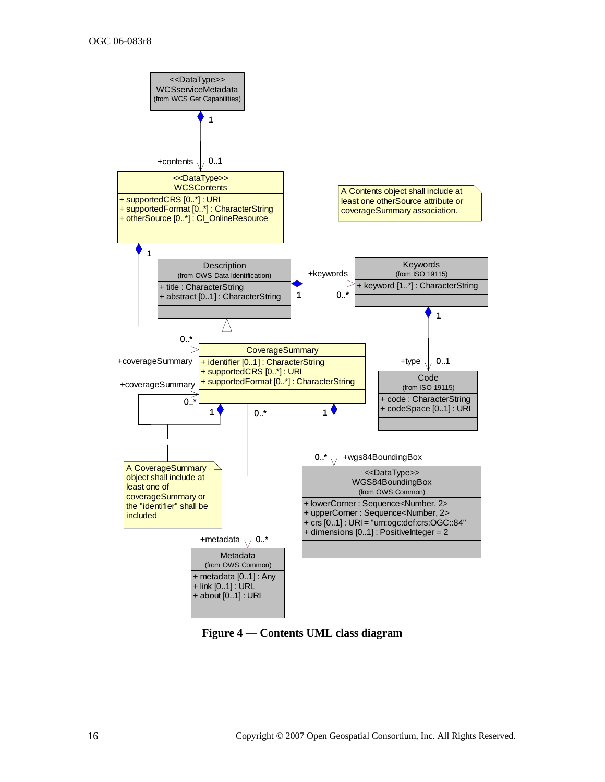<span id="page-29-0"></span>

**Figure 4 — Contents UML class diagram**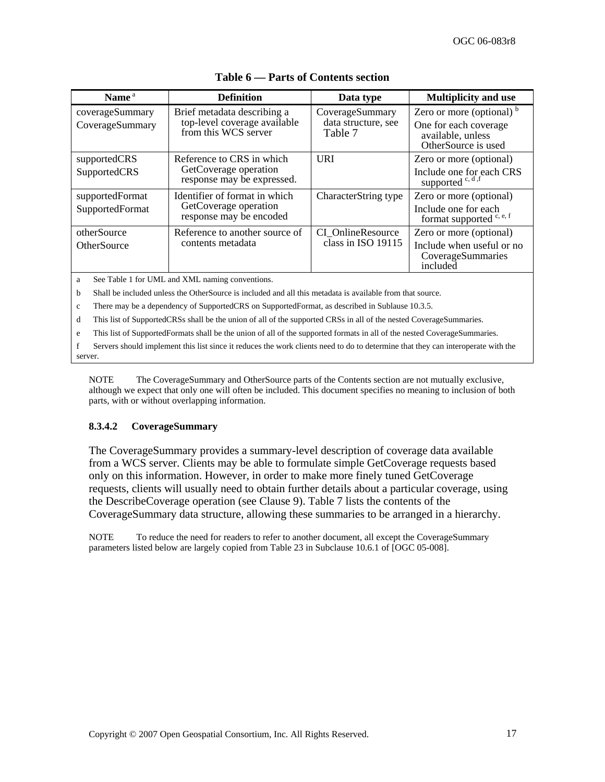<span id="page-30-0"></span>

| Name <sup>a</sup>                  | <b>Definition</b>                                                                                     | Data type                                         | <b>Multiplicity and use</b>                                                                      |
|------------------------------------|-------------------------------------------------------------------------------------------------------|---------------------------------------------------|--------------------------------------------------------------------------------------------------|
| coverageSummary<br>CoverageSummary | Brief metadata describing a<br>top-level coverage available<br>from this WCS server                   | CoverageSummary<br>data structure, see<br>Table 7 | Zero or more (optional) $b$<br>One for each coverage<br>available, unless<br>OtherSource is used |
| supportedCRS<br>SupportedCRS       | Reference to CRS in which<br>GetCoverage operation<br>response may be expressed.                      | <b>URI</b>                                        | Zero or more (optional)<br>Include one for each CRS<br>supported $c, d, f$                       |
| supportedFormat<br>SupportedFormat | Identifier of format in which<br>GetCoverage operation<br>response may be encoded                     | CharacterString type                              | Zero or more (optional)<br>Include one for each<br>format supported $c, e, f$                    |
| otherSource<br><b>OtherSource</b>  | Reference to another source of<br>contents metadata<br>See Table 1 for UMI and XMI naming conventions | CI OnlineResource<br>class in ISO 19115           | Zero or more (optional)<br>Include when useful or no<br>CoverageSummaries<br>included            |

#### **Table 6 — Parts of Contents section**

See Table 1 for UML and XML naming conventions.

b Shall be included unless the OtherSource is included and all this metadata is available from that source.

c There may be a dependency of SupportedCRS on SupportedFormat, as described in Sublause [10.3.5](#page-63-0).

d This list of SupportedCRSs shall be the union of all of the supported CRSs in all of the nested CoverageSummaries.

e This list of SupportedFormats shall be the union of all of the supported formats in all of the nested CoverageSummaries.

f Servers should implement this list since it reduces the work clients need to do to determine that they can interoperate with the server.

NOTE The CoverageSummary and OtherSource parts of the Contents section are not mutually exclusive, although we expect that only one will often be included. This document specifies no meaning to inclusion of both parts, with or without overlapping information.

#### **8.3.4.2 CoverageSummary**

The CoverageSummary provides a summary-level description of coverage data available from a WCS server. Clients may be able to formulate simple GetCoverage requests based only on this information. However, in order to make more finely tuned GetCoverage requests, clients will usually need to obtain further details about a particular coverage, using the DescribeCoverage operation (see Clause 9). [Table 7](#page-31-0) lists the contents of the CoverageSummary data structure, allowing these summaries to be arranged in a hierarchy.

NOTE To reduce the need for readers to refer to another document, all except the CoverageSummary parameters listed below are largely copied from Table 23 in Subclause 10.6.1 of [OGC 05-008].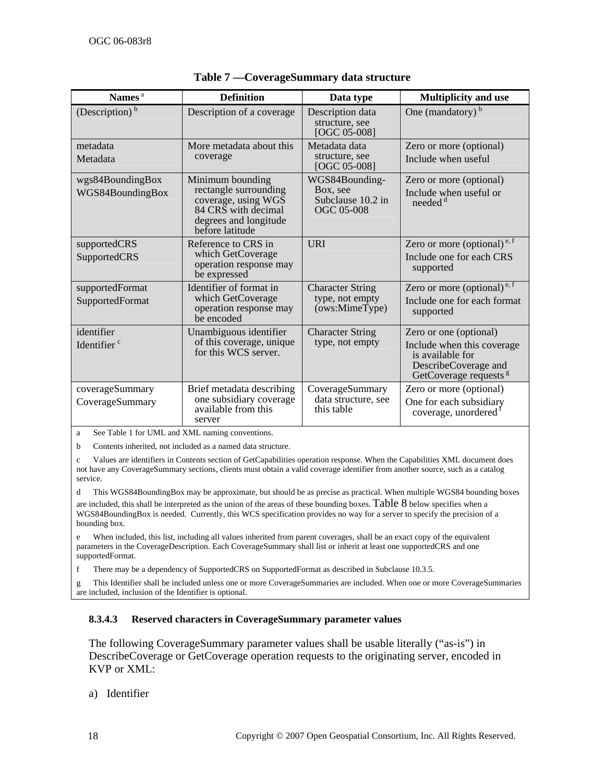<span id="page-31-0"></span>

| Names <sup>a</sup>                    | <b>Definition</b>                                                                                                                   | Data type                                                     | <b>Multiplicity and use</b>                                                                                                           |
|---------------------------------------|-------------------------------------------------------------------------------------------------------------------------------------|---------------------------------------------------------------|---------------------------------------------------------------------------------------------------------------------------------------|
| (Description) $b$                     | Description of a coverage                                                                                                           | Description data<br>structure, see<br>[OGC 05-008]            | One (mandatory) $b$                                                                                                                   |
| metadata<br>Metadata                  | More metadata about this<br>coverage                                                                                                | Metadata data<br>structure, see<br>$[OGC 05-008]$             | Zero or more (optional)<br>Include when useful                                                                                        |
| wgs84BoundingBox<br>WGS84BoundingBox  | Minimum bounding<br>rectangle surrounding<br>coverage, using WGS<br>84 CRS with decimal<br>degrees and longitude<br>before latitude | WGS84Bounding-<br>Box, see<br>Subclause 10.2 in<br>OGC 05-008 | Zero or more (optional)<br>Include when useful or<br>needed <sup>d</sup>                                                              |
| supportedCRS<br>SupportedCRS          | Reference to CRS in<br>which GetCoverage<br>operation response may<br>be expressed                                                  | <b>URI</b>                                                    | Zero or more (optional) <sup>e, f</sup><br>Include one for each CRS<br>supported                                                      |
| supportedFormat<br>SupportedFormat    | Identifier of format in<br>which GetCoverage<br>operation response may<br>be encoded                                                | <b>Character String</b><br>type, not empty<br>(ows:MimeType)  | Zero or more (optional) <sup>e, f</sup><br>Include one for each format<br>supported                                                   |
| identifier<br>Identifier <sup>c</sup> | Unambiguous identifier<br>of this coverage, unique<br>for this WCS server.                                                          | <b>Character String</b><br>type, not empty                    | Zero or one (optional)<br>Include when this coverage<br>is available for<br>DescribeCoverage and<br>GetCoverage requests <sup>g</sup> |
| coverageSummary<br>CoverageSummary    | Brief metadata describing<br>one subsidiary coverage<br>available from this<br>server                                               | CoverageSummary<br>data structure, see<br>this table          | Zero or more (optional)<br>One for each subsidiary<br>coverage, unordered <sup>1</sup>                                                |

| Table 7 — Coverage Summary data structure |  |
|-------------------------------------------|--|
|-------------------------------------------|--|

a See Table 1 for UML and XML naming conventions.

b Contents inherited, not included as a named data structure.

c Values are identifiers in Contents section of GetCapabilities operation response. When the Capabilities XML document does not have any CoverageSummary sections, clients must obtain a valid coverage identifier from another source, such as a catalog service.

d This WGS84BoundingBox may be approximate, but should be as precise as practical. When multiple WGS84 bounding boxes

are included, this shall be interpreted as the union of the areas of these bounding boxes. [Table 8](#page-32-0) below specifies when a WGS84BoundingBox is needed. Currently, this WCS specification provides no way for a server to specify the precision of a bounding box.

e When included, this list, including all values inherited from parent coverages, shall be an exact copy of the equivalent parameters in the CoverageDescription. Each CoverageSummary shall list or inherit at least one supportedCRS and one supportedFormat.

f There may be a dependency of SupportedCRS on SupportedFormat as described in Subclause [10.3.5.](#page-63-0)

g This Identifier shall be included unless one or more CoverageSummaries are included. When one or more CoverageSummaries are included, inclusion of the Identifier is optional.

# **8.3.4.3 Reserved characters in CoverageSummary parameter values**

The following CoverageSummary parameter values shall be usable literally ("as-is") in DescribeCoverage or GetCoverage operation requests to the originating server, encoded in KVP or XML:

a) Identifier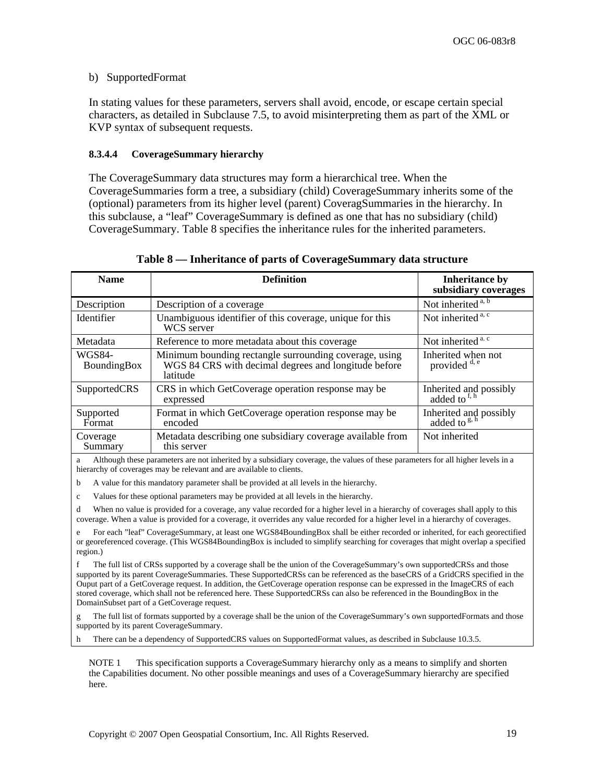#### <span id="page-32-0"></span>b) SupportedFormat

In stating values for these parameters, servers shall avoid, encode, or escape certain special characters, as detailed in Subclause [7.5,](#page-20-0) to avoid misinterpreting them as part of the XML or KVP syntax of subsequent requests.

#### **8.3.4.4 CoverageSummary hierarchy**

The CoverageSummary data structures may form a hierarchical tree. When the CoverageSummaries form a tree, a subsidiary (child) CoverageSummary inherits some of the (optional) parameters from its higher level (parent) CoveragSummaries in the hierarchy. In this subclause, a "leaf" CoverageSummary is defined as one that has no subsidiary (child) CoverageSummary. [Table 8](#page-32-0) specifies the inheritance rules for the inherited parameters.

| <b>Name</b>                                                                                                                          | <b>Definition</b>                                                                                                          | <b>Inheritance by</b><br>subsidiary coverages             |  |
|--------------------------------------------------------------------------------------------------------------------------------------|----------------------------------------------------------------------------------------------------------------------------|-----------------------------------------------------------|--|
| Description                                                                                                                          | Description of a coverage                                                                                                  | Not inherited <sup>a, b</sup>                             |  |
| <b>Identifier</b>                                                                                                                    | Unambiguous identifier of this coverage, unique for this<br>WCS server                                                     | Not inherited <sup>a, c</sup>                             |  |
| Metadata                                                                                                                             | Reference to more metadata about this coverage.                                                                            | Not inherited <sup>a.c</sup>                              |  |
| <b>WGS84-</b><br>BoundingBox                                                                                                         | Minimum bounding rectangle surrounding coverage, using<br>WGS 84 CRS with decimal degrees and longitude before<br>latitude | Inherited when not<br>provided d, e                       |  |
| <b>SupportedCRS</b>                                                                                                                  | CRS in which GetCoverage operation response may be<br>expressed                                                            | Inherited and possibly<br>added to $^{f, h}$              |  |
| Supported<br>Format                                                                                                                  | Format in which GetCoverage operation response may be<br>encoded                                                           | Inherited and possibly<br>added to $_{\rm g,h}^{\rm g,h}$ |  |
| Coverage<br>Summary                                                                                                                  | Metadata describing one subsidiary coverage available from<br>this server                                                  | Not inherited                                             |  |
| Although these parameters are not inherited by a subsidiary coverage, the values of these parameters for all higher levels in a<br>a |                                                                                                                            |                                                           |  |

#### **Table 8 — Inheritance of parts of CoverageSummary data structure**

hierarchy of coverages may be relevant and are available to clients.

b A value for this mandatory parameter shall be provided at all levels in the hierarchy.

c Values for these optional parameters may be provided at all levels in the hierarchy.

d When no value is provided for a coverage, any value recorded for a higher level in a hierarchy of coverages shall apply to this coverage. When a value is provided for a coverage, it overrides any value recorded for a higher level in a hierarchy of coverages.

e For each "leaf" CoverageSummary, at least one WGS84BoundingBox shall be either recorded or inherited, for each georectified or georeferenced coverage. (This WGS84BoundingBox is included to simplify searching for coverages that might overlap a specified region.)

f The full list of CRSs supported by a coverage shall be the union of the CoverageSummary's own supportedCRSs and those supported by its parent CoverageSummaries. These SupportedCRSs can be referenced as the baseCRS of a GridCRS specified in the Ouput part of a GetCoverage request. In addition, the GetCoverage operation response can be expressed in the ImageCRS of each stored coverage, which shall not be referenced here. These SupportedCRSs can also be referenced in the BoundingBox in the DomainSubset part of a GetCoverage request.

g The full list of formats supported by a coverage shall be the union of the CoverageSummary's own supportedFormats and those supported by its parent CoverageSummary.

h There can be a dependency of SupportedCRS values on SupportedFormat values, as described in Subclause [10.3.5.](#page-63-0)

NOTE 1 This specification supports a CoverageSummary hierarchy only as a means to simplify and shorten the Capabilities document. No other possible meanings and uses of a CoverageSummary hierarchy are specified here.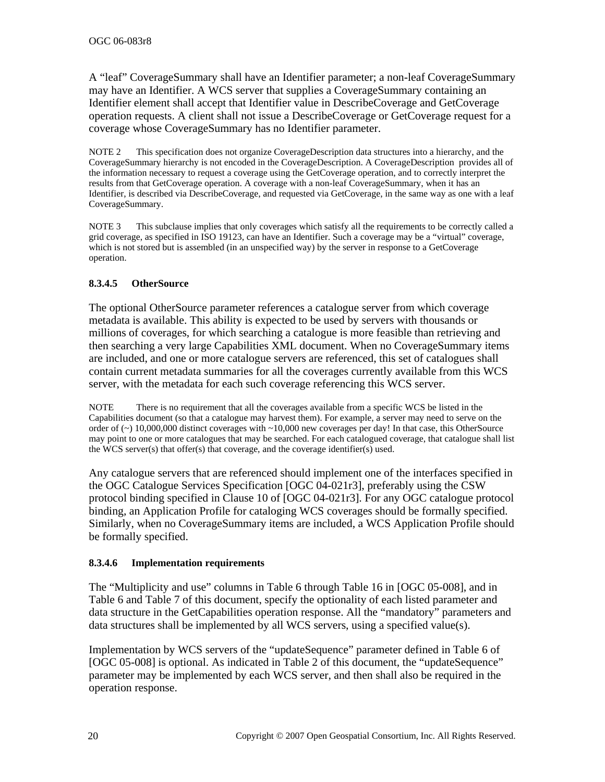<span id="page-33-0"></span>A "leaf" CoverageSummary shall have an Identifier parameter; a non-leaf CoverageSummary may have an Identifier. A WCS server that supplies a CoverageSummary containing an Identifier element shall accept that Identifier value in DescribeCoverage and GetCoverage operation requests. A client shall not issue a DescribeCoverage or GetCoverage request for a coverage whose CoverageSummary has no Identifier parameter.

NOTE 2 This specification does not organize CoverageDescription data structures into a hierarchy, and the CoverageSummary hierarchy is not encoded in the CoverageDescription. A CoverageDescription provides all of the information necessary to request a coverage using the GetCoverage operation, and to correctly interpret the results from that GetCoverage operation. A coverage with a non-leaf CoverageSummary, when it has an Identifier, is described via DescribeCoverage, and requested via GetCoverage, in the same way as one with a leaf CoverageSummary.

NOTE 3 This subclause implies that only coverages which satisfy all the requirements to be correctly called a grid coverage, as specified in ISO 19123, can have an Identifier. Such a coverage may be a "virtual" coverage, which is not stored but is assembled (in an unspecified way) by the server in response to a GetCoverage operation.

# **8.3.4.5 OtherSource**

The optional OtherSource parameter references a catalogue server from which coverage metadata is available. This ability is expected to be used by servers with thousands or millions of coverages, for which searching a catalogue is more feasible than retrieving and then searching a very large Capabilities XML document. When no CoverageSummary items are included, and one or more catalogue servers are referenced, this set of catalogues shall contain current metadata summaries for all the coverages currently available from this WCS server, with the metadata for each such coverage referencing this WCS server.

NOTE There is no requirement that all the coverages available from a specific WCS be listed in the Capabilities document (so that a catalogue may harvest them). For example, a server may need to serve on the order of (~) 10,000,000 distinct coverages with ~10,000 new coverages per day! In that case, this OtherSource may point to one or more catalogues that may be searched. For each catalogued coverage, that catalogue shall list the WCS server(s) that offer(s) that coverage, and the coverage identifier(s) used.

Any catalogue servers that are referenced should implement one of the interfaces specified in the OGC Catalogue Services Specification [OGC 04-021r3], preferably using the CSW protocol binding specified in Clause 10 of [OGC 04-021r3]. For any OGC catalogue protocol binding, an Application Profile for cataloging WCS coverages should be formally specified. Similarly, when no CoverageSummary items are included, a WCS Application Profile should be formally specified.

#### **8.3.4.6 Implementation requirements**

The "Multiplicity and use" columns in Table 6 through Table 16 in [OGC 05-008], and in [Table 6](#page-30-0) and [Table 7](#page-31-0) of this document, specify the optionality of each listed parameter and data structure in the GetCapabilities operation response. All the "mandatory" parameters and data structures shall be implemented by all WCS servers, using a specified value(s).

Implementation by WCS servers of the "updateSequence" parameter defined in Table 6 of [OGC 05-008] is optional. As indicated in [Table 2](#page-24-0) of this document, the "updateSequence" parameter may be implemented by each WCS server, and then shall also be required in the operation response.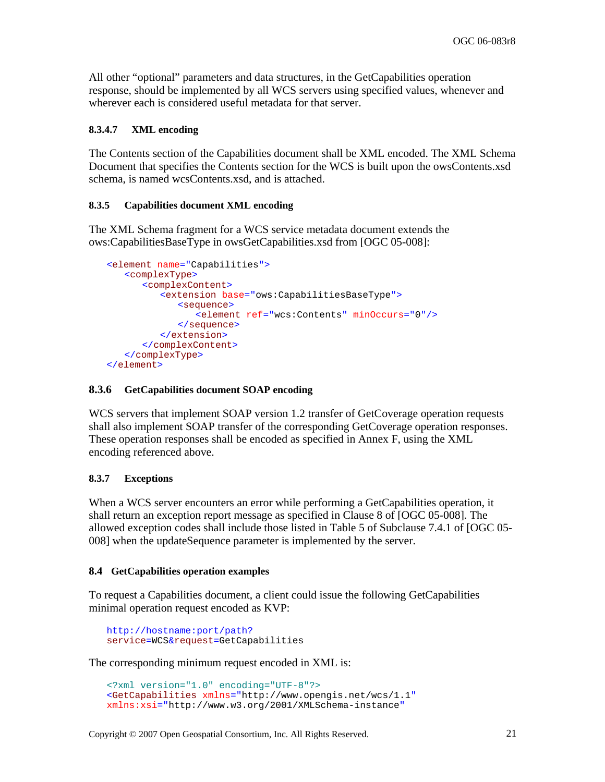<span id="page-34-0"></span>All other "optional" parameters and data structures, in the GetCapabilities operation response, should be implemented by all WCS servers using specified values, whenever and wherever each is considered useful metadata for that server.

#### **8.3.4.7 XML encoding**

The Contents section of the Capabilities document shall be XML encoded. The XML Schema Document that specifies the Contents section for the WCS is built upon the owsContents.xsd schema, is named wcsContents.xsd, and is attached.

#### **8.3.5 Capabilities document XML encoding**

The XML Schema fragment for a WCS service metadata document extends the ows:CapabilitiesBaseType in owsGetCapabilities.xsd from [OGC 05-008]:

```
<element name="Capabilities">
   <complexType>
       <complexContent>
           <extension base="ows:CapabilitiesBaseType">
              <sequence>
                 <element ref="wcs:Contents" minOccurs="0"/>
              </sequence>
           </extension>
       </complexContent>
   </complexType>
</element>
```
#### **8.3.6 GetCapabilities document SOAP encoding**

WCS servers that implement SOAP version 1.2 transfer of GetCoverage operation requests shall also implement SOAP transfer of the corresponding GetCoverage operation responses. These operation responses shall be encoded as specified in Annex F, using the XML encoding referenced above.

#### **8.3.7 Exceptions**

When a WCS server encounters an error while performing a GetCapabilities operation, it shall return an exception report message as specified in Clause 8 of [OGC 05-008]. The allowed exception codes shall include those listed in Table 5 of Subclause 7.4.1 of [OGC 05- 008] when the updateSequence parameter is implemented by the server.

#### **8.4 GetCapabilities operation examples**

To request a Capabilities document, a client could issue the following GetCapabilities minimal operation request encoded as KVP:

```
http://hostname:port/path? 
service=WCS&request=GetCapabilities
```
The corresponding minimum request encoded in XML is:

```
<?xml version="1.0" encoding="UTF-8"?> 
<GetCapabilities xmlns="http://www.opengis.net/wcs/1.1"
xmlns:xsi="http://www.w3.org/2001/XMLSchema-instance"
```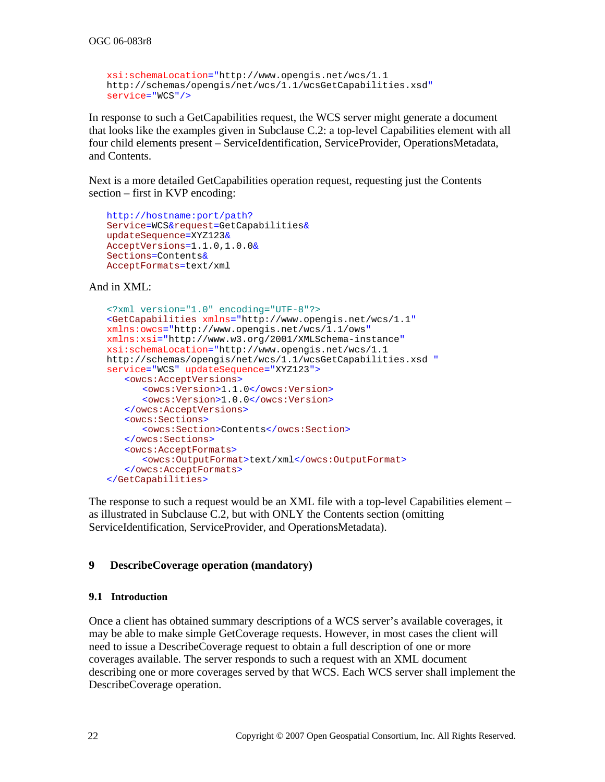```
xsi:schemaLocation="http://www.opengis.net/wcs/1.1 
http://schemas/opengis/net/wcs/1.1/wcsGetCapabilities.xsd"
service="WCS"/>
```
In response to such a GetCapabilities request, the WCS server might generate a document that looks like the examples given in Subclause C.2: a top-level Capabilities element with all four child elements present – ServiceIdentification, ServiceProvider, OperationsMetadata, and Contents.

Next is a more detailed GetCapabilities operation request, requesting just the Contents section – first in KVP encoding:

```
http://hostname:port/path? 
Service=WCS&request=GetCapabilities& 
updateSequence=XYZ123& 
AcceptVersions=1.1.0,1.0.0& 
Sections=Contents& 
AcceptFormats=text/xml
```
And in XML:

```
<?xml version="1.0" encoding="UTF-8"?> 
<GetCapabilities xmlns="http://www.opengis.net/wcs/1.1"
xmlns:owcs="http://www.opengis.net/wcs/1.1/ows"
xmlns:xsi="http://www.w3.org/2001/XMLSchema-instance"
xsi:schemaLocation="http://www.opengis.net/wcs/1.1 
http://schemas/opengis/net/wcs/1.1/wcsGetCapabilities.xsd "
service="WCS" updateSequence="XYZ123">
   <owcs:AcceptVersions>
       <owcs:Version>1.1.0</owcs:Version>
       <owcs:Version>1.0.0</owcs:Version>
   </owcs:AcceptVersions>
   <owcs:Sections>
       <owcs:Section>Contents</owcs:Section>
   </owcs:Sections>
   <owcs:AcceptFormats>
       <owcs:OutputFormat>text/xml</owcs:OutputFormat>
   </owcs:AcceptFormats>
</GetCapabilities>
```
The response to such a request would be an XML file with a top-level Capabilities element – as illustrated in Subclause C.2, but with ONLY the Contents section (omitting ServiceIdentification, ServiceProvider, and OperationsMetadata).

#### **9 DescribeCoverage operation (mandatory)**

#### **9.1 Introduction**

Once a client has obtained summary descriptions of a WCS server's available coverages, it may be able to make simple GetCoverage requests. However, in most cases the client will need to issue a DescribeCoverage request to obtain a full description of one or more coverages available. The server responds to such a request with an XML document describing one or more coverages served by that WCS. Each WCS server shall implement the DescribeCoverage operation.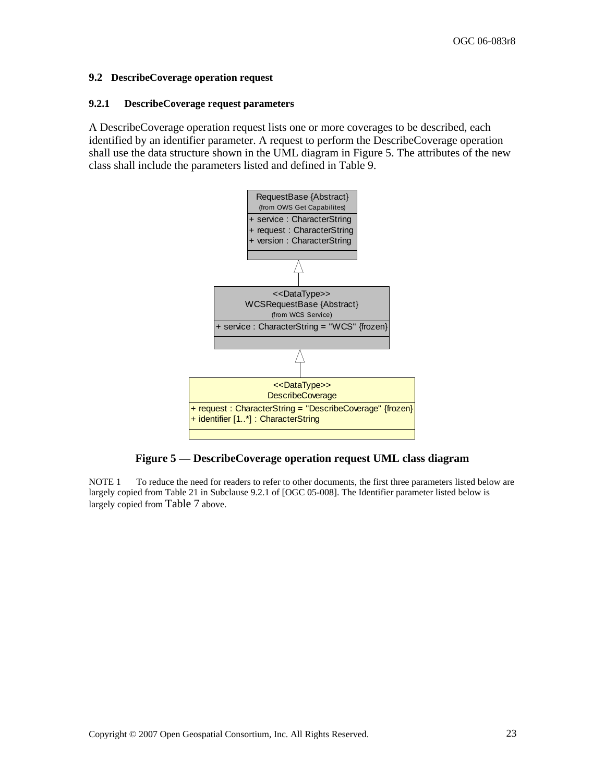### <span id="page-36-0"></span>**9.2 DescribeCoverage operation request**

### **9.2.1 DescribeCoverage request parameters**

A DescribeCoverage operation request lists one or more coverages to be described, each identified by an identifier parameter. A request to perform the DescribeCoverage operation shall use the data structure shown in the UML diagram in [Figure 5](#page-36-0). The attributes of the new class shall include the parameters listed and defined in [Table 9](#page-37-0).



**Figure 5 — DescribeCoverage operation request UML class diagram** 

NOTE 1 To reduce the need for readers to refer to other documents, the first three parameters listed below are largely copied from Table 21 in Subclause 9.2.1 of [OGC 05-008]. The Identifier parameter listed below is largely copied from [Table 7](#page-31-0) above.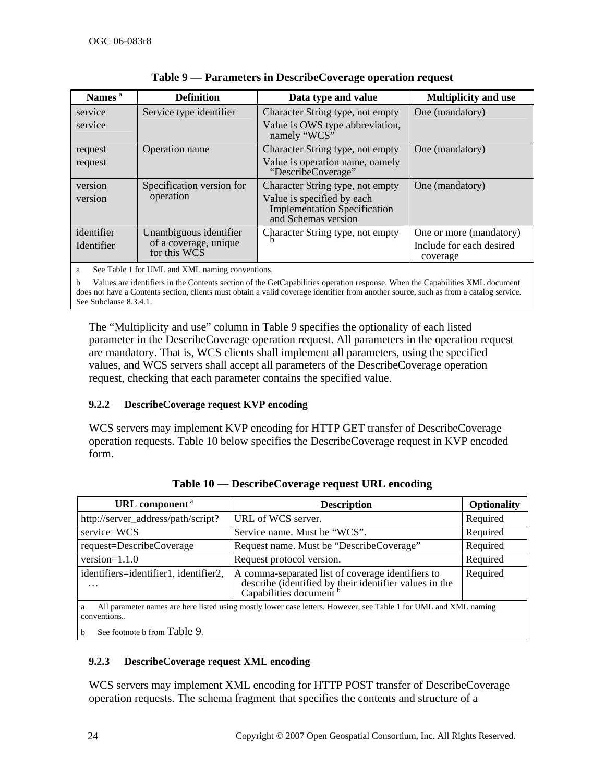<span id="page-37-0"></span>

| Names <sup>a</sup>                                                                                                           | <b>Definition</b>                     | Data type and value                                                                      | <b>Multiplicity and use</b>          |  |  |
|------------------------------------------------------------------------------------------------------------------------------|---------------------------------------|------------------------------------------------------------------------------------------|--------------------------------------|--|--|
| service                                                                                                                      | Service type identifier               | Character String type, not empty                                                         | One (mandatory)                      |  |  |
| service                                                                                                                      |                                       | Value is OWS type abbreviation,<br>namely "WCS"                                          |                                      |  |  |
| request                                                                                                                      | Operation name                        | Character String type, not empty                                                         | One (mandatory)                      |  |  |
| request                                                                                                                      |                                       | Value is operation name, namely<br>"DescribeCoverage"                                    |                                      |  |  |
| version                                                                                                                      | Specification version for             | Character String type, not empty                                                         | One (mandatory)                      |  |  |
| version                                                                                                                      | operation                             | Value is specified by each<br><b>Implementation Specification</b><br>and Schemas version |                                      |  |  |
| identifier                                                                                                                   | Unambiguous identifier                | Character String type, not empty                                                         | One or more (mandatory)              |  |  |
| <b>I</b> dentifier                                                                                                           | of a coverage, unique<br>for this WCS |                                                                                          | Include for each desired<br>coverage |  |  |
| See Table 1 for UML and XML naming conventions.<br>a                                                                         |                                       |                                                                                          |                                      |  |  |
| Velves are identifiers in the Contents section of the CotConshilities operation recognes. When the Conshilities VML decument |                                       |                                                                                          |                                      |  |  |

| Table 9 — Parameters in DescribeCoverage operation request |  |  |  |  |
|------------------------------------------------------------|--|--|--|--|
|------------------------------------------------------------|--|--|--|--|

b Values are identifiers in the Contents section of the GetCapabilities operation response. When the Capabilities XML document does not have a Contents section, clients must obtain a valid coverage identifier from another source, such as from a catalog service. See Subclause [8.3.4.1.](#page-28-0)

The "Multiplicity and use" column in [Table 9](#page-37-0) specifies the optionality of each listed parameter in the DescribeCoverage operation request. All parameters in the operation request are mandatory. That is, WCS clients shall implement all parameters, using the specified values, and WCS servers shall accept all parameters of the DescribeCoverage operation request, checking that each parameter contains the specified value.

# **9.2.2 DescribeCoverage request KVP encoding**

WCS servers may implement KVP encoding for HTTP GET transfer of DescribeCoverage operation requests. Table 10 below specifies the DescribeCoverage request in KVP encoded form.

| URL component <sup>a</sup>                         | <b>Description</b>                                                                                                                  | Optionality |
|----------------------------------------------------|-------------------------------------------------------------------------------------------------------------------------------------|-------------|
| http://server_address/path/script?                 | URL of WCS server.                                                                                                                  | Required    |
| service=WCS                                        | Service name. Must be "WCS".                                                                                                        | Required    |
| request=DescribeCoverage                           | Request name. Must be "DescribeCoverage"                                                                                            | Required    |
| $version=1.1.0$                                    | Request protocol version.                                                                                                           | Required    |
| identifiers=identifier1, identifier2,<br>$\ddotsc$ | A comma-separated list of coverage identifiers to<br>describe (identified by their identifier values in the Capabilities document b | Required    |
| a<br>conventions                                   | All parameter names are here listed using mostly lower case letters. However, see Table 1 for UML and XML naming                    |             |

|  | Table 10 — DescribeCoverage request URL encoding |  |  |  |
|--|--------------------------------------------------|--|--|--|
|--|--------------------------------------------------|--|--|--|

b See footnote b from [Table 9.](#page-37-0)

# **9.2.3 DescribeCoverage request XML encoding**

WCS servers may implement XML encoding for HTTP POST transfer of DescribeCoverage operation requests. The schema fragment that specifies the contents and structure of a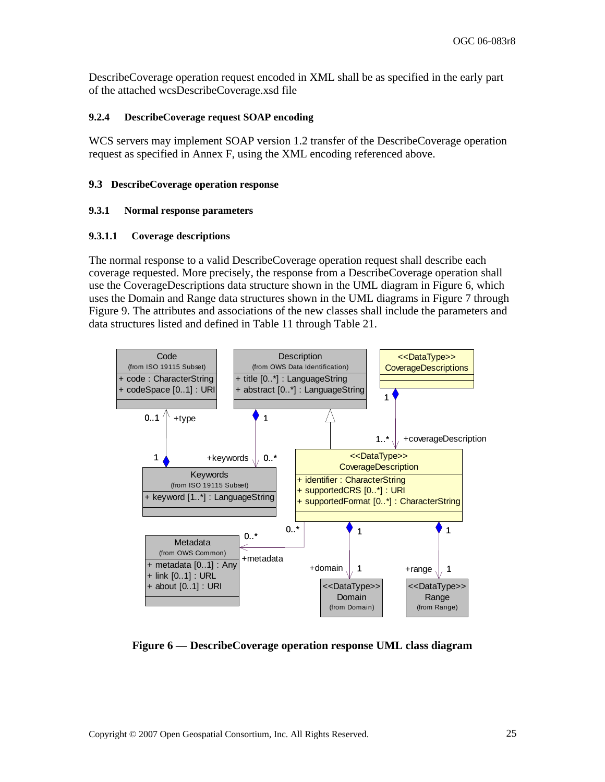<span id="page-38-0"></span>DescribeCoverage operation request encoded in XML shall be as specified in the early part of the attached wcsDescribeCoverage.xsd file

# **9.2.4 DescribeCoverage request SOAP encoding**

WCS servers may implement SOAP version 1.2 transfer of the DescribeCoverage operation request as specified in Annex F, using the XML encoding referenced above.

### **9.3 DescribeCoverage operation response**

#### **9.3.1 Normal response parameters**

### **9.3.1.1 Coverage descriptions**

The normal response to a valid DescribeCoverage operation request shall describe each coverage requested. More precisely, the response from a DescribeCoverage operation shall use the CoverageDescriptions data structure shown in the UML diagram in [Figure 6,](#page-38-0) which uses the Domain and Range data structures shown in the UML diagrams in [Figure 7](#page-40-0) through [Figure 9.](#page-44-0) The attributes and associations of the new classes shall include the parameters and data structures listed and defined in [Table 11](#page-39-0) through [Table 21.](#page-46-0)



**Figure 6 — DescribeCoverage operation response UML class diagram**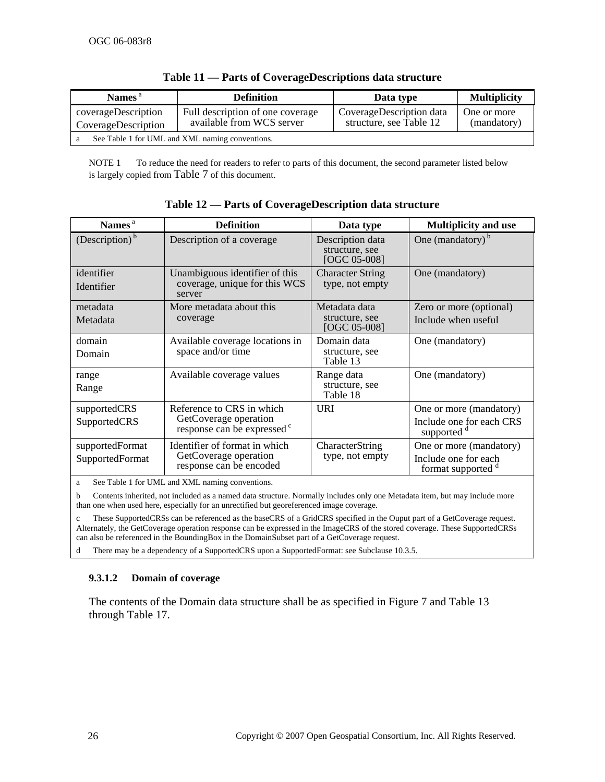<span id="page-39-0"></span>

| Names <sup>a</sup>                              | <b>Definition</b>                                             | Data type                                           | <b>Multiplicity</b>        |  |  |
|-------------------------------------------------|---------------------------------------------------------------|-----------------------------------------------------|----------------------------|--|--|
| coverageDescription<br>CoverageDescription      | Full description of one coverage<br>available from WCS server | CoverageDescription data<br>structure, see Table 12 | One or more<br>(mandatory) |  |  |
| See Table 1 for UML and XML naming conventions. |                                                               |                                                     |                            |  |  |

|  |  |  |  | Table 11 — Parts of CoverageDescriptions data structure |
|--|--|--|--|---------------------------------------------------------|
|--|--|--|--|---------------------------------------------------------|

NOTE 1 To reduce the need for readers to refer to parts of this document, the second parameter listed below is largely copied from [Table 7](#page-31-0) of this document.

| Names <sup>a</sup>                 | <b>Definition</b>                                                                            | Data type                                          | <b>Multiplicity and use</b>                                                      |
|------------------------------------|----------------------------------------------------------------------------------------------|----------------------------------------------------|----------------------------------------------------------------------------------|
| (Description) $b$                  | Description of a coverage                                                                    | Description data<br>structure, see<br>[OGC 05-008] | One (mandatory) $b$                                                              |
| identifier<br>Identifier           | Unambiguous identifier of this<br>coverage, unique for this WCS<br>server                    | <b>Character String</b><br>type, not empty         | One (mandatory)                                                                  |
| metadata<br>Metadata               | More metadata about this<br>coverage                                                         | Metadata data<br>structure, see<br>[OGC 05-008]    | Zero or more (optional)<br>Include when useful                                   |
| domain<br>Domain                   | Available coverage locations in<br>space and/or time                                         | Domain data<br>structure, see<br>Table 13          | One (mandatory)                                                                  |
| range<br>Range                     | Available coverage values                                                                    | Range data<br>structure, see<br>Table 18           | One (mandatory)                                                                  |
| supportedCRS<br>SupportedCRS       | Reference to CRS in which<br>GetCoverage operation<br>response can be expressed <sup>c</sup> | <b>URI</b>                                         | One or more (mandatory)<br>Include one for each CRS<br>supported <sup>d</sup>    |
| supportedFormat<br>SupportedFormat | Identifier of format in which<br>GetCoverage operation<br>response can be encoded            | CharacterString<br>type, not empty                 | One or more (mandatory)<br>Include one for each<br>format supported <sup>a</sup> |

|  |  | Table 12 — Parts of CoverageDescription data structure |
|--|--|--------------------------------------------------------|
|  |  |                                                        |

a See Table 1 for UML and XML naming conventions.

b Contents inherited, not included as a named data structure. Normally includes only one Metadata item, but may include more than one when used here, especially for an unrectified but georeferenced image coverage.

c These SupportedCRSs can be referenced as the baseCRS of a GridCRS specified in the Ouput part of a GetCoverage request. Alternately, the GetCoverage operation response can be expressed in the ImageCRS of the stored coverage. These SupportedCRSs can also be referenced in the BoundingBox in the DomainSubset part of a GetCoverage request.

d There may be a dependency of a SupportedCRS upon a SupportedFormat: see Subclause [10.3.5.](#page-63-0)

# **9.3.1.2 Domain of coverage**

The contents of the Domain data structure shall be as specified in [Figure 7](#page-40-0) and [Table 13](#page-40-0) through [Table 17](#page-42-0).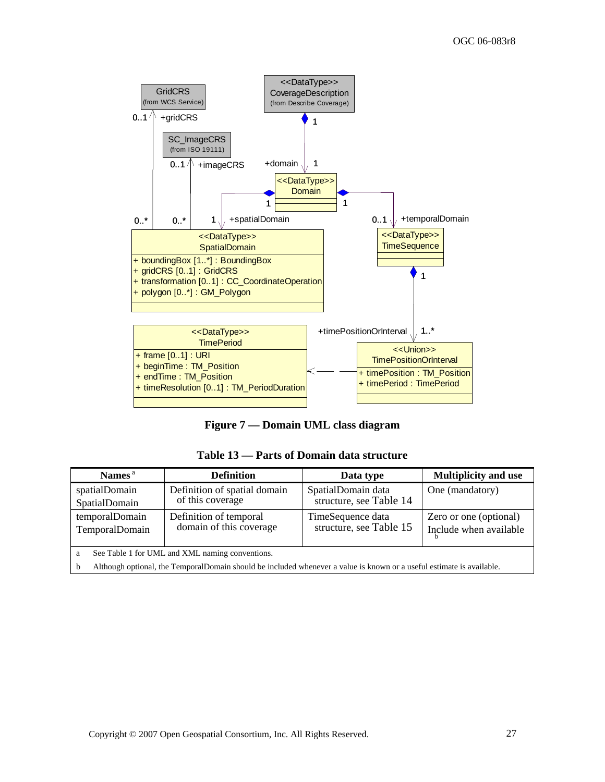<span id="page-40-0"></span>

**Figure 7 — Domain UML class diagram** 

**Table 13 — Parts of Domain data structure** 

| Names <sup>a</sup>                                                                    | <b>Definition</b>                                                                                                     | Data type                                     | <b>Multiplicity and use</b>                      |  |  |  |
|---------------------------------------------------------------------------------------|-----------------------------------------------------------------------------------------------------------------------|-----------------------------------------------|--------------------------------------------------|--|--|--|
| spatialDomain<br>SpatialDomain                                                        | Definition of spatial domain<br>of this coverage                                                                      | SpatialDomain data<br>structure, see Table 14 | One (mandatory)                                  |  |  |  |
| temporalDomain<br>Definition of temporal<br>domain of this coverage<br>TemporalDomain |                                                                                                                       | TimeSequence data<br>structure, see Table 15  | Zero or one (optional)<br>Include when available |  |  |  |
| See Table 1 for UML and XML naming conventions.<br>a                                  |                                                                                                                       |                                               |                                                  |  |  |  |
| b                                                                                     | Although optional, the TemporalDomain should be included whenever a value is known or a useful estimate is available. |                                               |                                                  |  |  |  |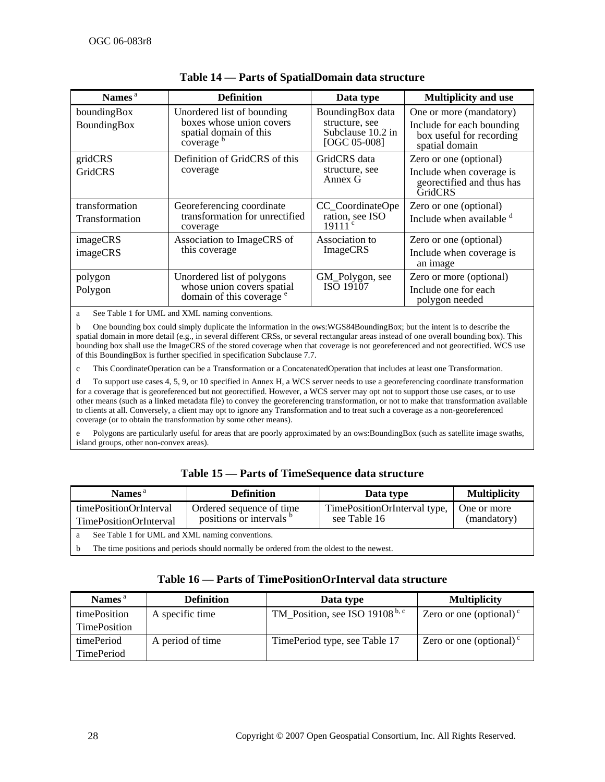<span id="page-41-0"></span>

| Names <sup>a</sup>                      | <b>Definition</b>                                                                                | Data type                                                                 | <b>Multiplicity and use</b>                                                                        |
|-----------------------------------------|--------------------------------------------------------------------------------------------------|---------------------------------------------------------------------------|----------------------------------------------------------------------------------------------------|
| boundingBox<br>BoundingBox              | Unordered list of bounding<br>boxes whose union covers<br>spatial domain of this coverage        | BoundingBox data<br>structure, see<br>Subclause 10.2 in<br>$[OGC 05-008]$ | One or more (mandatory)<br>Include for each bounding<br>box useful for recording<br>spatial domain |
| gridCRS<br>GridCRS                      | Definition of GridCRS of this<br>coverage                                                        | GridCRS data<br>structure, see<br>Annex G                                 | Zero or one (optional)<br>Include when coverage is<br>georectified and thus has<br><b>GridCRS</b>  |
| transformation<br><b>Transformation</b> | Georeferencing coordinate<br>transformation for unrectified<br>coverage                          | CC_CoordinateOpe<br>ration, see ISO<br>$19111$ <sup>c</sup>               | Zero or one (optional)<br>Include when available <sup>d</sup>                                      |
| imageCRS<br>imageCRS                    | Association to ImageCRS of<br>this coverage                                                      | Association to<br><b>ImageCRS</b>                                         | Zero or one (optional)<br>Include when coverage is<br>an image                                     |
| polygon<br>Polygon                      | Unordered list of polygons<br>whose union covers spatial<br>domain of this coverage <sup>e</sup> | GM_Polygon, see<br>ISO 19107                                              | Zero or more (optional)<br>Include one for each<br>polygon needed                                  |

|  |  |  | Table 14 – Parts of SpatialDomain data structure |  |  |
|--|--|--|--------------------------------------------------|--|--|
|--|--|--|--------------------------------------------------|--|--|

a See Table 1 for UML and XML naming conventions.

b One bounding box could simply duplicate the information in the ows:WGS84BoundingBox; but the intent is to describe the spatial domain in more detail (e.g., in several different CRSs, or several rectangular areas instead of one overall bounding box). This bounding box shall use the ImageCRS of the stored coverage when that coverage is not georeferenced and not georectified. WCS use of this BoundingBox is further specified in specification Subclause [7.7](#page-22-0).

c This CoordinateOperation can be a Transformation or a ConcatenatedOperation that includes at least one Transformation.

d To support use cases 4, 5, 9, or 10 specified in Annex H, a WCS server needs to use a georeferencing coordinate transformation for a coverage that is georeferenced but not georectified. However, a WCS server may opt not to support those use cases, or to use other means (such as a linked metadata file) to convey the georeferencing transformation, or not to make that transformation available to clients at all. Conversely, a client may opt to ignore any Transformation and to treat such a coverage as a non-georeferenced coverage (or to obtain the transformation by some other means).

e Polygons are particularly useful for areas that are poorly approximated by an ows:BoundingBox (such as satellite image swaths, island groups, other non-convex areas).

| Names <sup>a</sup>                                   | <b>Definition</b>                                                                        | Data type                    | <b>Multiplicity</b> |  |  |
|------------------------------------------------------|------------------------------------------------------------------------------------------|------------------------------|---------------------|--|--|
| timePositionOrInterval                               | Ordered sequence of time                                                                 | TimePositionOrInterval type, | One or more         |  |  |
| TimePositionOrInterval                               | positions or intervals b                                                                 | see Table 16                 | (mandatory)         |  |  |
| See Table 1 for UML and XML naming conventions.<br>a |                                                                                          |                              |                     |  |  |
|                                                      | The time positions and periods should normally be ordered from the oldest to the newest. |                              |                     |  |  |

# **Table 16 — Parts of TimePositionOrInterval data structure**

| Names <sup>a</sup> | <b>Definition</b> | Data type                                  | <b>Multiplicity</b>              |
|--------------------|-------------------|--------------------------------------------|----------------------------------|
| timePosition       | A specific time   | TM_Position, see ISO 19108 <sup>b, c</sup> | Zero or one (optional) $\degree$ |
| TimePosition       |                   |                                            |                                  |
| timePeriod         | A period of time  | TimePeriod type, see Table 17              | Zero or one (optional) $\degree$ |
| <b>TimePeriod</b>  |                   |                                            |                                  |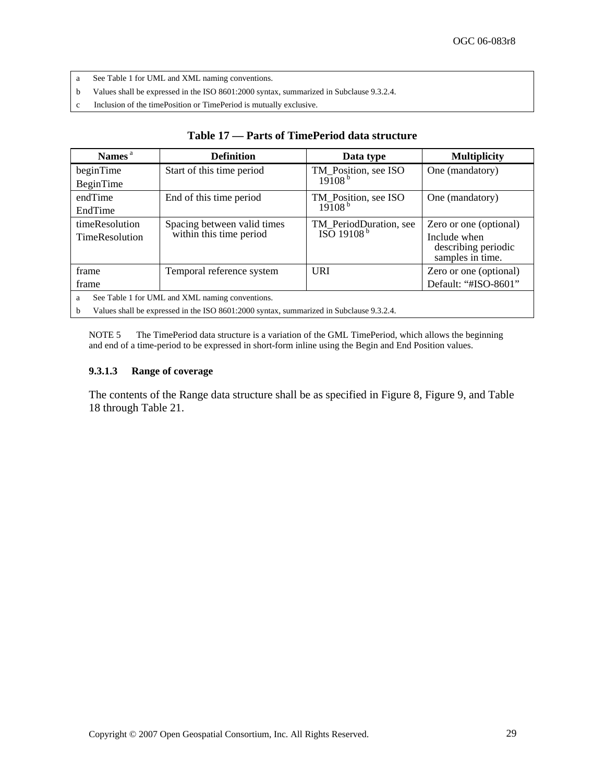- <span id="page-42-0"></span>a See Table 1 for UML and XML naming conventions.
- b Values shall be expressed in the ISO 8601:2000 syntax, summarized in Subclause [9.3.2.4.](#page-49-0)
- c Inclusion of the timePosition or TimePeriod is mutually exclusive.

# **Table 17 — Parts of TimePeriod data structure**

| Names <sup>a</sup>                                                                           | <b>Definition</b>           | Data type                                              | <b>Multiplicity</b>                     |  |  |
|----------------------------------------------------------------------------------------------|-----------------------------|--------------------------------------------------------|-----------------------------------------|--|--|
| beginTime                                                                                    | Start of this time period   | TM_Position, see ISO                                   | One (mandatory)                         |  |  |
| BeginTime                                                                                    |                             | 19108 <sup>b</sup>                                     |                                         |  |  |
| endTime                                                                                      | End of this time period     | TM_Position, see ISO                                   | One (mandatory)                         |  |  |
| EndTime                                                                                      |                             | 19108 <sup>b</sup>                                     |                                         |  |  |
| timeResolution                                                                               | Spacing between valid times | TM_PeriodDuration, see<br>$IS\bar{O}$ 19108 $^{\rm b}$ | Zero or one (optional)                  |  |  |
| <b>TimeResolution</b>                                                                        | within this time period     |                                                        | Include when                            |  |  |
|                                                                                              |                             |                                                        | describing periodic<br>samples in time. |  |  |
| frame                                                                                        | Temporal reference system   | <b>URI</b>                                             | Zero or one (optional)                  |  |  |
| frame                                                                                        |                             |                                                        | Default: "#ISO-8601"                    |  |  |
| See Table 1 for UML and XML naming conventions.<br>a                                         |                             |                                                        |                                         |  |  |
| Values shall be expressed in the ISO 8601:2000 syntax, summarized in Subclause 9.3.2.4.<br>b |                             |                                                        |                                         |  |  |

NOTE 5 The TimePeriod data structure is a variation of the GML TimePeriod, which allows the beginning and end of a time-period to be expressed in short-form inline using the Begin and End Position values.

# **9.3.1.3 Range of coverage**

The contents of the Range data structure shall be as specified in [Figure 8,](#page-43-0) [Figure 9](#page-44-0), and [Table](#page-44-0)  [18](#page-44-0) through [Table 21.](#page-46-0)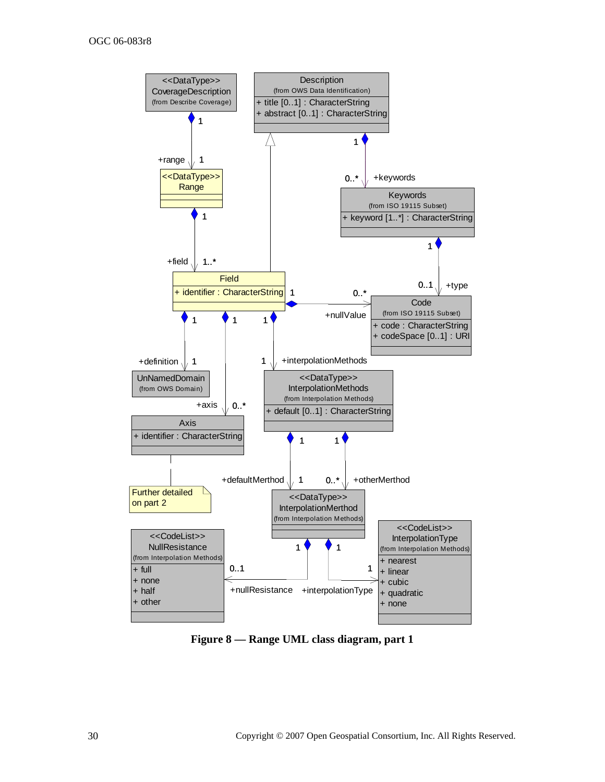<span id="page-43-0"></span>

**Figure 8 — Range UML class diagram, part 1**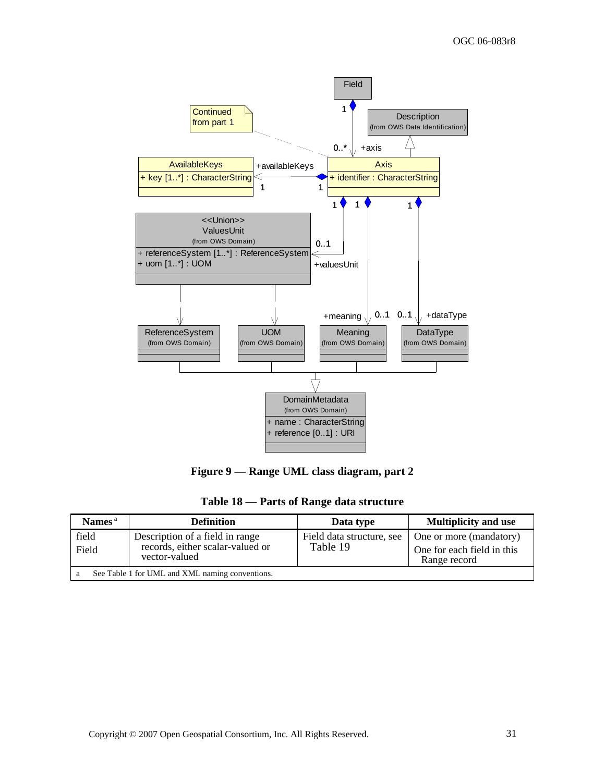<span id="page-44-0"></span>

**Figure 9 — Range UML class diagram, part 2** 

| Table 18 – Parts of Range data structure |  |  |  |  |
|------------------------------------------|--|--|--|--|
|------------------------------------------|--|--|--|--|

| Names <sup>a</sup>                              | <b>Definition</b>                                                                    | Data type                             | <b>Multiplicity and use</b>                                           |  |
|-------------------------------------------------|--------------------------------------------------------------------------------------|---------------------------------------|-----------------------------------------------------------------------|--|
| field<br>Field                                  | Description of a field in range<br>records, either scalar-valued or<br>vector-valued | Field data structure, see<br>Table 19 | One or more (mandatory)<br>One for each field in this<br>Range record |  |
| See Table 1 for UML and XML naming conventions. |                                                                                      |                                       |                                                                       |  |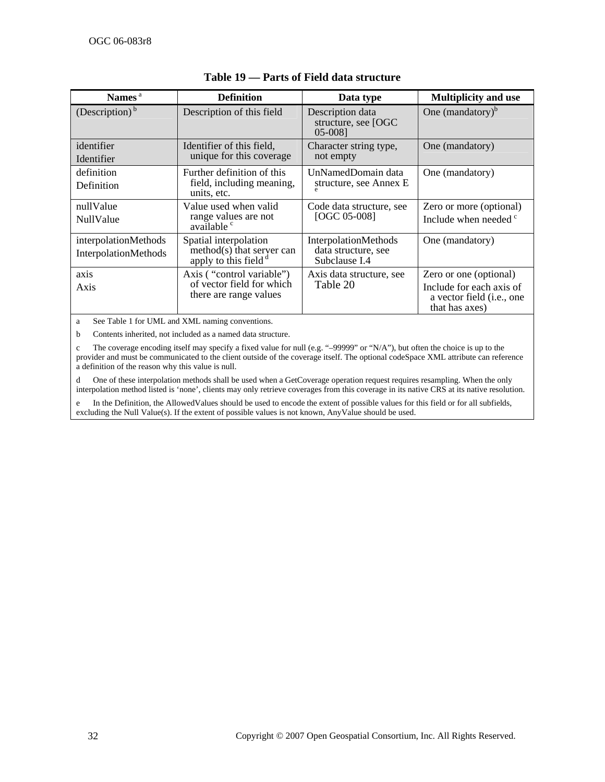<span id="page-45-0"></span>

| Names <sup>a</sup>                           | <b>Definition</b>                                                                        | Data type                                                           | <b>Multiplicity and use</b>                                                                                |
|----------------------------------------------|------------------------------------------------------------------------------------------|---------------------------------------------------------------------|------------------------------------------------------------------------------------------------------------|
| (Description) $b$                            | Description of this field                                                                | Description data<br>structure, see [OGC]<br>05-008]                 | One $(mandatory)^b$                                                                                        |
| identifier<br>Identifier                     | Identifier of this field,<br>unique for this coverage                                    | Character string type,<br>not empty                                 | One (mandatory)                                                                                            |
| definition<br>Definition                     | Further definition of this<br>field, including meaning,<br>units, etc.                   | UnNamedDomain data<br>structure, see Annex E                        | One (mandatory)                                                                                            |
| nullValue<br>NullValue                       | Value used when valid<br>range values are not<br>available <sup>c</sup>                  | Code data structure, see<br>[OGC 05-008]                            | Zero or more (optional)<br>Include when needed <sup>c</sup>                                                |
| interpolationMethods<br>InterpolationMethods | Spatial interpolation<br>$method(s)$ that server can<br>apply to this field <sup>d</sup> | <b>InterpolationMethods</b><br>data structure, see<br>Subclause I.4 | One (mandatory)                                                                                            |
| axis<br>Axis                                 | Axis ("control variable")<br>of vector field for which<br>there are range values         | Axis data structure, see<br>Table 20                                | Zero or one (optional)<br>Include for each axis of<br>a vector field ( <i>i.e.</i> , one<br>that has axes) |

# **Table 19 — Parts of Field data structure**

a See Table 1 for UML and XML naming conventions.

b Contents inherited, not included as a named data structure.

c The coverage encoding itself may specify a fixed value for null (e.g. "–99999" or "N/A"), but often the choice is up to the provider and must be communicated to the client outside of the coverage itself. The optional codeSpace XML attribute can reference a definition of the reason why this value is null.

d One of these interpolation methods shall be used when a GetCoverage operation request requires resampling. When the only interpolation method listed is 'none', clients may only retrieve coverages from this coverage in its native CRS at its native resolution.

e In the Definition, the AllowedValues should be used to encode the extent of possible values for this field or for all subfields, excluding the Null Value(s). If the extent of possible values is not known, AnyValue should be used.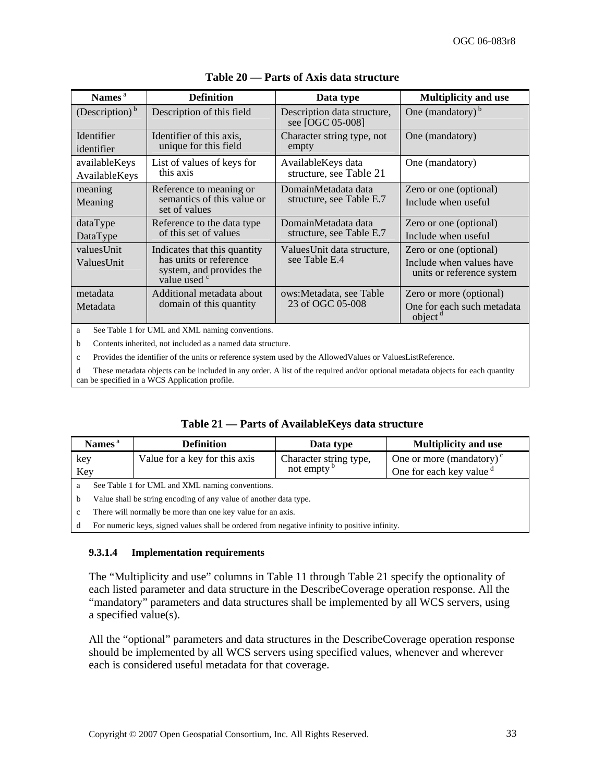<span id="page-46-0"></span>

| Names <sup>a</sup>                                               | <b>Definition</b>                                                                                             | Data type                                       | <b>Multiplicity and use</b>                                                     |  |  |
|------------------------------------------------------------------|---------------------------------------------------------------------------------------------------------------|-------------------------------------------------|---------------------------------------------------------------------------------|--|--|
| (Description) $b$                                                | Description of this field                                                                                     | Description data structure,<br>see [OGC 05-008] | One (mandatory) $b$                                                             |  |  |
| Identifier<br>identifier                                         | Identifier of this axis,<br>unique for this field                                                             | Character string type, not<br>empty             | One (mandatory)                                                                 |  |  |
| availableKeys<br>AvailableKeys                                   | List of values of keys for<br>this axis                                                                       | AvailableKeys data<br>structure, see Table 21   | One (mandatory)                                                                 |  |  |
| meaning<br>Meaning                                               | Reference to meaning or<br>semantics of this value or<br>set of values                                        | DomainMetadata data<br>structure, see Table E.7 | Zero or one (optional)<br>Include when useful                                   |  |  |
| dataType<br>DataType                                             | Reference to the data type<br>of this set of values                                                           | DomainMetadata data<br>structure, see Table E.7 | Zero or one (optional)<br>Include when useful                                   |  |  |
| valuesUnit<br>ValuesUnit                                         | Indicates that this quantity<br>has units or reference<br>system, and provides the<br>value used <sup>c</sup> | ValuesUnit data structure,<br>see Table E.4     | Zero or one (optional)<br>Include when values have<br>units or reference system |  |  |
| metadata<br>Metadata                                             | Additional metadata about<br>domain of this quantity                                                          | ows:Metadata, see Table<br>23 of OGC 05-008     | Zero or more (optional)<br>One for each such metadata<br>object <sup>d</sup>    |  |  |
| See Table 1 for UML and XML naming conventions.<br>a             |                                                                                                               |                                                 |                                                                                 |  |  |
| Contents inherited, not included as a named data structure.<br>b |                                                                                                               |                                                 |                                                                                 |  |  |

| Table 20 — Parts of Axis data structure |  |
|-----------------------------------------|--|
|-----------------------------------------|--|

c Provides the identifier of the units or reference system used by the AllowedValues or ValuesListReference.

d These metadata objects can be included in any order. A list of the required and/or optional metadata objects for each quantity can be specified in a WCS Application profile.

|  |  |  | Table 21 — Parts of AvailableKeys data structure |
|--|--|--|--------------------------------------------------|
|  |  |  |                                                  |

|     | Names <sup>a</sup>                                                                            | <b>Definition</b>             | Data type              |                                     |  |
|-----|-----------------------------------------------------------------------------------------------|-------------------------------|------------------------|-------------------------------------|--|
| key |                                                                                               | Value for a key for this axis | Character string type, | One or more (mandatory) $\degree$   |  |
| Key |                                                                                               | not empty <sup>b</sup>        |                        | One for each key value <sup>d</sup> |  |
|     | See Table 1 for UML and XML naming conventions.                                               |                               |                        |                                     |  |
| b   | Value shall be string encoding of any value of another data type.                             |                               |                        |                                     |  |
| c   | There will normally be more than one key value for an axis.                                   |                               |                        |                                     |  |
|     | For numeric keys, signed values shall be ordered from negative infinity to positive infinity. |                               |                        |                                     |  |

# **9.3.1.4 Implementation requirements**

The "Multiplicity and use" columns in [Table 11](#page-39-0) through [Table 21](#page-46-0) specify the optionality of each listed parameter and data structure in the DescribeCoverage operation response. All the "mandatory" parameters and data structures shall be implemented by all WCS servers, using a specified value(s).

All the "optional" parameters and data structures in the DescribeCoverage operation response should be implemented by all WCS servers using specified values, whenever and wherever each is considered useful metadata for that coverage.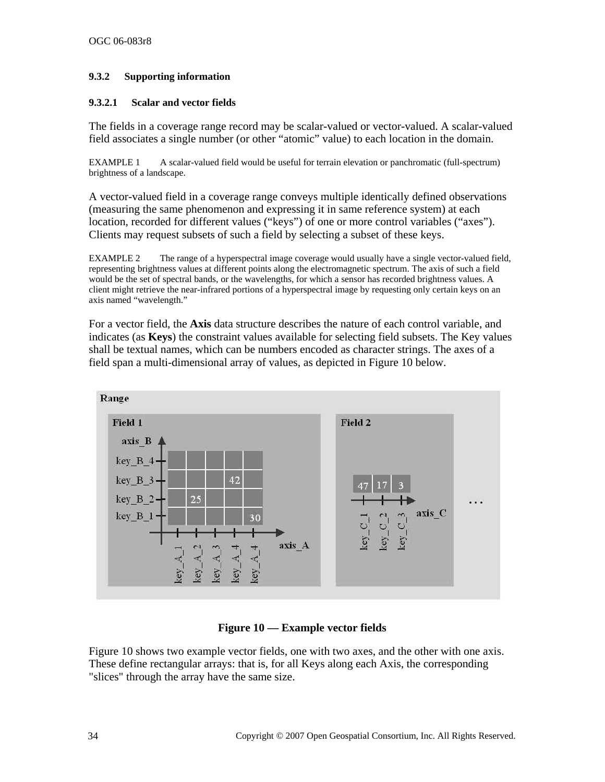# <span id="page-47-0"></span>**9.3.2 Supporting information**

# **9.3.2.1 Scalar and vector fields**

The fields in a coverage range record may be scalar-valued or vector-valued. A scalar-valued field associates a single number (or other "atomic" value) to each location in the domain.

EXAMPLE 1 A scalar-valued field would be useful for terrain elevation or panchromatic (full-spectrum) brightness of a landscape.

A vector-valued field in a coverage range conveys multiple identically defined observations (measuring the same phenomenon and expressing it in same reference system) at each location, recorded for different values ("keys") of one or more control variables ("axes"). Clients may request subsets of such a field by selecting a subset of these keys.

EXAMPLE 2 The range of a hyperspectral image coverage would usually have a single vector-valued field, representing brightness values at different points along the electromagnetic spectrum. The axis of such a field would be the set of spectral bands, or the wavelengths, for which a sensor has recorded brightness values. A client might retrieve the near-infrared portions of a hyperspectral image by requesting only certain keys on an axis named "wavelength."

For a vector field, the **Axis** data structure describes the nature of each control variable, and indicates (as **Keys**) the constraint values available for selecting field subsets. The Key values shall be textual names, which can be numbers encoded as character strings. The axes of a field span a multi-dimensional array of values, as depicted in [Figure 10](#page-47-0) below.



**Figure 10 — Example vector fields** 

[Figure 10](#page-47-0) shows two example vector fields, one with two axes, and the other with one axis. These define rectangular arrays: that is, for all Keys along each Axis, the corresponding "slices" through the array have the same size.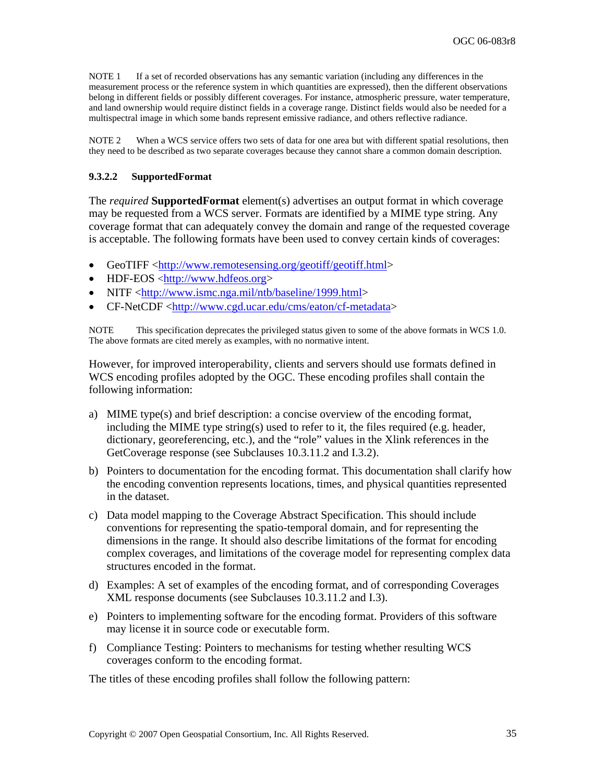<span id="page-48-0"></span>NOTE 1 If a set of recorded observations has any semantic variation (including any differences in the measurement process or the reference system in which quantities are expressed), then the different observations belong in different fields or possibly different coverages. For instance, atmospheric pressure, water temperature, and land ownership would require distinct fields in a coverage range. Distinct fields would also be needed for a multispectral image in which some bands represent emissive radiance, and others reflective radiance.

NOTE 2 When a WCS service offers two sets of data for one area but with different spatial resolutions, then they need to be described as two separate coverages because they cannot share a common domain description.

### **9.3.2.2 SupportedFormat**

The *required* **SupportedFormat** element(s) advertises an output format in which coverage may be requested from a WCS server. Formats are identified by a MIME type string. Any coverage format that can adequately convey the domain and range of the requested coverage is acceptable. The following formats have been used to convey certain kinds of coverages:

- GeoTIFF [<http://www.remotesensing.org/geotiff/geotiff.html>](http://www.remotesensing.org/geotiff/geotiff.html)
- HDF-EOS <[http://www.hdfeos.org>](http://www.hdfeos.org/)
- NITF  $\langle \frac{http://www.ismc.nga.mil/ntb/baseline/1999.html}{$  $\langle \frac{http://www.ismc.nga.mil/ntb/baseline/1999.html}{$  $\langle \frac{http://www.ismc.nga.mil/ntb/baseline/1999.html}{$
- CF-NetCDF [<http://www.cgd.ucar.edu/cms/eaton/cf-metadata>](http://www.cgd.ucar.edu/cms/eaton/cf-metadata/)

NOTE This specification deprecates the privileged status given to some of the above formats in WCS 1.0. The above formats are cited merely as examples, with no normative intent.

However, for improved interoperability, clients and servers should use formats defined in WCS encoding profiles adopted by the OGC. These encoding profiles shall contain the following information:

- a) MIME type(s) and brief description: a concise overview of the encoding format, including the MIME type string(s) used to refer to it, the files required (e.g. header, dictionary, georeferencing, etc.), and the "role" values in the Xlink references in the GetCoverage response (see Subclauses [10.3.11.2](#page-66-0) and I.3.2).
- b) Pointers to documentation for the encoding format. This documentation shall clarify how the encoding convention represents locations, times, and physical quantities represented in the dataset.
- c) Data model mapping to the Coverage Abstract Specification. This should include conventions for representing the spatio-temporal domain, and for representing the dimensions in the range. It should also describe limitations of the format for encoding complex coverages, and limitations of the coverage model for representing complex data structures encoded in the format.
- d) Examples: A set of examples of the encoding format, and of corresponding Coverages XML response documents (see Subclauses [10.3.11.2](#page-66-0) and I.3).
- e) Pointers to implementing software for the encoding format. Providers of this software may license it in source code or executable form.
- f) Compliance Testing: Pointers to mechanisms for testing whether resulting WCS coverages conform to the encoding format.

The titles of these encoding profiles shall follow the following pattern: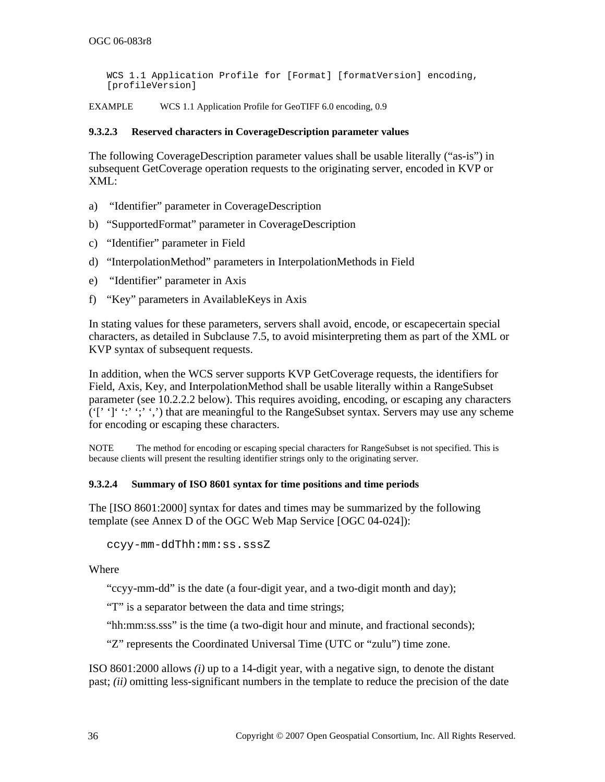```
WCS 1.1 Application Profile for [Format] [formatVersion] encoding, 
[profileVersion]
```
EXAMPLE WCS 1.1 Application Profile for GeoTIFF 6.0 encoding, 0.9

# **9.3.2.3 Reserved characters in CoverageDescription parameter values**

The following CoverageDescription parameter values shall be usable literally ("as-is") in subsequent GetCoverage operation requests to the originating server, encoded in KVP or XML:

- a) "Identifier" parameter in CoverageDescription
- b) "SupportedFormat" parameter in CoverageDescription
- c) "Identifier" parameter in Field
- d) "InterpolationMethod" parameters in InterpolationMethods in Field
- e) "Identifier" parameter in Axis
- f) "Key" parameters in AvailableKeys in Axis

In stating values for these parameters, servers shall avoid, encode, or escapecertain special characters, as detailed in Subclause [7.5,](#page-20-0) to avoid misinterpreting them as part of the XML or KVP syntax of subsequent requests.

In addition, when the WCS server supports KVP GetCoverage requests, the identifiers for Field, Axis, Key, and InterpolationMethod shall be usable literally within a RangeSubset parameter (see [10.2.2.2 below\)](#page-61-0). This requires avoiding, encoding, or escaping any characters ('[' ']' ':' ';' ',') that are meaningful to the RangeSubset syntax. Servers may use any scheme for encoding or escaping these characters.

NOTE The method for encoding or escaping special characters for RangeSubset is not specified. This is because clients will present the resulting identifier strings only to the originating server.

# **9.3.2.4 Summary of ISO 8601 syntax for time positions and time periods**

The [ISO 8601:2000] syntax for dates and times may be summarized by the following template (see Annex D of the OGC Web Map Service [OGC 04-024]):

ccyy-mm-ddThh:mm:ss.sssZ

Where

"ccyy-mm-dd" is the date (a four-digit year, and a two-digit month and day);

"T" is a separator between the data and time strings;

"hh:mm:ss.sss" is the time (a two-digit hour and minute, and fractional seconds);

"Z" represents the Coordinated Universal Time (UTC or "zulu") time zone.

ISO 8601:2000 allows *(i)* up to a 14-digit year, with a negative sign, to denote the distant past; *(ii)* omitting less-significant numbers in the template to reduce the precision of the date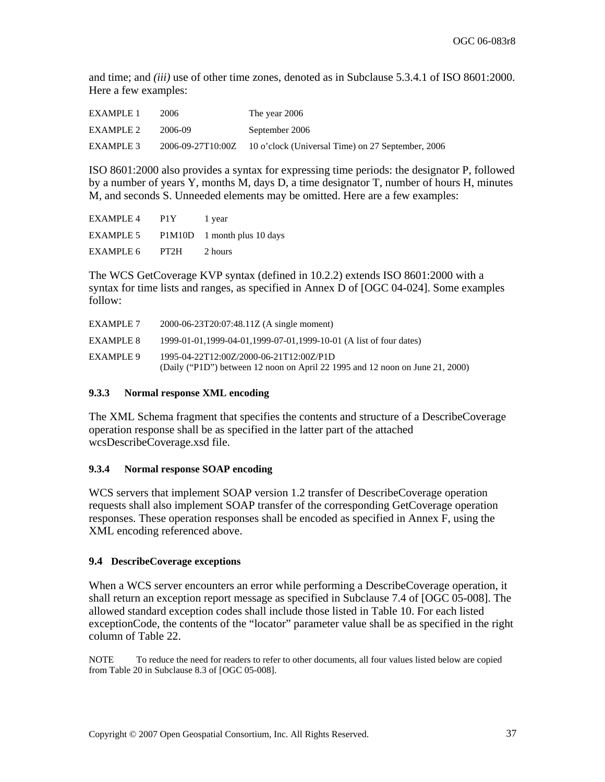and time; and *(iii)* use of other time zones, denoted as in Subclause 5.3.4.1 of ISO 8601:2000. Here a few examples:

| EXAMPLE 1 | 2006              | The year 2006                                     |
|-----------|-------------------|---------------------------------------------------|
| EXAMPLE 2 | 2006-09           | September 2006                                    |
| EXAMPLE 3 | 2006-09-27T10:00Z | 10 o'clock (Universal Time) on 27 September, 2006 |

ISO 8601:2000 also provides a syntax for expressing time periods: the designator P, followed by a number of years Y, months M, days D, a time designator T, number of hours H, minutes M, and seconds S. Unneeded elements may be omitted. Here are a few examples:

| EXAMPLE 4 | P1Y.              | 1 year                        |
|-----------|-------------------|-------------------------------|
| EXAMPLE 5 |                   | $P1M10D$ 1 month plus 10 days |
| EXAMPLE 6 | PT <sub>2</sub> H | 2 hours                       |

The WCS GetCoverage KVP syntax (defined in [10.2.2](#page-59-0)) extends ISO 8601:2000 with a syntax for time lists and ranges, as specified in Annex D of [OGC 04-024]. Some examples follow:

| EXAMPLE 7 | 2000-06-23T20:07:48.11Z (A single moment)                                                                                |
|-----------|--------------------------------------------------------------------------------------------------------------------------|
| EXAMPLE 8 | 1999-01-01,1999-04-01,1999-07-01,1999-10-01 (A list of four dates)                                                       |
| EXAMPLE 9 | 1995-04-22T12:00Z/2000-06-21T12:00Z/P1D<br>(Daily ("P1D") between 12 noon on April 22 1995 and 12 noon on June 21, 2000) |

#### **9.3.3 Normal response XML encoding**

The XML Schema fragment that specifies the contents and structure of a DescribeCoverage operation response shall be as specified in the latter part of the attached wcsDescribeCoverage.xsd file.

#### **9.3.4 Normal response SOAP encoding**

WCS servers that implement SOAP version 1.2 transfer of DescribeCoverage operation requests shall also implement SOAP transfer of the corresponding GetCoverage operation responses. These operation responses shall be encoded as specified in Annex F, using the XML encoding referenced above.

# **9.4 DescribeCoverage exceptions**

When a WCS server encounters an error while performing a DescribeCoverage operation, it shall return an exception report message as specified in Subclause 7.4 of [OGC 05-008]. The allowed standard exception codes shall include those listed in Table 10. For each listed exceptionCode, the contents of the "locator" parameter value shall be as specified in the right column of [Table 22](#page-51-0).

NOTE To reduce the need for readers to refer to other documents, all four values listed below are copied from Table 20 in Subclause 8.3 of [OGC 05-008].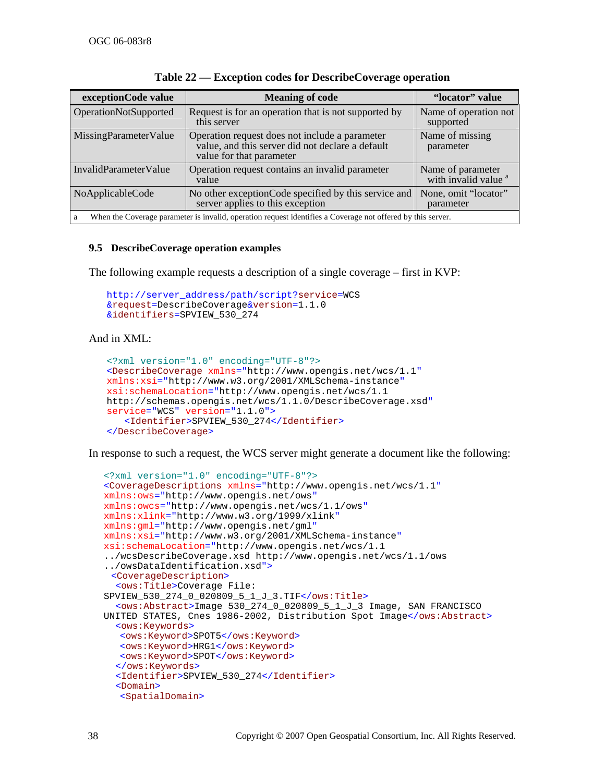<span id="page-51-0"></span>

| exceptionCode value                                                                                              | <b>Meaning of code</b>                                                                                                         | "locator" value                                      |  |
|------------------------------------------------------------------------------------------------------------------|--------------------------------------------------------------------------------------------------------------------------------|------------------------------------------------------|--|
| <b>OperationNotSupported</b>                                                                                     | Request is for an operation that is not supported by<br>this server                                                            | Name of operation not<br>supported                   |  |
| MissingParameterValue                                                                                            | Operation request does not include a parameter<br>value, and this server did not declare a default<br>value for that parameter | Name of missing<br>parameter                         |  |
| InvalidParameterValue                                                                                            | Operation request contains an invalid parameter<br>value                                                                       | Name of parameter<br>with invalid value <sup>a</sup> |  |
| NoApplicableCode                                                                                                 | No other exception Code specified by this service and<br>server applies to this exception                                      | None, omit "locator"<br>parameter                    |  |
| When the Coverage parameter is invalid, operation request identifies a Coverage not offered by this server.<br>а |                                                                                                                                |                                                      |  |

**Table 22 — Exception codes for DescribeCoverage operation** 

#### **9.5 DescribeCoverage operation examples**

The following example requests a description of a single coverage – first in KVP:

```
http://server_address/path/script?service=WCS
&request=DescribeCoverage&version=1.1.0
&identifiers=SPVIEW_530_274
```
# And in XML:

```
<?xml version="1.0" encoding="UTF-8"?> 
<DescribeCoverage xmlns="http://www.opengis.net/wcs/1.1"
xmlns:xsi="http://www.w3.org/2001/XMLSchema-instance"
xsi:schemaLocation="http://www.opengis.net/wcs/1.1 
http://schemas.opengis.net/wcs/1.1.0/DescribeCoverage.xsd" 
service="WCS" version="1.1.0">
   <Identifier>SPVIEW_530_274</Identifier>
</DescribeCoverage>
```
In response to such a request, the WCS server might generate a document like the following:

```
<?xml version="1.0" encoding="UTF-8"?>
<CoverageDescriptions xmlns="http://www.opengis.net/wcs/1.1"
xmlns:ows="http://www.opengis.net/ows"
xmlns:owcs="http://www.opengis.net/wcs/1.1/ows"
xmlns:xlink="http://www.w3.org/1999/xlink"
xmlns:gml="http://www.opengis.net/gml"
xmlns:xsi="http://www.w3.org/2001/XMLSchema-instance"
xsi:schemaLocation="http://www.opengis.net/wcs/1.1 
../wcsDescribeCoverage.xsd http://www.opengis.net/wcs/1.1/ows 
../owsDataIdentification.xsd">
 <CoverageDescription>
   <ows:Title>Coverage File: 
SPVIEW_530_274_0_020809_5_1_J_3.TIF</ows:Title>
   <ows:Abstract>Image 530_274_0_020809_5_1_J_3 Image, SAN FRANCISCO 
UNITED STATES, Cnes 1986-2002, Distribution Spot Image</ows:Abstract>
   <ows:Keywords>
   <ows:Keyword>SPOT5</ows:Keyword>
   <ows:Keyword>HRG1</ows:Keyword>
    <ows:Keyword>SPOT</ows:Keyword>
   </ows:Keywords>
   <Identifier>SPVIEW_530_274</Identifier>
   <Domain>
    <SpatialDomain>
```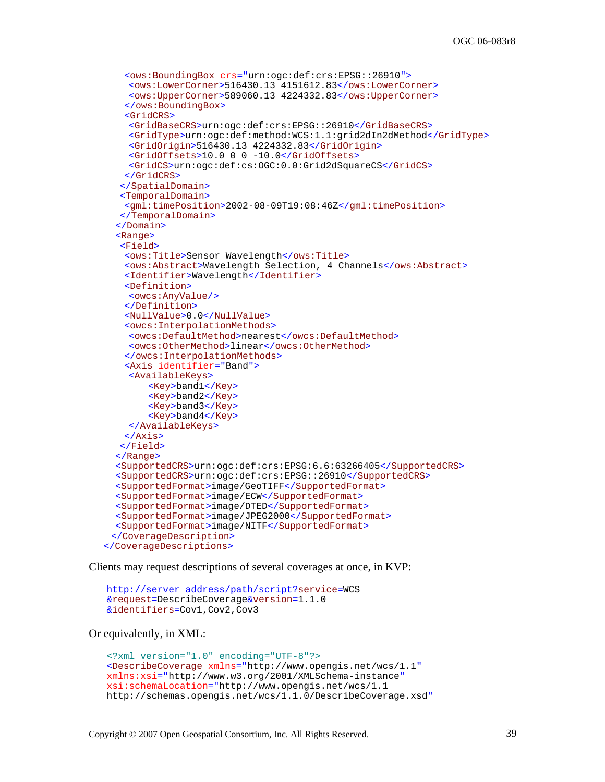```
 <ows:BoundingBox crs="urn:ogc:def:crs:EPSG::26910">
     <ows:LowerCorner>516430.13 4151612.83</ows:LowerCorner>
     <ows:UpperCorner>589060.13 4224332.83</ows:UpperCorner>
    </ows:BoundingBox>
    <GridCRS>
     <GridBaseCRS>urn:ogc:def:crs:EPSG::26910</GridBaseCRS>
     <GridType>urn:ogc:def:method:WCS:1.1:grid2dIn2dMethod</GridType>
     <GridOrigin>516430.13 4224332.83</GridOrigin>
     <GridOffsets>10.0 0 0 -10.0</GridOffsets>
     <GridCS>urn:ogc:def:cs:OGC:0.0:Grid2dSquareCS</GridCS>
    </GridCRS>
   </SpatialDomain>
   <TemporalDomain>
    <gml:timePosition>2002-08-09T19:08:46Z</gml:timePosition>
   </TemporalDomain>
   </Domain>
   <Range>
   <Field>
    <ows:Title>Sensor Wavelength</ows:Title>
    <ows:Abstract>Wavelength Selection, 4 Channels</ows:Abstract>
    <Identifier>Wavelength</Identifier>
    <Definition>
     <owcs:AnyValue/>
    </Definition>
    <NullValue>0.0</NullValue>
    <owcs:InterpolationMethods>
     <owcs:DefaultMethod>nearest</owcs:DefaultMethod>
     <owcs:OtherMethod>linear</owcs:OtherMethod>
    </owcs:InterpolationMethods>
    <Axis identifier="Band">
     <AvailableKeys>
         <Key>band1</Key>
         <Key>band2</Key>
         <Key>band3</Key>
         <Key>band4</Key>
     </AvailableKeys>
    </Axis>
   </Field>
   </Range>
   <SupportedCRS>urn:ogc:def:crs:EPSG:6.6:63266405</SupportedCRS>
   <SupportedCRS>urn:ogc:def:crs:EPSG::26910</SupportedCRS>
   <SupportedFormat>image/GeoTIFF</SupportedFormat>
   <SupportedFormat>image/ECW</SupportedFormat>
   <SupportedFormat>image/DTED</SupportedFormat>
   <SupportedFormat>image/JPEG2000</SupportedFormat>
  <SupportedFormat>image/NITF</SupportedFormat>
 </CoverageDescription>
</CoverageDescriptions>
```
Clients may request descriptions of several coverages at once, in KVP:

```
http://server_address/path/script?service=WCS
&request=DescribeCoverage&version=1.1.0
&identifiers=Cov1,Cov2,Cov3
```
Or equivalently, in XML:

```
<?xml version="1.0" encoding="UTF-8"?> 
<DescribeCoverage xmlns="http://www.opengis.net/wcs/1.1"
xmlns:xsi="http://www.w3.org/2001/XMLSchema-instance"
xsi:schemaLocation="http://www.opengis.net/wcs/1.1 
http://schemas.opengis.net/wcs/1.1.0/DescribeCoverage.xsd"
```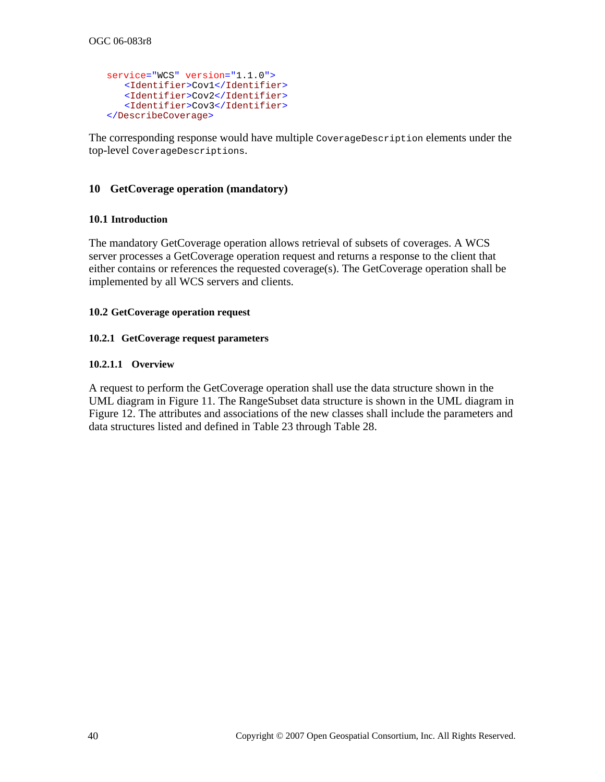```
service="WCS" version="1.1.0">
   <Identifier>Cov1</Identifier>
   <Identifier>Cov2</Identifier>
   <Identifier>Cov3</Identifier>
</DescribeCoverage>
```
The corresponding response would have multiple CoverageDescription elements under the top-level CoverageDescriptions.

# **10 GetCoverage operation (mandatory)**

# **10.1 Introduction**

The mandatory GetCoverage operation allows retrieval of subsets of coverages. A WCS server processes a GetCoverage operation request and returns a response to the client that either contains or references the requested coverage(s). The GetCoverage operation shall be implemented by all WCS servers and clients.

### **10.2 GetCoverage operation request**

### **10.2.1 GetCoverage request parameters**

# **10.2.1.1 Overview**

A request to perform the GetCoverage operation shall use the data structure shown in the UML diagram in [Figure 11](#page-54-0). The RangeSubset data structure is shown in the UML diagram in [Figure 12](#page-57-0). The attributes and associations of the new classes shall include the parameters and data structures listed and defined in [Table 23](#page-55-0) through [Table 28.](#page-58-0)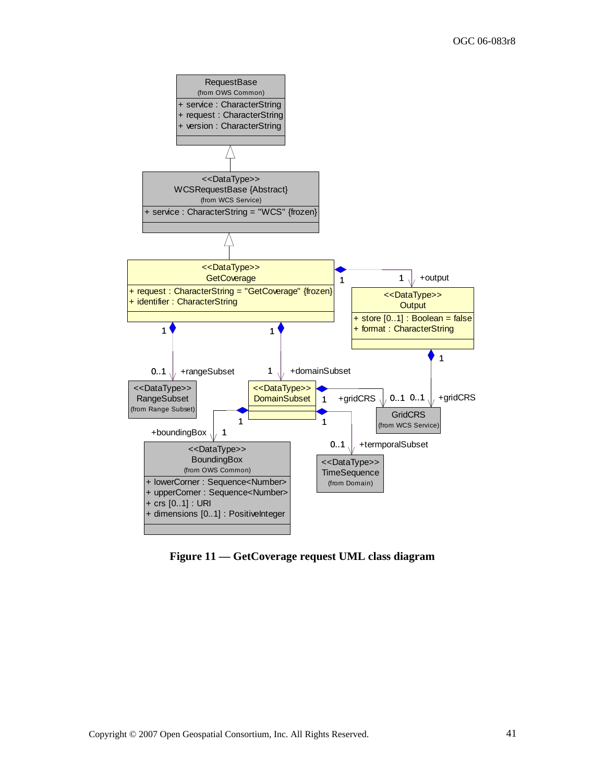<span id="page-54-0"></span>

**Figure 11 — GetCoverage request UML class diagram**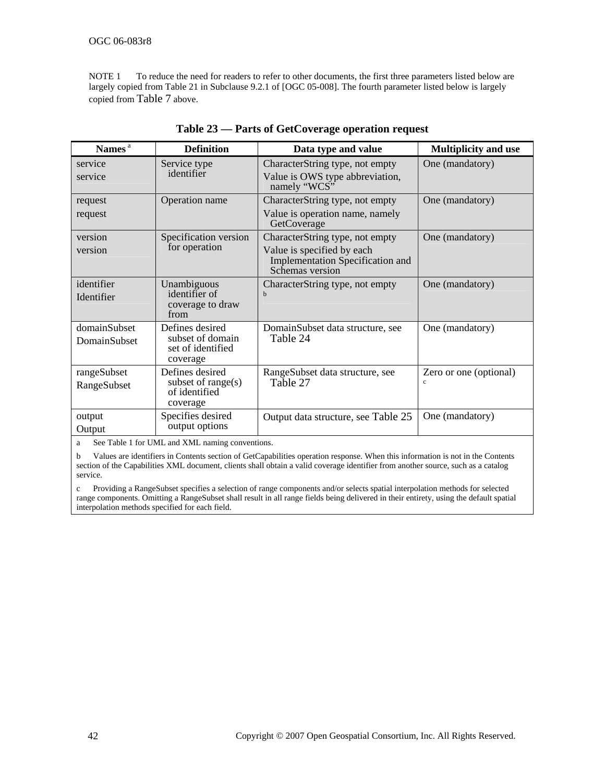<span id="page-55-0"></span>NOTE 1 To reduce the need for readers to refer to other documents, the first three parameters listed below are largely copied from Table 21 in Subclause 9.2.1 of [OGC 05-008]. The fourth parameter listed below is largely copied from [Table 7](#page-31-0) above.

| Names <sup>a</sup>           | <b>Definition</b>                                                    | Data type and value                                                                                                         | <b>Multiplicity and use</b> |
|------------------------------|----------------------------------------------------------------------|-----------------------------------------------------------------------------------------------------------------------------|-----------------------------|
| service<br>service           | Service type<br>identifier                                           | CharacterString type, not empty<br>Value is OWS type abbreviation,<br>namely "WCS"                                          | One (mandatory)             |
| request<br>request           | Operation name                                                       | CharacterString type, not empty<br>Value is operation name, namely<br>GetCoverage                                           | One (mandatory)             |
| version<br>version           | Specification version<br>for operation                               | CharacterString type, not empty<br>Value is specified by each<br><b>Implementation Specification and</b><br>Schemas version | One (mandatory)             |
| identifier<br>Identifier     | Unambiguous<br>identifier of<br>coverage to draw<br>from             | CharacterString type, not empty<br>$\mathbf{h}$                                                                             | One (mandatory)             |
| domainSubset<br>DomainSubset | Defines desired<br>subset of domain<br>set of identified<br>coverage | DomainSubset data structure, see<br>Table 24                                                                                | One (mandatory)             |
| rangeSubset<br>RangeSubset   | Defines desired<br>subset of range(s)<br>of identified<br>coverage   | RangeSubset data structure, see<br>Table 27                                                                                 | Zero or one (optional)      |
| output<br>Output             | Specifies desired<br>output options                                  | Output data structure, see Table 25                                                                                         | One (mandatory)             |

**Table 23 — Parts of GetCoverage operation request** 

a See Table 1 for UML and XML naming conventions.

b Values are identifiers in Contents section of GetCapabilities operation response. When this information is not in the Contents section of the Capabilities XML document, clients shall obtain a valid coverage identifier from another source, such as a catalog service.

c Providing a RangeSubset specifies a selection of range components and/or selects spatial interpolation methods for selected range components. Omitting a RangeSubset shall result in all range fields being delivered in their entirety, using the default spatial interpolation methods specified for each field.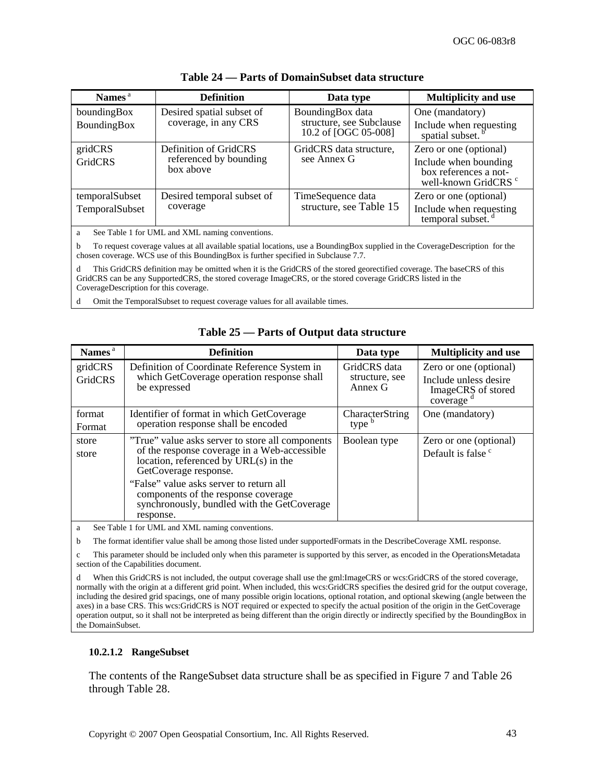<span id="page-56-0"></span>

| Names <sup>a</sup>               | <b>Definition</b>                                            | Data type                                                            | <b>Multiplicity and use</b>                                                                                 |
|----------------------------------|--------------------------------------------------------------|----------------------------------------------------------------------|-------------------------------------------------------------------------------------------------------------|
| boundingBox<br>BoundingBox       | Desired spatial subset of<br>coverage, in any CRS            | BoundingBox data<br>structure, see Subclause<br>10.2 of [OGC 05-008] | One (mandatory)<br>Include when requesting<br>spatial subset. <sup>b</sup>                                  |
| gridCRS<br><b>GridCRS</b>        | Definition of GridCRS<br>referenced by bounding<br>box above | GridCRS data structure,<br>see Annex G                               | Zero or one (optional)<br>Include when bounding<br>box references a not-<br>well-known GridCRS <sup>c</sup> |
| temporalSubset<br>TemporalSubset | Desired temporal subset of<br>coverage                       | TimeSequence data<br>structure, see Table 15                         | Zero or one (optional)<br>Include when requesting<br>temporal subset. <sup>d</sup>                          |

| Table 24 — Parts of DomainSubset data structure |
|-------------------------------------------------|
|-------------------------------------------------|

a See Table 1 for UML and XML naming conventions.

b To request coverage values at all available spatial locations, use a BoundingBox supplied in the CoverageDescription for the chosen coverage. WCS use of this BoundingBox is further specified in Subclause [7.7.](#page-22-0)

d This GridCRS definition may be omitted when it is the GridCRS of the stored georectified coverage. The baseCRS of this GridCRS can be any SupportedCRS, the stored coverage ImageCRS, or the stored coverage GridCRS listed in the CoverageDescription for this coverage.

d Omit the TemporalSubset to request coverage values for all available times.

|  |  | Table 25 — Parts of Output data structure |  |
|--|--|-------------------------------------------|--|
|--|--|-------------------------------------------|--|

| Names <sup>a</sup> | <b>Definition</b>                                                                                                                                                  | Data type                                 | <b>Multiplicity and use</b>                                                                    |
|--------------------|--------------------------------------------------------------------------------------------------------------------------------------------------------------------|-------------------------------------------|------------------------------------------------------------------------------------------------|
| gridCRS<br>GridCRS | Definition of Coordinate Reference System in<br>which GetCoverage operation response shall<br>be expressed                                                         | GridCRS data<br>structure, see<br>Annex G | Zero or one (optional)<br>Include unless desire<br>ImageCRS of stored<br>coverage <sup>c</sup> |
| format<br>Format   | Identifier of format in which GetCoverage<br>operation response shall be encoded                                                                                   | CharacterString<br>type $b$               | One (mandatory)                                                                                |
| store<br>store     | "True" value asks server to store all components<br>of the response coverage in a Web-accessible<br>location, referenced by URL(s) in the<br>GetCoverage response. | Boolean type                              | Zero or one (optional)<br>Default is false <sup>c</sup>                                        |
|                    | "False" value asks server to return all<br>components of the response coverage<br>synchronously, bundled with the GetCoverage<br>response.                         |                                           |                                                                                                |

a See Table 1 for UML and XML naming conventions.

b The format identifier value shall be among those listed under supportedFormats in the DescribeCoverage XML response.

c This parameter should be included only when this parameter is supported by this server, as encoded in the OperationsMetadata section of the Capabilities document.

d When this GridCRS is not included, the output coverage shall use the gml:ImageCRS or wcs:GridCRS of the stored coverage, normally with the origin at a different grid point. When included, this wcs:GridCRS specifies the desired grid for the output coverage, including the desired grid spacings, one of many possible origin locations, optional rotation, and optional skewing (angle between the axes) in a base CRS. This wcs:GridCRS is NOT required or expected to specify the actual position of the origin in the GetCoverage operation output, so it shall not be interpreted as being different than the origin directly or indirectly specified by the BoundingBox in the DomainSubset.

# **10.2.1.2 RangeSubset**

The contents of the RangeSubset data structure shall be as specified in [Figure 7](#page-40-0) and [Table 26](#page-57-0) through [Table 28](#page-58-0).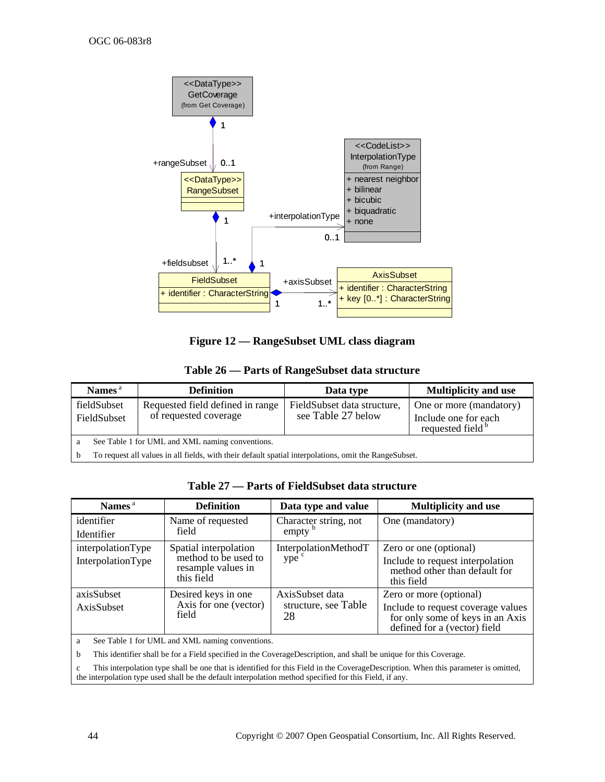<span id="page-57-0"></span>

**Figure 12 — RangeSubset UML class diagram** 

|  |  | Table 26 – Parts of RangeSubset data structure |  |  |
|--|--|------------------------------------------------|--|--|
|--|--|------------------------------------------------|--|--|

| Names <sup>a</sup>                                                                                         | <b>Definition</b>                                         | Data type                                         | <b>Multiplicity and use</b>                                          |  |
|------------------------------------------------------------------------------------------------------------|-----------------------------------------------------------|---------------------------------------------------|----------------------------------------------------------------------|--|
| fieldSubset<br>FieldSubset                                                                                 | Requested field defined in range<br>of requested coverage | FieldSubset data structure,<br>see Table 27 below | One or more (mandatory)<br>Include one for each<br>requested field b |  |
| See Table 1 for UML and XML naming conventions.<br>a                                                       |                                                           |                                                   |                                                                      |  |
| To request all values in all fields, with their default spatial interpolations, omit the RangeSubset.<br>h |                                                           |                                                   |                                                                      |  |

**Table 27 — Parts of FieldSubset data structure** 

| Names <sup>a</sup> | <b>Definition</b>                                        | Data type and value        | <b>Multiplicity and use</b>                                                                            |
|--------------------|----------------------------------------------------------|----------------------------|--------------------------------------------------------------------------------------------------------|
| identifier         | Name of requested                                        | Character string, not      | One (mandatory)                                                                                        |
| Identifier         | field                                                    | empty $b$                  |                                                                                                        |
| interpolationType  | Spatial interpolation                                    | InterpolationMethodT       | Zero or one (optional)                                                                                 |
| InterpolationType  | method to be used to<br>resample values in<br>this field | vpe <sup>c</sup>           | Include to request interpolation<br>method other than default for<br>this field                        |
| axisSubset         | Desired keys in one                                      | AxisSubset data            | Zero or more (optional)                                                                                |
| AxisSubset         | Axis for one (vector)<br>field                           | structure, see Table<br>28 | Include to request coverage values<br>for only some of keys in an Axis<br>defined for a (vector) field |

a See Table 1 for UML and XML naming conventions.

b This identifier shall be for a Field specified in the CoverageDescription, and shall be unique for this Coverage.

c This interpolation type shall be one that is identified for this Field in the CoverageDescription. When this parameter is omitted, the interpolation type used shall be the default interpolation method specified for this Field, if any.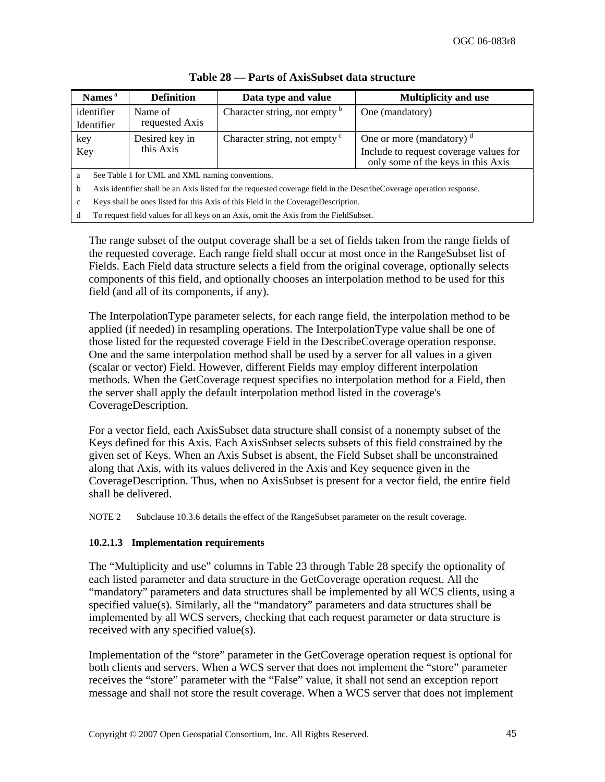<span id="page-58-0"></span>

| Names <sup>a</sup>       | <b>Definition</b>                                                                                                    | Data type and value                      | <b>Multiplicity and use</b>                                                                                 |  |  |
|--------------------------|----------------------------------------------------------------------------------------------------------------------|------------------------------------------|-------------------------------------------------------------------------------------------------------------|--|--|
| identifier<br>Identifier | Name of<br>requested Axis                                                                                            | Character string, not empty <sup>b</sup> | One (mandatory)                                                                                             |  |  |
| key<br>Key               | Desired key in<br>this Axis                                                                                          | Character string, not empty <sup>c</sup> | One or more (mandatory) $d$<br>Include to request coverage values for<br>only some of the keys in this Axis |  |  |
| a                        | See Table 1 for UML and XML naming conventions.                                                                      |                                          |                                                                                                             |  |  |
| b                        | Axis identifier shall be an Axis listed for the requested coverage field in the DescribeCoverage operation response. |                                          |                                                                                                             |  |  |
| c                        | Keys shall be ones listed for this Axis of this Field in the CoverageDescription.                                    |                                          |                                                                                                             |  |  |

**Table 28 — Parts of AxisSubset data structure** 

d To request field values for all keys on an Axis, omit the Axis from the FieldSubset.

The range subset of the output coverage shall be a set of fields taken from the range fields of the requested coverage. Each range field shall occur at most once in the RangeSubset list of Fields. Each Field data structure selects a field from the original coverage, optionally selects components of this field, and optionally chooses an interpolation method to be used for this field (and all of its components, if any).

The InterpolationType parameter selects, for each range field, the interpolation method to be applied (if needed) in resampling operations. The InterpolationType value shall be one of those listed for the requested coverage Field in the DescribeCoverage operation response. One and the same interpolation method shall be used by a server for all values in a given (scalar or vector) Field. However, different Fields may employ different interpolation methods. When the GetCoverage request specifies no interpolation method for a Field, then the server shall apply the default interpolation method listed in the coverage's CoverageDescription.

For a vector field, each AxisSubset data structure shall consist of a nonempty subset of the Keys defined for this Axis. Each AxisSubset selects subsets of this field constrained by the given set of Keys. When an Axis Subset is absent, the Field Subset shall be unconstrained along that Axis, with its values delivered in the Axis and Key sequence given in the CoverageDescription. Thus, when no AxisSubset is present for a vector field, the entire field shall be delivered.

NOTE 2 Subclause 10.3.6 details the effect of the RangeSubset parameter on the result coverage.

# **10.2.1.3 Implementation requirements**

The "Multiplicity and use" columns in [Table 23](#page-55-0) through [Table 28](#page-58-0) specify the optionality of each listed parameter and data structure in the GetCoverage operation request. All the "mandatory" parameters and data structures shall be implemented by all WCS clients, using a specified value(s). Similarly, all the "mandatory" parameters and data structures shall be implemented by all WCS servers, checking that each request parameter or data structure is received with any specified value(s).

Implementation of the "store" parameter in the GetCoverage operation request is optional for both clients and servers. When a WCS server that does not implement the "store" parameter receives the "store" parameter with the "False" value, it shall not send an exception report message and shall not store the result coverage. When a WCS server that does not implement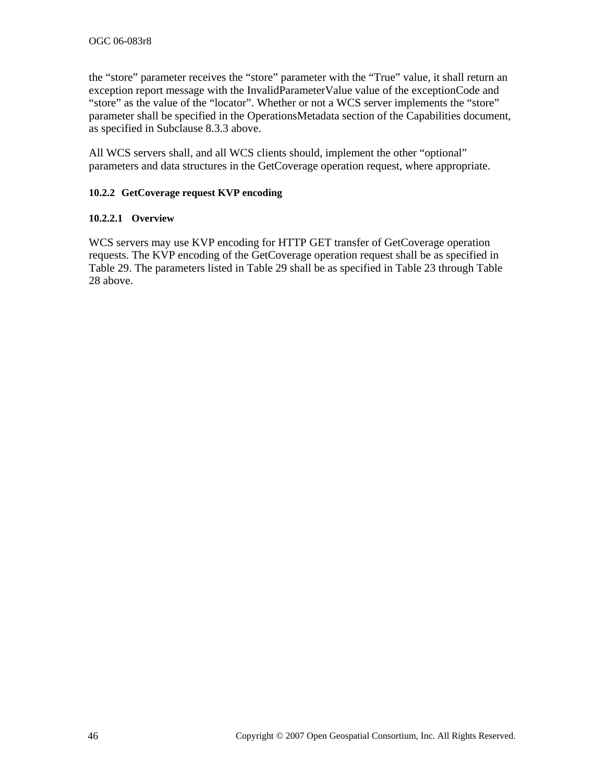<span id="page-59-0"></span>the "store" parameter receives the "store" parameter with the "True" value, it shall return an exception report message with the InvalidParameterValue value of the exceptionCode and "store" as the value of the "locator". Whether or not a WCS server implements the "store" parameter shall be specified in the OperationsMetadata section of the Capabilities document, as specified in Subclause [8.3.3 above.](#page-27-0)

All WCS servers shall, and all WCS clients should, implement the other "optional" parameters and data structures in the GetCoverage operation request, where appropriate.

# **10.2.2 GetCoverage request KVP encoding**

# **10.2.2.1 Overview**

WCS servers may use KVP encoding for HTTP GET transfer of GetCoverage operation requests. The KVP encoding of the GetCoverage operation request shall be as specified in [Table 29.](#page-60-0) The parameters listed in [Table 29](#page-60-0) shall be as specified in [Table 23](#page-55-0) through [Table](#page-58-0)  [28](#page-58-0) above.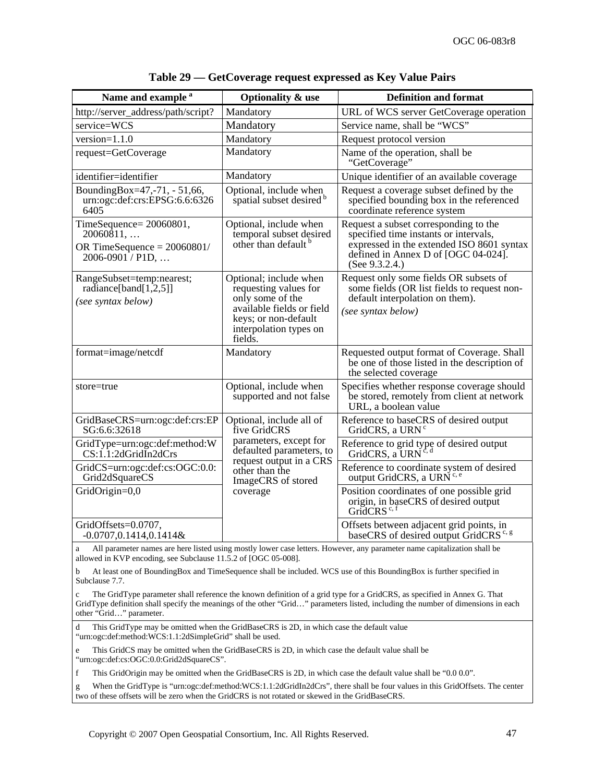<span id="page-60-0"></span>

| Name and example <sup>a</sup>                                                                       | <b>Optionality &amp; use</b>                                                                                                                                  | <b>Definition and format</b>                                                                                                                                                         |
|-----------------------------------------------------------------------------------------------------|---------------------------------------------------------------------------------------------------------------------------------------------------------------|--------------------------------------------------------------------------------------------------------------------------------------------------------------------------------------|
| http://server_address/path/script?                                                                  | Mandatory                                                                                                                                                     | URL of WCS server GetCoverage operation                                                                                                                                              |
| service=WCS                                                                                         | Mandatory                                                                                                                                                     | Service name, shall be "WCS"                                                                                                                                                         |
| $version=1.1.0$                                                                                     | Mandatory                                                                                                                                                     | Request protocol version                                                                                                                                                             |
| request=GetCoverage                                                                                 | Mandatory                                                                                                                                                     | Name of the operation, shall be<br>"GetCoverage"                                                                                                                                     |
| identifier=identifier                                                                               | Mandatory                                                                                                                                                     | Unique identifier of an available coverage                                                                                                                                           |
| BoundingBox=47,-71, - 51,66,<br>urn:ogc:def:crs:EPSG:6.6:6326<br>6405                               | Optional, include when<br>spatial subset desired <sup>b</sup>                                                                                                 | Request a coverage subset defined by the<br>specified bounding box in the referenced<br>coordinate reference system                                                                  |
| TimeSequence=20060801,<br>$20060811, \ldots$<br>OR TimeSequence = $20060801/$<br>$2006-0901$ / P1D, | Optional, include when<br>temporal subset desired<br>other than default <sup>b</sup>                                                                          | Request a subset corresponding to the<br>specified time instants or intervals,<br>expressed in the extended ISO 8601 syntax<br>defined in Annex D of [OGC 04-024].<br>(See 9.3.2.4.) |
| RangeSubset=temp:nearest;<br>radiance [band $[1,2,5]$ ]<br>(see syntax below)                       | Optional; include when<br>requesting values for<br>only some of the<br>available fields or field<br>keys; or non-default<br>interpolation types on<br>fields. | Request only some fields OR subsets of<br>some fields (OR list fields to request non-<br>default interpolation on them).<br>(see syntax below)                                       |
| format=image/netcdf                                                                                 | Mandatory                                                                                                                                                     | Requested output format of Coverage. Shall<br>be one of those listed in the description of<br>the selected coverage                                                                  |
| store=true                                                                                          | Optional, include when<br>supported and not false                                                                                                             | Specifies whether response coverage should<br>be stored, remotely from client at network<br>URL, a boolean value                                                                     |
| GridBaseCRS=urn:ogc:def:crs:EP<br>SG:6.6:32618                                                      | Optional, include all of<br>five GridCRS                                                                                                                      | Reference to baseCRS of desired output<br>GridCRS, a URN <sup>c</sup>                                                                                                                |
| GridType=urn:ogc:def:method:W<br>CS:1.1:2dGridIn2dCrs                                               | parameters, except for<br>defaulted parameters, to<br>request output in a CRS                                                                                 | Reference to grid type of desired output<br>GridCRS, a URN                                                                                                                           |
| GridCS=urn:ogc:def:cs:OGC:0.0:<br>Grid2dSquareCS                                                    | other than the<br>ImageCRS of stored                                                                                                                          | Reference to coordinate system of desired<br>output GridCRS, a URN <sup>c, e</sup>                                                                                                   |
| GridOrigin=0,0                                                                                      | coverage                                                                                                                                                      | Position coordinates of one possible grid<br>origin, in baseCRS of desired output<br>GridCRS <sup>c, f</sup>                                                                         |
| GridOffsets=0.0707,<br>$-0.0707, 0.1414, 0.1414 \&$                                                 |                                                                                                                                                               | Offsets between adjacent grid points, in<br>baseCRS of desired output GridCRS <sup>c, g</sup>                                                                                        |

**Table 29 — GetCoverage request expressed as Key Value Pairs** 

a All parameter names are here listed using mostly lower case letters. However, any parameter name capitalization shall be allowed in KVP encoding, see Subclause 11.5.2 of [OGC 05-008].

b At least one of BoundingBox and TimeSequence shall be included. WCS use of this BoundingBox is further specified in Subclause [7.7.](#page-22-0)

c The GridType parameter shall reference the known definition of a grid type for a GridCRS, as specified in Annex G. That GridType definition shall specify the meanings of the other "Grid…" parameters listed, including the number of dimensions in each other "Grid…" parameter.

d This GridType may be omitted when the GridBaseCRS is 2D, in which case the default value "urn:ogc:def:method:WCS:1.1:2dSimpleGrid" shall be used.

e This GridCS may be omitted when the GridBaseCRS is 2D, in which case the default value shall be "urn:ogc:def:cs:OGC:0.0:Grid2dSquareCS".

f This GridOrigin may be omitted when the GridBaseCRS is 2D, in which case the default value shall be "0.0 0.0".

g When the GridType is "urn:ogc:def:method:WCS:1.1:2dGridIn2dCrs", there shall be four values in this GridOffsets. The center two of these offsets will be zero when the GridCRS is not rotated or skewed in the GridBaseCRS.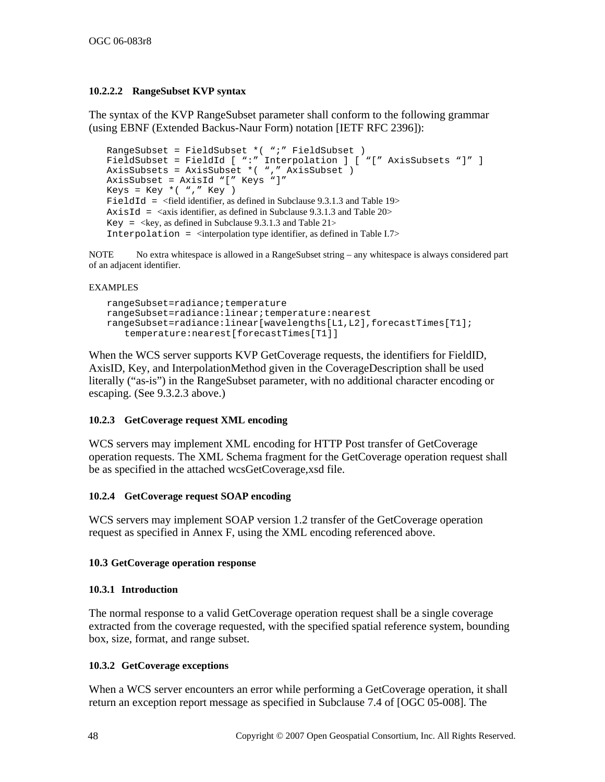# <span id="page-61-0"></span>**10.2.2.2 RangeSubset KVP syntax**

The syntax of the KVP RangeSubset parameter shall conform to the following grammar (using EBNF (Extended Backus-Naur Form) notation [IETF RFC 2396]):

```
 RangeSubset = FieldSubset *( ";" FieldSubset ) 
 FieldSubset = FieldId [ ":" Interpolation ] [ "[" AxisSubsets "]" ] 
 AxisSubsets = AxisSubset *( "," AxisSubset ) 
 AxisSubset = AxisId "[" Keys "]" 
Keys = Key * ( " , " Key ) FieldId = <field identifier, as defined in Subclause 9.3.1.3 and Table 19>
AxisId = \langle9.3.1.3 and Table 20>Key = <key9.3.1.3 Table 21>
 Interpolation = <interpolation type identifier, as defined in Table I.7>
```
NOTE No extra whitespace is allowed in a RangeSubset string – any whitespace is always considered part of an adjacent identifier.

### EXAMPLES

```
 rangeSubset=radiance;temperature 
 rangeSubset=radiance:linear;temperature:nearest 
 rangeSubset=radiance:linear[wavelengths[L1,L2],forecastTimes[T1];
   temperature:nearest[forecastTimes[T1]]
```
When the WCS server supports KVP GetCoverage requests, the identifiers for FieldID, AxisID, Key, and InterpolationMethod given in the CoverageDescription shall be used literally ("as-is") in the RangeSubset parameter, with no additional character encoding or escaping. (See [9.3.2.3](#page-49-0) above.)

# **10.2.3 GetCoverage request XML encoding**

WCS servers may implement XML encoding for HTTP Post transfer of GetCoverage operation requests. The XML Schema fragment for the GetCoverage operation request shall be as specified in the attached wcsGetCoverage,xsd file.

# **10.2.4 GetCoverage request SOAP encoding**

WCS servers may implement SOAP version 1.2 transfer of the GetCoverage operation request as specified in Annex F, using the XML encoding referenced above.

#### **10.3 GetCoverage operation response**

#### **10.3.1 Introduction**

The normal response to a valid GetCoverage operation request shall be a single coverage extracted from the coverage requested, with the specified spatial reference system, bounding box, size, format, and range subset.

# **10.3.2 GetCoverage exceptions**

When a WCS server encounters an error while performing a GetCoverage operation, it shall return an exception report message as specified in Subclause 7.4 of [OGC 05-008]. The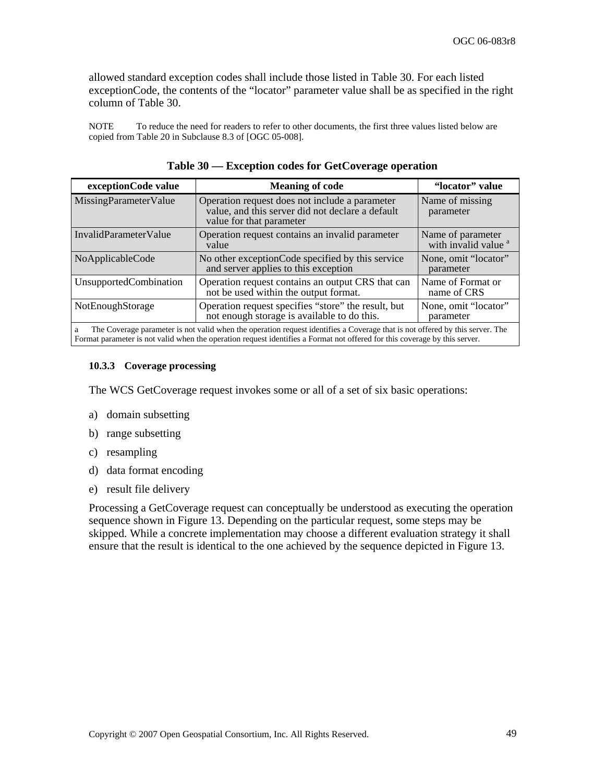<span id="page-62-0"></span>allowed standard exception codes shall include those listed in [Table 30.](#page-62-0) For each listed exceptionCode, the contents of the "locator" parameter value shall be as specified in the right column of [Table 30](#page-62-0).

NOTE To reduce the need for readers to refer to other documents, the first three values listed below are copied from Table 20 in Subclause 8.3 of [OGC 05-008].

| exceptionCode value                                                                                                                                                                                                                                             | <b>Meaning of code</b>                                                                                                         | "locator" value                                      |  |
|-----------------------------------------------------------------------------------------------------------------------------------------------------------------------------------------------------------------------------------------------------------------|--------------------------------------------------------------------------------------------------------------------------------|------------------------------------------------------|--|
| MissingParameterValue                                                                                                                                                                                                                                           | Operation request does not include a parameter<br>value, and this server did not declare a default<br>value for that parameter | Name of missing<br>parameter                         |  |
| <b>InvalidParameterValue</b>                                                                                                                                                                                                                                    | Operation request contains an invalid parameter<br>value                                                                       | Name of parameter<br>with invalid value <sup>a</sup> |  |
| NoApplicableCode                                                                                                                                                                                                                                                | No other exception Code specified by this service<br>and server applies to this exception                                      | None, omit "locator"<br>parameter                    |  |
| UnsupportedCombination                                                                                                                                                                                                                                          | Operation request contains an output CRS that can<br>not be used within the output format.                                     | Name of Format or<br>name of CRS                     |  |
| NotEnoughStorage                                                                                                                                                                                                                                                | Operation request specifies "store" the result, but<br>not enough storage is available to do this.                             | None, omit "locator"<br>parameter                    |  |
| The Coverage parameter is not valid when the operation request identifies a Coverage that is not offered by this server. The<br>a<br>Format parameter is not valid when the operation request identifies a Format not offered for this coverage by this server. |                                                                                                                                |                                                      |  |

### **10.3.3 Coverage processing**

The WCS GetCoverage request invokes some or all of a set of six basic operations:

- a) domain subsetting
- b) range subsetting
- c) resampling
- d) data format encoding
- e) result file delivery

Processing a GetCoverage request can conceptually be understood as executing the operation sequence shown in [Figure 13](#page-63-0). Depending on the particular request, some steps may be skipped. While a concrete implementation may choose a different evaluation strategy it shall ensure that the result is identical to the one achieved by the sequence depicted in [Figure 13.](#page-63-0)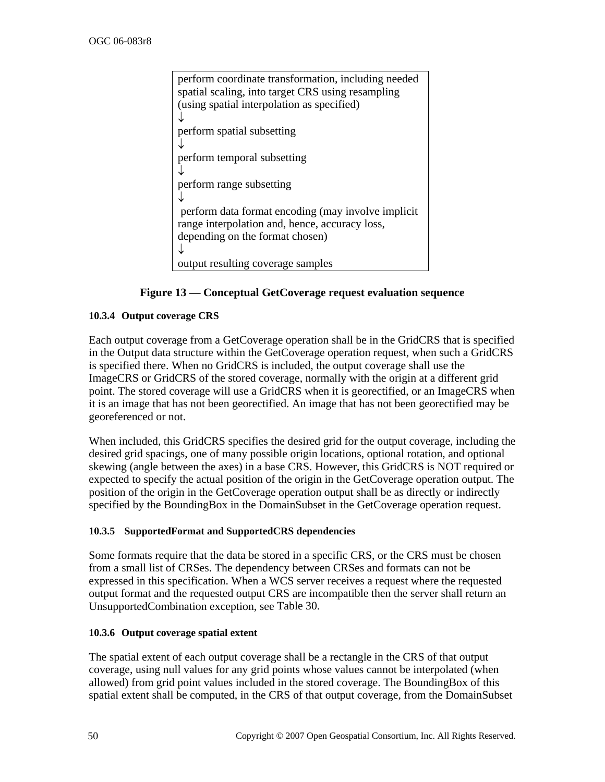<span id="page-63-0"></span>perform coordinate transformation, including needed spatial scaling, into target CRS using resampling (using spatial interpolation as specified) ↓ perform spatial subsetting ↓ perform temporal subsetting ↓ perform range subsetting ↓ perform data format encoding (may involve implicit range interpolation and, hence, accuracy loss, depending on the format chosen) ↓ output resulting coverage samples

# **Figure 13 — Conceptual GetCoverage request evaluation sequence**

# **10.3.4 Output coverage CRS**

Each output coverage from a GetCoverage operation shall be in the GridCRS that is specified in the Output data structure within the GetCoverage operation request, when such a GridCRS is specified there. When no GridCRS is included, the output coverage shall use the ImageCRS or GridCRS of the stored coverage, normally with the origin at a different grid point. The stored coverage will use a GridCRS when it is georectified, or an ImageCRS when it is an image that has not been georectified. An image that has not been georectified may be georeferenced or not.

When included, this GridCRS specifies the desired grid for the output coverage, including the desired grid spacings, one of many possible origin locations, optional rotation, and optional skewing (angle between the axes) in a base CRS. However, this GridCRS is NOT required or expected to specify the actual position of the origin in the GetCoverage operation output. The position of the origin in the GetCoverage operation output shall be as directly or indirectly specified by the BoundingBox in the DomainSubset in the GetCoverage operation request.

# **10.3.5 SupportedFormat and SupportedCRS dependencies**

Some formats require that the data be stored in a specific CRS, or the CRS must be chosen from a small list of CRSes. The dependency between CRSes and formats can not be expressed in this specification. When a WCS server receives a request where the requested output format and the requested output CRS are incompatible then the server shall return an UnsupportedCombination exception, see [Table 30](#page-62-0).

# **10.3.6 Output coverage spatial extent**

The spatial extent of each output coverage shall be a rectangle in the CRS of that output coverage, using null values for any grid points whose values cannot be interpolated (when allowed) from grid point values included in the stored coverage. The BoundingBox of this spatial extent shall be computed, in the CRS of that output coverage, from the DomainSubset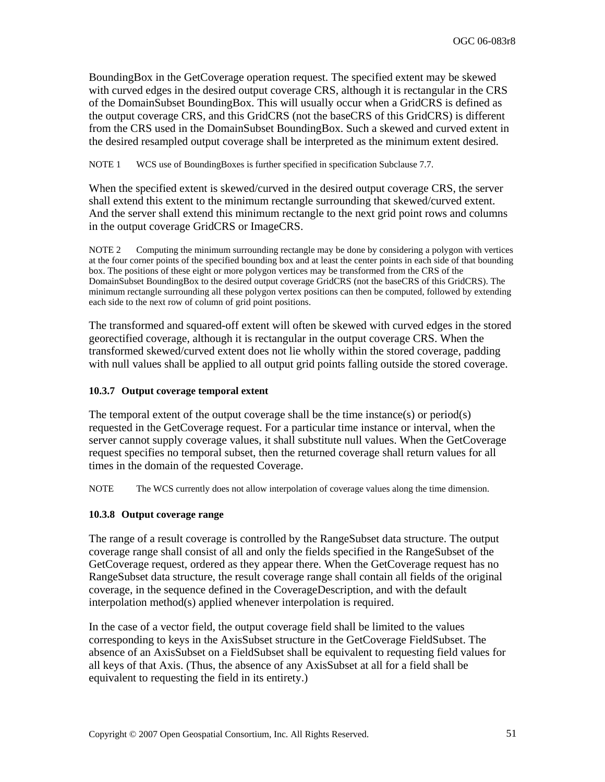BoundingBox in the GetCoverage operation request. The specified extent may be skewed with curved edges in the desired output coverage CRS, although it is rectangular in the CRS of the DomainSubset BoundingBox. This will usually occur when a GridCRS is defined as the output coverage CRS, and this GridCRS (not the baseCRS of this GridCRS) is different from the CRS used in the DomainSubset BoundingBox. Such a skewed and curved extent in the desired resampled output coverage shall be interpreted as the minimum extent desired.

NOTE 1 WCS use of BoundingBoxes is further specified in specification Subclause [7.7.](#page-22-0)

When the specified extent is skewed/curved in the desired output coverage CRS, the server shall extend this extent to the minimum rectangle surrounding that skewed/curved extent. And the server shall extend this minimum rectangle to the next grid point rows and columns in the output coverage GridCRS or ImageCRS.

NOTE 2 Computing the minimum surrounding rectangle may be done by considering a polygon with vertices at the four corner points of the specified bounding box and at least the center points in each side of that bounding box. The positions of these eight or more polygon vertices may be transformed from the CRS of the DomainSubset BoundingBox to the desired output coverage GridCRS (not the baseCRS of this GridCRS). The minimum rectangle surrounding all these polygon vertex positions can then be computed, followed by extending each side to the next row of column of grid point positions.

The transformed and squared-off extent will often be skewed with curved edges in the stored georectified coverage, although it is rectangular in the output coverage CRS. When the transformed skewed/curved extent does not lie wholly within the stored coverage, padding with null values shall be applied to all output grid points falling outside the stored coverage.

# **10.3.7 Output coverage temporal extent**

The temporal extent of the output coverage shall be the time instance(s) or period(s) requested in the GetCoverage request. For a particular time instance or interval, when the server cannot supply coverage values, it shall substitute null values. When the GetCoverage request specifies no temporal subset, then the returned coverage shall return values for all times in the domain of the requested Coverage.

NOTE The WCS currently does not allow interpolation of coverage values along the time dimension.

#### **10.3.8 Output coverage range**

The range of a result coverage is controlled by the RangeSubset data structure. The output coverage range shall consist of all and only the fields specified in the RangeSubset of the GetCoverage request, ordered as they appear there. When the GetCoverage request has no RangeSubset data structure, the result coverage range shall contain all fields of the original coverage, in the sequence defined in the CoverageDescription, and with the default interpolation method(s) applied whenever interpolation is required.

In the case of a vector field, the output coverage field shall be limited to the values corresponding to keys in the AxisSubset structure in the GetCoverage FieldSubset. The absence of an AxisSubset on a FieldSubset shall be equivalent to requesting field values for all keys of that Axis. (Thus, the absence of any AxisSubset at all for a field shall be equivalent to requesting the field in its entirety.)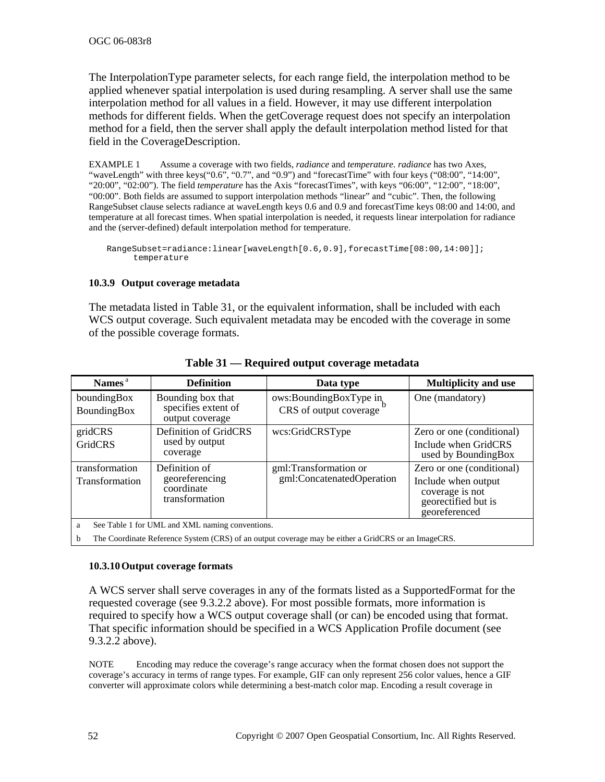<span id="page-65-0"></span>The InterpolationType parameter selects, for each range field, the interpolation method to be applied whenever spatial interpolation is used during resampling. A server shall use the same interpolation method for all values in a field. However, it may use different interpolation methods for different fields. When the getCoverage request does not specify an interpolation method for a field, then the server shall apply the default interpolation method listed for that field in the CoverageDescription.

EXAMPLE 1 Assume a coverage with two fields, *radiance* and *temperature*. *radiance* has two Axes, "waveLength" with three keys("0.6", "0.7", and "0.9") and "forecastTime" with four keys ("08:00", "14:00", "20:00", "02:00"). The field *temperature* has the Axis "forecastTimes", with keys "06:00", "12:00", "18:00", "00:00". Both fields are assumed to support interpolation methods "linear" and "cubic". Then, the following RangeSubset clause selects radiance at waveLength keys 0.6 and 0.9 and forecastTime keys 08:00 and 14:00, and temperature at all forecast times. When spatial interpolation is needed, it requests linear interpolation for radiance and the (server-defined) default interpolation method for temperature.

```
RangeSubset=radiance:linear[waveLength[0.6,0.9],forecastTime[08:00,14:00]];
     temperature
```
# **10.3.9 Output coverage metadata**

The metadata listed in [Table 31](#page-65-0), or the equivalent information, shall be included with each WCS output coverage. Such equivalent metadata may be encoded with the coverage in some of the possible coverage formats.

| Names <sup>a</sup>                                   | <b>Definition</b>                                               | Data type                                          | <b>Multiplicity and use</b>                                                                                 |  |
|------------------------------------------------------|-----------------------------------------------------------------|----------------------------------------------------|-------------------------------------------------------------------------------------------------------------|--|
| boundingBox<br>BoundingBox                           | Bounding box that<br>specifies extent of<br>output coverage     | ows:BoundingBoxType in<br>CRS of output coverage   | One (mandatory)                                                                                             |  |
| gridCRS<br>GridCRS                                   | Definition of GridCRS<br>used by output<br>coverage             | wcs:GridCRSType                                    | Zero or one (conditional)<br>Include when GridCRS<br>used by BoundingBox                                    |  |
| transformation<br>Transformation                     | Definition of<br>georeferencing<br>coordinate<br>transformation | gml:Transformation or<br>gml:ConcatenatedOperation | Zero or one (conditional)<br>Include when output<br>coverage is not<br>georectified but is<br>georeferenced |  |
| See Table 1 for UML and XML naming conventions.<br>a |                                                                 |                                                    |                                                                                                             |  |

# **Table 31 — Required output coverage metadata**

b The Coordinate Reference System (CRS) of an output coverage may be either a GridCRS or an ImageCRS.

#### **10.3.10Output coverage formats**

A WCS server shall serve coverages in any of the formats listed as a SupportedFormat for the requested coverage (see [9.3.2.2 above\)](#page-48-0). For most possible formats, more information is required to specify how a WCS output coverage shall (or can) be encoded using that format. That specific information should be specified in a WCS Application Profile document (see [9.3.2.2 above](#page-48-0)).

NOTE Encoding may reduce the coverage's range accuracy when the format chosen does not support the coverage's accuracy in terms of range types. For example, GIF can only represent 256 color values, hence a GIF converter will approximate colors while determining a best-match color map. Encoding a result coverage in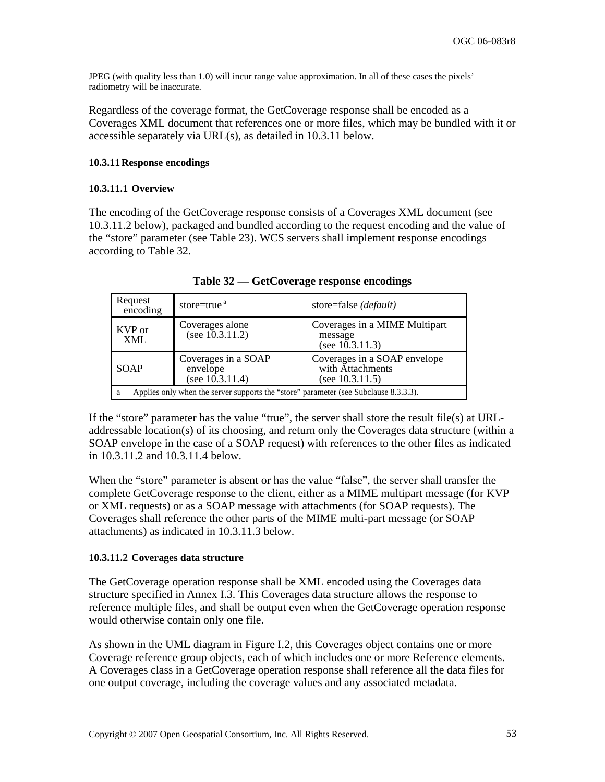<span id="page-66-0"></span>JPEG (with quality less than 1.0) will incur range value approximation. In all of these cases the pixels' radiometry will be inaccurate.

Regardless of the coverage format, the GetCoverage response shall be encoded as a Coverages XML document that references one or more files, which may be bundled with it or accessible separately via URL(s), as detailed in [10.3.11](#page-66-0) below.

### **10.3.11Response encodings**

### **10.3.11.1 Overview**

The encoding of the GetCoverage response consists of a Coverages XML document (see [10.3.11.2](#page-66-0) below), packaged and bundled according to the request encoding and the value of the "store" parameter (see [Table 23](#page-55-0)). WCS servers shall implement response encodings according to [Table 32.](#page-66-0)

| Request<br>encoding                                                                       | store=true $a$                                        | store=false ( <i>default</i> )                                         |  |  |
|-------------------------------------------------------------------------------------------|-------------------------------------------------------|------------------------------------------------------------------------|--|--|
| KVP or<br><b>XML</b>                                                                      | Coverages alone<br>(see $10.3.11.2$ )                 | Coverages in a MIME Multipart<br>message<br>(see $10.3.11.3$ )         |  |  |
| SOAP                                                                                      | Coverages in a SOAP<br>envelope<br>(see $10.3.11.4$ ) | Coverages in a SOAP envelope<br>with Attachments<br>(see $10.3.11.5$ ) |  |  |
| Applies only when the server supports the "store" parameter (see Subclause 8.3.3.3).<br>a |                                                       |                                                                        |  |  |

**Table 32 — GetCoverage response encodings** 

If the "store" parameter has the value "true", the server shall store the result file(s) at URLaddressable location(s) of its choosing, and return only the Coverages data structure (within a SOAP envelope in the case of a SOAP request) with references to the other files as indicated in [10.3.11.2](#page-66-0) and [10.3.11.4](#page-67-0) below.

When the "store" parameter is absent or has the value "false", the server shall transfer the complete GetCoverage response to the client, either as a MIME multipart message (for KVP or XML requests) or as a SOAP message with attachments (for SOAP requests). The Coverages shall reference the other parts of the MIME multi-part message (or SOAP attachments) as indicated in [10.3.11.3](#page-67-0) below.

# **10.3.11.2 Coverages data structure**

The GetCoverage operation response shall be XML encoded using the Coverages data structure specified in Annex I.3. This Coverages data structure allows the response to reference multiple files, and shall be output even when the GetCoverage operation response would otherwise contain only one file.

As shown in the UML diagram in Figure I.2, this Coverages object contains one or more Coverage reference group objects, each of which includes one or more Reference elements. A Coverages class in a GetCoverage operation response shall reference all the data files for one output coverage, including the coverage values and any associated metadata.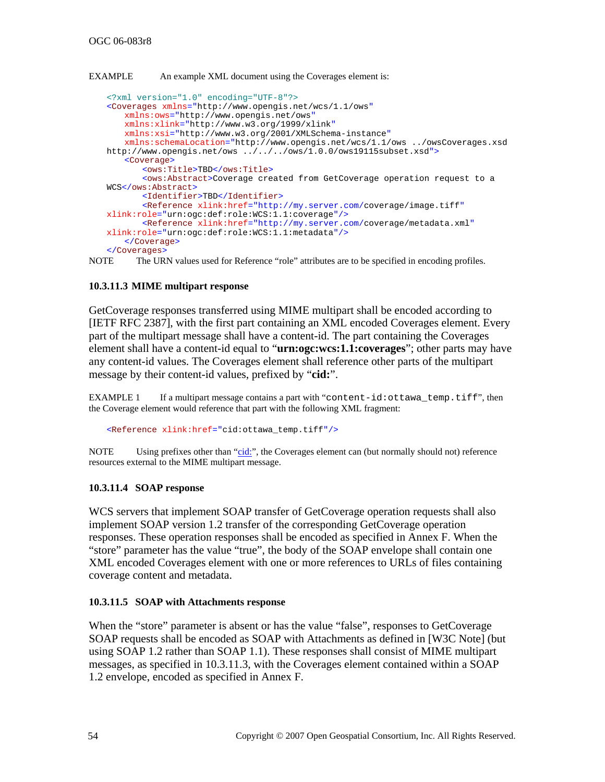#### <span id="page-67-0"></span>EXAMPLE An example XML document using the Coverages element is:

```
<?xml version="1.0" encoding="UTF-8"?> 
<Coverages xmlns="http://www.opengis.net/wcs/1.1/ows" 
    xmlns:ows="http://www.opengis.net/ows" 
    xmlns:xlink="http://www.w3.org/1999/xlink" 
    xmlns:xsi="http://www.w3.org/2001/XMLSchema-instance" 
    xmlns:schemaLocation="http://www.opengis.net/wcs/1.1/ows ../owsCoverages.xsd 
http://www.opengis.net/ows ../../../ows/1.0.0/ows19115subset.xsd">
   <Coverage>
        <ows:Title>TBD</ows:Title>
        <ows:Abstract>Coverage created from GetCoverage operation request to a 
WCS</ows:Abstract>
        <Identifier>TBD</Identifier>
        <Reference xlink:href="http://my.server.com/coverage/image.tiff"
xlink:role="urn:ogc:def:role:WCS:1.1:coverage"/>
        <Reference xlink:href="http://my.server.com/coverage/metadata.xml"
xlink:role="urn:ogc:def:role:WCS:1.1:metadata"/>
   </Coverage>
</Coverages>
```
NOTE The URN values used for Reference "role" attributes are to be specified in encoding profiles.

#### **10.3.11.3 MIME multipart response**

GetCoverage responses transferred using MIME multipart shall be encoded according to [IETF RFC 2387], with the first part containing an XML encoded Coverages element. Every part of the multipart message shall have a content-id. The part containing the Coverages element shall have a content-id equal to "**urn:ogc:wcs:1.1:coverages**"; other parts may have any content-id values. The Coverages element shall reference other parts of the multipart message by their content-id values, prefixed by "**cid:**".

EXAMPLE 1 If a multipart message contains a part with "content-id:ottawa\_temp.tiff", then the Coverage element would reference that part with the following XML fragment:

<Reference xlink:href="cid:ottawa\_temp.tiff"/>

NOTE Using prefixes other than "cid:", the Coverages element can (but normally should not) reference resources external to the MIME multipart message.

#### **10.3.11.4 SOAP response**

WCS servers that implement SOAP transfer of GetCoverage operation requests shall also implement SOAP version 1.2 transfer of the corresponding GetCoverage operation responses. These operation responses shall be encoded as specified in Annex F. When the "store" parameter has the value "true", the body of the SOAP envelope shall contain one XML encoded Coverages element with one or more references to URLs of files containing coverage content and metadata.

#### **10.3.11.5 SOAP with Attachments response**

When the "store" parameter is absent or has the value "false", responses to GetCoverage SOAP requests shall be encoded as SOAP with Attachments as defined in [W3C Note] (but using SOAP 1.2 rather than SOAP 1.1). These responses shall consist of MIME multipart messages, as specified in [10.3.11.3](#page-67-0), with the Coverages element contained within a SOAP 1.2 envelope, encoded as specified in Annex F.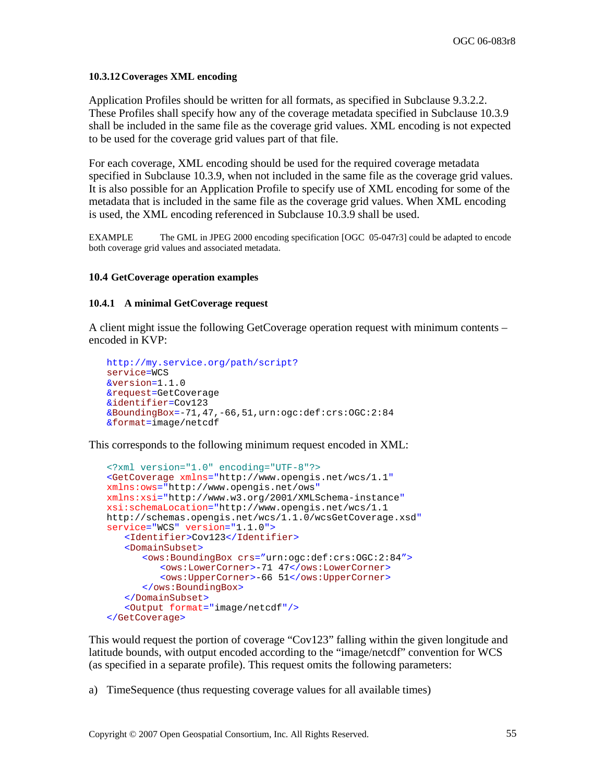### **10.3.12Coverages XML encoding**

Application Profiles should be written for all formats, as specified in Subclause 9.3.2.2. These Profiles shall specify how any of the coverage metadata specified in Subclause 10.3.9 shall be included in the same file as the coverage grid values. XML encoding is not expected to be used for the coverage grid values part of that file.

For each coverage, XML encoding should be used for the required coverage metadata specified in Subclause 10.3.9, when not included in the same file as the coverage grid values. It is also possible for an Application Profile to specify use of XML encoding for some of the metadata that is included in the same file as the coverage grid values. When XML encoding is used, the XML encoding referenced in Subclause 10.3.9 shall be used.

EXAMPLE The GML in JPEG 2000 encoding specification [OGC 05-047r3] could be adapted to encode both coverage grid values and associated metadata.

### **10.4 GetCoverage operation examples**

#### **10.4.1 A minimal GetCoverage request**

A client might issue the following GetCoverage operation request with minimum contents – encoded in KVP:

```
http://my.service.org/path/script? 
service=WCS 
&version=1.1.0 
&request=GetCoverage 
&identifier=Cov123 
&BoundingBox=-71,47,-66,51,urn:ogc:def:crs:OGC:2:84 
&format=image/netcdf
```
This corresponds to the following minimum request encoded in XML:

```
<?xml version="1.0" encoding="UTF-8"?> 
<GetCoverage xmlns="http://www.opengis.net/wcs/1.1"
xmlns:ows="http://www.opengis.net/ows"
xmlns:xsi="http://www.w3.org/2001/XMLSchema-instance"
xsi:schemaLocation="http://www.opengis.net/wcs/1.1 
http://schemas.opengis.net/wcs/1.1.0/wcsGetCoverage.xsd" 
service="WCS" version="1.1.0">
   <Identifier>Cov123</Identifier>
   <DomainSubset>
       <ows:BoundingBox crs="urn:ogc:def:crs:OGC:2:84">
           <ows:LowerCorner>-71 47</ows:LowerCorner>
           <ows:UpperCorner>-66 51</ows:UpperCorner>
       </ows:BoundingBox>
   </DomainSubset>
   <Output format="image/netcdf"/>
</GetCoverage>
```
This would request the portion of coverage "Cov123" falling within the given longitude and latitude bounds, with output encoded according to the "image/netcdf" convention for WCS (as specified in a separate profile). This request omits the following parameters:

a) TimeSequence (thus requesting coverage values for all available times)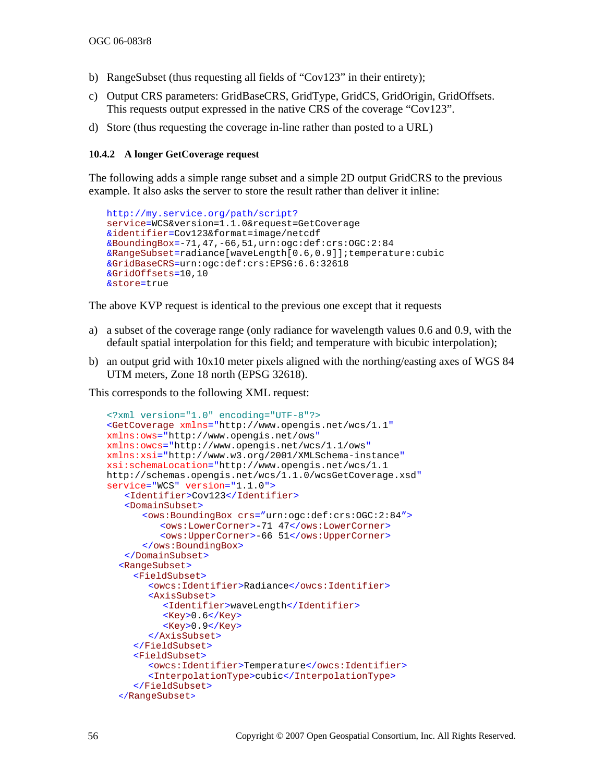- b) RangeSubset (thus requesting all fields of "Cov123" in their entirety);
- c) Output CRS parameters: GridBaseCRS, GridType, GridCS, GridOrigin, GridOffsets. This requests output expressed in the native CRS of the coverage "Cov123".
- d) Store (thus requesting the coverage in-line rather than posted to a URL)

#### **10.4.2 A longer GetCoverage request**

The following adds a simple range subset and a simple 2D output GridCRS to the previous example. It also asks the server to store the result rather than deliver it inline:

```
http://my.service.org/path/script? 
service=WCS&version=1.1.0&request=GetCoverage 
&identifier=Cov123&format=image/netcdf 
&BoundingBox=-71,47,-66,51,urn:ogc:def:crs:OGC:2:84 
&RangeSubset=radiance[waveLength[0.6,0.9]];temperature:cubic 
&GridBaseCRS=urn:ogc:def:crs:EPSG:6.6:32618 
&GridOffsets=10,10 
&store=true
```
The above KVP request is identical to the previous one except that it requests

- a) a subset of the coverage range (only radiance for wavelength values 0.6 and 0.9, with the default spatial interpolation for this field; and temperature with bicubic interpolation);
- b) an output grid with 10x10 meter pixels aligned with the northing/easting axes of WGS 84 UTM meters, Zone 18 north (EPSG 32618).

This corresponds to the following XML request:

```
<?xml version="1.0" encoding="UTF-8"?> 
<GetCoverage xmlns="http://www.opengis.net/wcs/1.1"
xmlns:ows="http://www.opengis.net/ows"
xmlns:owcs="http://www.opengis.net/wcs/1.1/ows"
xmlns:xsi="http://www.w3.org/2001/XMLSchema-instance"
xsi:schemaLocation="http://www.opengis.net/wcs/1.1 
http://schemas.opengis.net/wcs/1.1.0/wcsGetCoverage.xsd" 
service="WCS" version="1.1.0">
   <Identifier>Cov123</Identifier>
   <DomainSubset>
        <ows:BoundingBox crs="urn:ogc:def:crs:OGC:2:84">
           <ows:LowerCorner>-71 47</ows:LowerCorner>
           <ows:UpperCorner>-66 51</ows:UpperCorner>
        </ows:BoundingBox>
   </DomainSubset> 
  <RangeSubset>
      <FieldSubset>
        <owcs:Identifier>Radiance</owcs:Identifier>
        <AxisSubset>
           <Identifier>waveLength</Identifier>
           <Key>0.6</Key>
           <Key>0.9</Key>
        </AxisSubset>
      </FieldSubset>
      <FieldSubset>
        <owcs:Identifier>Temperature</owcs:Identifier>
        <InterpolationType>cubic</InterpolationType>
      </FieldSubset>
  </RangeSubset>
```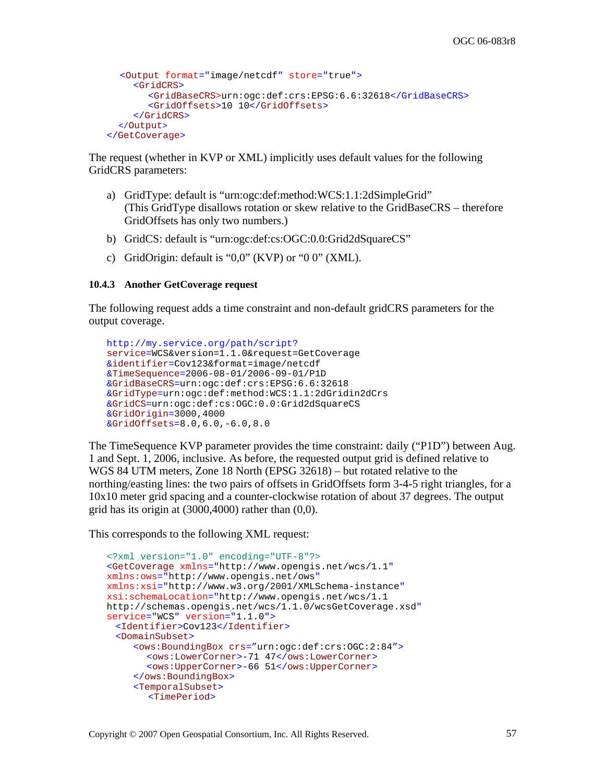```
<Output format="image/netcdf" store="true"> 
      <GridCRS>
        <GridBaseCRS>urn:ogc:def:crs:EPSG:6.6:32618</GridBaseCRS>
        <GridOffsets>10 10</GridOffsets>
     </GridCRS>
  </Output>
</GetCoverage>
```
The request (whether in KVP or XML) implicitly uses default values for the following GridCRS parameters:

- a) GridType: default is "urn:ogc:def:method:WCS:1.1:2dSimpleGrid" (This GridType disallows rotation or skew relative to the GridBaseCRS – therefore GridOffsets has only two numbers.)
- b) GridCS: default is "urn:ogc:def:cs:OGC:0.0:Grid2dSquareCS"
- c) GridOrigin: default is " $0,0$ " (KVP) or " $0.0$ " (XML).

#### **10.4.3 Another GetCoverage request**

The following request adds a time constraint and non-default gridCRS parameters for the output coverage.

```
http://my.service.org/path/script? 
service=WCS&version=1.1.0&request=GetCoverage 
&identifier=Cov123&format=image/netcdf 
&TimeSequence=2006-08-01/2006-09-01/P1D
&GridBaseCRS=urn:ogc:def:crs:EPSG:6.6:32618 
&GridType=urn:ogc:def:method:WCS:1.1:2dGridin2dCrs
&GridCS=urn:ogc:def:cs:OGC:0.0:Grid2dSquareCS
&GridOrigin=3000,4000
&GridOffsets=8.0,6.0,-6.0,8.0
```
The TimeSequence KVP parameter provides the time constraint: daily ("P1D") between Aug. 1 and Sept. 1, 2006, inclusive. As before, the requested output grid is defined relative to WGS 84 UTM meters, Zone 18 North (EPSG 32618) – but rotated relative to the northing/easting lines: the two pairs of offsets in GridOffsets form 3-4-5 right triangles, for a 10x10 meter grid spacing and a counter-clockwise rotation of about 37 degrees. The output grid has its origin at  $(3000, 4000)$  rather than  $(0,0)$ .

This corresponds to the following XML request:

```
<?xml version="1.0" encoding="UTF-8"?> 
<GetCoverage xmlns="http://www.opengis.net/wcs/1.1"
xmlns:ows="http://www.opengis.net/ows"
xmlns:xsi="http://www.w3.org/2001/XMLSchema-instance"
xsi:schemaLocation="http://www.opengis.net/wcs/1.1 
http://schemas.opengis.net/wcs/1.1.0/wcsGetCoverage.xsd" 
service="WCS" version="1.1.0">
 <Identifier>Cov123</Identifier>
 <DomainSubset>
      <ows:BoundingBox crs="urn:ogc:def:crs:OGC:2:84">
        <ows:LowerCorner>-71 47</ows:LowerCorner>
        <ows:UpperCorner>-66 51</ows:UpperCorner>
      </ows:BoundingBox>
      <TemporalSubset>
        <TimePeriod>
```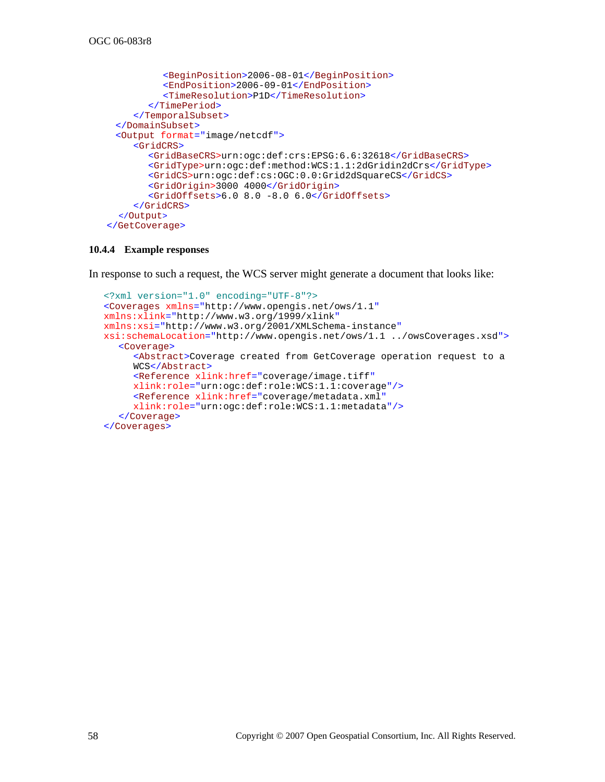```
 <BeginPosition>2006-08-01</BeginPosition>
           <EndPosition>2006-09-01</EndPosition>
           <TimeResolution>P1D</TimeResolution>
        </TimePeriod>
     </TemporalSubset>
 </DomainSubset> 
 <Output format="image/netcdf"> 
     <GridCRS>
        <GridBaseCRS>urn:ogc:def:crs:EPSG:6.6:32618</GridBaseCRS>
        <GridType>urn:ogc:def:method:WCS:1.1:2dGridin2dCrs</GridType>
        <GridCS>urn:ogc:def:cs:OGC:0.0:Grid2dSquareCS</GridCS>
        <GridOrigin>3000 4000</GridOrigin>
        <GridOffsets>6.0 8.0 -8.0 6.0</GridOffsets>
     </GridCRS>
  </Output>
</GetCoverage>
```
### **10.4.4 Example responses**

In response to such a request, the WCS server might generate a document that looks like:

```
<?xml version="1.0" encoding="UTF-8"?>
<Coverages xmlns="http://www.opengis.net/ows/1.1" 
xmlns:xlink="http://www.w3.org/1999/xlink" 
xmlns:xsi="http://www.w3.org/2001/XMLSchema-instance" 
xsi:schemaLocation="http://www.opengis.net/ows/1.1 ../owsCoverages.xsd">
  <Coverage>
      <Abstract>Coverage created from GetCoverage operation request to a 
     WCS</Abstract>
      <Reference xlink:href="coverage/image.tiff"
     xlink:role="urn:ogc:def:role:WCS:1.1:coverage"/>
      <Reference xlink:href="coverage/metadata.xml"
     xlink:role="urn:ogc:def:role:WCS:1.1:metadata"/>
  </Coverage>
</Coverages>
```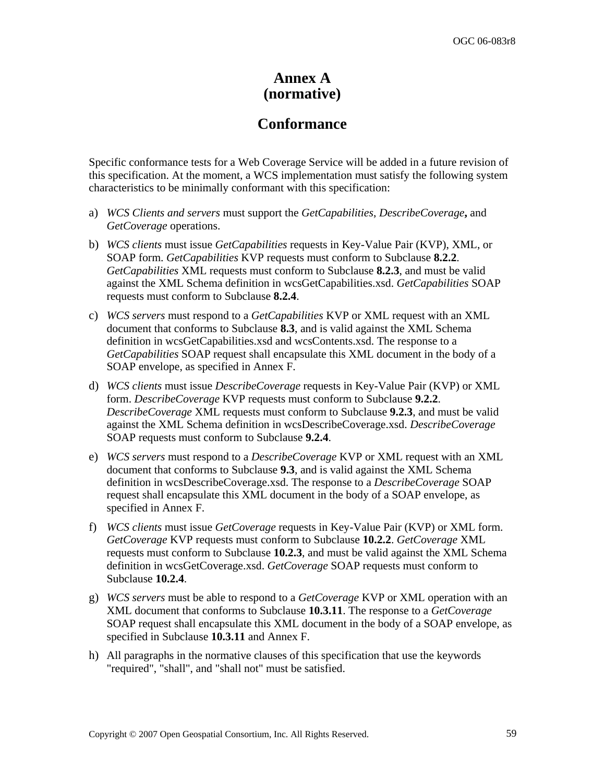## **Annex A (normative)**

# **Conformance**

Specific conformance tests for a Web Coverage Service will be added in a future revision of this specification. At the moment, a WCS implementation must satisfy the following system characteristics to be minimally conformant with this specification:

- a) *WCS Clients and servers* must support the *GetCapabilities*, *DescribeCoverage***,** and *GetCoverage* operations.
- b) *WCS clients* must issue *GetCapabilities* requests in Key-Value Pair (KVP), XML, or SOAP form. *GetCapabilities* KVP requests must conform to Subclause **8.2.2**. *GetCapabilities* XML requests must conform to Subclause **8.2.3**, and must be valid against the XML Schema definition in wcsGetCapabilities.xsd. *GetCapabilities* SOAP requests must conform to Subclause **8.2.4**.
- c) *WCS servers* must respond to a *GetCapabilities* KVP or XML request with an XML document that conforms to Subclause **8.3**, and is valid against the XML Schema definition in wcsGetCapabilities.xsd and wcsContents.xsd. The response to a *GetCapabilities* SOAP request shall encapsulate this XML document in the body of a SOAP envelope, as specified in Annex F.
- d) *WCS clients* must issue *DescribeCoverage* requests in Key-Value Pair (KVP) or XML form. *DescribeCoverage* KVP requests must conform to Subclause **9.2.2**. *DescribeCoverage* XML requests must conform to Subclause **9.2.3**, and must be valid against the XML Schema definition in wcsDescribeCoverage.xsd. *DescribeCoverage* SOAP requests must conform to Subclause **9.2.4**.
- e) *WCS servers* must respond to a *DescribeCoverage* KVP or XML request with an XML document that conforms to Subclause **9.3**, and is valid against the XML Schema definition in wcsDescribeCoverage.xsd. The response to a *DescribeCoverage* SOAP request shall encapsulate this XML document in the body of a SOAP envelope, as specified in Annex F.
- f) *WCS clients* must issue *GetCoverage* requests in Key-Value Pair (KVP) or XML form. *GetCoverage* KVP requests must conform to Subclause **10.2.2**. *GetCoverage* XML requests must conform to Subclause **10.2.3**, and must be valid against the XML Schema definition in wcsGetCoverage.xsd. *GetCoverage* SOAP requests must conform to Subclause **10.2.4**.
- g) *WCS servers* must be able to respond to a *GetCoverage* KVP or XML operation with an XML document that conforms to Subclause **10.3.11**. The response to a *GetCoverage* SOAP request shall encapsulate this XML document in the body of a SOAP envelope, as specified in Subclause **10.3.11** and Annex F.
- h) All paragraphs in the normative clauses of this specification that use the keywords "required", "shall", and "shall not" must be satisfied.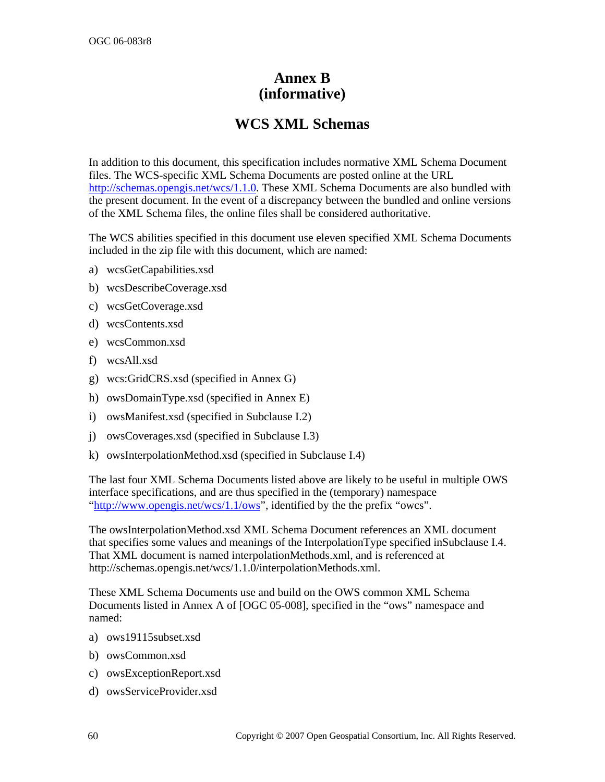# **Annex B (informative)**

# **WCS XML Schemas**

In addition to this document, this specification includes normative XML Schema Document files. The WCS-specific XML Schema Documents are posted online at the URL <http://schemas.opengis.net/wcs/1.1.0>. These XML Schema Documents are also bundled with the present document. In the event of a discrepancy between the bundled and online versions of the XML Schema files, the online files shall be considered authoritative.

The WCS abilities specified in this document use eleven specified XML Schema Documents included in the zip file with this document, which are named:

- a) wcsGetCapabilities.xsd
- b) wcsDescribeCoverage.xsd
- c) wcsGetCoverage.xsd
- d) wcsContents.xsd
- e) wcsCommon.xsd
- f) wcsAll.xsd
- g) wcs:GridCRS.xsd (specified in Annex G)
- h) owsDomainType.xsd (specified in Annex E)
- i) owsManifest.xsd (specified in Subclause I.2)
- j) owsCoverages.xsd (specified in Subclause I.3)
- k) owsInterpolationMethod.xsd (specified in Subclause I.4)

The last four XML Schema Documents listed above are likely to be useful in multiple OWS interface specifications, and are thus specified in the (temporary) namespace ["http://www.opengis.net/wcs/1.1/ows"](http://www.opengis.net/wcs/1.1/ows), identified by the the prefix "owcs".

The owsInterpolationMethod.xsd XML Schema Document references an XML document that specifies some values and meanings of the InterpolationType specified inSubclause I.4. That XML document is named interpolationMethods.xml, and is referenced at http://schemas.opengis.net/wcs/1.1.0/interpolationMethods.xml.

These XML Schema Documents use and build on the OWS common XML Schema Documents listed in Annex A of [OGC 05-008], specified in the "ows" namespace and named:

- a) ows19115subset.xsd
- b) owsCommon.xsd
- c) owsExceptionReport.xsd
- d) owsServiceProvider.xsd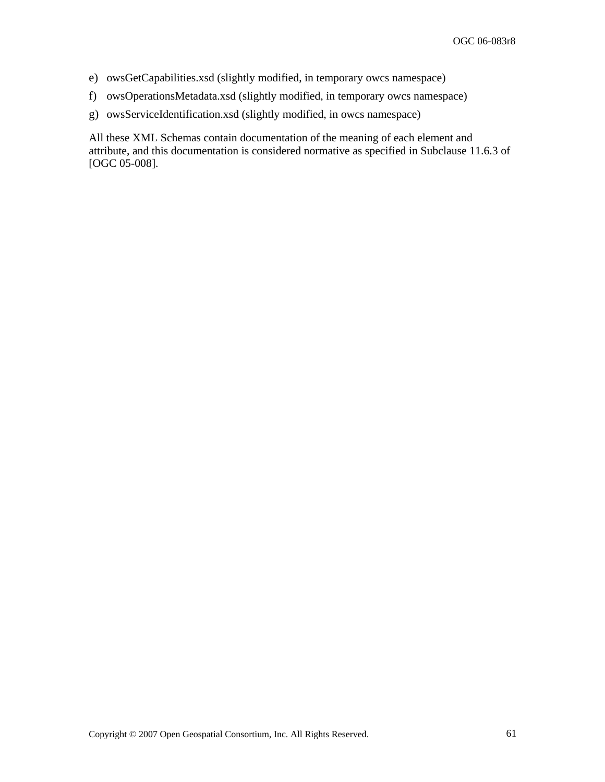- e) owsGetCapabilities.xsd (slightly modified, in temporary owcs namespace)
- f) owsOperationsMetadata.xsd (slightly modified, in temporary owcs namespace)
- g) owsServiceIdentification.xsd (slightly modified, in owcs namespace)

All these XML Schemas contain documentation of the meaning of each element and attribute, and this documentation is considered normative as specified in Subclause 11.6.3 of [OGC 05-008].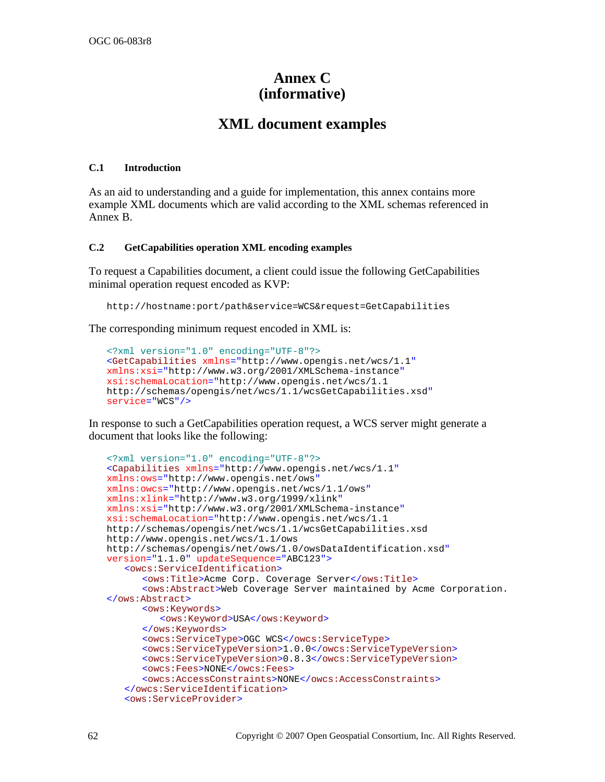# **Annex C (informative)**

# **XML document examples**

### **C.1 Introduction**

As an aid to understanding and a guide for implementation, this annex contains more example XML documents which are valid according to the XML schemas referenced in Annex B.

### **C.2 GetCapabilities operation XML encoding examples**

To request a Capabilities document, a client could issue the following GetCapabilities minimal operation request encoded as KVP:

http://hostname:port/path&service=WCS&request=GetCapabilities

The corresponding minimum request encoded in XML is:

```
<?xml version="1.0" encoding="UTF-8"?> 
<GetCapabilities xmlns="http://www.opengis.net/wcs/1.1"
xmlns:xsi="http://www.w3.org/2001/XMLSchema-instance"
xsi:schemaLocation="http://www.opengis.net/wcs/1.1 
http://schemas/opengis/net/wcs/1.1/wcsGetCapabilities.xsd"
service="WCS"/>
```
In response to such a GetCapabilities operation request, a WCS server might generate a document that looks like the following:

```
<?xml version="1.0" encoding="UTF-8"?> 
<Capabilities xmlns="http://www.opengis.net/wcs/1.1"
xmlns:ows="http://www.opengis.net/ows"
xmlns:owcs="http://www.opengis.net/wcs/1.1/ows"
xmlns:xlink="http://www.w3.org/1999/xlink"
xmlns:xsi="http://www.w3.org/2001/XMLSchema-instance"
xsi:schemaLocation="http://www.opengis.net/wcs/1.1 
http://schemas/opengis/net/wcs/1.1/wcsGetCapabilities.xsd 
http://www.opengis.net/wcs/1.1/ows 
http://schemas/opengis/net/ows/1.0/owsDataIdentification.xsd"
version="1.1.0" updateSequence="ABC123">
   <owcs:ServiceIdentification>
       <ows:Title>Acme Corp. Coverage Server</ows:Title>
       <ows:Abstract>Web Coverage Server maintained by Acme Corporation. 
</ows:Abstract>
       <ows:Keywords>
           <ows:Keyword>USA</ows:Keyword>
       </ows:Keywords>
       <owcs:ServiceType>OGC WCS</owcs:ServiceType>
       <owcs:ServiceTypeVersion>1.0.0</owcs:ServiceTypeVersion>
       <owcs:ServiceTypeVersion>0.8.3</owcs:ServiceTypeVersion>
       <owcs:Fees>NONE</owcs:Fees>
       <owcs:AccessConstraints>NONE</owcs:AccessConstraints>
   </owcs:ServiceIdentification>
   <ows:ServiceProvider>
```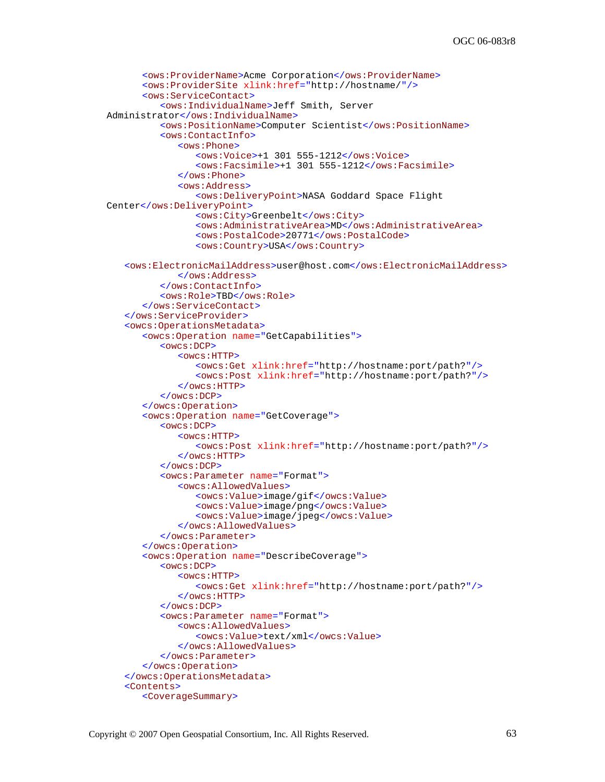```
 <ows:ProviderName>Acme Corporation</ows:ProviderName>
       <ows:ProviderSite xlink:href="http://hostname/"/>
       <ows:ServiceContact>
           <ows:IndividualName>Jeff Smith, Server 
Administrator</ows:IndividualName>
           <ows:PositionName>Computer Scientist</ows:PositionName>
           <ows:ContactInfo>
              <ows:Phone>
                 <ows:Voice>+1 301 555-1212</ows:Voice>
                 <ows:Facsimile>+1 301 555-1212</ows:Facsimile>
              </ows:Phone>
              <ows:Address>
                 <ows:DeliveryPoint>NASA Goddard Space Flight 
Center</ows:DeliveryPoint>
                 <ows:City>Greenbelt</ows:City>
                 <ows:AdministrativeArea>MD</ows:AdministrativeArea>
                 <ows:PostalCode>20771</ows:PostalCode>
                 <ows:Country>USA</ows:Country>
   <ows:ElectronicMailAddress>user@host.com</ows:ElectronicMailAddress>
              </ows:Address>
           </ows:ContactInfo>
           <ows:Role>TBD</ows:Role>
       </ows:ServiceContact>
   </ows:ServiceProvider>
   <owcs:OperationsMetadata>
       <owcs:Operation name="GetCapabilities">
           <owcs:DCP>
              <owcs:HTTP>
                 <owcs:Get xlink:href="http://hostname:port/path?"/>
                 <owcs:Post xlink:href="http://hostname:port/path?"/>
              </owcs:HTTP>
           </owcs:DCP>
       </owcs:Operation>
       <owcs:Operation name="GetCoverage">
           <owcs:DCP>
              <owcs:HTTP>
                 <owcs:Post xlink:href="http://hostname:port/path?"/>
              </owcs:HTTP>
           </owcs:DCP>
           <owcs:Parameter name="Format">
              <owcs:AllowedValues>
                 <owcs:Value>image/gif</owcs:Value>
                 <owcs:Value>image/png</owcs:Value>
                 <owcs:Value>image/jpeg</owcs:Value>
              </owcs:AllowedValues>
           </owcs:Parameter>
       </owcs:Operation>
       <owcs:Operation name="DescribeCoverage">
           <owcs:DCP>
              <owcs:HTTP>
                 <owcs:Get xlink:href="http://hostname:port/path?"/>
              </owcs:HTTP>
           </owcs:DCP>
           <owcs:Parameter name="Format">
              <owcs:AllowedValues>
                 <owcs:Value>text/xml</owcs:Value>
              </owcs:AllowedValues>
           </owcs:Parameter>
       </owcs:Operation>
   </owcs:OperationsMetadata>
   <Contents>
       <CoverageSummary>
```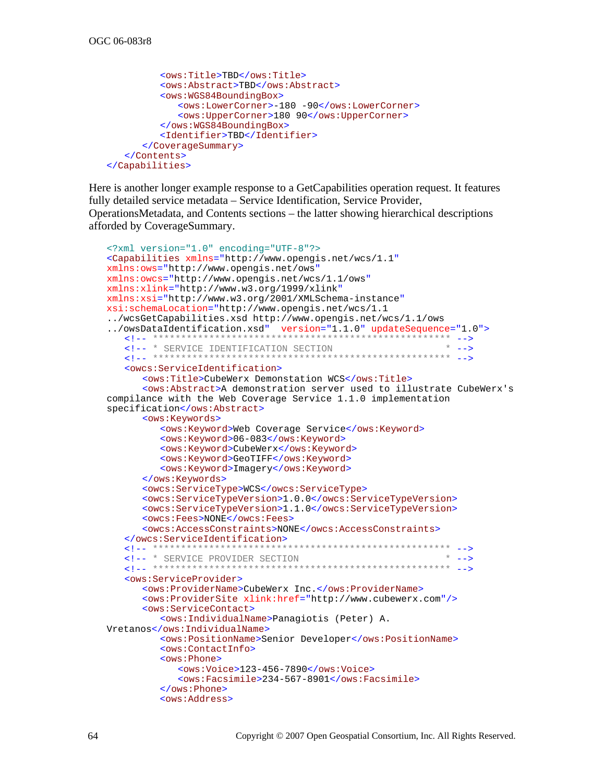```
 <ows:Title>TBD</ows:Title>
          <ows:Abstract>TBD</ows:Abstract>
          <ows:WGS84BoundingBox>
              <ows:LowerCorner>-180 -90</ows:LowerCorner>
              <ows:UpperCorner>180 90</ows:UpperCorner>
          </ows:WGS84BoundingBox>
           <Identifier>TBD</Identifier>
       </CoverageSummary>
   </Contents>
</Capabilities>
```
Here is another longer example response to a GetCapabilities operation request. It features fully detailed service metadata – Service Identification, Service Provider, OperationsMetadata, and Contents sections – the latter showing hierarchical descriptions afforded by CoverageSummary.

```
<?xml version="1.0" encoding="UTF-8"?> 
<Capabilities xmlns="http://www.opengis.net/wcs/1.1" 
xmlns:ows="http://www.opengis.net/ows" 
xmlns:owcs="http://www.opengis.net/wcs/1.1/ows" 
xmlns:xlink="http://www.w3.org/1999/xlink" 
xmlns:xsi="http://www.w3.org/2001/XMLSchema-instance" 
xsi:schemaLocation="http://www.opengis.net/wcs/1.1 
../wcsGetCapabilities.xsd http://www.opengis.net/wcs/1.1/ows 
../owsDataIdentification.xsd" version="1.1.0" updateSequence="1.0">
   <!-- ***************************************************** -->
   \leftarrow :-- * SERVICE IDENTIFICATION SECTION
   <!-- ***************************************************** -->
   <owcs:ServiceIdentification>
       <ows:Title>CubeWerx Demonstation WCS</ows:Title>
       <ows:Abstract>A demonstration server used to illustrate CubeWerx's 
compilance with the Web Coverage Service 1.1.0 implementation 
specification</ows:Abstract>
       <ows:Keywords>
          <ows:Keyword>Web Coverage Service</ows:Keyword>
          <ows:Keyword>06-083</ows:Keyword>
          <ows:Keyword>CubeWerx</ows:Keyword>
          <ows:Keyword>GeoTIFF</ows:Keyword>
          <ows:Keyword>Imagery</ows:Keyword>
       </ows:Keywords>
       <owcs:ServiceType>WCS</owcs:ServiceType>
       <owcs:ServiceTypeVersion>1.0.0</owcs:ServiceTypeVersion>
       <owcs:ServiceTypeVersion>1.1.0</owcs:ServiceTypeVersion>
       <owcs:Fees>NONE</owcs:Fees>
       <owcs:AccessConstraints>NONE</owcs:AccessConstraints>
   </owcs:ServiceIdentification>
   <!-- ***************************************************** -->
   <!-- * SERVICE PROVIDER SECTION * -->
   <!-- ***************************************************** -->
   <ows:ServiceProvider>
       <ows:ProviderName>CubeWerx Inc.</ows:ProviderName>
       <ows:ProviderSite xlink:href="http://www.cubewerx.com"/>
       <ows:ServiceContact>
          <ows:IndividualName>Panagiotis (Peter) A. 
Vretanos</ows:IndividualName>
          <ows:PositionName>Senior Developer</ows:PositionName>
          <ows:ContactInfo>
          <ows:Phone>
             <ows:Voice>123-456-7890</ows:Voice>
              <ows:Facsimile>234-567-8901</ows:Facsimile>
          </ows:Phone>
          <ows:Address>
```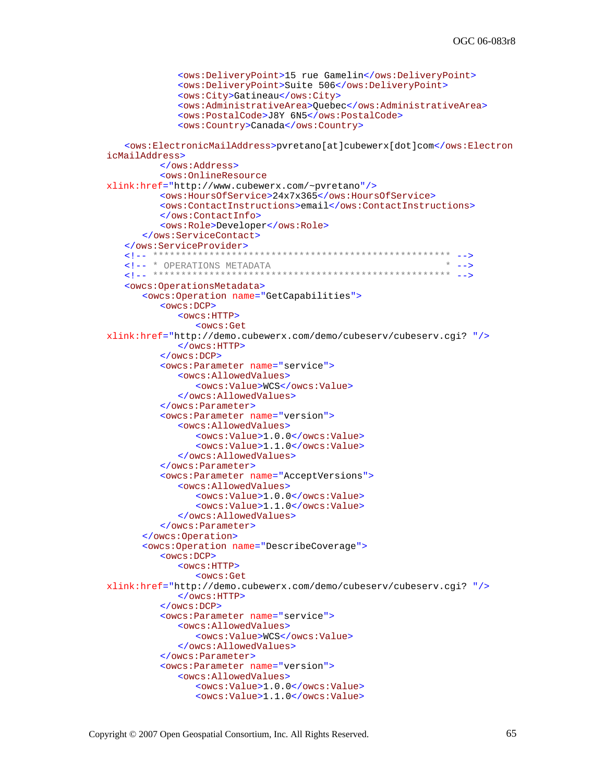```
 <ows:DeliveryPoint>15 rue Gamelin</ows:DeliveryPoint>
              <ows:DeliveryPoint>Suite 506</ows:DeliveryPoint>
              <ows:City>Gatineau</ows:City>
              <ows:AdministrativeArea>Quebec</ows:AdministrativeArea>
              <ows:PostalCode>J8Y 6N5</ows:PostalCode>
              <ows:Country>Canada</ows:Country>
   <ows:ElectronicMailAddress>pvretano[at]cubewerx[dot]com</ows:Electron
icMailAddress>
          </ows:Address>
          <ows:OnlineResource
xlink:href="http://www.cubewerx.com/~pvretano"/>
          <ows:HoursOfService>24x7x365</ows:HoursOfService>
          <ows:ContactInstructions>email</ows:ContactInstructions>
          </ows:ContactInfo>
          <ows:Role>Developer</ows:Role>
       </ows:ServiceContact>
   </ows:ServiceProvider>
   <!-- ***************************************************** -->
   <!-- * OPERATIONS METADATA * -->
   <!-- ***************************************************** -->
   <owcs:OperationsMetadata>
       <owcs:Operation name="GetCapabilities">
          <owcs:DCP>
              <owcs:HTTP>
                 <owcs:Get
xlink:href="http://demo.cubewerx.com/demo/cubeserv/cubeserv.cgi? "/>
              </owcs:HTTP>
          </owcs:DCP>
          <owcs:Parameter name="service">
              <owcs:AllowedValues>
                 <owcs:Value>WCS</owcs:Value>
              </owcs:AllowedValues>
           </owcs:Parameter>
          <owcs:Parameter name="version">
              <owcs:AllowedValues>
                 <owcs:Value>1.0.0</owcs:Value>
                 <owcs:Value>1.1.0</owcs:Value>
              </owcs:AllowedValues>
          </owcs:Parameter>
          <owcs:Parameter name="AcceptVersions">
              <owcs:AllowedValues>
                 <owcs:Value>1.0.0</owcs:Value>
                 <owcs:Value>1.1.0</owcs:Value>
              </owcs:AllowedValues>
           </owcs:Parameter>
       </owcs:Operation>
       <owcs:Operation name="DescribeCoverage">
          <owcs:DCP>
              <owcs:HTTP>
                 <owcs:Get
xlink:href="http://demo.cubewerx.com/demo/cubeserv/cubeserv.cgi? "/>
              </owcs:HTTP>
          </owcs:DCP>
          <owcs:Parameter name="service">
              <owcs:AllowedValues>
                 <owcs:Value>WCS</owcs:Value>
              </owcs:AllowedValues>
          </owcs:Parameter>
           <owcs:Parameter name="version">
              <owcs:AllowedValues>
                 <owcs:Value>1.0.0</owcs:Value>
                 <owcs:Value>1.1.0</owcs:Value>
```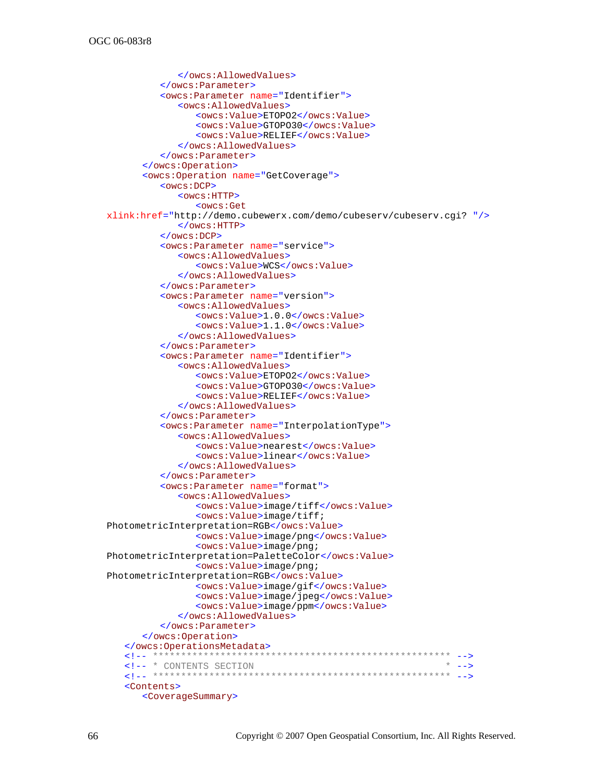```
 </owcs:AllowedValues>
           </owcs:Parameter>
           <owcs:Parameter name="Identifier">
              <owcs:AllowedValues>
                 <owcs:Value>ETOPO2</owcs:Value>
                 <owcs:Value>GTOPO30</owcs:Value>
                 <owcs:Value>RELIEF</owcs:Value>
              </owcs:AllowedValues>
           </owcs:Parameter>
       </owcs:Operation>
       <owcs:Operation name="GetCoverage">
           <owcs:DCP>
              <owcs:HTTP>
                 <owcs:Get
xlink:href="http://demo.cubewerx.com/demo/cubeserv/cubeserv.cgi? "/>
              </owcs:HTTP>
           </owcs:DCP>
           <owcs:Parameter name="service">
              <owcs:AllowedValues>
                 <owcs:Value>WCS</owcs:Value>
              </owcs:AllowedValues>
           </owcs:Parameter>
           <owcs:Parameter name="version">
              <owcs:AllowedValues>
                 <owcs:Value>1.0.0</owcs:Value>
                 <owcs:Value>1.1.0</owcs:Value>
              </owcs:AllowedValues>
           </owcs:Parameter>
           <owcs:Parameter name="Identifier">
              <owcs:AllowedValues>
                 <owcs:Value>ETOPO2</owcs:Value>
                 <owcs:Value>GTOPO30</owcs:Value>
                 <owcs:Value>RELIEF</owcs:Value>
              </owcs:AllowedValues>
           </owcs:Parameter>
           <owcs:Parameter name="InterpolationType">
              <owcs:AllowedValues>
                 <owcs:Value>nearest</owcs:Value>
                 <owcs:Value>linear</owcs:Value>
              </owcs:AllowedValues>
           </owcs:Parameter>
           <owcs:Parameter name="format">
              <owcs:AllowedValues>
                 <owcs:Value>image/tiff</owcs:Value>
                 <owcs:Value>image/tiff; 
PhotometricInterpretation=RGB</owcs:Value>
                 <owcs:Value>image/png</owcs:Value>
                 <owcs:Value>image/png; 
PhotometricInterpretation=PaletteColor</owcs:Value>
                 <owcs:Value>image/png; 
PhotometricInterpretation=RGB</owcs:Value>
                 <owcs:Value>image/gif</owcs:Value>
                 <owcs:Value>image/jpeg</owcs:Value>
                 <owcs:Value>image/ppm</owcs:Value>
              </owcs:AllowedValues>
           </owcs:Parameter>
       </owcs:Operation>
   </owcs:OperationsMetadata>
   <!-- ***************************************************** -->
   <!-- * CONTENTS SECTION * -->
   <!-- ***************************************************** -->
   <Contents>
       <CoverageSummary>
```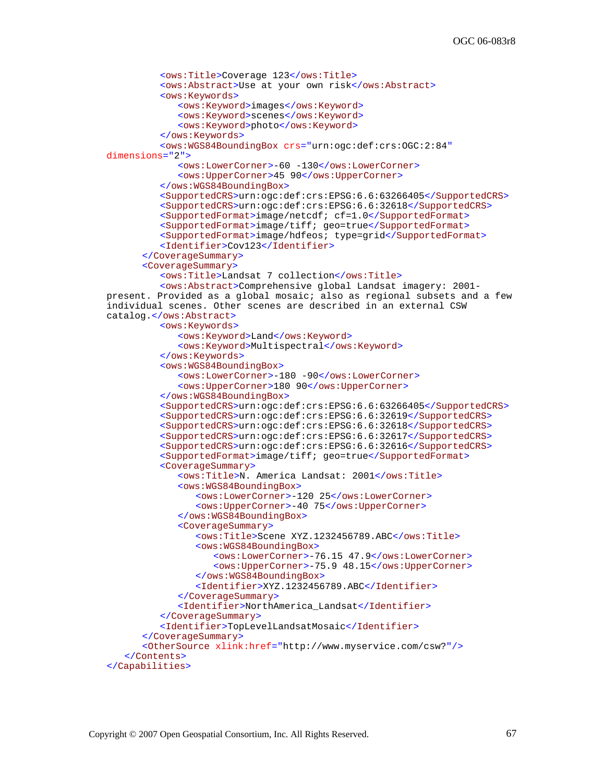```
 <ows:Title>Coverage 123</ows:Title>
          <ows:Abstract>Use at your own risk</ows:Abstract>
          <ows:Keywords>
              <ows:Keyword>images</ows:Keyword>
              <ows:Keyword>scenes</ows:Keyword>
              <ows:Keyword>photo</ows:Keyword>
          </ows:Keywords>
          <ows:WGS84BoundingBox crs="urn:ogc:def:crs:OGC:2:84"
dimensions="2">
              <ows:LowerCorner>-60 -130</ows:LowerCorner>
              <ows:UpperCorner>45 90</ows:UpperCorner>
          </ows:WGS84BoundingBox>
          <SupportedCRS>urn:ogc:def:crs:EPSG:6.6:63266405</SupportedCRS>
           <SupportedCRS>urn:ogc:def:crs:EPSG:6.6:32618</SupportedCRS>
          <SupportedFormat>image/netcdf; cf=1.0</SupportedFormat>
          <SupportedFormat>image/tiff; geo=true</SupportedFormat>
          <SupportedFormat>image/hdfeos; type=grid</SupportedFormat>
          <Identifier>Cov123</Identifier>
       </CoverageSummary>
       <CoverageSummary>
           <ows:Title>Landsat 7 collection</ows:Title>
          <ows:Abstract>Comprehensive global Landsat imagery: 2001-
present. Provided as a global mosaic; also as regional subsets and a few 
individual scenes. Other scenes are described in an external CSW 
catalog.</ows:Abstract>
          <ows:Keywords>
              <ows:Keyword>Land</ows:Keyword>
              <ows:Keyword>Multispectral</ows:Keyword>
          </ows:Keywords>
          <ows:WGS84BoundingBox>
              <ows:LowerCorner>-180 -90</ows:LowerCorner>
              <ows:UpperCorner>180 90</ows:UpperCorner>
          </ows:WGS84BoundingBox>
           <SupportedCRS>urn:ogc:def:crs:EPSG:6.6:63266405</SupportedCRS>
           <SupportedCRS>urn:ogc:def:crs:EPSG:6.6:32619</SupportedCRS>
          <SupportedCRS>urn:ogc:def:crs:EPSG:6.6:32618</SupportedCRS>
          <SupportedCRS>urn:ogc:def:crs:EPSG:6.6:32617</SupportedCRS>
          <SupportedCRS>urn:ogc:def:crs:EPSG:6.6:32616</SupportedCRS>
          <SupportedFormat>image/tiff; geo=true</SupportedFormat>
          <CoverageSummary>
              <ows:Title>N. America Landsat: 2001</ows:Title>
              <ows:WGS84BoundingBox>
                 <ows:LowerCorner>-120 25</ows:LowerCorner>
                 <ows:UpperCorner>-40 75</ows:UpperCorner>
              </ows:WGS84BoundingBox>
              <CoverageSummary>
                 <ows:Title>Scene XYZ.1232456789.ABC</ows:Title>
                 <ows:WGS84BoundingBox>
                    <ows:LowerCorner>-76.15 47.9</ows:LowerCorner>
                    <ows:UpperCorner>-75.9 48.15</ows:UpperCorner>
                 </ows:WGS84BoundingBox>
                 <Identifier>XYZ.1232456789.ABC</Identifier>
              </CoverageSummary>
              <Identifier>NorthAmerica_Landsat</Identifier>
          </CoverageSummary>
          <Identifier>TopLevelLandsatMosaic</Identifier>
       </CoverageSummary>
       <OtherSource xlink:href="http://www.myservice.com/csw?"/>
   </Contents>
</Capabilities>
```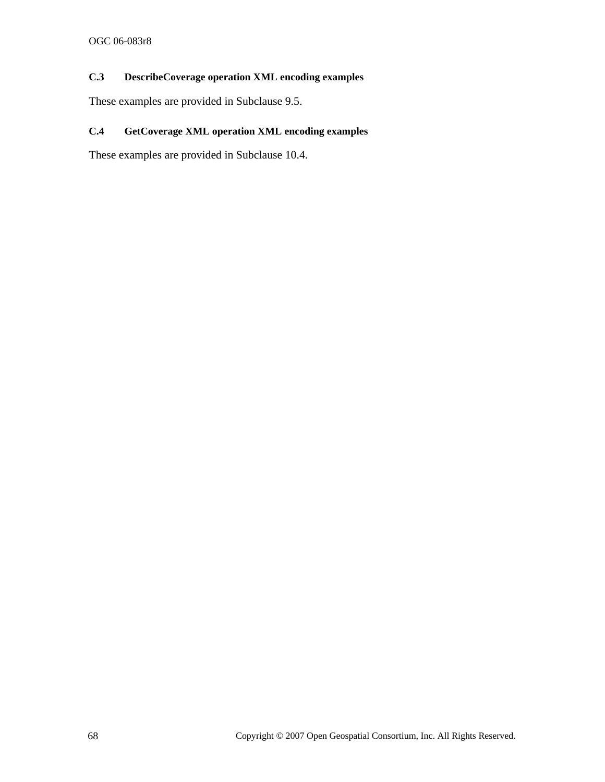## **C.3 DescribeCoverage operation XML encoding examples**

These examples are provided in Subclause [9.5](#page-51-0).

## **C.4 GetCoverage XML operation XML encoding examples**

These examples are provided in Subclause [10.4.](#page-68-0)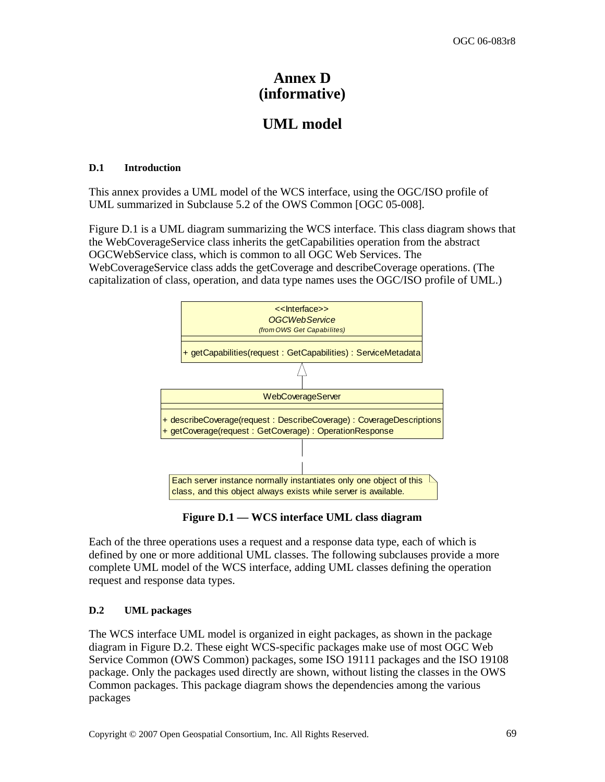# **Annex D (informative)**

# **UML model**

### **D.1 Introduction**

This annex provides a UML model of the WCS interface, using the OGC/ISO profile of UML summarized in Subclause 5.2 of the OWS Common [OGC 05-008].

Figure D.1 is a UML diagram summarizing the WCS interface. This class diagram shows that the WebCoverageService class inherits the getCapabilities operation from the abstract OGCWebService class, which is common to all OGC Web Services. The WebCoverageService class adds the getCoverage and describeCoverage operations. (The capitalization of class, operation, and data type names uses the OGC/ISO profile of UML.)



**Figure D.1 — WCS interface UML class diagram** 

Each of the three operations uses a request and a response data type, each of which is defined by one or more additional UML classes. The following subclauses provide a more complete UML model of the WCS interface, adding UML classes defining the operation request and response data types.

### **D.2 UML packages**

The WCS interface UML model is organized in eight packages, as shown in the package diagram in Figure D.2. These eight WCS-specific packages make use of most OGC Web Service Common (OWS Common) packages, some ISO 19111 packages and the ISO 19108 package. Only the packages used directly are shown, without listing the classes in the OWS Common packages. This package diagram shows the dependencies among the various packages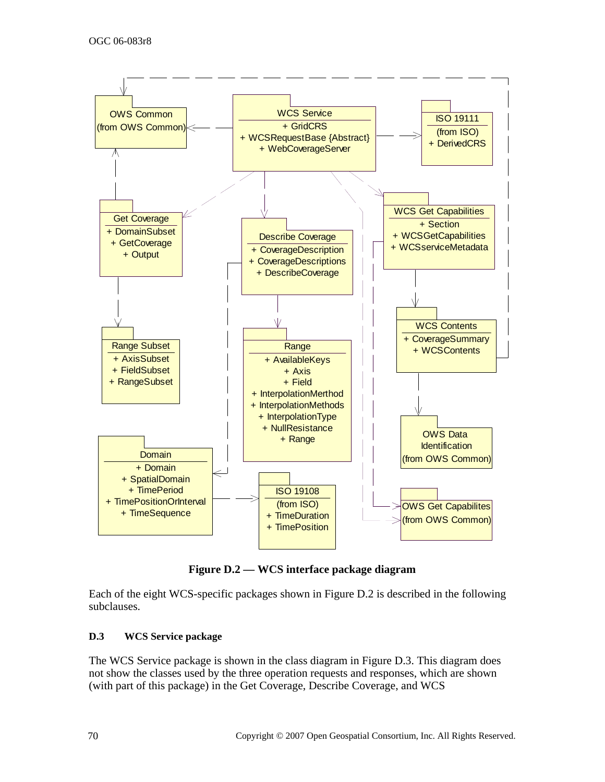

**Figure D.2 — WCS interface package diagram** 

Each of the eight WCS-specific packages shown in Figure D.2 is described in the following subclauses.

### **D.3 WCS Service package**

The WCS Service package is shown in the class diagram in Figure D.3. This diagram does not show the classes used by the three operation requests and responses, which are shown (with part of this package) in the Get Coverage, Describe Coverage, and WCS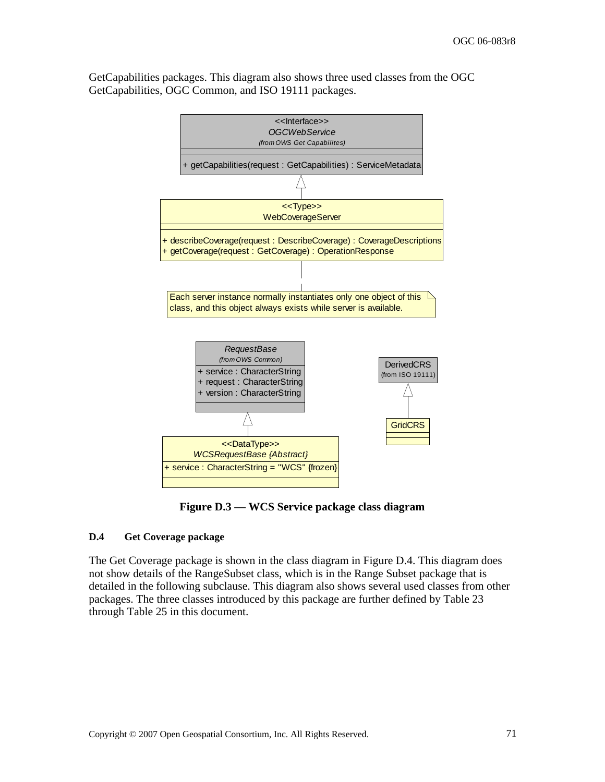GetCapabilities packages. This diagram also shows three used classes from the OGC GetCapabilities, OGC Common, and ISO 19111 packages.



**Figure D.3 — WCS Service package class diagram** 

### **D.4 Get Coverage package**

The Get Coverage package is shown in the class diagram in Figure D.4. This diagram does not show details of the RangeSubset class, which is in the Range Subset package that is detailed in the following subclause. This diagram also shows several used classes from other packages. The three classes introduced by this package are further defined by [Table 23](#page-55-0)  through [Table 25](#page-56-0) in this document.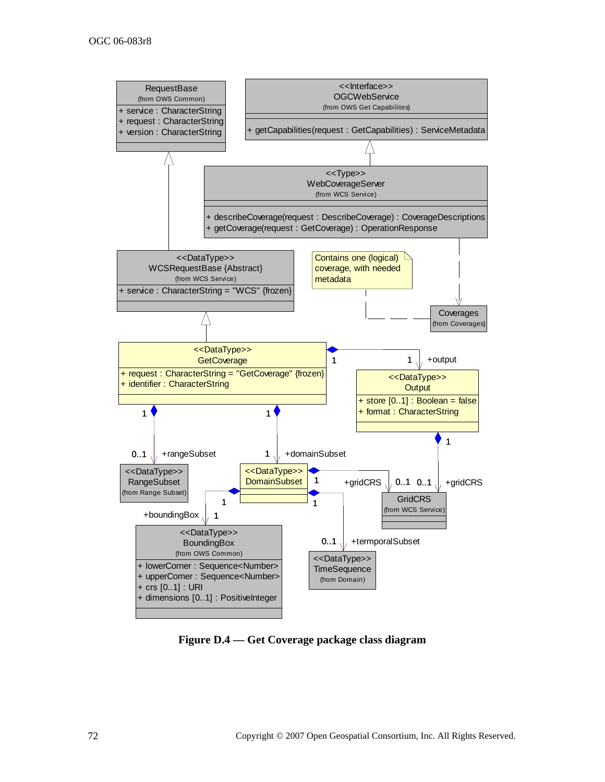

**Figure D.4 — Get Coverage package class diagram**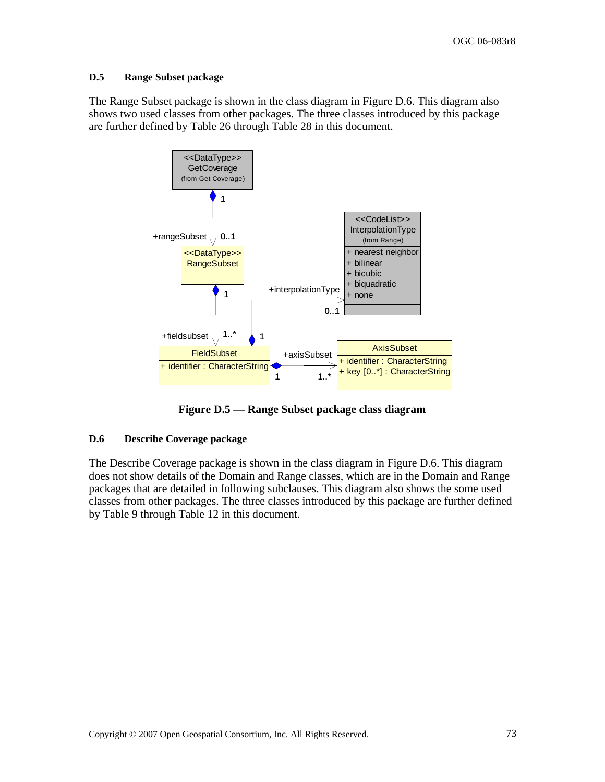### **D.5 Range Subset package**

The Range Subset package is shown in the class diagram in Figure D.6. This diagram also shows two used classes from other packages. The three classes introduced by this package are further defined by [Table 26](#page-57-0) through [Table 28](#page-58-0) in this document.



**Figure D.5 — Range Subset package class diagram** 

### **D.6 Describe Coverage package**

The Describe Coverage package is shown in the class diagram in Figure D.6. This diagram does not show details of the Domain and Range classes, which are in the Domain and Range packages that are detailed in following subclauses. This diagram also shows the some used classes from other packages. The three classes introduced by this package are further defined by [Table 9](#page-37-0) through [Table 12](#page-39-0) in this document.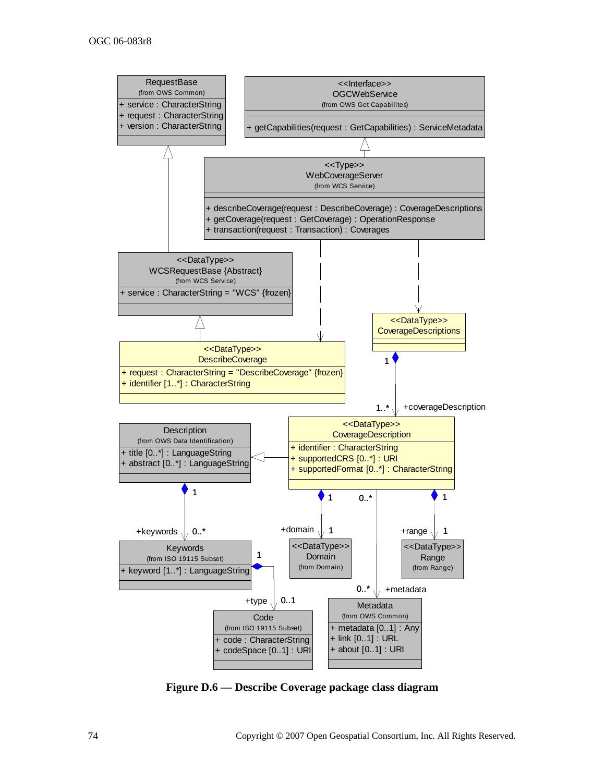

**Figure D.6 — Describe Coverage package class diagram**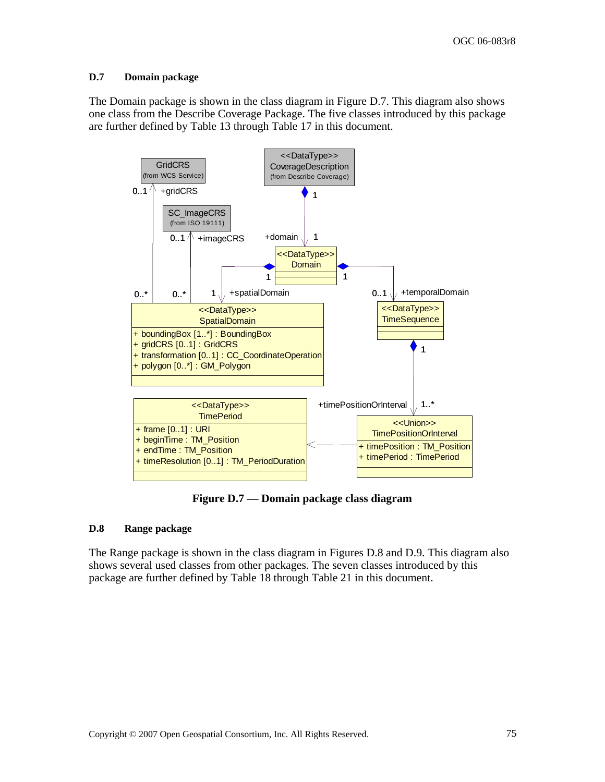### **D.7 Domain package**

The Domain package is shown in the class diagram in Figure D.7. This diagram also shows one class from the Describe Coverage Package. The five classes introduced by this package are further defined by [Table 13](#page-40-0) through [Table 17](#page-42-0) in this document.



**Figure D.7 — Domain package class diagram** 

### **D.8 Range package**

The Range package is shown in the class diagram in Figures D.8 and D.9. This diagram also shows several used classes from other packages. The seven classes introduced by this package are further defined by [Table 18](#page-44-0) through [Table 21](#page-46-0) in this document.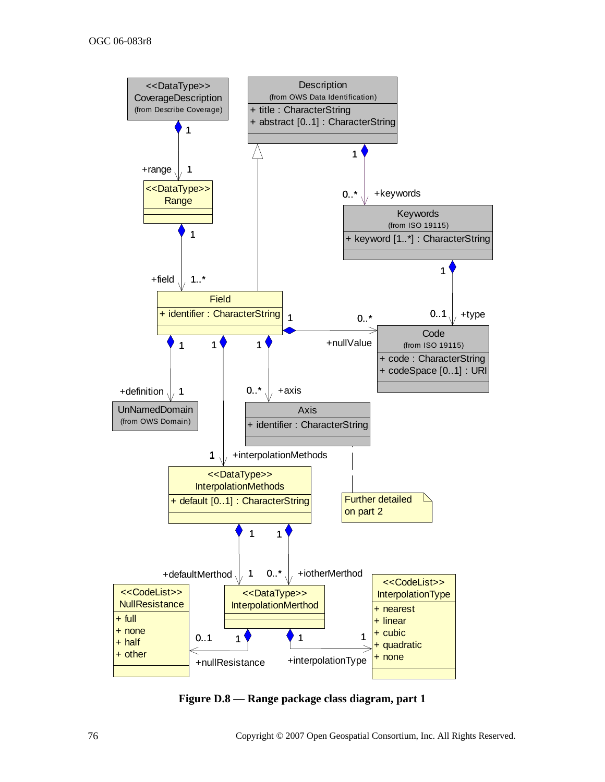

**Figure D.8 — Range package class diagram, part 1**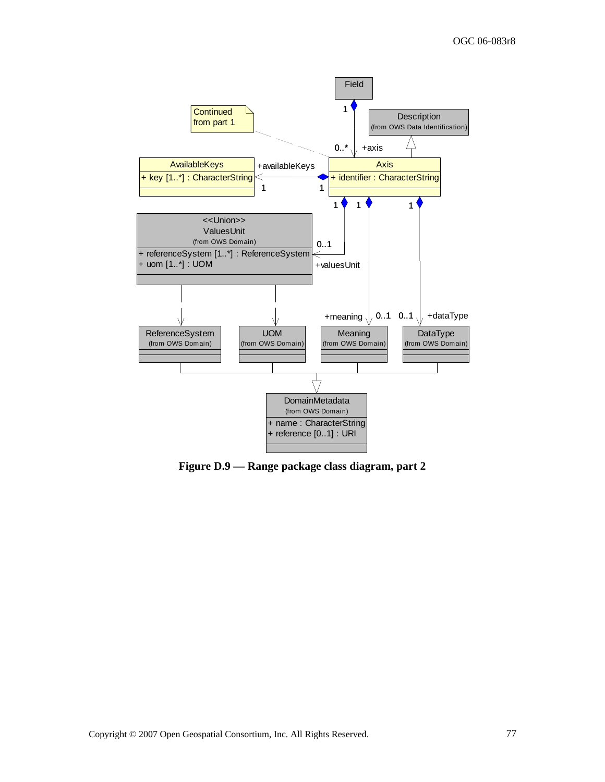

**Figure D.9 — Range package class diagram, part 2**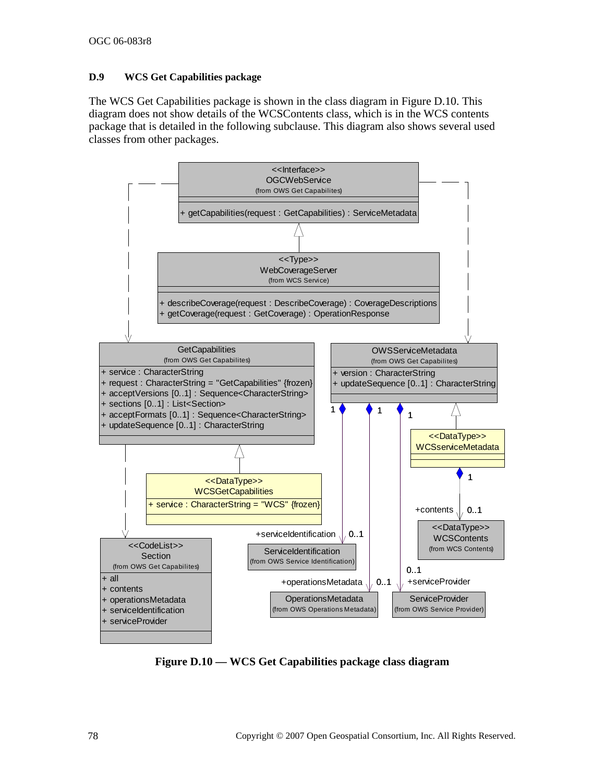### **D.9 WCS Get Capabilities package**

The WCS Get Capabilities package is shown in the class diagram in Figure D.10. This diagram does not show details of the WCSContents class, which is in the WCS contents package that is detailed in the following subclause. This diagram also shows several used classes from other packages.



**Figure D.10 — WCS Get Capabilities package class diagram**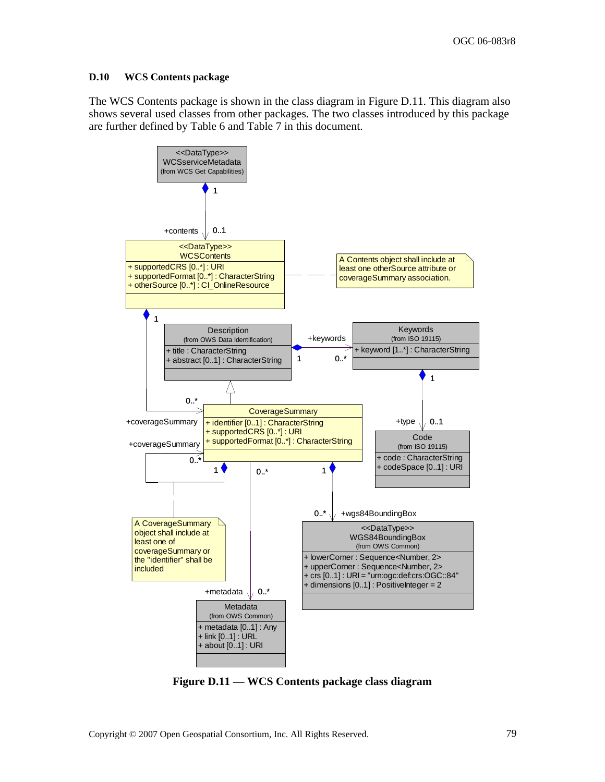### **D.10 WCS Contents package**

The WCS Contents package is shown in the class diagram in Figure D.11. This diagram also shows several used classes from other packages. The two classes introduced by this package are further defined by [Table 6](#page-30-0) and [Table 7](#page-31-0) in this document.



**Figure D.11 — WCS Contents package class diagram**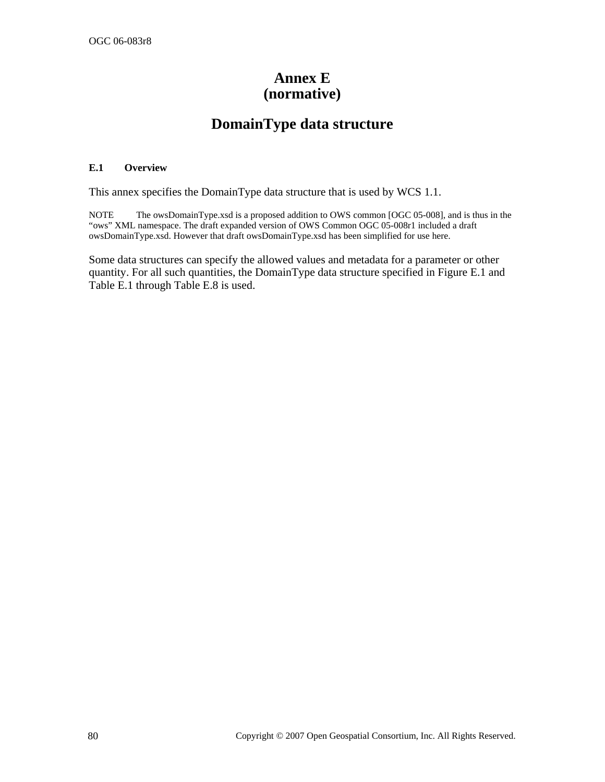# **Annex E (normative)**

# **DomainType data structure**

### **E.1 Overview**

This annex specifies the DomainType data structure that is used by WCS 1.1.

NOTE The owsDomainType.xsd is a proposed addition to OWS common [OGC 05-008], and is thus in the "ows" XML namespace. The draft expanded version of OWS Common OGC 05-008r1 included a draft owsDomainType.xsd. However that draft owsDomainType.xsd has been simplified for use here.

Some data structures can specify the allowed values and metadata for a parameter or other quantity. For all such quantities, the DomainType data structure specified in Figure E.1 and Table E.1 through Table E.8 is used.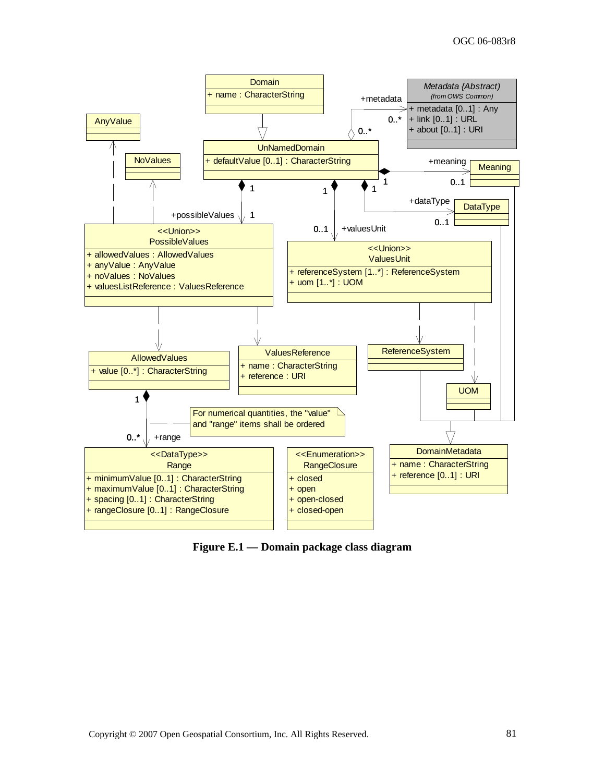

**Figure E.1 — Domain package class diagram**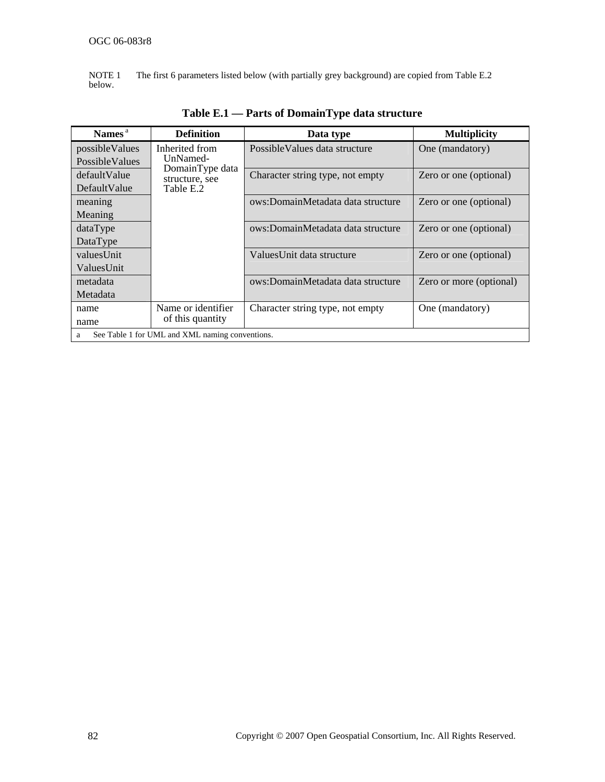The first 6 parameters listed below (with partially grey background) are copied from Table E.2 NOTE 1<br>below.

| Names <sup>a</sup>                                   | <b>Definition</b>                 | Data type                           | <b>Multiplicity</b>     |
|------------------------------------------------------|-----------------------------------|-------------------------------------|-------------------------|
| possibleValues                                       | Inherited from                    | Possible Values data structure      | One (mandatory)         |
| PossibleValues                                       | UnNamed-                          |                                     |                         |
| defaultValue                                         | DomainType data<br>structure, see | Character string type, not empty    | Zero or one (optional)  |
| DefaultValue                                         | Table E.2                         |                                     |                         |
| meaning                                              |                                   | ows:DomainMetadata data structure   | Zero or one (optional)  |
| Meaning                                              |                                   |                                     |                         |
| dataType                                             |                                   | ows:DomainMetadata data structure   | Zero or one (optional)  |
| DataType                                             |                                   |                                     |                         |
| valuesUnit                                           |                                   | ValuesUnit data structure           | Zero or one (optional)  |
| ValuesUnit                                           |                                   |                                     |                         |
| metadata                                             |                                   | ows: Domain Metadata data structure | Zero or more (optional) |
| Metadata                                             |                                   |                                     |                         |
| name                                                 | Name or identifier                | Character string type, not empty    | One (mandatory)         |
| name                                                 | of this quantity                  |                                     |                         |
| See Table 1 for UML and XML naming conventions.<br>a |                                   |                                     |                         |

**Table E.1 — Parts of DomainType data structure**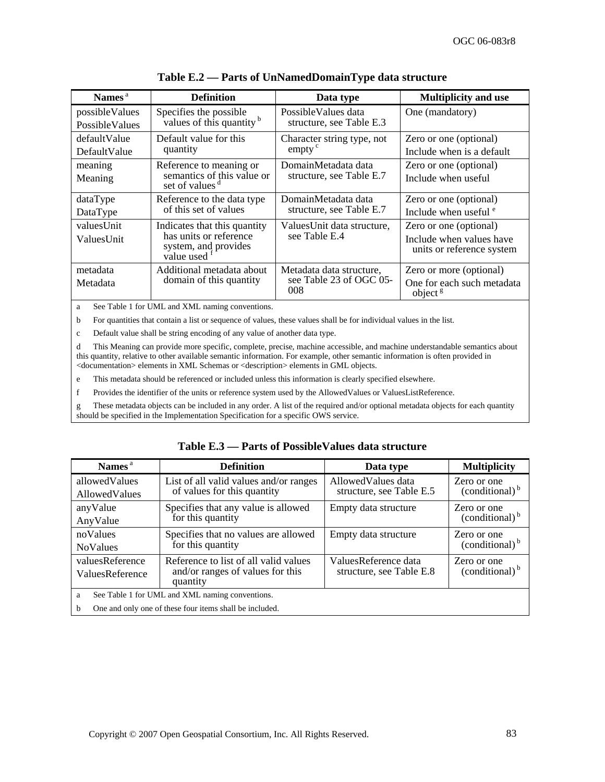| Names <sup>a</sup>               | <b>Definition</b>                                                                              | Data type                                                  | <b>Multiplicity and use</b>                                                     |
|----------------------------------|------------------------------------------------------------------------------------------------|------------------------------------------------------------|---------------------------------------------------------------------------------|
| possibleValues<br>PossibleValues | Specifies the possible values of this quantity $\frac{b}{c}$                                   | Possible Values data<br>structure, see Table E.3           | One (mandatory)                                                                 |
| defaultValue<br>DefaultValue     | Default value for this<br>quantity                                                             | Character string type, not<br>$empty^c$                    | Zero or one (optional)<br>Include when is a default                             |
| meaning<br>Meaning               | Reference to meaning or<br>semantics of this value or<br>set of values <sup>d</sup>            | DomainMetadata data<br>structure, see Table E.7            | Zero or one (optional)<br>Include when useful                                   |
| dataType<br>DataType             | Reference to the data type<br>of this set of values                                            | DomainMetadata data<br>structure, see Table E.7            | Zero or one (optional)<br>Include when useful <sup>e</sup>                      |
| valuesUnit<br>ValuesUnit         | Indicates that this quantity<br>has units or reference<br>system, and provides<br>value used f | Values Unit data structure,<br>see Table E.4               | Zero or one (optional)<br>Include when values have<br>units or reference system |
| metadata<br>Metadata             | Additional metadata about<br>domain of this quantity                                           | Metadata data structure,<br>see Table 23 of OGC 05-<br>008 | Zero or more (optional)<br>One for each such metadata<br>object <sup>g</sup>    |

a See Table 1 for UML and XML naming conventions.

b For quantities that contain a list or sequence of values, these values shall be for individual values in the list.

c Default value shall be string encoding of any value of another data type.

d This Meaning can provide more specific, complete, precise, machine accessible, and machine understandable semantics about this quantity, relative to other available semantic information. For example, other semantic information is often provided in <documentation> elements in XML Schemas or <description> elements in GML objects.

e This metadata should be referenced or included unless this information is clearly specified elsewhere.

f Provides the identifier of the units or reference system used by the AllowedValues or ValuesListReference.

g These metadata objects can be included in any order. A list of the required and/or optional metadata objects for each quantity should be specified in the Implementation Specification for a specific OWS service.

| Names <sup>a</sup>                                   | <b>Definition</b>                                       | Data type                | <b>Multiplicity</b>        |
|------------------------------------------------------|---------------------------------------------------------|--------------------------|----------------------------|
| allowedValues                                        | List of all valid values and/or ranges                  | Allowed Values data      | Zero or one                |
| <b>AllowedValues</b>                                 | of values for this quantity                             | structure, see Table E.5 | (conditional) <sup>b</sup> |
| anyValue                                             | Specifies that any value is allowed                     | Empty data structure     | Zero or one                |
| AnyValue                                             | for this quantity                                       |                          | (conditional) $b$          |
| noValues                                             | Specifies that no values are allowed                    | Empty data structure     | Zero or one                |
| <b>NoValues</b>                                      | for this quantity                                       |                          | (conditional) <sup>b</sup> |
| valuesReference                                      | Reference to list of all valid values                   | ValuesReference data     | Zero or one                |
| ValuesReference                                      | and/or ranges of values for this<br>quantity            | structure, see Table E.8 | (conditional) $b$          |
| See Table 1 for UML and XML naming conventions.<br>a |                                                         |                          |                            |
| b.                                                   | One and only one of these four items shall be included. |                          |                            |

**Table E.3 — Parts of PossibleValues data structure**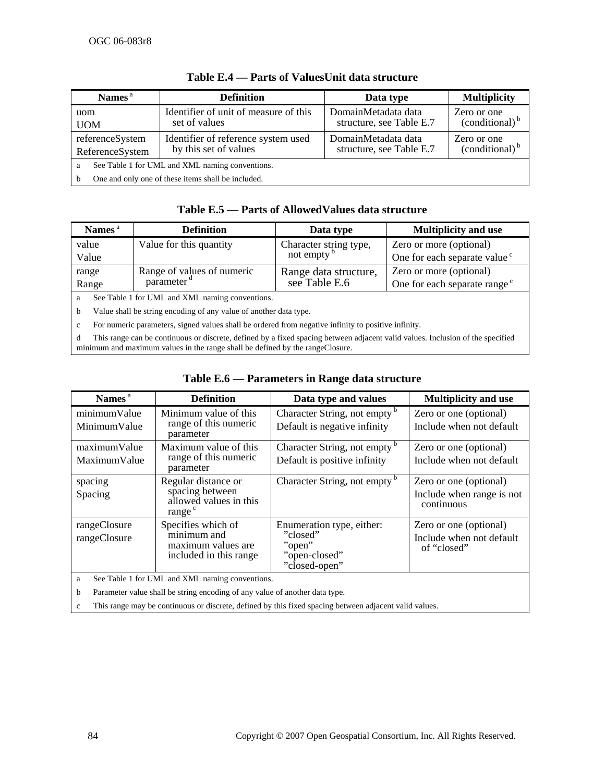| Names <sup>a</sup>                                      | <b>Definition</b>                                                                                               | Data type                                       |                                  |
|---------------------------------------------------------|-----------------------------------------------------------------------------------------------------------------|-------------------------------------------------|----------------------------------|
| uom<br><b>UOM</b>                                       | Identifier of unit of measure of this<br>set of values                                                          | DomainMetadata data<br>structure, see Table E.7 | Zero or one<br>(conditional) $b$ |
| referenceSystem<br>ReferenceSystem                      | DomainMetadata data<br>Identifier of reference system used<br>by this set of values<br>structure, see Table E.7 |                                                 | Zero or one<br>(conditional) $b$ |
| See Table 1 for UML and XML naming conventions.<br>a    |                                                                                                                 |                                                 |                                  |
| One and only one of these items shall be included.<br>b |                                                                                                                 |                                                 |                                  |

**Table E.4 — Parts of ValuesUnit data structure** 

## **Table E.5 — Parts of AllowedValues data structure**

| Zero or more (optional)                  |
|------------------------------------------|
| One for each separate value <sup>c</sup> |
| Zero or more (optional)                  |
| One for each separate range <sup>c</sup> |
|                                          |

a See Table 1 for UML and XML naming conventions.

b Value shall be string encoding of any value of another data type.

c For numeric parameters, signed values shall be ordered from negative infinity to positive infinity.

d This range can be continuous or discrete, defined by a fixed spacing between adjacent valid values. Inclusion of the specified minimum and maximum values in the range shall be defined by the rangeClosure.

| Names <sup>a</sup>                                   | <b>Definition</b>                                                                      | Data type and values                                                              | <b>Multiplicity and use</b>                                       |
|------------------------------------------------------|----------------------------------------------------------------------------------------|-----------------------------------------------------------------------------------|-------------------------------------------------------------------|
| minimumValue<br>MinimumValue                         | Minimum value of this<br>range of this numeric<br>parameter                            | Character String, not empty <sup>b</sup><br>Default is negative infinity          | Zero or one (optional)<br>Include when not default                |
| maximumValue<br>MaximumValue                         | Maximum value of this<br>range of this numeric<br>parameter                            | Character String, not empty <sup>b</sup><br>Default is positive infinity          | Zero or one (optional)<br>Include when not default                |
| spacing<br>Spacing                                   | Regular distance or<br>spacing between<br>allowed values in this<br>range <sup>c</sup> | Character String, not empty <sup>b</sup>                                          | Zero or one (optional)<br>Include when range is not<br>continuous |
| rangeClosure<br>rangeClosure                         | Specifies which of<br>minimum and<br>maximum values are<br>included in this range      | Enumeration type, either:<br>"closed"<br>"open"<br>"open-closed"<br>"closed-open" | Zero or one (optional)<br>Include when not default<br>of "closed" |
| See Table 1 for UML and XML naming conventions.<br>a |                                                                                        |                                                                                   |                                                                   |

b Parameter value shall be string encoding of any value of another data type.

c This range may be continuous or discrete, defined by this fixed spacing between adjacent valid values.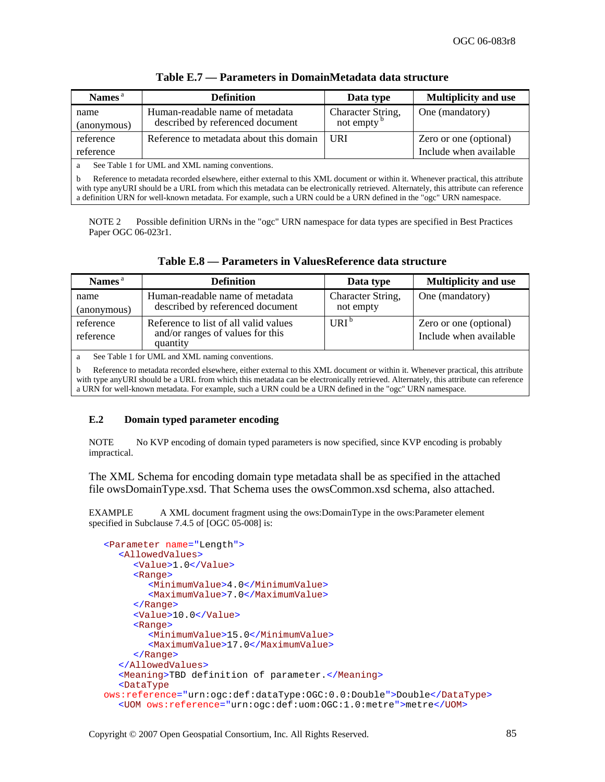| Names <sup>a</sup>                                                                                                                   | <b>Definition</b>                                                   | Data type                                   | <b>Multiplicity and use</b> |
|--------------------------------------------------------------------------------------------------------------------------------------|---------------------------------------------------------------------|---------------------------------------------|-----------------------------|
| name<br>(anonymous)                                                                                                                  | Human-readable name of metadata<br>described by referenced document | Character String,<br>not empty <sup>b</sup> | One (mandatory)             |
| reference                                                                                                                            | Reference to metadata about this domain                             | <b>URI</b>                                  | Zero or one (optional)      |
| reference                                                                                                                            |                                                                     |                                             | Include when available      |
| See Table 1 for UML and XML naming conventions.<br>a                                                                                 |                                                                     |                                             |                             |
| Reference to metadata recorded elsewhere, either external to this XML document or within it. Whenever practical, this attribute<br>b |                                                                     |                                             |                             |

| Table E.7 — Parameters in DomainMetadata data structure |  |  |
|---------------------------------------------------------|--|--|
|---------------------------------------------------------|--|--|

with type anyURI should be a URL from which this metadata can be electronically retrieved. Alternately, this attribute can reference a definition URN for well-known metadata. For example, such a URN could be a URN defined in the "ogc" URN namespace.

NOTE 2 Possible definition URNs in the "ogc" URN namespace for data types are specified in Best Practices Paper OGC 06-023r1.

| Names <sup>a</sup>                                                                                                                                                                            | <b>Definition</b>                                                                     | Data type                      | <b>Multiplicity and use</b>                      |
|-----------------------------------------------------------------------------------------------------------------------------------------------------------------------------------------------|---------------------------------------------------------------------------------------|--------------------------------|--------------------------------------------------|
| name<br>(anonymous)                                                                                                                                                                           | Human-readable name of metadata<br>described by referenced document                   | Character String,<br>not empty | One (mandatory)                                  |
| reference<br>reference                                                                                                                                                                        | Reference to list of all valid values<br>and/or ranges of values for this<br>quantity | URI <sup>b</sup>               | Zero or one (optional)<br>Include when available |
| See Table 1 for UML and XML naming conventions.<br>a                                                                                                                                          |                                                                                       |                                |                                                  |
| Reference to metadata recorded elsewhere, either external to this XML document or within it. Whenever practical, this attribute<br>b<br>TIME 1 111 TIME A  111  1  1  1  1  1  1   1        . |                                                                                       |                                |                                                  |

## **Table E.8 — Parameters in ValuesReference data structure**

with type anyURI should be a URL from which this metadata can be electronically retrieved. Alternately, this attribute can reference a URN for well-known metadata. For example, such a URN could be a URN defined in the "ogc" URN namespace.

### **E.2 Domain typed parameter encoding**

NOTE No KVP encoding of domain typed parameters is now specified, since KVP encoding is probably impractical.

The XML Schema for encoding domain type metadata shall be as specified in the attached file owsDomainType.xsd. That Schema uses the owsCommon.xsd schema, also attached.

EXAMPLE A XML document fragment using the ows:DomainType in the ows:Parameter element specified in Subclause 7.4.5 of [OGC 05-008] is:

```
<Parameter name="Length">
  <AllowedValues>
      <Value>1.0</Value>
      <Range>
         <MinimumValue>4.0</MinimumValue>
         <MaximumValue>7.0</MaximumValue>
      </Range>
      <Value>10.0</Value>
      <Range>
         <MinimumValue>15.0</MinimumValue>
         <MaximumValue>17.0</MaximumValue>
      </Range>
  </AllowedValues>
  <Meaning>TBD definition of parameter.</Meaning>
  <DataType
ows:reference="urn:ogc:def:dataType:OGC:0.0:Double">Double</DataType>
  <UOM ows:reference="urn:ogc:def:uom:OGC:1.0:metre">metre</UOM>
```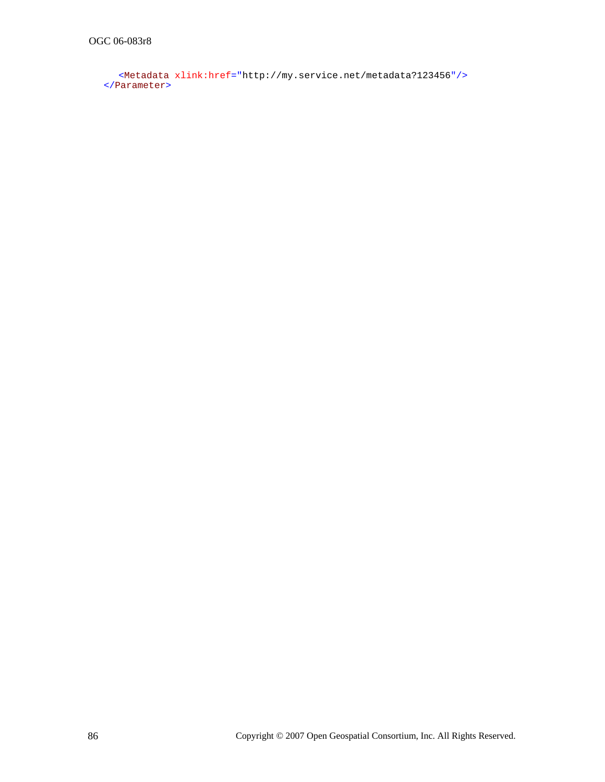<Metadata xlink:href="http://my.service.net/metadata?123456"/> </Parameter>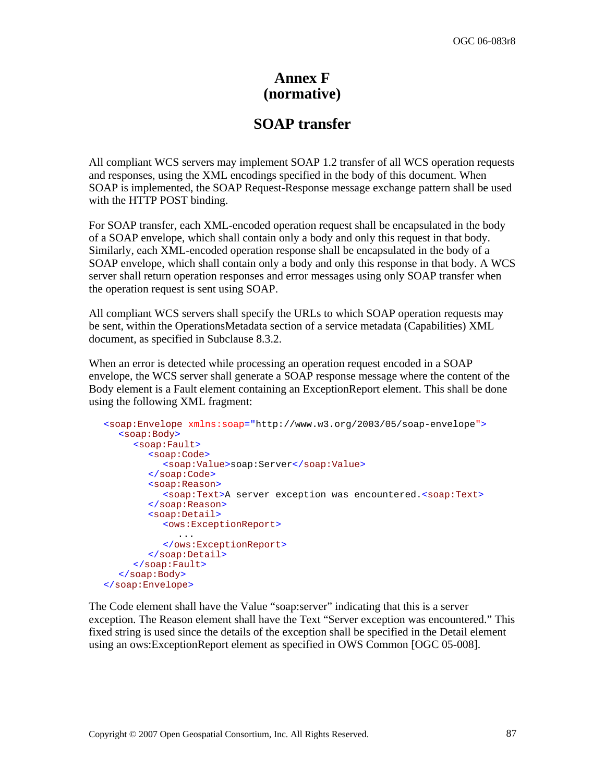## **Annex F (normative)**

## **SOAP transfer**

All compliant WCS servers may implement SOAP 1.2 transfer of all WCS operation requests and responses, using the XML encodings specified in the body of this document. When SOAP is implemented, the SOAP Request-Response message exchange pattern shall be used with the HTTP POST binding.

For SOAP transfer, each XML-encoded operation request shall be encapsulated in the body of a SOAP envelope, which shall contain only a body and only this request in that body. Similarly, each XML-encoded operation response shall be encapsulated in the body of a SOAP envelope, which shall contain only a body and only this response in that body. A WCS server shall return operation responses and error messages using only SOAP transfer when the operation request is sent using SOAP.

All compliant WCS servers shall specify the URLs to which SOAP operation requests may be sent, within the OperationsMetadata section of a service metadata (Capabilities) XML document, as specified in Subclause 8.3.2.

When an error is detected while processing an operation request encoded in a SOAP envelope, the WCS server shall generate a SOAP response message where the content of the Body element is a Fault element containing an ExceptionReport element. This shall be done using the following XML fragment:

```
<soap:Envelope xmlns:soap="http://www.w3.org/2003/05/soap-envelope">
  <soap:Body>
      <soap:Fault>
         <soap:Code>
            <soap:Value>soap:Server</soap:Value>
         </soap:Code>
         <soap:Reason>
            <soap:Text>A server exception was encountered.<soap:Text>
         </soap:Reason>
         <soap:Detail>
            <ows:ExceptionReport>
               ... 
            </ows:ExceptionReport>
         </soap:Detail>
      </soap:Fault>
  </soap:Body>
</soap:Envelope>
```
The Code element shall have the Value "soap:server" indicating that this is a server exception. The Reason element shall have the Text "Server exception was encountered." This fixed string is used since the details of the exception shall be specified in the Detail element using an ows:ExceptionReport element as specified in OWS Common [OGC 05-008].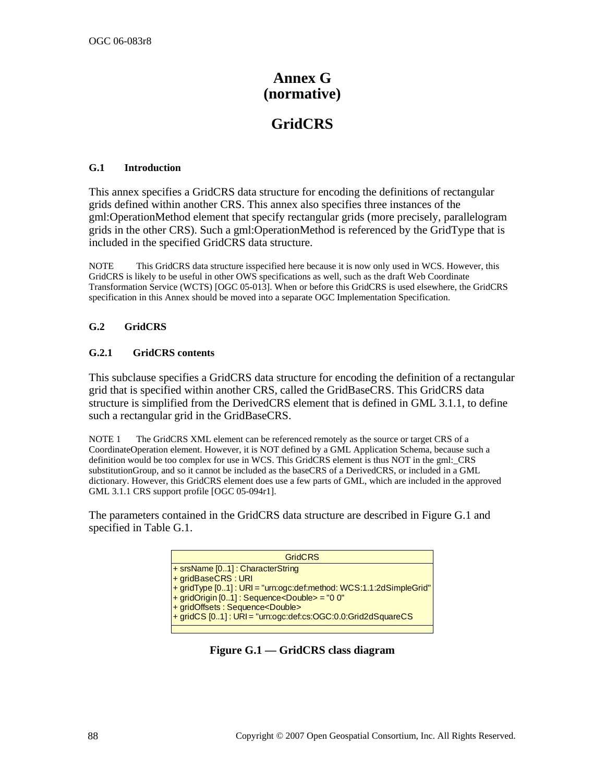# **Annex G (normative)**

# **GridCRS**

### **G.1 Introduction**

This annex specifies a GridCRS data structure for encoding the definitions of rectangular grids defined within another CRS. This annex also specifies three instances of the gml:OperationMethod element that specify rectangular grids (more precisely, parallelogram grids in the other CRS). Such a gml:OperationMethod is referenced by the GridType that is included in the specified GridCRS data structure.

NOTE This GridCRS data structure isspecified here because it is now only used in WCS. However, this GridCRS is likely to be useful in other OWS specifications as well, such as the draft Web Coordinate Transformation Service (WCTS) [OGC 05-013]. When or before this GridCRS is used elsewhere, the GridCRS specification in this Annex should be moved into a separate OGC Implementation Specification.

### **G.2 GridCRS**

### **G.2.1 GridCRS contents**

This subclause specifies a GridCRS data structure for encoding the definition of a rectangular grid that is specified within another CRS, called the GridBaseCRS. This GridCRS data structure is simplified from the DerivedCRS element that is defined in GML 3.1.1, to define such a rectangular grid in the GridBaseCRS.

NOTE 1 The GridCRS XML element can be referenced remotely as the source or target CRS of a CoordinateOperation element. However, it is NOT defined by a GML Application Schema, because such a definition would be too complex for use in WCS. This GridCRS element is thus NOT in the gml:\_CRS substitutionGroup, and so it cannot be included as the baseCRS of a DerivedCRS, or included in a GML dictionary. However, this GridCRS element does use a few parts of GML, which are included in the approved GML 3.1.1 CRS support profile [OGC 05-094r1].

The parameters contained in the GridCRS data structure are described in Figure G.1 and specified in Table G.1.

| <b>GridCRS</b>                                                        |
|-----------------------------------------------------------------------|
| + srsName [01] : CharacterString                                      |
| + gridBaseCRS : URI                                                   |
| + gridType [01] : URI = "urn:ogc:def:method: WCS:1.1:2dSimpleGrid"    |
| + gridOrigin $[01]$ : Sequence <double> = <math>"0 0"</math></double> |
| + gridOffsets : Sequence <double></double>                            |
| + gridCS [01] : URI = "urn:ogc:def:cs:OGC:0.0:Grid2dSquareCS          |
|                                                                       |

**Figure G.1 — GridCRS class diagram**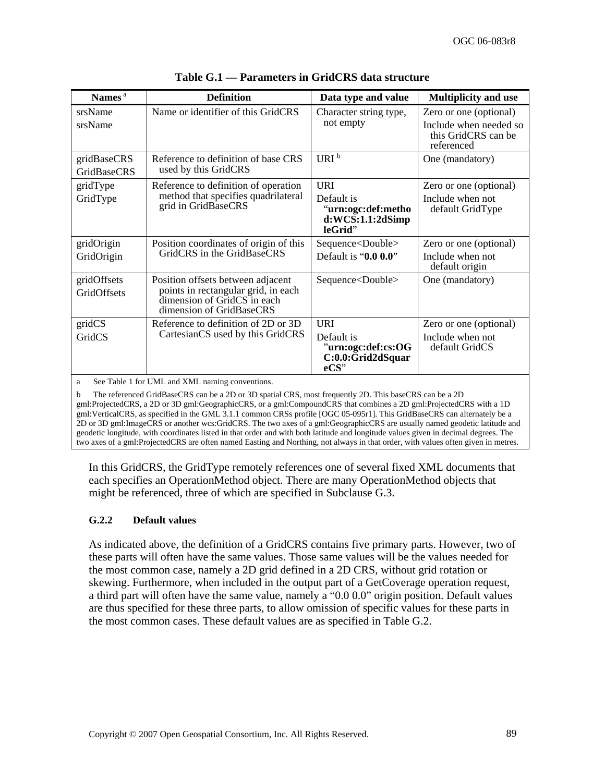| Names <sup>a</sup>                | <b>Definition</b>                                                                                                                   | Data type and value                                                            | <b>Multiplicity and use</b>                                                           |
|-----------------------------------|-------------------------------------------------------------------------------------------------------------------------------------|--------------------------------------------------------------------------------|---------------------------------------------------------------------------------------|
| srsName<br>srsName                | Name or identifier of this GridCRS                                                                                                  | Character string type,<br>not empty                                            | Zero or one (optional)<br>Include when needed so<br>this GridCRS can be<br>referenced |
| gridBaseCRS<br><b>GridBaseCRS</b> | Reference to definition of base CRS<br>used by this GridCRS                                                                         | URI $^{\rm b}$                                                                 | One (mandatory)                                                                       |
| gridType<br>GridType              | Reference to definition of operation<br>method that specifies quadrilateral<br>grid in GridBaseCRS                                  | <b>URI</b><br>Default is<br>"urn:ogc:def:metho<br>d: WCS:1.1:2dSimp<br>leGrid" | Zero or one (optional)<br>Include when not<br>default GridType                        |
| gridOrigin<br>GridOrigin          | Position coordinates of origin of this<br>GridCRS in the GridBaseCRS                                                                | Sequence <double><br/>Default is "<math>0.0</math> <math>0.0</math>"</double>  | Zero or one (optional)<br>Include when not<br>default origin                          |
| gridOffsets<br>GridOffsets        | Position offsets between adjacent<br>points in rectangular grid, in each<br>dimension of GridCS in each<br>dimension of GridBaseCRS | Sequence <double></double>                                                     | One (mandatory)                                                                       |
| gridCS<br>GridCS                  | Reference to definition of 2D or 3D<br>CartesianCS used by this GridCRS                                                             | <b>URI</b><br>Default is<br>"urn:ogc:def:cs:OG<br>C:0.0:Grid2dSquar<br>$eCS$ " | Zero or one (optional)<br>Include when not<br>default GridCS                          |

**Table G.1 — Parameters in GridCRS data structure** 

a See Table 1 for UML and XML naming conventions.

b The referenced GridBaseCRS can be a 2D or 3D spatial CRS, most frequently 2D. This baseCRS can be a 2D gml:ProjectedCRS, a 2D or 3D gml:GeographicCRS, or a gml:CompoundCRS that combines a 2D gml:ProjectedCRS with a 1D gml:VerticalCRS, as specified in the GML 3.1.1 common CRSs profile [OGC 05-095r1]. This GridBaseCRS can alternately be a 2D or 3D gml:ImageCRS or another wcs:GridCRS. The two axes of a gml:GeographicCRS are usually named geodetic latitude and geodetic longitude, with coordinates listed in that order and with both latitude and longitude values given in decimal degrees. The two axes of a gml:ProjectedCRS are often named Easting and Northing, not always in that order, with values often given in metres.

In this GridCRS, the GridType remotely references one of several fixed XML documents that each specifies an OperationMethod object. There are many OperationMethod objects that might be referenced, three of which are specified in Subclause G.3.

### **G.2.2 Default values**

As indicated above, the definition of a GridCRS contains five primary parts. However, two of these parts will often have the same values. Those same values will be the values needed for the most common case, namely a 2D grid defined in a 2D CRS, without grid rotation or skewing. Furthermore, when included in the output part of a GetCoverage operation request, a third part will often have the same value, namely a "0.0 0.0" origin position. Default values are thus specified for these three parts, to allow omission of specific values for these parts in the most common cases. These default values are as specified in Table G.2.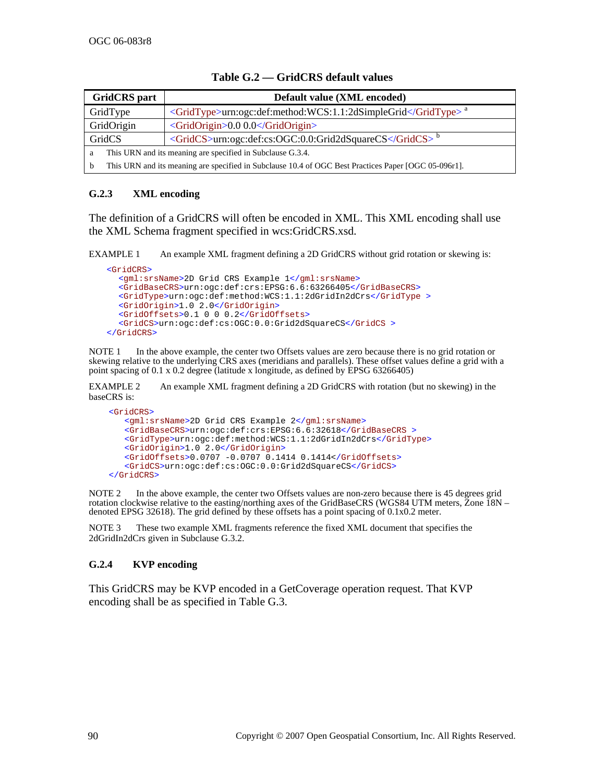| <b>GridCRS</b> part                                                                                       | Default value (XML encoded)                                               |  |
|-----------------------------------------------------------------------------------------------------------|---------------------------------------------------------------------------|--|
| GridType                                                                                                  | <gridtype>urn:ogc:def:method:WCS:1.1:2dSimpleGrid</gridtype> <sup>a</sup> |  |
| GridOrigin<br><gridorigin>0.0 0.0</gridorigin>                                                            |                                                                           |  |
| <gridcs>urn:ogc:def:cs:OGC:0.0:Grid2dSquareCS</gridcs> b<br>GridCS                                        |                                                                           |  |
| This URN and its meaning are specified in Subclause G.3.4.<br>a                                           |                                                                           |  |
| This URN and its meaning are specified in Subclause 10.4 of OGC Best Practices Paper [OGC 05-096r1].<br>b |                                                                           |  |

### **Table G.2 — GridCRS default values**

### **G.2.3 XML encoding**

The definition of a GridCRS will often be encoded in XML. This XML encoding shall use the XML Schema fragment specified in wcs:GridCRS.xsd.

EXAMPLE 1 An example XML fragment defining a 2D GridCRS without grid rotation or skewing is:

```
<GridCRS>
  <gml:srsName>2D Grid CRS Example 1</gml:srsName>
  <GridBaseCRS>urn:ogc:def:crs:EPSG:6.6:63266405</GridBaseCRS>
  <GridType>urn:ogc:def:method:WCS:1.1:2dGridIn2dCrs</GridType >
  <GridOrigin>1.0 2.0</GridOrigin>
  <GridOffsets>0.1 0 0 0.2</GridOffsets>
  <GridCS>urn:ogc:def:cs:OGC:0.0:Grid2dSquareCS</GridCS >
</GridCRS>
```
NOTE 1 In the above example, the center two Offsets values are zero because there is no grid rotation or skewing relative to the underlying CRS axes (meridians and parallels). These offset values define a grid with a point spacing of 0.1 x 0.2 degree (latitude x longitude, as defined by EPSG 63266405)

EXAMPLE 2 An example XML fragment defining a 2D GridCRS with rotation (but no skewing) in the baseCRS is:

```
<GridCRS>
   <gml:srsName>2D Grid CRS Example 2</gml:srsName>
   <GridBaseCRS>urn:ogc:def:crs:EPSG:6.6:32618</GridBaseCRS >
   <GridType>urn:ogc:def:method:WCS:1.1:2dGridIn2dCrs</GridType>
   <GridOrigin>1.0 2.0</GridOrigin>
   <GridOffsets>0.0707 -0.0707 0.1414 0.1414</GridOffsets>
   <GridCS>urn:ogc:def:cs:OGC:0.0:Grid2dSquareCS</GridCS>
</GridCRS>
```
NOTE 2 In the above example, the center two Offsets values are non-zero because there is 45 degrees grid rotation clockwise relative to the easting/northing axes of the GridBaseCRS (WGS84 UTM meters, Zone 18N – denoted EPSG 32618). The grid defined by these offsets has a point spacing of 0.1x0.2 meter.

NOTE 3 These two example XML fragments reference the fixed XML document that specifies the 2dGridIn2dCrs given in Subclause G.3.2.

### **G.2.4 KVP encoding**

This GridCRS may be KVP encoded in a GetCoverage operation request. That KVP encoding shall be as specified in Table G.3.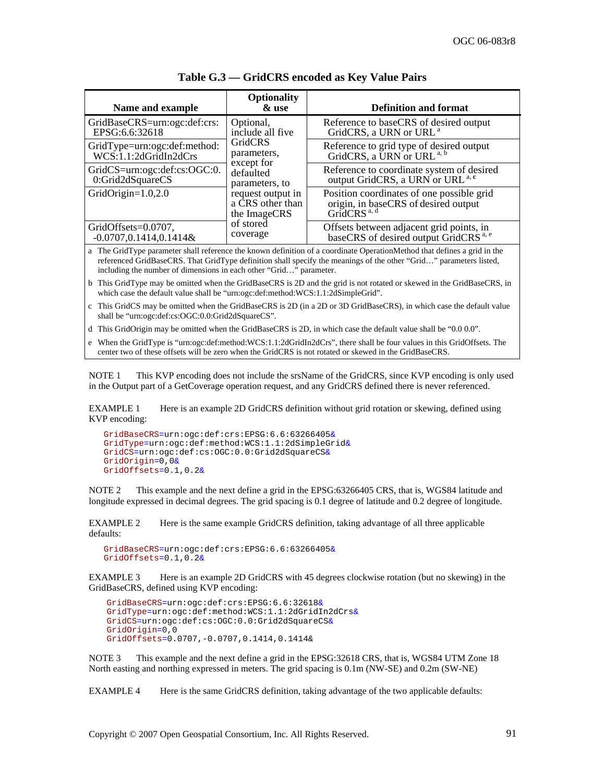| Name and example                                      | <b>Optionality</b><br>& use                                                                                                                                  | <b>Definition and format</b>                                                                                 |  |
|-------------------------------------------------------|--------------------------------------------------------------------------------------------------------------------------------------------------------------|--------------------------------------------------------------------------------------------------------------|--|
| GridBaseCRS=urn:ogc:def:crs:<br>EPSG:6.6:32618        | Optional,<br>include all five                                                                                                                                | Reference to baseCRS of desired output<br>GridCRS, a URN or URL <sup>a</sup>                                 |  |
| GridType=urn:ogc:def:method:<br>WCS:1.1:2dGridIn2dCrs | <b>GridCRS</b><br>parameters,<br>except for<br>defaulted<br>parameters, to<br>request output in<br>a CRS other than<br>the ImageCRS<br>of stored<br>coverage | Reference to grid type of desired output<br>GridCRS, a URN or URL <sup>a, b</sup>                            |  |
| GridCS=urn:ogc:def:cs:OGC:0.<br>0:Grid2dSquareCS      |                                                                                                                                                              | Reference to coordinate system of desired<br>output GridCRS, a URN or URL <sup>a, c</sup>                    |  |
| GridOrigin= $1.0,2.0$                                 |                                                                                                                                                              | Position coordinates of one possible grid<br>origin, in baseCRS of desired output<br>GridCRS <sup>a, d</sup> |  |
| GridOffsets=0.0707,<br>$-0.0707, 0.1414, 0.1414 \&$   |                                                                                                                                                              | Offsets between adjacent grid points, in<br>baseCRS of desired output GridCRS <sup>a, e</sup>                |  |

| Table G.3 – GridCRS encoded as Key Value Pairs |  |  |  |  |  |
|------------------------------------------------|--|--|--|--|--|
|------------------------------------------------|--|--|--|--|--|

a The GridType parameter shall reference the known definition of a coordinate OperationMethod that defines a grid in the referenced GridBaseCRS. That GridType definition shall specify the meanings of the other "Grid…" parameters listed, including the number of dimensions in each other "Grid…" parameter.

b This GridType may be omitted when the GridBaseCRS is 2D and the grid is not rotated or skewed in the GridBaseCRS, in which case the default value shall be "urn:ogc:def:method:WCS:1.1:2dSimpleGrid".

c This GridCS may be omitted when the GridBaseCRS is 2D (in a 2D or 3D GridBaseCRS), in which case the default value shall be "urn:ogc:def:cs:OGC:0.0:Grid2dSquareCS".

d This GridOrigin may be omitted when the GridBaseCRS is 2D, in which case the default value shall be "0.0 0.0".

e When the GridType is "urn:ogc:def:method:WCS:1.1:2dGridIn2dCrs", there shall be four values in this GridOffsets. The center two of these offsets will be zero when the GridCRS is not rotated or skewed in the GridBaseCRS.

NOTE 1 This KVP encoding does not include the srsName of the GridCRS, since KVP encoding is only used in the Output part of a GetCoverage operation request, and any GridCRS defined there is never referenced.

EXAMPLE 1 Here is an example 2D GridCRS definition without grid rotation or skewing, defined using KVP encoding:

GridBaseCRS=urn:ogc:def:crs:EPSG:6.6:63266405& GridType=urn:ogc:def:method:WCS:1.1:2dSimpleGrid& GridCS=urn:ogc:def:cs:OGC:0.0:Grid2dSquareCS& GridOrigin=0,0& GridOffsets=0.1,0.2&

NOTE 2 This example and the next define a grid in the EPSG:63266405 CRS, that is, WGS84 latitude and longitude expressed in decimal degrees. The grid spacing is 0.1 degree of latitude and 0.2 degree of longitude.

EXAMPLE 2 Here is the same example GridCRS definition, taking advantage of all three applicable defaults:

GridBaseCRS=urn:ogc:def:crs:EPSG:6.6:63266405& GridOffsets=0.1,0.2&

EXAMPLE 3 Here is an example 2D GridCRS with 45 degrees clockwise rotation (but no skewing) in the GridBaseCRS, defined using KVP encoding:

GridBaseCRS=urn:ogc:def:crs:EPSG:6.6:32618& GridType=urn:ogc:def:method:WCS:1.1:2dGridIn2dCrs& GridCS=urn:ogc:def:cs:OGC:0.0:Grid2dSquareCS& GridOrigin=0,0 GridOffsets=0.0707,-0.0707,0.1414,0.1414&

NOTE 3 This example and the next define a grid in the EPSG:32618 CRS, that is, WGS84 UTM Zone 18 North easting and northing expressed in meters. The grid spacing is 0.1m (NW-SE) and 0.2m (SW-NE)

EXAMPLE 4 Here is the same GridCRS definition, taking advantage of the two applicable defaults: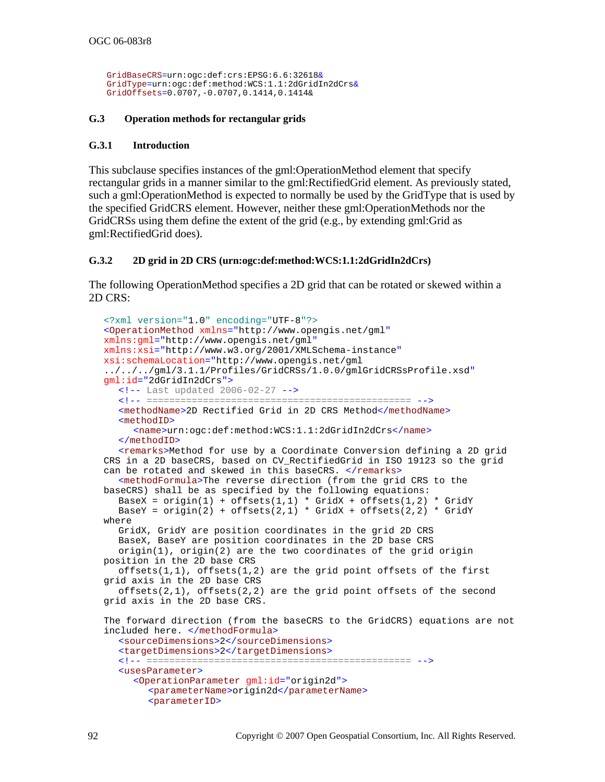```
GridBaseCRS=urn:ogc:def:crs:EPSG:6.6:32618&
GridType=urn:ogc:def:method:WCS:1.1:2dGridIn2dCrs&
GridOffsets=0.0707,-0.0707,0.1414,0.1414&
```
### **G.3 Operation methods for rectangular grids**

### **G.3.1 Introduction**

This subclause specifies instances of the gml:OperationMethod element that specify rectangular grids in a manner similar to the gml:RectifiedGrid element. As previously stated, such a gml:OperationMethod is expected to normally be used by the GridType that is used by the specified GridCRS element. However, neither these gml:OperationMethods nor the GridCRSs using them define the extent of the grid (e.g., by extending gml:Grid as gml:RectifiedGrid does).

### **G.3.2 2D grid in 2D CRS (urn:ogc:def:method:WCS:1.1:2dGridIn2dCrs)**

The following OperationMethod specifies a 2D grid that can be rotated or skewed within a 2D CRS:

```
<?xml version="1.0" encoding="UTF-8"?>
<OperationMethod xmlns="http://www.opengis.net/gml" 
xmlns:gml="http://www.opengis.net/gml" 
xmlns:xsi="http://www.w3.org/2001/XMLSchema-instance" 
xsi:schemaLocation="http://www.opengis.net/gml 
../../../gml/3.1.1/Profiles/GridCRSs/1.0.0/gmlGridCRSsProfile.xsd"
gml:id="2dGridIn2dCrs">
  \leftarrow -- Last updated 2006-02-27 -->
  <!-- =============================================== -->
  <methodName>2D Rectified Grid in 2D CRS Method</methodName>
  <methodID>
      <name>urn:ogc:def:method:WCS:1.1:2dGridIn2dCrs</name>
  </methodID>
  <remarks>Method for use by a Coordinate Conversion defining a 2D grid 
CRS in a 2D baseCRS, based on CV_RectifiedGrid in ISO 19123 so the grid 
can be rotated and skewed in this baseCRS. </remarks>
  <methodFormula>The reverse direction (from the grid CRS to the 
baseCRS) shall be as specified by the following equations: 
  BaseX = origin(1) + offsets(1,1) * GridX + offsets(1,2) * GridYBaseY = origin(2) + offsets(2,1) * GridX + offsets(2,2) * GridYwhere 
   GridX, GridY are position coordinates in the grid 2D CRS 
   BaseX, BaseY are position coordinates in the 2D base CRS 
   origin(1), origin(2) are the two coordinates of the grid origin 
position in the 2D base CRS 
  offsets(1,1), offsets(1,2) are the grid point offsets of the first
grid axis in the 2D base CRS 
  offsets(2,1), offsets(2,2) are the grid point offsets of the second
grid axis in the 2D base CRS. 
The forward direction (from the baseCRS to the GridCRS) equations are not 
included here. </methodFormula>
  <sourceDimensions>2</sourceDimensions>
  <targetDimensions>2</targetDimensions>
  <!-- =============================================== -->
  <usesParameter>
      <OperationParameter gml:id="origin2d">
         <parameterName>origin2d</parameterName>
         <parameterID>
```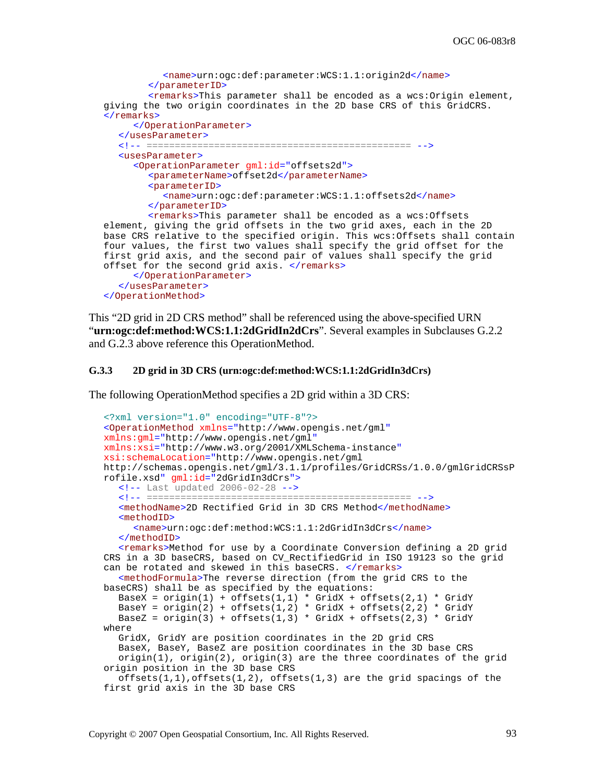```
 <name>urn:ogc:def:parameter:WCS:1.1:origin2d</name>
         </parameterID>
         <remarks>This parameter shall be encoded as a wcs:Origin element, 
giving the two origin coordinates in the 2D base CRS of this GridCRS. 
</remarks>
      </OperationParameter>
  </usesParameter>
  <!-- =============================================== -->
  <usesParameter>
      <OperationParameter gml:id="offsets2d">
         <parameterName>offset2d</parameterName>
         <parameterID>
           <name>urn:ogc:def:parameter:WCS:1.1:offsets2d</name>
         </parameterID>
         <remarks>This parameter shall be encoded as a wcs:Offsets 
element, giving the grid offsets in the two grid axes, each in the 2D 
base CRS relative to the specified origin. This wcs:Offsets shall contain 
four values, the first two values shall specify the grid offset for the 
first grid axis, and the second pair of values shall specify the grid 
offset for the second grid axis. </remarks>
      </OperationParameter>
  </usesParameter>
</OperationMethod>
```
This "2D grid in 2D CRS method" shall be referenced using the above-specified URN "**urn:ogc:def:method:WCS:1.1:2dGridIn2dCrs**". Several examples in Subclauses G.2.2 and G.2.3 above reference this OperationMethod.

#### **G.3.3 2D grid in 3D CRS (urn:ogc:def:method:WCS:1.1:2dGridIn3dCrs)**

The following OperationMethod specifies a 2D grid within a 3D CRS:

```
<?xml version="1.0" encoding="UTF-8"?>
<OperationMethod xmlns="http://www.opengis.net/gml" 
xmlns:gml="http://www.opengis.net/gml" 
xmlns:xsi="http://www.w3.org/2001/XMLSchema-instance" 
xsi:schemaLocation="http://www.opengis.net/gml 
http://schemas.opengis.net/gml/3.1.1/profiles/GridCRSs/1.0.0/gmlGridCRSsP
rofile.xsd" gml:id="2dGridIn3dCrs">
  <!-- Last updated 2006-02-28 -->
  <!-- =============================================== -->
  <methodName>2D Rectified Grid in 3D CRS Method</methodName>
  <methodID>
      <name>urn:ogc:def:method:WCS:1.1:2dGridIn3dCrs</name>
  </methodID>
  <remarks>Method for use by a Coordinate Conversion defining a 2D grid 
CRS in a 3D baseCRS, based on CV_RectifiedGrid in ISO 19123 so the grid 
can be rotated and skewed in this baseCRS. </remarks>
  <methodFormula>The reverse direction (from the grid CRS to the 
baseCRS) shall be as specified by the equations: 
  BaseX = origin(1) + offsets(1,1) * GridX + offsets(2,1) * GridYBaseY = origin(2) + offsets(1,2) * GridX + offsets(2,2) * GridYBaseZ = origin(3) + offsets(1,3) * GridX + offsets(2,3) * GridXwhere 
   GridX, GridY are position coordinates in the 2D grid CRS 
   BaseX, BaseY, BaseZ are position coordinates in the 3D base CRS 
   origin(1), origin(2), origin(3) are the three coordinates of the grid 
origin position in the 3D base CRS 
  offsets(1,1), offsets(1,2), offsets(1,3) are the grid spacings of the
first grid axis in the 3D base CRS
```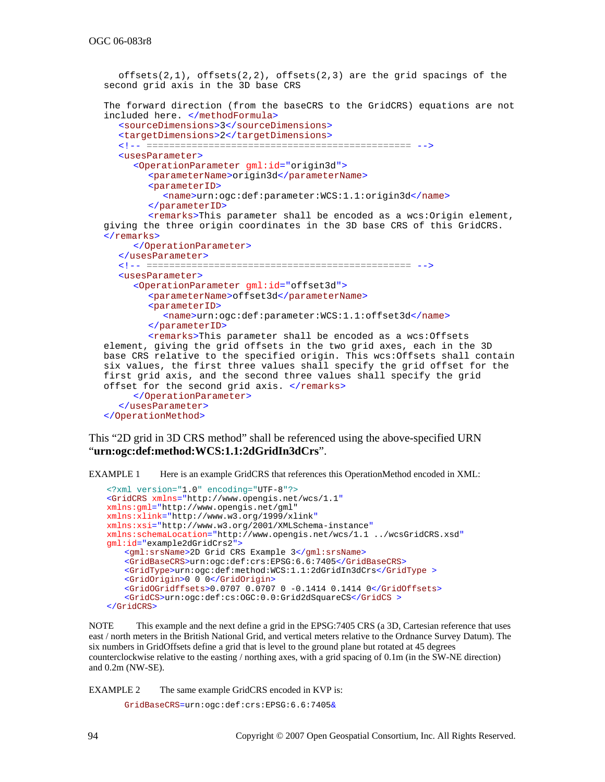```
offsets(2,1), offsets(2,2), offsets(2,3) are the grid spacings of the
second grid axis in the 3D base CRS 
The forward direction (from the baseCRS to the GridCRS) equations are not 
included here. </methodFormula>
  <sourceDimensions>3</sourceDimensions>
  <targetDimensions>2</targetDimensions>
  <!-- =============================================== -->
  <usesParameter>
      <OperationParameter gml:id="origin3d">
         <parameterName>origin3d</parameterName>
         <parameterID>
           <name>urn:ogc:def:parameter:WCS:1.1:origin3d</name>
         </parameterID>
         <remarks>This parameter shall be encoded as a wcs:Origin element, 
giving the three origin coordinates in the 3D base CRS of this GridCRS. 
</remarks>
      </OperationParameter>
  </usesParameter>
  <!-- =============================================== -->
  <usesParameter>
      <OperationParameter gml:id="offset3d">
         <parameterName>offset3d</parameterName>
         <parameterID>
            <name>urn:ogc:def:parameter:WCS:1.1:offset3d</name>
         </parameterID>
         <remarks>This parameter shall be encoded as a wcs:Offsets 
element, giving the grid offsets in the two grid axes, each in the 3D 
base CRS relative to the specified origin. This wcs:Offsets shall contain 
six values, the first three values shall specify the grid offset for the 
first grid axis, and the second three values shall specify the grid 
offset for the second grid axis. </remarks>
      </OperationParameter>
  </usesParameter>
</OperationMethod>
```
This "2D grid in 3D CRS method" shall be referenced using the above-specified URN "**urn:ogc:def:method:WCS:1.1:2dGridIn3dCrs**".

EXAMPLE 1 Here is an example GridCRS that references this OperationMethod encoded in XML:

```
<?xml version="1.0" encoding="UTF-8"?> 
<GridCRS xmlns="http://www.opengis.net/wcs/1.1"
xmlns:gml="http://www.opengis.net/gml" 
xmlns:xlink="http://www.w3.org/1999/xlink"
xmlns:xsi="http://www.w3.org/2001/XMLSchema-instance"
xmlns:schemaLocation="http://www.opengis.net/wcs/1.1 ../wcsGridCRS.xsd"
gml:id="example2dGridCrs2">
   <gml:srsName>2D Grid CRS Example 3</gml:srsName>
   <GridBaseCRS>urn:ogc:def:crs:EPSG:6.6:7405</GridBaseCRS>
   <GridType>urn:ogc:def:method:WCS:1.1:2dGridIn3dCrs</GridType >
   <GridOrigin>0 0 0</GridOrigin>
   <GridOGridffsets>0.0707 0.0707 0 -0.1414 0.1414 0</GridOffsets>
   <GridCS>urn:ogc:def:cs:OGC:0.0:Grid2dSquareCS</GridCS >
</GridCRS>
```
NOTE This example and the next define a grid in the EPSG:7405 CRS (a 3D, Cartesian reference that uses east / north meters in the British National Grid, and vertical meters relative to the Ordnance Survey Datum). The six numbers in GridOffsets define a grid that is level to the ground plane but rotated at 45 degrees counterclockwise relative to the easting / northing axes, with a grid spacing of 0.1m (in the SW-NE direction) and 0.2m (NW-SE).

EXAMPLE 2 The same example GridCRS encoded in KVP is:

```
 GridBaseCRS=urn:ogc:def:crs:EPSG:6.6:7405&
```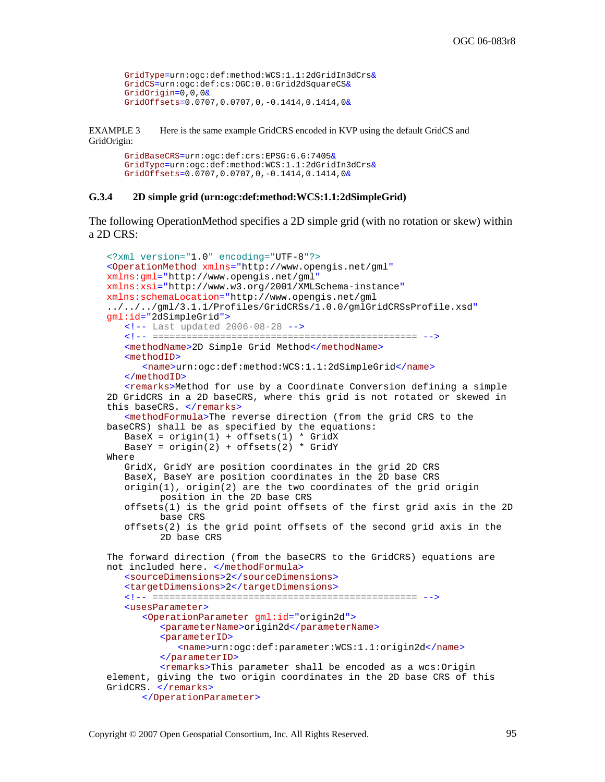```
GridType=urn:ogc:def:method:WCS:1.1:2dGridIn3dCrs&
 GridCS=urn:ogc:def:cs:OGC:0.0:Grid2dSquareCS&
 GridOrigin=0,0,0&
 GridOffsets=0.0707,0.0707,0,-0.1414,0.1414,0&
```
EXAMPLE 3 Here is the same example GridCRS encoded in KVP using the default GridCS and GridOrigin:

```
 GridBaseCRS=urn:ogc:def:crs:EPSG:6.6:7405&
GridType=urn:ogc:def:method:WCS:1.1:2dGridIn3dCrs&
 GridOffsets=0.0707,0.0707,0,-0.1414,0.1414,0&
```
## **G.3.4 2D simple grid (urn:ogc:def:method:WCS:1.1:2dSimpleGrid)**

The following OperationMethod specifies a 2D simple grid (with no rotation or skew) within a 2D CRS:

```
<?xml version="1.0" encoding="UTF-8"?> 
<OperationMethod xmlns="http://www.opengis.net/gml"
xmlns:gml="http://www.opengis.net/gml"
xmlns:xsi="http://www.w3.org/2001/XMLSchema-instance"
xmlns:schemaLocation="http://www.opengis.net/gml 
../../../gml/3.1.1/Profiles/GridCRSs/1.0.0/gmlGridCRSsProfile.xsd"
gml:id="2dSimpleGrid">
   <!-- Last updated 2006-08-28 -->
   <!-- =============================================== -->
   <methodName>2D Simple Grid Method</methodName>
   <methodID>
       <name>urn:ogc:def:method:WCS:1.1:2dSimpleGrid</name>
   </methodID>
   <remarks>Method for use by a Coordinate Conversion defining a simple 
2D GridCRS in a 2D baseCRS, where this grid is not rotated or skewed in 
this baseCRS. </remarks>
   <methodFormula>The reverse direction (from the grid CRS to the 
baseCRS) shall be as specified by the equations: 
   BaseX = origin(1) + offsets(1) * GridX)BaseY = origin(2) + offsets(2) * GridY)Where 
    GridX, GridY are position coordinates in the grid 2D CRS 
    BaseX, BaseY are position coordinates in the 2D base CRS 
   origin(1), origin(2) are the two coordinates of the grid origin
         position in the 2D base CRS 
    offsets(1) is the grid point offsets of the first grid axis in the 2D 
         base CRS 
    offsets(2) is the grid point offsets of the second grid axis in the 
         2D base CRS 
The forward direction (from the baseCRS to the GridCRS) equations are 
not included here. </methodFormula>
   <sourceDimensions>2</sourceDimensions>
   <targetDimensions>2</targetDimensions>
   <!-- =============================================== -->
   <usesParameter>
       <OperationParameter gml:id="origin2d">
          <parameterName>origin2d</parameterName>
          <parameterID>
              <name>urn:ogc:def:parameter:WCS:1.1:origin2d</name>
          </parameterID>
          <remarks>This parameter shall be encoded as a wcs:Origin 
element, giving the two origin coordinates in the 2D base CRS of this 
GridCRS. </remarks>
       </OperationParameter>
```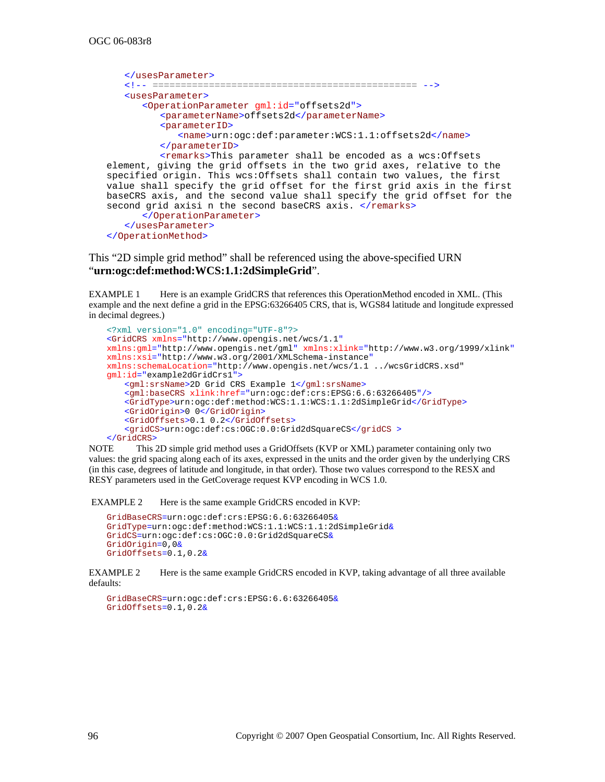```
</usesParameter>
   <!-- =============================================== -->
   <usesParameter>
       <OperationParameter gml:id="offsets2d">
          <parameterName>offsets2d</parameterName>
          <parameterID>
              <name>urn:ogc:def:parameter:WCS:1.1:offsets2d</name>
          </parameterID>
          <remarks>This parameter shall be encoded as a wcs:Offsets 
element, giving the grid offsets in the two grid axes, relative to the 
specified origin. This wcs:Offsets shall contain two values, the first 
value shall specify the grid offset for the first grid axis in the first 
baseCRS axis, and the second value shall specify the grid offset for the 
second grid axisi n the second baseCRS axis. </remarks>
       </OperationParameter>
   </usesParameter>
</OperationMethod>
```
This "2D simple grid method" shall be referenced using the above-specified URN "**urn:ogc:def:method:WCS:1.1:2dSimpleGrid**".

EXAMPLE 1 Here is an example GridCRS that references this OperationMethod encoded in XML. (This example and the next define a grid in the EPSG:63266405 CRS, that is, WGS84 latitude and longitude expressed in decimal degrees.)

```
<?xml version="1.0" encoding="UTF-8"?> 
<GridCRS xmlns="http://www.opengis.net/wcs/1.1"
xmlns:gml="http://www.opengis.net/gml" xmlns:xlink="http://www.w3.org/1999/xlink"
xmlns:xsi="http://www.w3.org/2001/XMLSchema-instance"
xmlns:schemaLocation="http://www.opengis.net/wcs/1.1 ../wcsGridCRS.xsd"
gml:id="example2dGridCrs1">
   <gml:srsName>2D Grid CRS Example 1</gml:srsName>
   <gml:baseCRS xlink:href="urn:ogc:def:crs:EPSG:6.6:63266405"/>
   <GridType>urn:ogc:def:method:WCS:1.1:WCS:1.1:2dSimpleGrid</GridType>
   <GridOrigin>0 0</GridOrigin>
   <GridOffsets>0.1 0.2</GridOffsets>
   <gridCS>urn:ogc:def:cs:OGC:0.0:Grid2dSquareCS</gridCS >
```

```
</GridCRS>
```
NOTE This 2D simple grid method uses a GridOffsets (KVP or XML) parameter containing only two values: the grid spacing along each of its axes, expressed in the units and the order given by the underlying CRS (in this case, degrees of latitude and longitude, in that order). Those two values correspond to the RESX and RESY parameters used in the GetCoverage request KVP encoding in WCS 1.0.

EXAMPLE 2 Here is the same example GridCRS encoded in KVP:

```
GridBaseCRS=urn:ogc:def:crs:EPSG:6.6:63266405&
GridType=urn:ogc:def:method:WCS:1.1:WCS:1.1:2dSimpleGrid&
GridCS=urn:ogc:def:cs:OGC:0.0:Grid2dSquareCS&
GridOrigin=0,0&
GridOffsets=0.1,0.2&
```
EXAMPLE 2 Here is the same example GridCRS encoded in KVP, taking advantage of all three available defaults:

```
GridBaseCRS=urn:ogc:def:crs:EPSG:6.6:63266405&
GridOffsets=0.1,0.2&
```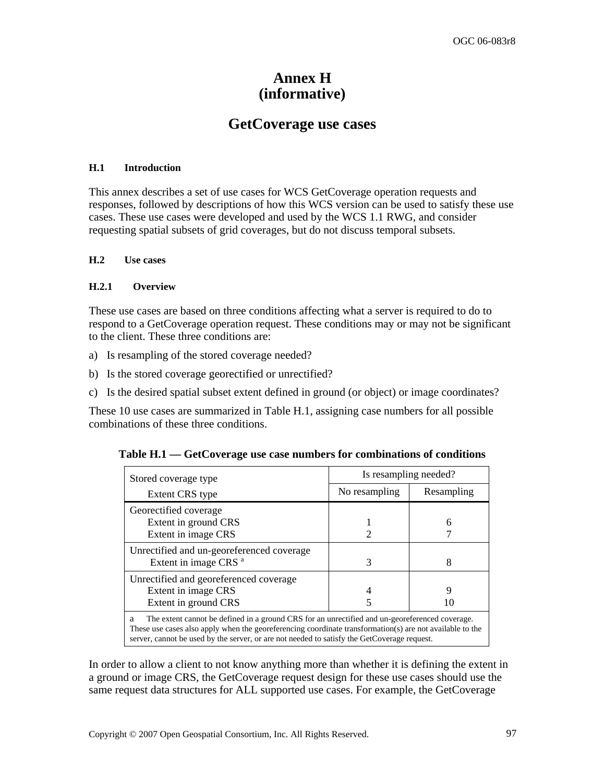# **Annex H (informative)**

# **GetCoverage use cases**

# **H.1 Introduction**

This annex describes a set of use cases for WCS GetCoverage operation requests and responses, followed by descriptions of how this WCS version can be used to satisfy these use cases. These use cases were developed and used by the WCS 1.1 RWG, and consider requesting spatial subsets of grid coverages, but do not discuss temporal subsets.

# **H.2 Use cases**

# **H.2.1 Overview**

These use cases are based on three conditions affecting what a server is required to do to respond to a GetCoverage operation request. These conditions may or may not be significant to the client. These three conditions are:

- a) Is resampling of the stored coverage needed?
- b) Is the stored coverage georectified or unrectified?
- c) Is the desired spatial subset extent defined in ground (or object) or image coordinates?

These 10 use cases are summarized in Table H.1, assigning case numbers for all possible combinations of these three conditions.

| Stored coverage type                                                                                                                                                                                                                                                                                           | Is resampling needed? |            |  |  |
|----------------------------------------------------------------------------------------------------------------------------------------------------------------------------------------------------------------------------------------------------------------------------------------------------------------|-----------------------|------------|--|--|
| Extent CRS type                                                                                                                                                                                                                                                                                                | No resampling         | Resampling |  |  |
| Georectified coverage<br>Extent in ground CRS<br>Extent in image CRS                                                                                                                                                                                                                                           |                       | 6          |  |  |
| Unrectified and un-georeferenced coverage<br>Extent in image CRS <sup>a</sup>                                                                                                                                                                                                                                  | 3                     | 8          |  |  |
| Unrectified and georeferenced coverage<br>Extent in image CRS<br>9<br>Extent in ground CRS                                                                                                                                                                                                                     |                       |            |  |  |
| The extent cannot be defined in a ground CRS for an unrectified and un-georeferenced coverage.<br>a<br>These use cases also apply when the georeferencing coordinate transformation(s) are not available to the<br>server, cannot be used by the server, or are not needed to satisfy the GetCoverage request. |                       |            |  |  |

**Table H.1 — GetCoverage use case numbers for combinations of conditions** 

In order to allow a client to not know anything more than whether it is defining the extent in a ground or image CRS, the GetCoverage request design for these use cases should use the same request data structures for ALL supported use cases. For example, the GetCoverage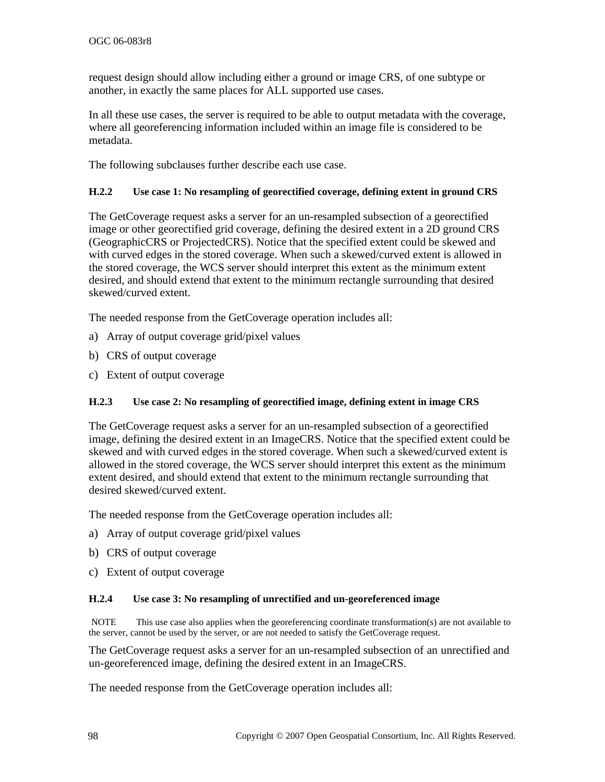request design should allow including either a ground or image CRS, of one subtype or another, in exactly the same places for ALL supported use cases.

In all these use cases, the server is required to be able to output metadata with the coverage, where all georeferencing information included within an image file is considered to be metadata.

The following subclauses further describe each use case.

# **H.2.2 Use case 1: No resampling of georectified coverage, defining extent in ground CRS**

The GetCoverage request asks a server for an un-resampled subsection of a georectified image or other georectified grid coverage, defining the desired extent in a 2D ground CRS (GeographicCRS or ProjectedCRS). Notice that the specified extent could be skewed and with curved edges in the stored coverage. When such a skewed/curved extent is allowed in the stored coverage, the WCS server should interpret this extent as the minimum extent desired, and should extend that extent to the minimum rectangle surrounding that desired skewed/curved extent.

The needed response from the GetCoverage operation includes all:

- a) Array of output coverage grid/pixel values
- b) CRS of output coverage
- c) Extent of output coverage

# **H.2.3 Use case 2: No resampling of georectified image, defining extent in image CRS**

The GetCoverage request asks a server for an un-resampled subsection of a georectified image, defining the desired extent in an ImageCRS. Notice that the specified extent could be skewed and with curved edges in the stored coverage. When such a skewed/curved extent is allowed in the stored coverage, the WCS server should interpret this extent as the minimum extent desired, and should extend that extent to the minimum rectangle surrounding that desired skewed/curved extent.

The needed response from the GetCoverage operation includes all:

- a) Array of output coverage grid/pixel values
- b) CRS of output coverage
- c) Extent of output coverage

# **H.2.4 Use case 3: No resampling of unrectified and un-georeferenced image**

 NOTE This use case also applies when the georeferencing coordinate transformation(s) are not available to the server, cannot be used by the server, or are not needed to satisfy the GetCoverage request.

The GetCoverage request asks a server for an un-resampled subsection of an unrectified and un-georeferenced image, defining the desired extent in an ImageCRS.

The needed response from the GetCoverage operation includes all: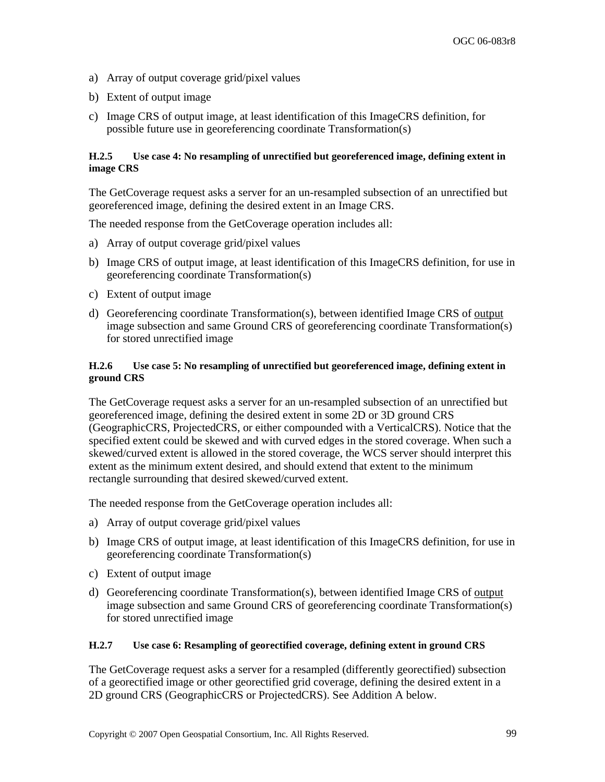- a) Array of output coverage grid/pixel values
- b) Extent of output image
- c) Image CRS of output image, at least identification of this ImageCRS definition, for possible future use in georeferencing coordinate Transformation(s)

# **H.2.5 Use case 4: No resampling of unrectified but georeferenced image, defining extent in image CRS**

The GetCoverage request asks a server for an un-resampled subsection of an unrectified but georeferenced image, defining the desired extent in an Image CRS.

The needed response from the GetCoverage operation includes all:

- a) Array of output coverage grid/pixel values
- b) Image CRS of output image, at least identification of this ImageCRS definition, for use in georeferencing coordinate Transformation(s)
- c) Extent of output image
- d) Georeferencing coordinate Transformation(s), between identified Image CRS of output image subsection and same Ground CRS of georeferencing coordinate Transformation(s) for stored unrectified image

# **H.2.6 Use case 5: No resampling of unrectified but georeferenced image, defining extent in ground CRS**

The GetCoverage request asks a server for an un-resampled subsection of an unrectified but georeferenced image, defining the desired extent in some 2D or 3D ground CRS (GeographicCRS, ProjectedCRS, or either compounded with a VerticalCRS). Notice that the specified extent could be skewed and with curved edges in the stored coverage. When such a skewed/curved extent is allowed in the stored coverage, the WCS server should interpret this extent as the minimum extent desired, and should extend that extent to the minimum rectangle surrounding that desired skewed/curved extent.

The needed response from the GetCoverage operation includes all:

- a) Array of output coverage grid/pixel values
- b) Image CRS of output image, at least identification of this ImageCRS definition, for use in georeferencing coordinate Transformation(s)
- c) Extent of output image
- d) Georeferencing coordinate Transformation(s), between identified Image CRS of output image subsection and same Ground CRS of georeferencing coordinate Transformation(s) for stored unrectified image

## **H.2.7 Use case 6: Resampling of georectified coverage, defining extent in ground CRS**

The GetCoverage request asks a server for a resampled (differently georectified) subsection of a georectified image or other georectified grid coverage, defining the desired extent in a 2D ground CRS (GeographicCRS or ProjectedCRS). See Addition A below.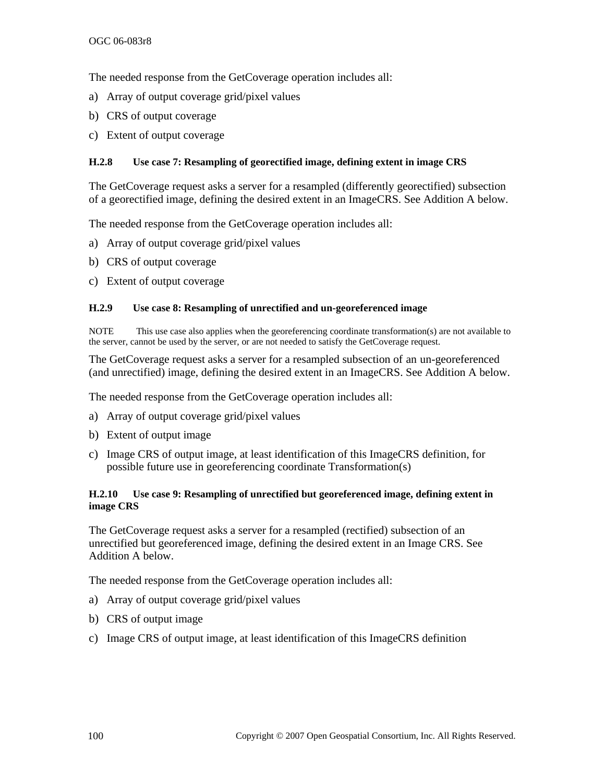The needed response from the GetCoverage operation includes all:

- a) Array of output coverage grid/pixel values
- b) CRS of output coverage
- c) Extent of output coverage

# **H.2.8 Use case 7: Resampling of georectified image, defining extent in image CRS**

The GetCoverage request asks a server for a resampled (differently georectified) subsection of a georectified image, defining the desired extent in an ImageCRS. See Addition A below.

The needed response from the GetCoverage operation includes all:

- a) Array of output coverage grid/pixel values
- b) CRS of output coverage
- c) Extent of output coverage

# **H.2.9 Use case 8: Resampling of unrectified and un-georeferenced image**

NOTE This use case also applies when the georeferencing coordinate transformation(s) are not available to the server, cannot be used by the server, or are not needed to satisfy the GetCoverage request.

The GetCoverage request asks a server for a resampled subsection of an un-georeferenced (and unrectified) image, defining the desired extent in an ImageCRS. See Addition A below.

The needed response from the GetCoverage operation includes all:

- a) Array of output coverage grid/pixel values
- b) Extent of output image
- c) Image CRS of output image, at least identification of this ImageCRS definition, for possible future use in georeferencing coordinate Transformation(s)

# **H.2.10 Use case 9: Resampling of unrectified but georeferenced image, defining extent in image CRS**

The GetCoverage request asks a server for a resampled (rectified) subsection of an unrectified but georeferenced image, defining the desired extent in an Image CRS. See Addition A below.

The needed response from the GetCoverage operation includes all:

- a) Array of output coverage grid/pixel values
- b) CRS of output image
- c) Image CRS of output image, at least identification of this ImageCRS definition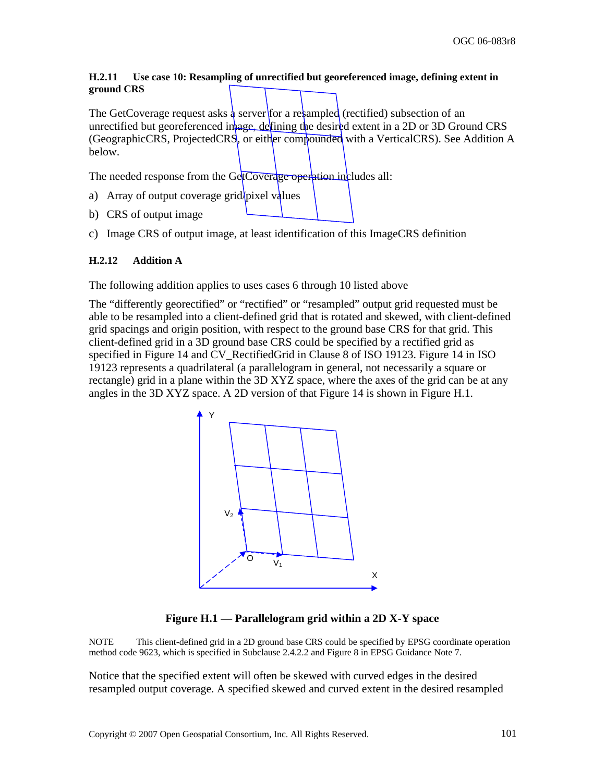# **H.2.11 Use case 10: Resampling of unrectified but georeferenced image, defining extent in ground CRS**

The GetCoverage request asks a server for a resampled (rectified) subsection of an unrectified but georeferenced image, defining the desired extent in a 2D or 3D Ground CRS (GeographicCRS, ProjectedCRS, or either compounded with a VerticalCRS). See Addition A below.

The needed response from the GetCoverage operation includes all:

- a) Array of output coverage grid/pixel values
- b) CRS of output image
- c) Image CRS of output image, at least identification of this ImageCRS definition

# **H.2.12 Addition A**

The following addition applies to uses cases 6 through 10 listed above

The "differently georectified" or "rectified" or "resampled" output grid requested must be able to be resampled into a client-defined grid that is rotated and skewed, with client-defined grid spacings and origin position, with respect to the ground base CRS for that grid. This client-defined grid in a 3D ground base CRS could be specified by a rectified grid as specified in Figure 14 and CV RectifiedGrid in Clause 8 of ISO 19123. Figure 14 in ISO 19123 represents a quadrilateral (a parallelogram in general, not necessarily a square or rectangle) grid in a plane within the 3D XYZ space, where the axes of the grid can be at any angles in the 3D XYZ space. A 2D version of that Figure 14 is shown in Figure H.1.



**Figure H.1 — Parallelogram grid within a 2D X-Y space** 

NOTE This client-defined grid in a 2D ground base CRS could be specified by EPSG coordinate operation method code 9623, which is specified in Subclause 2.4.2.2 and Figure 8 in EPSG Guidance Note 7.

Notice that the specified extent will often be skewed with curved edges in the desired resampled output coverage. A specified skewed and curved extent in the desired resampled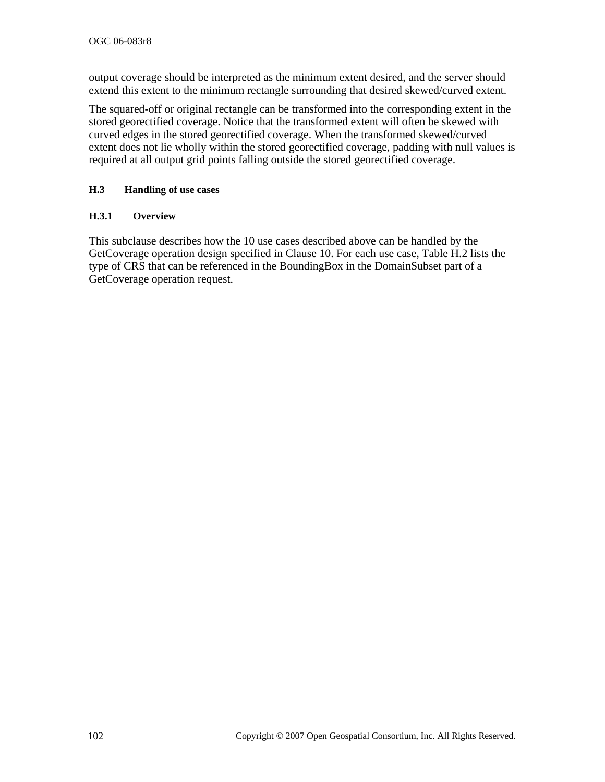output coverage should be interpreted as the minimum extent desired, and the server should extend this extent to the minimum rectangle surrounding that desired skewed/curved extent.

The squared-off or original rectangle can be transformed into the corresponding extent in the stored georectified coverage. Notice that the transformed extent will often be skewed with curved edges in the stored georectified coverage. When the transformed skewed/curved extent does not lie wholly within the stored georectified coverage, padding with null values is required at all output grid points falling outside the stored georectified coverage.

# **H.3 Handling of use cases**

# **H.3.1 Overview**

This subclause describes how the 10 use cases described above can be handled by the GetCoverage operation design specified in Clause 10. For each use case, Table H.2 lists the type of CRS that can be referenced in the BoundingBox in the DomainSubset part of a GetCoverage operation request.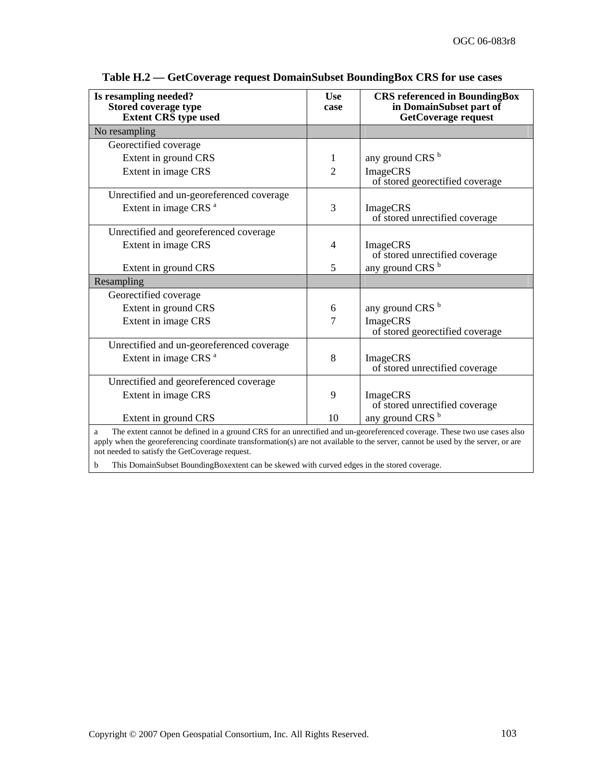| Is resampling needed?<br><b>Stored coverage type</b><br>Extent CRS type used                                                                                                                                                                                                                                       | <b>Use</b><br>case | <b>CRS</b> referenced in BoundingBox<br>in DomainSubset part of<br>GetCoverage request |
|--------------------------------------------------------------------------------------------------------------------------------------------------------------------------------------------------------------------------------------------------------------------------------------------------------------------|--------------------|----------------------------------------------------------------------------------------|
| No resampling                                                                                                                                                                                                                                                                                                      |                    |                                                                                        |
| Georectified coverage                                                                                                                                                                                                                                                                                              |                    |                                                                                        |
| Extent in ground CRS                                                                                                                                                                                                                                                                                               | 1                  | any ground CRS <sup>b</sup>                                                            |
| Extent in image CRS                                                                                                                                                                                                                                                                                                | $\overline{2}$     | ImageCRS<br>of stored georectified coverage                                            |
| Unrectified and un-georeferenced coverage                                                                                                                                                                                                                                                                          |                    |                                                                                        |
| Extent in image CRS <sup>a</sup>                                                                                                                                                                                                                                                                                   | 3                  | ImageCRS<br>of stored unrectified coverage                                             |
| Unrectified and georeferenced coverage                                                                                                                                                                                                                                                                             |                    |                                                                                        |
| Extent in image CRS                                                                                                                                                                                                                                                                                                | $\overline{4}$     | ImageCRS<br>of stored unrectified coverage                                             |
| Extent in ground CRS                                                                                                                                                                                                                                                                                               | 5                  | any ground CRS <sup>b</sup>                                                            |
| Resampling                                                                                                                                                                                                                                                                                                         |                    |                                                                                        |
| Georectified coverage                                                                                                                                                                                                                                                                                              |                    |                                                                                        |
| Extent in ground CRS                                                                                                                                                                                                                                                                                               | 6                  | any ground CRS <sup>b</sup>                                                            |
| Extent in image CRS                                                                                                                                                                                                                                                                                                | 7                  | ImageCRS<br>of stored georectified coverage                                            |
| Unrectified and un-georeferenced coverage                                                                                                                                                                                                                                                                          |                    |                                                                                        |
| Extent in image CRS <sup>a</sup>                                                                                                                                                                                                                                                                                   | 8                  | <b>ImageCRS</b><br>of stored unrectified coverage                                      |
| Unrectified and georeferenced coverage                                                                                                                                                                                                                                                                             |                    |                                                                                        |
| Extent in image CRS                                                                                                                                                                                                                                                                                                | 9                  | ImageCRS<br>of stored unrectified coverage                                             |
| Extent in ground CRS                                                                                                                                                                                                                                                                                               | 10                 | any ground CRS <sup>b</sup>                                                            |
| The extent cannot be defined in a ground CRS for an unrectified and un-georeferenced coverage. These two use cases also<br>a<br>apply when the georeferencing coordinate transformation(s) are not available to the server, cannot be used by the server, or are<br>not needed to satisfy the GetCoverage request. |                    |                                                                                        |

# **Table H.2 — GetCoverage request DomainSubset BoundingBox CRS for use cases**

b This DomainSubset BoundingBoxextent can be skewed with curved edges in the stored coverage.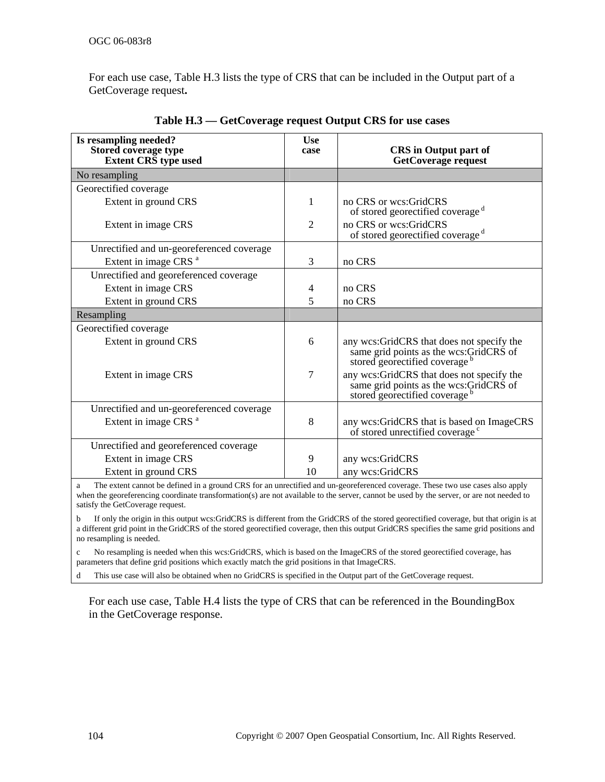For each use case, Table H.3 lists the type of CRS that can be included in the Output part of a GetCoverage request**.**

| Is resampling needed?<br><b>Stored coverage type</b><br><b>Extent CRS</b> type used | <b>Use</b><br>case | <b>CRS</b> in Output part of<br><b>GetCoverage request</b>                                                                       |
|-------------------------------------------------------------------------------------|--------------------|----------------------------------------------------------------------------------------------------------------------------------|
| No resampling                                                                       |                    |                                                                                                                                  |
| Georectified coverage                                                               |                    |                                                                                                                                  |
| Extent in ground CRS                                                                | 1                  | no CRS or wcs: GridCRS<br>of stored georectified coverage <sup>d</sup>                                                           |
| Extent in image CRS                                                                 | 2                  | no CRS or wcs:GridCRS<br>of stored georectified coverage <sup>d</sup>                                                            |
| Unrectified and un-georeferenced coverage                                           |                    |                                                                                                                                  |
| Extent in image CRS <sup>a</sup>                                                    | 3                  | no CRS                                                                                                                           |
| Unrectified and georeferenced coverage                                              |                    |                                                                                                                                  |
| Extent in image CRS                                                                 | $\overline{4}$     | no CRS                                                                                                                           |
| Extent in ground CRS                                                                | 5                  | no CRS                                                                                                                           |
| Resampling                                                                          |                    |                                                                                                                                  |
| Georectified coverage                                                               |                    |                                                                                                                                  |
| Extent in ground CRS                                                                | 6                  | any wcs:GridCRS that does not specify the<br>same grid points as the wcs:GridCRS of<br>stored georectified coverage <sup>b</sup> |
| Extent in image CRS                                                                 | 7                  | any wcs:GridCRS that does not specify the<br>same grid points as the wcs:GridCRS of<br>stored georectified coverage <sup>b</sup> |
| Unrectified and un-georeferenced coverage                                           |                    |                                                                                                                                  |
| Extent in image CRS <sup>a</sup>                                                    | 8                  | any wcs:GridCRS that is based on ImageCRS<br>of stored unrectified coverage <sup>c</sup>                                         |
| Unrectified and georeferenced coverage                                              |                    |                                                                                                                                  |
| Extent in image CRS                                                                 | 9                  | any wcs:GridCRS                                                                                                                  |
| Extent in ground CRS<br>1000c                                                       | 10                 | any wcs:GridCRS                                                                                                                  |

**Table H.3 — GetCoverage request Output CRS for use cases**

a The extent cannot be defined in a ground CRS for an unrectified and un-georeferenced coverage. These two use cases also apply when the georeferencing coordinate transformation(s) are not available to the server, cannot be used by the server, or are not needed to satisfy the GetCoverage request.

b If only the origin in this output wcs:GridCRS is different from the GridCRS of the stored georectified coverage, but that origin is at a different grid point in theGridCRS of the stored georectified coverage, then this output GridCRS specifies the same grid positions and no resampling is needed.

c No resampling is needed when this wcs:GridCRS, which is based on the ImageCRS of the stored georectified coverage, has parameters that define grid positions which exactly match the grid positions in that ImageCRS.

d This use case will also be obtained when no GridCRS is specified in the Output part of the GetCoverage request.

For each use case, Table H.4 lists the type of CRS that can be referenced in the BoundingBox in the GetCoverage response.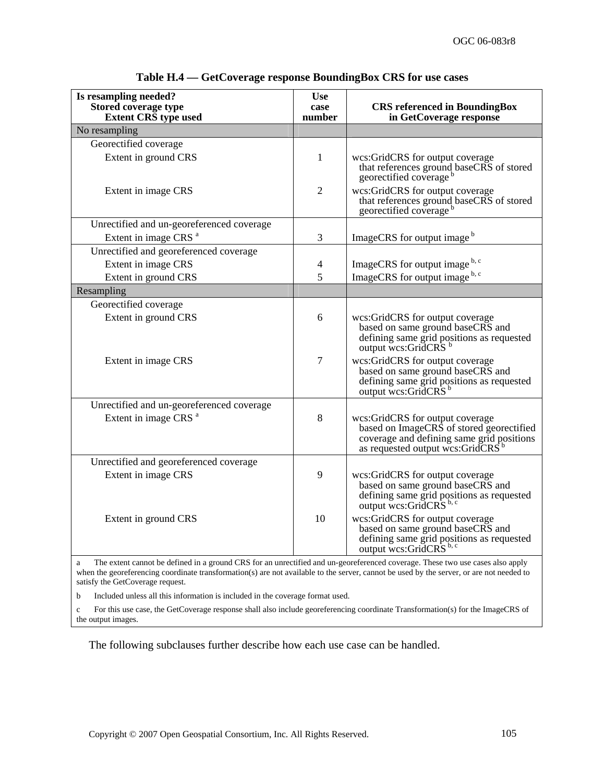| Is resampling needed?<br><b>Stored coverage type</b>                                                                               | <b>Use</b><br>case | <b>CRS</b> referenced in BoundingBox                                                                                                                                     |  |  |
|------------------------------------------------------------------------------------------------------------------------------------|--------------------|--------------------------------------------------------------------------------------------------------------------------------------------------------------------------|--|--|
| Extent CRS type used                                                                                                               | number             | in GetCoverage response                                                                                                                                                  |  |  |
| No resampling                                                                                                                      |                    |                                                                                                                                                                          |  |  |
| Georectified coverage                                                                                                              |                    |                                                                                                                                                                          |  |  |
| Extent in ground CRS                                                                                                               | 1                  | wcs:GridCRS for output coverage<br>that references ground baseCRS of stored<br>georectified coverage <sup>b</sup>                                                        |  |  |
| Extent in image CRS                                                                                                                | $\overline{2}$     | wcs:GridCRS for output coverage<br>that references ground baseCRS of stored<br>georectified coverage <sup>b</sup>                                                        |  |  |
| Unrectified and un-georeferenced coverage                                                                                          |                    |                                                                                                                                                                          |  |  |
| Extent in image CRS <sup>a</sup>                                                                                                   | 3                  | ImageCRS for output image <sup>b</sup>                                                                                                                                   |  |  |
| Unrectified and georeferenced coverage                                                                                             |                    |                                                                                                                                                                          |  |  |
| Extent in image CRS                                                                                                                | $\overline{4}$     | ImageCRS for output image b, c                                                                                                                                           |  |  |
| Extent in ground CRS                                                                                                               | 5                  | ImageCRS for output image b, c                                                                                                                                           |  |  |
| Resampling                                                                                                                         |                    |                                                                                                                                                                          |  |  |
| Georectified coverage                                                                                                              |                    |                                                                                                                                                                          |  |  |
| Extent in ground CRS                                                                                                               | 6                  | wcs:GridCRS for output coverage<br>based on same ground baseCRS and<br>defining same grid positions as requested<br>output wcs:GridCRS <sup>b</sup>                      |  |  |
| Extent in image CRS                                                                                                                | $\overline{7}$     | wcs:GridCRS for output coverage<br>based on same ground baseCRS and<br>defining same grid positions as requested<br>output wcs:GridCRS <sup>b</sup>                      |  |  |
| Unrectified and un-georeferenced coverage                                                                                          |                    |                                                                                                                                                                          |  |  |
| Extent in image CRS <sup>a</sup>                                                                                                   | 8                  | wcs:GridCRS for output coverage<br>based on ImageCRS of stored georectified<br>coverage and defining same grid positions<br>as requested output wcs:GridCRS <sup>b</sup> |  |  |
| Unrectified and georeferenced coverage                                                                                             |                    |                                                                                                                                                                          |  |  |
| Extent in image CRS                                                                                                                | 9                  | wcs:GridCRS for output coverage<br>based on same ground baseCRS and<br>defining same grid positions as requested<br>output wcs:GridCRS <sup>b, c</sup>                   |  |  |
| Extent in ground CRS                                                                                                               | 10                 | wcs:GridCRS for output coverage<br>based on same ground baseCRS and<br>defining same grid positions as requested<br>output wcs:GridCRS                                   |  |  |
| The extent cannot be defined in a ground CRS for an unrectified and un-georeferenced coverage. These two use cases also apply<br>a |                    |                                                                                                                                                                          |  |  |

**Table H.4 — GetCoverage response BoundingBox CRS for use cases**

when the georeferencing coordinate transformation(s) are not available to the server, cannot be used by the server, or are not needed to satisfy the GetCoverage request.

b Included unless all this information is included in the coverage format used.

c For this use case, the GetCoverage response shall also include georeferencing coordinate Transformation(s) for the ImageCRS of the output images.

The following subclauses further describe how each use case can be handled.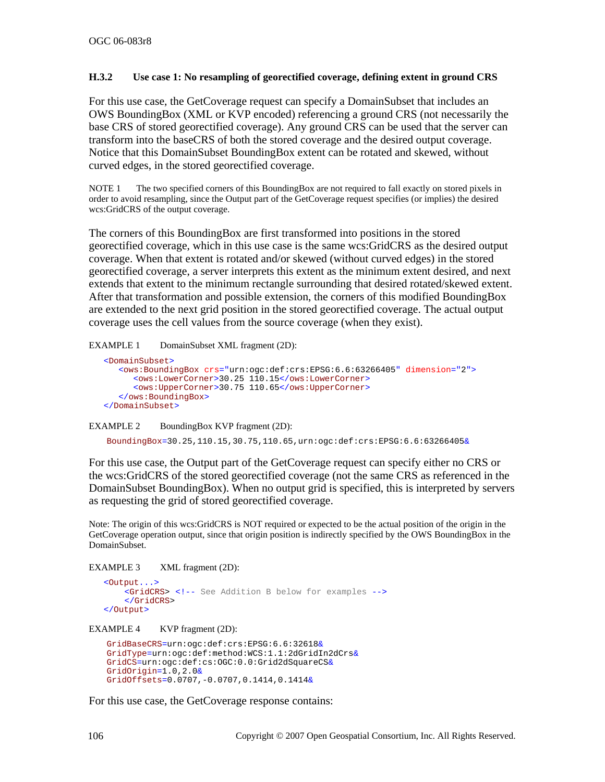# **H.3.2 Use case 1: No resampling of georectified coverage, defining extent in ground CRS**

For this use case, the GetCoverage request can specify a DomainSubset that includes an OWS BoundingBox (XML or KVP encoded) referencing a ground CRS (not necessarily the base CRS of stored georectified coverage). Any ground CRS can be used that the server can transform into the baseCRS of both the stored coverage and the desired output coverage. Notice that this DomainSubset BoundingBox extent can be rotated and skewed, without curved edges, in the stored georectified coverage.

NOTE 1 The two specified corners of this BoundingBox are not required to fall exactly on stored pixels in order to avoid resampling, since the Output part of the GetCoverage request specifies (or implies) the desired wcs:GridCRS of the output coverage.

The corners of this BoundingBox are first transformed into positions in the stored georectified coverage, which in this use case is the same wcs:GridCRS as the desired output coverage. When that extent is rotated and/or skewed (without curved edges) in the stored georectified coverage, a server interprets this extent as the minimum extent desired, and next extends that extent to the minimum rectangle surrounding that desired rotated/skewed extent. After that transformation and possible extension, the corners of this modified BoundingBox are extended to the next grid position in the stored georectified coverage. The actual output coverage uses the cell values from the source coverage (when they exist).

EXAMPLE 1 DomainSubset XML fragment (2D):

```
<DomainSubset>
   <ows:BoundingBox crs="urn:ogc:def:crs:EPSG:6.6:63266405" dimension="2">
      <ows:LowerCorner>30.25 110.15</ows:LowerCorner>
      <ows:UpperCorner>30.75 110.65</ows:UpperCorner>
   </ows:BoundingBox>
</DomainSubset>
```
EXAMPLE 2 BoundingBox KVP fragment (2D):

BoundingBox=30.25,110.15,30.75,110.65,urn:ogc:def:crs:EPSG:6.6:63266405&

For this use case, the Output part of the GetCoverage request can specify either no CRS or the wcs:GridCRS of the stored georectified coverage (not the same CRS as referenced in the DomainSubset BoundingBox). When no output grid is specified, this is interpreted by servers as requesting the grid of stored georectified coverage.

Note: The origin of this wcs:GridCRS is NOT required or expected to be the actual position of the origin in the GetCoverage operation output, since that origin position is indirectly specified by the OWS BoundingBox in the DomainSubset.

EXAMPLE 3 XML fragment (2D):

```
<Output...>
     <GridCRS> <!-- See Addition B below for examples -->
     </GridCRS>
</Output>
```
EXAMPLE 4 KVP fragment (2D):

```
GridBaseCRS=urn:ogc:def:crs:EPSG:6.6:32618&
GridType=urn:ogc:def:method:WCS:1.1:2dGridIn2dCrs&
GridCS=urn:ogc:def:cs:OGC:0.0:Grid2dSquareCS&
GridOrigin=1.0,2.0&
GridOffsets=0.0707,-0.0707,0.1414,0.1414&
```
For this use case, the GetCoverage response contains: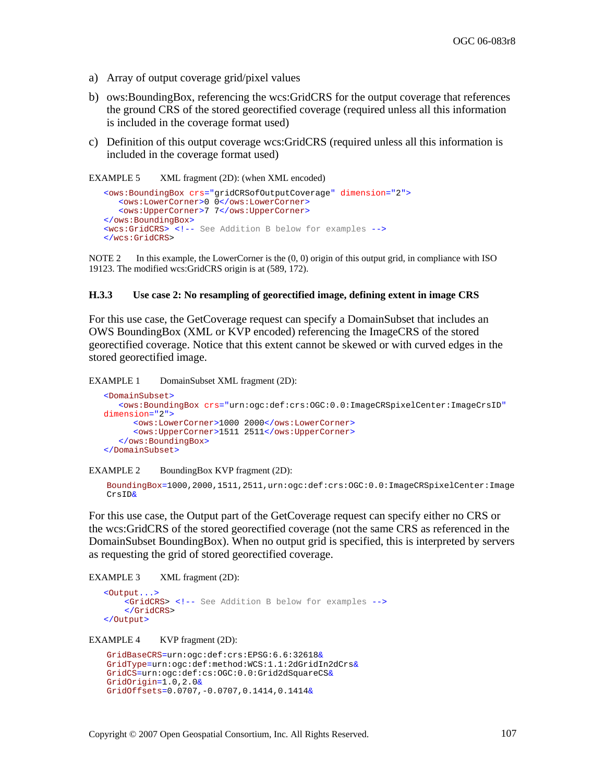- a) Array of output coverage grid/pixel values
- b) ows:BoundingBox, referencing the wcs:GridCRS for the output coverage that references the ground CRS of the stored georectified coverage (required unless all this information is included in the coverage format used)
- c) Definition of this output coverage wcs:GridCRS (required unless all this information is included in the coverage format used)

EXAMPLE 5 XML fragment (2D): (when XML encoded)

```
<ows:BoundingBox crs="gridCRSofOutputCoverage" dimension="2">
   <ows:LowerCorner>0 0</ows:LowerCorner>
   <ows:UpperCorner>7 7</ows:UpperCorner>
</ows:BoundingBox>
<wcs:GridCRS> <!-- See Addition B below for examples -->
</wcs:GridCRS>
```
NOTE 2 In this example, the LowerCorner is the  $(0, 0)$  origin of this output grid, in compliance with ISO 19123. The modified wcs:GridCRS origin is at (589, 172).

## **H.3.3 Use case 2: No resampling of georectified image, defining extent in image CRS**

For this use case, the GetCoverage request can specify a DomainSubset that includes an OWS BoundingBox (XML or KVP encoded) referencing the ImageCRS of the stored georectified coverage. Notice that this extent cannot be skewed or with curved edges in the stored georectified image.

EXAMPLE 1 DomainSubset XML fragment (2D):

```
<DomainSubset>
  <ows:BoundingBox crs="urn:ogc:def:crs:OGC:0.0:ImageCRSpixelCenter:ImageCrsID"
dimension="2">
      <ows:LowerCorner>1000 2000</ows:LowerCorner>
       <ows:UpperCorner>1511 2511</ows:UpperCorner>
   </ows:BoundingBox>
</DomainSubset>
```
EXAMPLE 2 BoundingBox KVP fragment (2D):

```
BoundingBox=1000,2000,1511,2511,urn:ogc:def:crs:OGC:0.0:ImageCRSpixelCenter:Image
CreTDC
```
For this use case, the Output part of the GetCoverage request can specify either no CRS or the wcs:GridCRS of the stored georectified coverage (not the same CRS as referenced in the DomainSubset BoundingBox). When no output grid is specified, this is interpreted by servers as requesting the grid of stored georectified coverage.

EXAMPLE 3 XML fragment (2D):

```
<Output...>
     <GridCRS> <!-- See Addition B below for examples -->
     </GridCRS>
</Output>
```
EXAMPLE 4 KVP fragment (2D):

```
GridBaseCRS=urn:ogc:def:crs:EPSG:6.6:32618&
GridType=urn:ogc:def:method:WCS:1.1:2dGridIn2dCrs&
GridCS=urn:ogc:def:cs:OGC:0.0:Grid2dSquareCS&
GridOrigin=1.0,2.0&
GridOffsets=0.0707,-0.0707,0.1414,0.1414&
```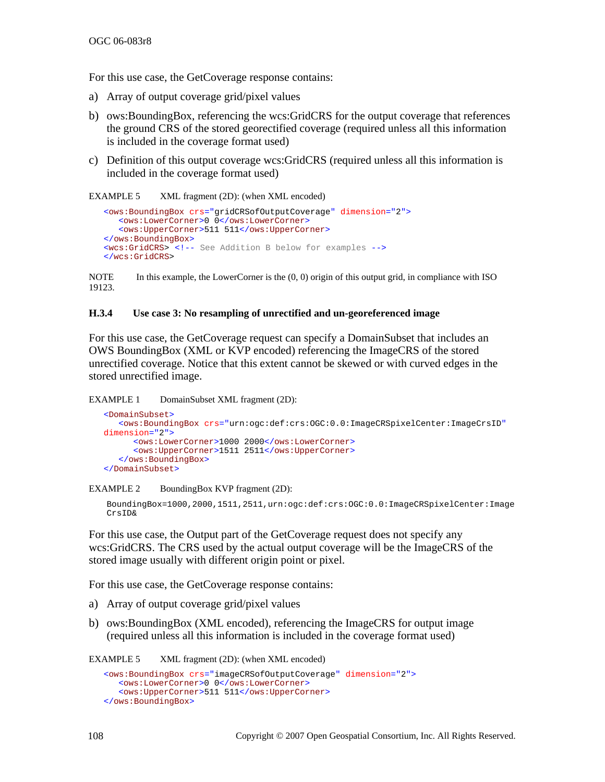For this use case, the GetCoverage response contains:

- a) Array of output coverage grid/pixel values
- b) ows:BoundingBox, referencing the wcs:GridCRS for the output coverage that references the ground CRS of the stored georectified coverage (required unless all this information is included in the coverage format used)
- c) Definition of this output coverage wcs:GridCRS (required unless all this information is included in the coverage format used)

```
EXAMPLE 5 XML fragment (2D): (when XML encoded)
```

```
<ows:BoundingBox crs="gridCRSofOutputCoverage" dimension="2">
   <ows:LowerCorner>0 0</ows:LowerCorner>
   <ows:UpperCorner>511 511</ows:UpperCorner>
</ows:BoundingBox>
<wcs:GridCRS> <!-- See Addition B below for examples -->
</wcs:GridCRS>
```
NOTE In this example, the LowerCorner is the  $(0, 0)$  origin of this output grid, in compliance with ISO 19123.

## **H.3.4 Use case 3: No resampling of unrectified and un-georeferenced image**

For this use case, the GetCoverage request can specify a DomainSubset that includes an OWS BoundingBox (XML or KVP encoded) referencing the ImageCRS of the stored unrectified coverage. Notice that this extent cannot be skewed or with curved edges in the stored unrectified image.

EXAMPLE 1 DomainSubset XML fragment (2D):

```
<DomainSubset>
   <ows:BoundingBox crs="urn:ogc:def:crs:OGC:0.0:ImageCRSpixelCenter:ImageCrsID"
dimension="2">
       <ows:LowerCorner>1000 2000</ows:LowerCorner>
       <ows:UpperCorner>1511 2511</ows:UpperCorner>
   </ows:BoundingBox>
</DomainSubset>
```
EXAMPLE 2 BoundingBox KVP fragment (2D):

BoundingBox=1000,2000,1511,2511,urn:ogc:def:crs:OGC:0.0:ImageCRSpixelCenter:Image CrsID&

For this use case, the Output part of the GetCoverage request does not specify any wcs:GridCRS. The CRS used by the actual output coverage will be the ImageCRS of the stored image usually with different origin point or pixel.

For this use case, the GetCoverage response contains:

- a) Array of output coverage grid/pixel values
- b) ows:BoundingBox (XML encoded), referencing the ImageCRS for output image (required unless all this information is included in the coverage format used)

EXAMPLE 5 XML fragment (2D): (when XML encoded)

```
<ows:BoundingBox crs="imageCRSofOutputCoverage" dimension="2">
   <ows:LowerCorner>0 0</ows:LowerCorner>
   <ows:UpperCorner>511 511</ows:UpperCorner>
</ows:BoundingBox>
```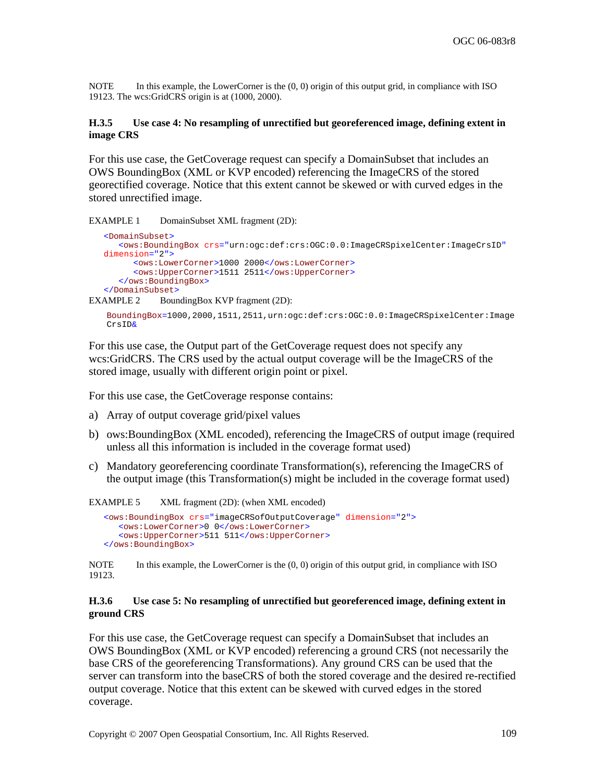NOTE In this example, the LowerCorner is the  $(0, 0)$  origin of this output grid, in compliance with ISO 19123. The wcs:GridCRS origin is at (1000, 2000).

## **H.3.5 Use case 4: No resampling of unrectified but georeferenced image, defining extent in image CRS**

For this use case, the GetCoverage request can specify a DomainSubset that includes an OWS BoundingBox (XML or KVP encoded) referencing the ImageCRS of the stored georectified coverage. Notice that this extent cannot be skewed or with curved edges in the stored unrectified image.

EXAMPLE 1 DomainSubset XML fragment (2D):

```
<DomainSubset>
   <ows:BoundingBox crs="urn:ogc:def:crs:OGC:0.0:ImageCRSpixelCenter:ImageCrsID"
dimension="2">
      <ows:LowerCorner>1000 2000</ows:LowerCorner>
       <ows:UpperCorner>1511 2511</ows:UpperCorner>
   </ows:BoundingBox>
</DomainSubset>
```
EXAMPLE 2 BoundingBox KVP fragment (2D):

```
BoundingBox=1000,2000,1511,2511,urn:ogc:def:crs:OGC:0.0:ImageCRSpixelCenter:Image
CrsID&
```
For this use case, the Output part of the GetCoverage request does not specify any wcs:GridCRS. The CRS used by the actual output coverage will be the ImageCRS of the stored image, usually with different origin point or pixel.

For this use case, the GetCoverage response contains:

- a) Array of output coverage grid/pixel values
- b) ows:BoundingBox (XML encoded), referencing the ImageCRS of output image (required unless all this information is included in the coverage format used)
- c) Mandatory georeferencing coordinate Transformation(s), referencing the ImageCRS of the output image (this Transformation(s) might be included in the coverage format used)

EXAMPLE 5 XML fragment (2D): (when XML encoded)

```
<ows:BoundingBox crs="imageCRSofOutputCoverage" dimension="2">
   <ows:LowerCorner>0 0</ows:LowerCorner>
   <ows:UpperCorner>511 511</ows:UpperCorner>
</ows:BoundingBox>
```
NOTE In this example, the LowerCorner is the  $(0, 0)$  origin of this output grid, in compliance with ISO 19123.

## **H.3.6 Use case 5: No resampling of unrectified but georeferenced image, defining extent in ground CRS**

For this use case, the GetCoverage request can specify a DomainSubset that includes an OWS BoundingBox (XML or KVP encoded) referencing a ground CRS (not necessarily the base CRS of the georeferencing Transformations). Any ground CRS can be used that the server can transform into the baseCRS of both the stored coverage and the desired re-rectified output coverage. Notice that this extent can be skewed with curved edges in the stored coverage.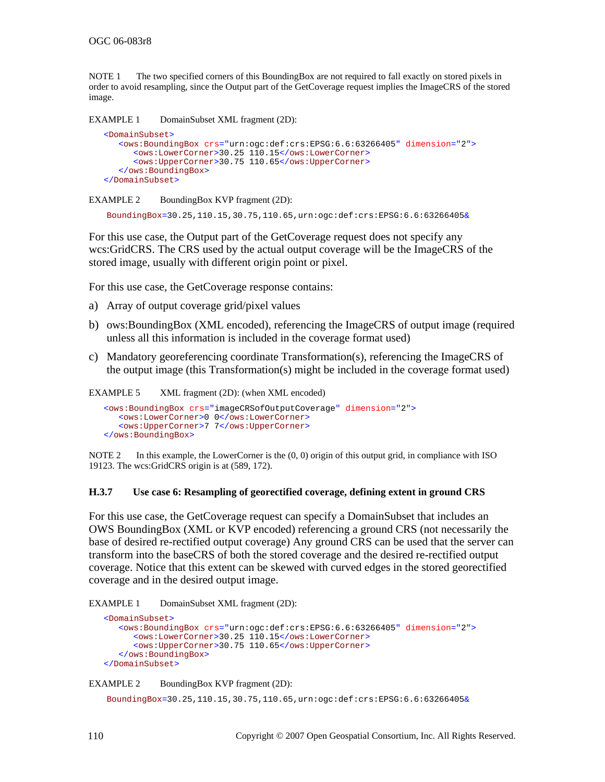NOTE 1 The two specified corners of this BoundingBox are not required to fall exactly on stored pixels in order to avoid resampling, since the Output part of the GetCoverage request implies the ImageCRS of the stored image.

#### EXAMPLE 1 DomainSubset XML fragment (2D):

```
<DomainSubset>
  <ows:BoundingBox crs="urn:ogc:def:crs:EPSG:6.6:63266405" dimension="2">
      <ows:LowerCorner>30.25 110.15</ows:LowerCorner>
      <ows:UpperCorner>30.75 110.65</ows:UpperCorner>
  </ows:BoundingBox>
</DomainSubset>
```
EXAMPLE 2 BoundingBox KVP fragment (2D):

BoundingBox=30.25,110.15,30.75,110.65,urn:ogc:def:crs:EPSG:6.6:63266405&

For this use case, the Output part of the GetCoverage request does not specify any wcs:GridCRS. The CRS used by the actual output coverage will be the ImageCRS of the stored image, usually with different origin point or pixel.

For this use case, the GetCoverage response contains:

- a) Array of output coverage grid/pixel values
- b) ows:BoundingBox (XML encoded), referencing the ImageCRS of output image (required unless all this information is included in the coverage format used)
- c) Mandatory georeferencing coordinate Transformation(s), referencing the ImageCRS of the output image (this Transformation(s) might be included in the coverage format used)

EXAMPLE 5 XML fragment (2D): (when XML encoded)

```
<ows:BoundingBox crs="imageCRSofOutputCoverage" dimension="2">
   <ows:LowerCorner>0 0</ows:LowerCorner>
   <ows:UpperCorner>7 7</ows:UpperCorner>
</ows:BoundingBox>
```
NOTE 2 In this example, the LowerCorner is the  $(0, 0)$  origin of this output grid, in compliance with ISO 19123. The wcs:GridCRS origin is at (589, 172).

## **H.3.7 Use case 6: Resampling of georectified coverage, defining extent in ground CRS**

For this use case, the GetCoverage request can specify a DomainSubset that includes an OWS BoundingBox (XML or KVP encoded) referencing a ground CRS (not necessarily the base of desired re-rectified output coverage) Any ground CRS can be used that the server can transform into the baseCRS of both the stored coverage and the desired re-rectified output coverage. Notice that this extent can be skewed with curved edges in the stored georectified coverage and in the desired output image.

EXAMPLE 1 DomainSubset XML fragment (2D):

```
<DomainSubset>
   <ows:BoundingBox crs="urn:ogc:def:crs:EPSG:6.6:63266405" dimension="2">
      <ows:LowerCorner>30.25 110.15</ows:LowerCorner>
       <ows:UpperCorner>30.75 110.65</ows:UpperCorner>
   </ows:BoundingBox>
</DomainSubset>
```
EXAMPLE 2 BoundingBox KVP fragment (2D):

BoundingBox=30.25,110.15,30.75,110.65,urn:ogc:def:crs:EPSG:6.6:63266405&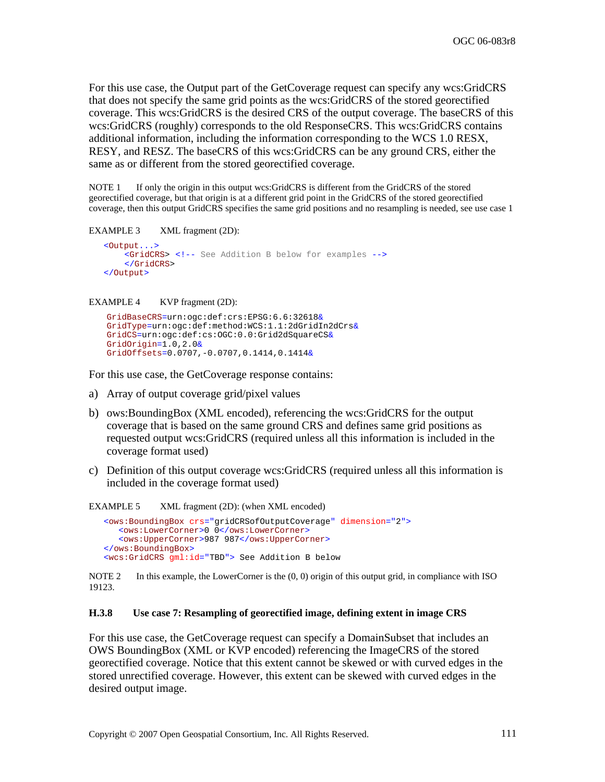For this use case, the Output part of the GetCoverage request can specify any wcs:GridCRS that does not specify the same grid points as the wcs:GridCRS of the stored georectified coverage. This wcs:GridCRS is the desired CRS of the output coverage. The baseCRS of this wcs:GridCRS (roughly) corresponds to the old ResponseCRS. This wcs:GridCRS contains additional information, including the information corresponding to the WCS 1.0 RESX, RESY, and RESZ. The baseCRS of this wcs:GridCRS can be any ground CRS, either the same as or different from the stored georectified coverage.

NOTE 1 If only the origin in this output wcs:GridCRS is different from the GridCRS of the stored georectified coverage, but that origin is at a different grid point in the GridCRS of the stored georectified coverage, then this output GridCRS specifies the same grid positions and no resampling is needed, see use case 1

```
EXAMPLE 3 XML fragment (2D):
```

```
<Output...>
     <GridCRS> <!-- See Addition B below for examples -->
     </GridCRS>
</Output>
```
EXAMPLE 4 KVP fragment (2D):

```
GridBaseCRS=urn:ogc:def:crs:EPSG:6.6:32618&
GridType=urn:ogc:def:method:WCS:1.1:2dGridIn2dCrs&
GridCS=urn:ogc:def:cs:OGC:0.0:Grid2dSquareCS&
GridOrigin=1.0,2.0&
GridOffsets=0.0707,-0.0707,0.1414,0.1414&
```
For this use case, the GetCoverage response contains:

- a) Array of output coverage grid/pixel values
- b) ows:BoundingBox (XML encoded), referencing the wcs:GridCRS for the output coverage that is based on the same ground CRS and defines same grid positions as requested output wcs:GridCRS (required unless all this information is included in the coverage format used)
- c) Definition of this output coverage wcs:GridCRS (required unless all this information is included in the coverage format used)

```
EXAMPLE 5 XML fragment (2D): (when XML encoded)
   <ows:BoundingBox crs="gridCRSofOutputCoverage" dimension="2">
     <ows:LowerCorner>0 0</ows:LowerCorner>
      <ows:UpperCorner>987 987</ows:UpperCorner>
  </ows:BoundingBox>
  <wcs:GridCRS gml:id="TBD"> See Addition B below
```
NOTE 2 In this example, the LowerCorner is the  $(0, 0)$  origin of this output grid, in compliance with ISO 19123.

## **H.3.8 Use case 7: Resampling of georectified image, defining extent in image CRS**

For this use case, the GetCoverage request can specify a DomainSubset that includes an OWS BoundingBox (XML or KVP encoded) referencing the ImageCRS of the stored georectified coverage. Notice that this extent cannot be skewed or with curved edges in the stored unrectified coverage. However, this extent can be skewed with curved edges in the desired output image.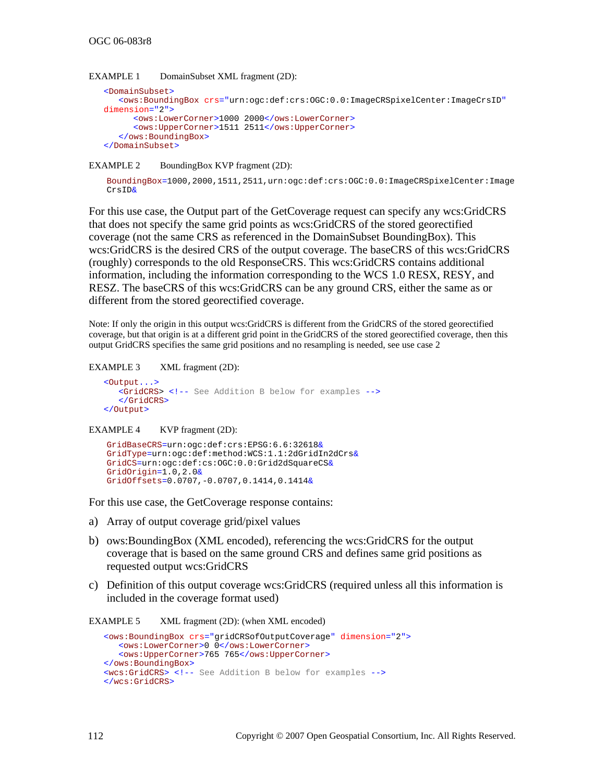EXAMPLE 1 DomainSubset XML fragment (2D):

```
<DomainSubset>
   <ows:BoundingBox crs="urn:ogc:def:crs:OGC:0.0:ImageCRSpixelCenter:ImageCrsID"
dimension="2">
       <ows:LowerCorner>1000 2000</ows:LowerCorner>
       <ows:UpperCorner>1511 2511</ows:UpperCorner>
   </ows:BoundingBox>
</DomainSubset>
```
EXAMPLE 2 BoundingBox KVP fragment (2D):

```
BoundingBox=1000,2000,1511,2511,urn:ogc:def:crs:OGC:0.0:ImageCRSpixelCenter:Image
CrsID&
```
For this use case, the Output part of the GetCoverage request can specify any wcs:GridCRS that does not specify the same grid points as wcs:GridCRS of the stored georectified coverage (not the same CRS as referenced in the DomainSubset BoundingBox). This wcs:GridCRS is the desired CRS of the output coverage. The baseCRS of this wcs:GridCRS (roughly) corresponds to the old ResponseCRS. This wcs:GridCRS contains additional information, including the information corresponding to the WCS 1.0 RESX, RESY, and RESZ. The baseCRS of this wcs:GridCRS can be any ground CRS, either the same as or different from the stored georectified coverage.

Note: If only the origin in this output wcs:GridCRS is different from the GridCRS of the stored georectified coverage, but that origin is at a different grid point in theGridCRS of the stored georectified coverage, then this output GridCRS specifies the same grid positions and no resampling is needed, see use case 2

```
EXAMPLE 3 XML fragment (2D):
```

```
<Output...>
   <GridCRS> <!-- See Addition B below for examples -->
   </GridCRS>
</Output>
```
EXAMPLE 4 KVP fragment (2D):

```
GridBaseCRS=urn:ogc:def:crs:EPSG:6.6:32618& 
GridType=urn:ogc:def:method:WCS:1.1:2dGridIn2dCrs& 
GridCS=urn:ogc:def:cs:OGC:0.0:Grid2dSquareCS& 
GridOrigin=1.0,2.0& 
GridOffsets=0.0707,-0.0707,0.1414,0.1414&
```
For this use case, the GetCoverage response contains:

- a) Array of output coverage grid/pixel values
- b) ows:BoundingBox (XML encoded), referencing the wcs:GridCRS for the output coverage that is based on the same ground CRS and defines same grid positions as requested output wcs:GridCRS
- c) Definition of this output coverage wcs:GridCRS (required unless all this information is included in the coverage format used)

EXAMPLE 5 XML fragment (2D): (when XML encoded)

```
<ows:BoundingBox crs="gridCRSofOutputCoverage" dimension="2">
  <ows:LowerCorner>0 0</ows:LowerCorner>
   <ows:UpperCorner>765 765</ows:UpperCorner>
</ows:BoundingBox>
<wcs:GridCRS> <!-- See Addition B below for examples -->
</wcs:GridCRS>
```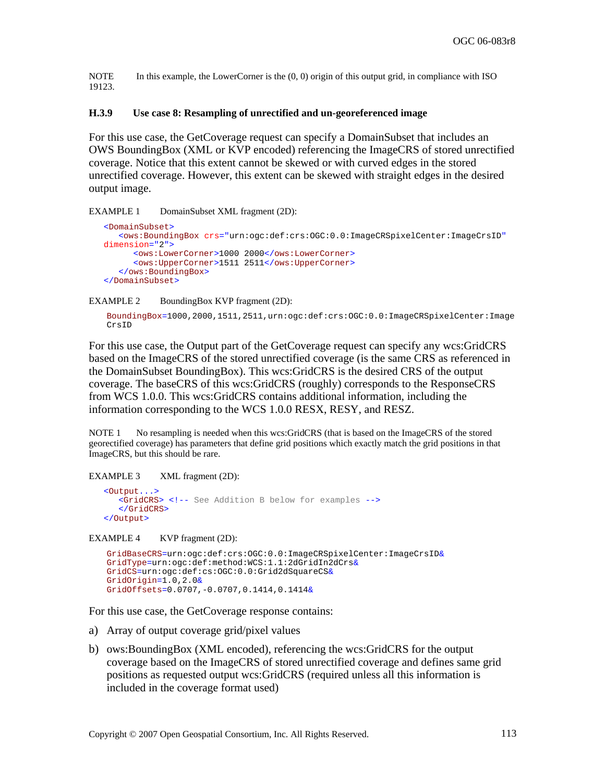NOTE In this example, the LowerCorner is the  $(0, 0)$  origin of this output grid, in compliance with ISO 19123.

## **H.3.9 Use case 8: Resampling of unrectified and un-georeferenced image**

For this use case, the GetCoverage request can specify a DomainSubset that includes an OWS BoundingBox (XML or KVP encoded) referencing the ImageCRS of stored unrectified coverage. Notice that this extent cannot be skewed or with curved edges in the stored unrectified coverage. However, this extent can be skewed with straight edges in the desired output image.

EXAMPLE 1 DomainSubset XML fragment (2D):

```
<DomainSubset>
   <ows:BoundingBox crs="urn:ogc:def:crs:OGC:0.0:ImageCRSpixelCenter:ImageCrsID"
dimension="2">
       <ows:LowerCorner>1000 2000</ows:LowerCorner>
       <ows:UpperCorner>1511 2511</ows:UpperCorner>
   </ows:BoundingBox>
</DomainSubset>
```
EXAMPLE 2 BoundingBox KVP fragment (2D):

```
BoundingBox=1000,2000,1511,2511,urn:ogc:def:crs:OGC:0.0:ImageCRSpixelCenter:Image
CrsID
```
For this use case, the Output part of the GetCoverage request can specify any wcs:GridCRS based on the ImageCRS of the stored unrectified coverage (is the same CRS as referenced in the DomainSubset BoundingBox). This wcs:GridCRS is the desired CRS of the output coverage. The baseCRS of this wcs:GridCRS (roughly) corresponds to the ResponseCRS from WCS 1.0.0. This wcs:GridCRS contains additional information, including the information corresponding to the WCS 1.0.0 RESX, RESY, and RESZ.

NOTE 1 No resampling is needed when this wcs:GridCRS (that is based on the ImageCRS of the stored georectified coverage) has parameters that define grid positions which exactly match the grid positions in that ImageCRS, but this should be rare.

```
EXAMPLE 3 XML fragment (2D):
```

```
<Output...>
    <GridCRS> <!-- See Addition B below for examples -->
    </GridCRS>
</Output>
```
EXAMPLE 4 KVP fragment (2D):

```
GridBaseCRS=urn:ogc:def:crs:OGC:0.0:ImageCRSpixelCenter:ImageCrsID&
GridType=urn:ogc:def:method:WCS:1.1:2dGridIn2dCrs& 
GridCS=urn:ogc:def:cs:OGC:0.0:Grid2dSquareCS& 
GridOrigin=1.0,2.0& 
GridOffsets=0.0707,-0.0707,0.1414,0.1414&
```
For this use case, the GetCoverage response contains:

- a) Array of output coverage grid/pixel values
- b) ows:BoundingBox (XML encoded), referencing the wcs:GridCRS for the output coverage based on the ImageCRS of stored unrectified coverage and defines same grid positions as requested output wcs:GridCRS (required unless all this information is included in the coverage format used)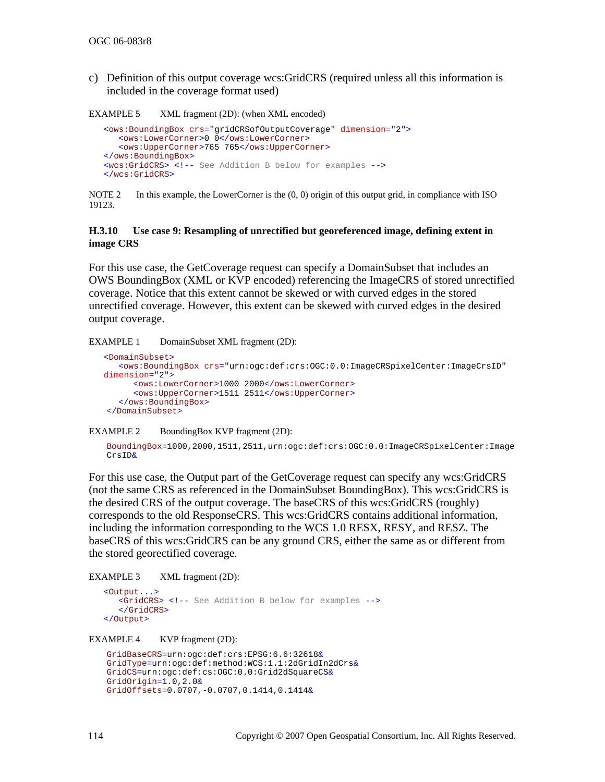c) Definition of this output coverage wcs:GridCRS (required unless all this information is included in the coverage format used)

EXAMPLE 5 XML fragment (2D): (when XML encoded)

```
<ows:BoundingBox crs="gridCRSofOutputCoverage" dimension="2">
   <ows:LowerCorner>0 0</ows:LowerCorner>
   <ows:UpperCorner>765 765</ows:UpperCorner>
</ows:BoundingBox>
<wcs:GridCRS> <!-- See Addition B below for examples -->
</wcs:GridCRS>
```
NOTE 2 In this example, the LowerCorner is the  $(0, 0)$  origin of this output grid, in compliance with ISO 19123.

### **H.3.10 Use case 9: Resampling of unrectified but georeferenced image, defining extent in image CRS**

For this use case, the GetCoverage request can specify a DomainSubset that includes an OWS BoundingBox (XML or KVP encoded) referencing the ImageCRS of stored unrectified coverage. Notice that this extent cannot be skewed or with curved edges in the stored unrectified coverage. However, this extent can be skewed with curved edges in the desired output coverage.

EXAMPLE 1 DomainSubset XML fragment (2D):

```
<DomainSubset>
  <ows:BoundingBox crs="urn:ogc:def:crs:OGC:0.0:ImageCRSpixelCenter:ImageCrsID"
dimension="2">
      <ows:LowerCorner>1000 2000</ows:LowerCorner>
       <ows:UpperCorner>1511 2511</ows:UpperCorner>
   </ows:BoundingBox>
</DomainSubset>
```
EXAMPLE 2 BoundingBox KVP fragment (2D):

```
BoundingBox=1000,2000,1511,2511,urn:ogc:def:crs:OGC:0.0:ImageCRSpixelCenter:Image
CrsID&
```
For this use case, the Output part of the GetCoverage request can specify any wcs:GridCRS (not the same CRS as referenced in the DomainSubset BoundingBox). This wcs:GridCRS is the desired CRS of the output coverage. The baseCRS of this wcs:GridCRS (roughly) corresponds to the old ResponseCRS. This wcs:GridCRS contains additional information, including the information corresponding to the WCS 1.0 RESX, RESY, and RESZ. The baseCRS of this wcs:GridCRS can be any ground CRS, either the same as or different from the stored georectified coverage.

EXAMPLE 3 XML fragment (2D):

```
<Output...>
    <GridCRS> <!-- See Addition B below for examples -->
    </GridCRS>
</Output>
```
EXAMPLE 4 KVP fragment (2D):

```
GridBaseCRS=urn:ogc:def:crs:EPSG:6.6:32618& 
GridType=urn:ogc:def:method:WCS:1.1:2dGridIn2dCrs& 
GridCS=urn:ogc:def:cs:OGC:0.0:Grid2dSquareCS& 
GridOrigin=1.0,2.0& 
GridOffsets=0.0707,-0.0707,0.1414,0.1414&
```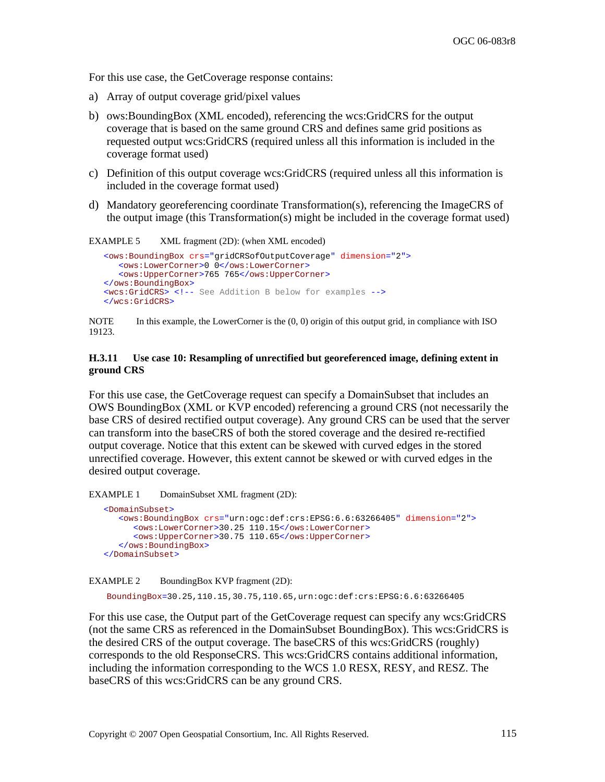For this use case, the GetCoverage response contains:

- a) Array of output coverage grid/pixel values
- b) ows:BoundingBox (XML encoded), referencing the wcs:GridCRS for the output coverage that is based on the same ground CRS and defines same grid positions as requested output wcs:GridCRS (required unless all this information is included in the coverage format used)
- c) Definition of this output coverage wcs:GridCRS (required unless all this information is included in the coverage format used)
- d) Mandatory georeferencing coordinate Transformation(s), referencing the ImageCRS of the output image (this Transformation(s) might be included in the coverage format used)

EXAMPLE 5 XML fragment (2D): (when XML encoded)

```
<ows:BoundingBox crs="gridCRSofOutputCoverage" dimension="2">
   <ows:LowerCorner>0 0</ows:LowerCorner>
   <ows:UpperCorner>765 765</ows:UpperCorner>
</ows:BoundingBox>
<wcs:GridCRS> <!-- See Addition B below for examples -->
</wcs:GridCRS>
```
NOTE In this example, the LowerCorner is the  $(0, 0)$  origin of this output grid, in compliance with ISO 19123.

## **H.3.11 Use case 10: Resampling of unrectified but georeferenced image, defining extent in ground CRS**

For this use case, the GetCoverage request can specify a DomainSubset that includes an OWS BoundingBox (XML or KVP encoded) referencing a ground CRS (not necessarily the base CRS of desired rectified output coverage). Any ground CRS can be used that the server can transform into the baseCRS of both the stored coverage and the desired re-rectified output coverage. Notice that this extent can be skewed with curved edges in the stored unrectified coverage. However, this extent cannot be skewed or with curved edges in the desired output coverage.

EXAMPLE 1 DomainSubset XML fragment (2D):

```
<DomainSubset>
   <ows:BoundingBox crs="urn:ogc:def:crs:EPSG:6.6:63266405" dimension="2">
      <ows:LowerCorner>30.25 110.15</ows:LowerCorner>
       <ows:UpperCorner>30.75 110.65</ows:UpperCorner>
   </ows:BoundingBox>
</DomainSubset>
```
EXAMPLE 2 BoundingBox KVP fragment (2D):

BoundingBox=30.25,110.15,30.75,110.65,urn:ogc:def:crs:EPSG:6.6:63266405

For this use case, the Output part of the GetCoverage request can specify any wcs:GridCRS (not the same CRS as referenced in the DomainSubset BoundingBox). This wcs:GridCRS is the desired CRS of the output coverage. The baseCRS of this wcs:GridCRS (roughly) corresponds to the old ResponseCRS. This wcs:GridCRS contains additional information, including the information corresponding to the WCS 1.0 RESX, RESY, and RESZ. The baseCRS of this wcs:GridCRS can be any ground CRS.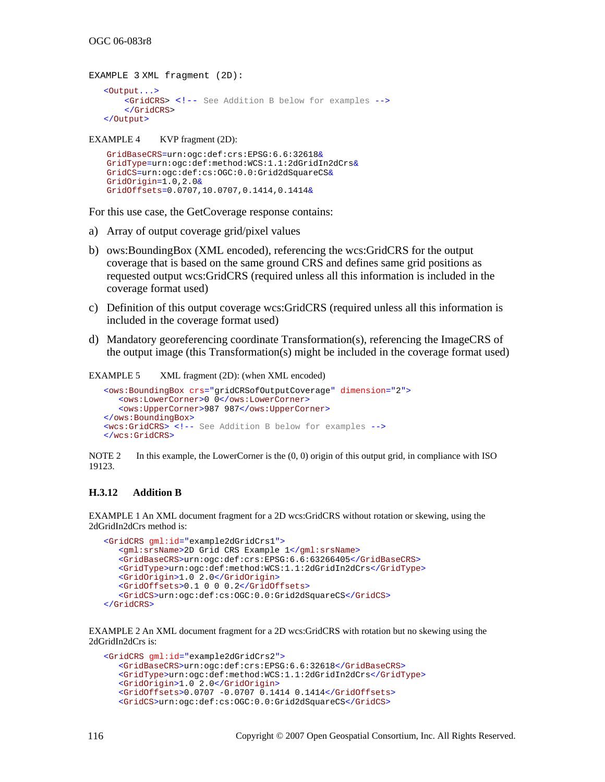```
EXAMPLE 3 XML fragment (2D): 
   <Output...>
        <GridCRS> <!-- See Addition B below for examples --> 
        </GridCRS>
   </Output>
```
EXAMPLE 4 KVP fragment (2D):

```
GridBaseCRS=urn:ogc:def:crs:EPSG:6.6:32618& 
GridType=urn:ogc:def:method:WCS:1.1:2dGridIn2dCrs& 
GridCS=urn:ogc:def:cs:OGC:0.0:Grid2dSquareCS& 
GridOrigin=1.0,2.0& 
GridOffsets=0.0707,10.0707,0.1414,0.1414&
```
For this use case, the GetCoverage response contains:

- a) Array of output coverage grid/pixel values
- b) ows:BoundingBox (XML encoded), referencing the wcs:GridCRS for the output coverage that is based on the same ground CRS and defines same grid positions as requested output wcs:GridCRS (required unless all this information is included in the coverage format used)
- c) Definition of this output coverage wcs:GridCRS (required unless all this information is included in the coverage format used)
- d) Mandatory georeferencing coordinate Transformation(s), referencing the ImageCRS of the output image (this Transformation(s) might be included in the coverage format used)

EXAMPLE 5 XML fragment (2D): (when XML encoded)

```
<ows:BoundingBox crs="gridCRSofOutputCoverage" dimension="2">
   <ows:LowerCorner>0 0</ows:LowerCorner>
   <ows:UpperCorner>987 987</ows:UpperCorner>
</ows:BoundingBox>
<wcs:GridCRS> <!-- See Addition B below for examples -->
</wcs:GridCRS>
```

```
NOTE 2 In this example, the LowerCorner is the (0, 0) origin of this output grid, in compliance with ISO
19123.
```
#### **H.3.12 Addition B**

EXAMPLE 1 An XML document fragment for a 2D wcs:GridCRS without rotation or skewing, using the 2dGridIn2dCrs method is:

```
<GridCRS gml:id="example2dGridCrs1">
  <gml:srsName>2D Grid CRS Example 1</gml:srsName>
  <GridBaseCRS>urn:ogc:def:crs:EPSG:6.6:63266405</GridBaseCRS>
  <GridType>urn:ogc:def:method:WCS:1.1:2dGridIn2dCrs</GridType>
  <GridOrigin>1.0 2.0</GridOrigin>
  <GridOffsets>0.1 0 0 0.2</GridOffsets>
  <GridCS>urn:ogc:def:cs:OGC:0.0:Grid2dSquareCS</GridCS>
</GridCRS>
```
EXAMPLE 2 An XML document fragment for a 2D wcs:GridCRS with rotation but no skewing using the 2dGridIn2dCrs is:

```
<GridCRS gml:id="example2dGridCrs2">
  <GridBaseCRS>urn:ogc:def:crs:EPSG:6.6:32618</GridBaseCRS>
  <GridType>urn:ogc:def:method:WCS:1.1:2dGridIn2dCrs</GridType>
  <GridOrigin>1.0 2.0</GridOrigin>
  <GridOffsets>0.0707 -0.0707 0.1414 0.1414</GridOffsets>
  <GridCS>urn:ogc:def:cs:OGC:0.0:Grid2dSquareCS</GridCS>
```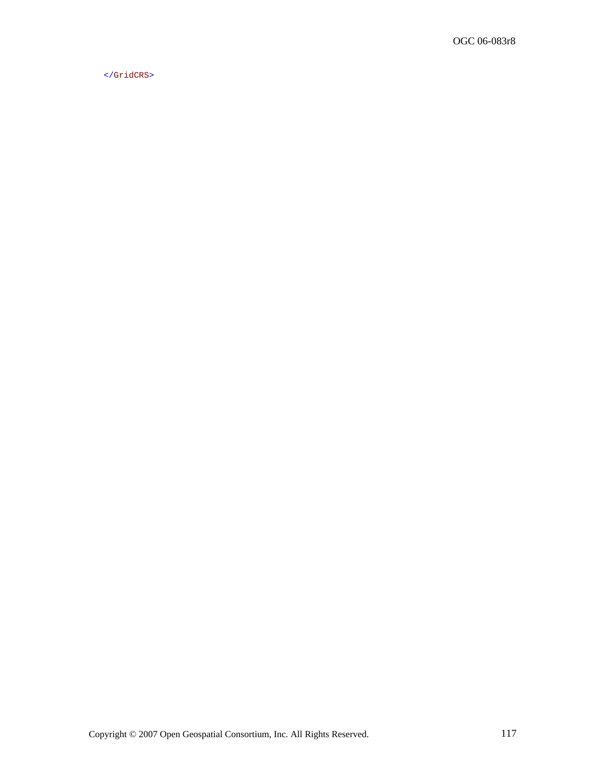</GridCRS>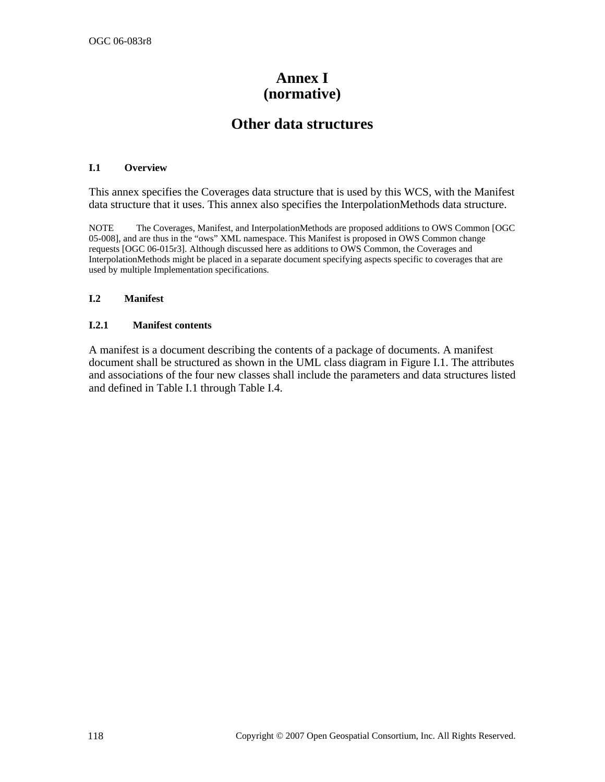# **Annex I (normative)**

# **Other data structures**

# **I.1 Overview**

This annex specifies the Coverages data structure that is used by this WCS, with the Manifest data structure that it uses. This annex also specifies the InterpolationMethods data structure.

NOTE The Coverages, Manifest, and InterpolationMethods are proposed additions to OWS Common [OGC 05-008], and are thus in the "ows" XML namespace. This Manifest is proposed in OWS Common change requests [OGC 06-015r3]. Although discussed here as additions to OWS Common, the Coverages and InterpolationMethods might be placed in a separate document specifying aspects specific to coverages that are used by multiple Implementation specifications.

# **I.2 Manifest**

# **I.2.1 Manifest contents**

A manifest is a document describing the contents of a package of documents. A manifest document shall be structured as shown in the UML class diagram in Figure I.1. The attributes and associations of the four new classes shall include the parameters and data structures listed and defined in Table I.1 through Table I.4.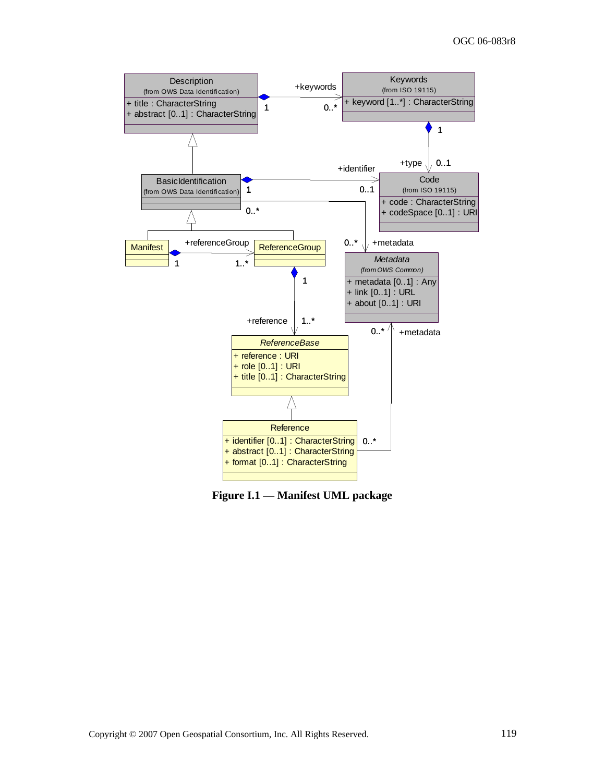

**Figure I.1 — Manifest UML package**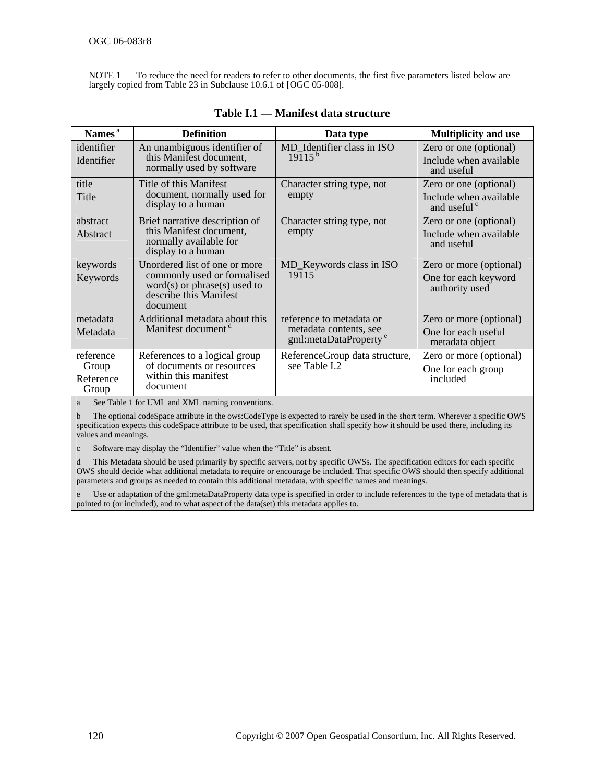NOTE 1 To reduce the need for readers to refer to other documents, the first five parameters listed below are largely copied from Table 23 in Subclause 10.6.1 of [OGC 05-008].

| Names <sup>a</sup>                       | <b>Definition</b>                                                                                                                      | Data type                                                                               | <b>Multiplicity and use</b>                                                 |
|------------------------------------------|----------------------------------------------------------------------------------------------------------------------------------------|-----------------------------------------------------------------------------------------|-----------------------------------------------------------------------------|
| identifier<br>Identifier                 | An unambiguous identifier of<br>this Manifest document,<br>normally used by software                                                   | MD Identifier class in ISO<br>$19\overline{1}15^{b}$                                    | Zero or one (optional)<br>Include when available<br>and useful              |
| title<br>Title                           | Title of this Manifest<br>document, normally used for<br>display to a human                                                            | Character string type, not<br>empty                                                     | Zero or one (optional)<br>Include when available<br>and useful <sup>c</sup> |
| abstract<br>Abstract                     | Brief narrative description of<br>this Manifest document,<br>normally available for<br>display to a human                              | Character string type, not<br>empty                                                     | Zero or one (optional)<br>Include when available<br>and useful              |
| keywords<br>Keywords                     | Unordered list of one or more<br>commonly used or formalised<br>$word(s)$ or $phrase(s)$ used to<br>describe this Manifest<br>document | MD_Keywords class in ISO<br>19115                                                       | Zero or more (optional)<br>One for each keyword<br>authority used           |
| metadata<br>Metadata                     | Additional metadata about this<br>Manifest document <sup>d</sup>                                                                       | reference to metadata or<br>metadata contents, see<br>gml:metaDataProperty <sup>e</sup> | Zero or more (optional)<br>One for each useful<br>metadata object           |
| reference<br>Group<br>Reference<br>Group | References to a logical group<br>of documents or resources<br>within this manifest<br>document                                         | ReferenceGroup data structure,<br>see Table I.2                                         | Zero or more (optional)<br>One for each group<br>included                   |

| Table I.1 — Manifest data structure |  |  |  |
|-------------------------------------|--|--|--|
|-------------------------------------|--|--|--|

a See Table 1 for UML and XML naming conventions.

b The optional codeSpace attribute in the ows:CodeType is expected to rarely be used in the short term. Wherever a specific OWS specification expects this codeSpace attribute to be used, that specification shall specify how it should be used there, including its values and meanings.

c Software may display the "Identifier" value when the "Title" is absent.

d This Metadata should be used primarily by specific servers, not by specific OWSs. The specification editors for each specific OWS should decide what additional metadata to require or encourage be included. That specific OWS should then specify additional parameters and groups as needed to contain this additional metadata, with specific names and meanings.

e Use or adaptation of the gml:metaDataProperty data type is specified in order to include references to the type of metadata that is pointed to (or included), and to what aspect of the data(set) this metadata applies to.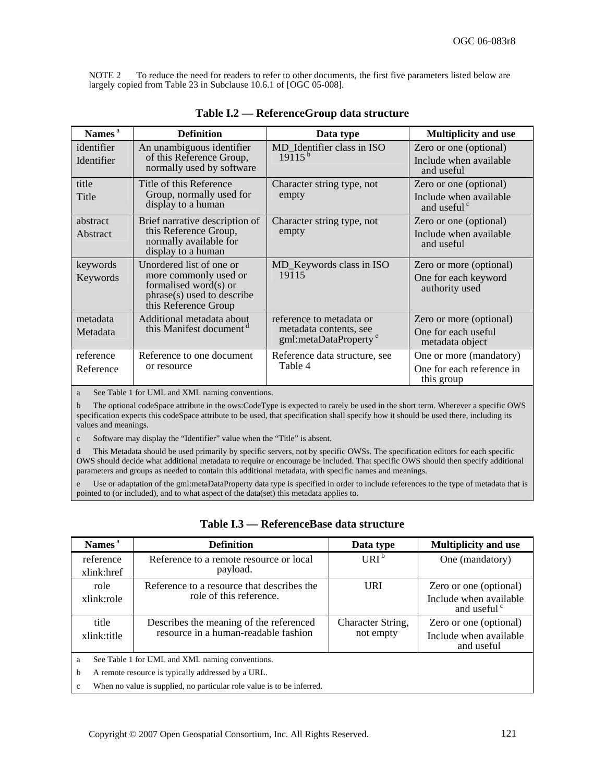NOTE 2 To reduce the need for readers to refer to other documents, the first five parameters listed below are largely copied from Table 23 in Subclause 10.6.1 of [OGC 05-008].

| Names <sup>a</sup>       | <b>Definition</b>                                                                                                                | Data type                                                                               | <b>Multiplicity and use</b>                                                 |
|--------------------------|----------------------------------------------------------------------------------------------------------------------------------|-----------------------------------------------------------------------------------------|-----------------------------------------------------------------------------|
| identifier<br>Identifier | An unambiguous identifier<br>of this Reference Group,<br>normally used by software                                               | MD Identifier class in ISO<br>$19\overline{1}15^{b}$                                    | Zero or one (optional)<br>Include when available<br>and useful              |
| title<br>Title           | Title of this Reference<br>Group, normally used for<br>display to a human                                                        | Character string type, not<br>empty                                                     | Zero or one (optional)<br>Include when available<br>and useful <sup>c</sup> |
| abstract<br>Abstract     | Brief narrative description of<br>this Reference Group,<br>normally available for<br>display to a human                          | Character string type, not<br>empty                                                     | Zero or one (optional)<br>Include when available<br>and useful              |
| keywords<br>Keywords     | Unordered list of one or<br>more commonly used or<br>formalised word(s) or<br>phrase(s) used to describe<br>this Reference Group | MD_Keywords class in ISO<br>19115                                                       | Zero or more (optional)<br>One for each keyword<br>authority used           |
| metadata<br>Metadata     | Additional metadata about<br>this Manifest document <sup>c</sup>                                                                 | reference to metadata or<br>metadata contents, see<br>gml:metaDataProperty <sup>e</sup> | Zero or more (optional)<br>One for each useful<br>metadata object           |
| reference<br>Reference   | Reference to one document<br>or resource                                                                                         | Reference data structure, see<br>Table 4                                                | One or more (mandatory)<br>One for each reference in<br>this group          |

|  |  |  |  |  |  | Table I.2 — ReferenceGroup data structure |
|--|--|--|--|--|--|-------------------------------------------|
|--|--|--|--|--|--|-------------------------------------------|

a See Table 1 for UML and XML naming conventions.

b The optional codeSpace attribute in the ows:CodeType is expected to rarely be used in the short term. Wherever a specific OWS specification expects this codeSpace attribute to be used, that specification shall specify how it should be used there, including its values and meanings.

c Software may display the "Identifier" value when the "Title" is absent.

d This Metadata should be used primarily by specific servers, not by specific OWSs. The specification editors for each specific OWS should decide what additional metadata to require or encourage be included. That specific OWS should then specify additional parameters and groups as needed to contain this additional metadata, with specific names and meanings.

e Use or adaptation of the gml:metaDataProperty data type is specified in order to include references to the type of metadata that is pointed to (or included), and to what aspect of the data(set) this metadata applies to.

|  | Table I.3 — ReferenceBase data structure |  |  |  |  |  |  |  |  |
|--|------------------------------------------|--|--|--|--|--|--|--|--|
|--|------------------------------------------|--|--|--|--|--|--|--|--|

| Names <sup>a</sup>                                                                                                                                                                                          | <b>Definition</b>                                                     | Data type        | <b>Multiplicity and use</b>                                                 |  |
|-------------------------------------------------------------------------------------------------------------------------------------------------------------------------------------------------------------|-----------------------------------------------------------------------|------------------|-----------------------------------------------------------------------------|--|
| reference<br>xlink:href                                                                                                                                                                                     | Reference to a remote resource or local<br>payload.                   | URI <sup>b</sup> | One (mandatory)                                                             |  |
| role<br>xlink:role                                                                                                                                                                                          | Reference to a resource that describes the<br>role of this reference. | URI              | Zero or one (optional)<br>Include when available<br>and useful <sup>c</sup> |  |
| title<br>Character String,<br>Describes the meaning of the referenced<br>Zero or one (optional)<br>resource in a human-readable fashion<br>not empty<br>Include when available<br>xlink:title<br>and useful |                                                                       |                  |                                                                             |  |
| See Table 1 for UML and XML naming conventions.<br>a<br>A remote resource is typically addressed by a URL.<br>b<br>When no value is supplied, no particular role value is to be inferred.<br>$\mathbf c$    |                                                                       |                  |                                                                             |  |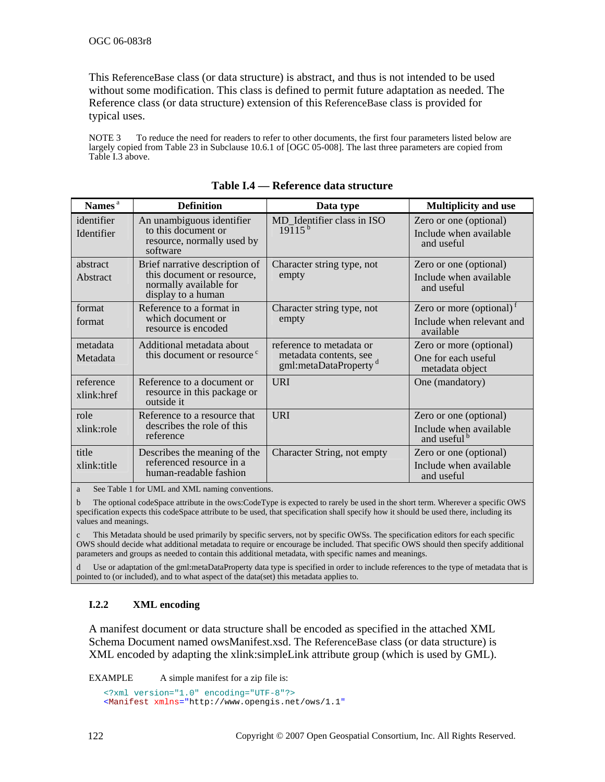This ReferenceBase class (or data structure) is abstract, and thus is not intended to be used without some modification. This class is defined to permit future adaptation as needed. The Reference class (or data structure) extension of this ReferenceBase class is provided for typical uses.

NOTE 3 To reduce the need for readers to refer to other documents, the first four parameters listed below are largely copied from Table 23 in Subclause 10.6.1 of [OGC 05-008]. The last three parameters are copied from Table I.3 above.

| Names <sup>a</sup>       | <b>Definition</b>                                                                                            | Data type                                                                               | <b>Multiplicity and use</b>                                                                 |
|--------------------------|--------------------------------------------------------------------------------------------------------------|-----------------------------------------------------------------------------------------|---------------------------------------------------------------------------------------------|
| identifier<br>Identifier | An unambiguous identifier<br>to this document or<br>resource, normally used by<br>software                   | MD Identifier class in ISO<br>$19\overline{1}15^{b}$                                    | Zero or one (optional)<br>Include when available<br>and useful                              |
| abstract<br>Abstract     | Brief narrative description of<br>this document or resource,<br>normally available for<br>display to a human | Character string type, not<br>empty                                                     | Zero or one (optional)<br>Include when available<br>and useful                              |
| format<br>format         | Reference to a format in<br>which document or<br>resource is encoded                                         | Character string type, not<br>empty                                                     | Zero or more (optional) <sup><math>1</math></sup><br>Include when relevant and<br>available |
| metadata<br>Metadata     | Additional metadata about<br>this document or resource <sup>c</sup>                                          | reference to metadata or<br>metadata contents, see<br>gml:metaDataProperty <sup>d</sup> | Zero or more (optional)<br>One for each useful<br>metadata object                           |
| reference<br>xlink:href  | Reference to a document or<br>resource in this package or<br>outside it                                      | <b>URI</b>                                                                              | One (mandatory)                                                                             |
| role<br>xlink:role       | Reference to a resource that<br>describes the role of this<br>reference                                      | <b>URI</b>                                                                              | Zero or one (optional)<br>Include when available<br>and useful <sup>b</sup>                 |
| title<br>xlink:title     | Describes the meaning of the<br>referenced resource in a<br>human-readable fashion                           | Character String, not empty                                                             | Zero or one (optional)<br>Include when available<br>and useful                              |

**Table I.4 — Reference data structure** 

a See Table 1 for UML and XML naming conventions.

b The optional codeSpace attribute in the ows:CodeType is expected to rarely be used in the short term. Wherever a specific OWS specification expects this codeSpace attribute to be used, that specification shall specify how it should be used there, including its values and meanings.

c This Metadata should be used primarily by specific servers, not by specific OWSs. The specification editors for each specific OWS should decide what additional metadata to require or encourage be included. That specific OWS should then specify additional parameters and groups as needed to contain this additional metadata, with specific names and meanings.

d Use or adaptation of the gml:metaDataProperty data type is specified in order to include references to the type of metadata that is pointed to (or included), and to what aspect of the data(set) this metadata applies to.

## **I.2.2 XML encoding**

A manifest document or data structure shall be encoded as specified in the attached XML Schema Document named owsManifest.xsd. The ReferenceBase class (or data structure) is XML encoded by adapting the xlink:simpleLink attribute group (which is used by GML).

EXAMPLE A simple manifest for a zip file is:

```
<?xml version="1.0" encoding="UTF-8"?>
<Manifest xmlns="http://www.opengis.net/ows/1.1"
```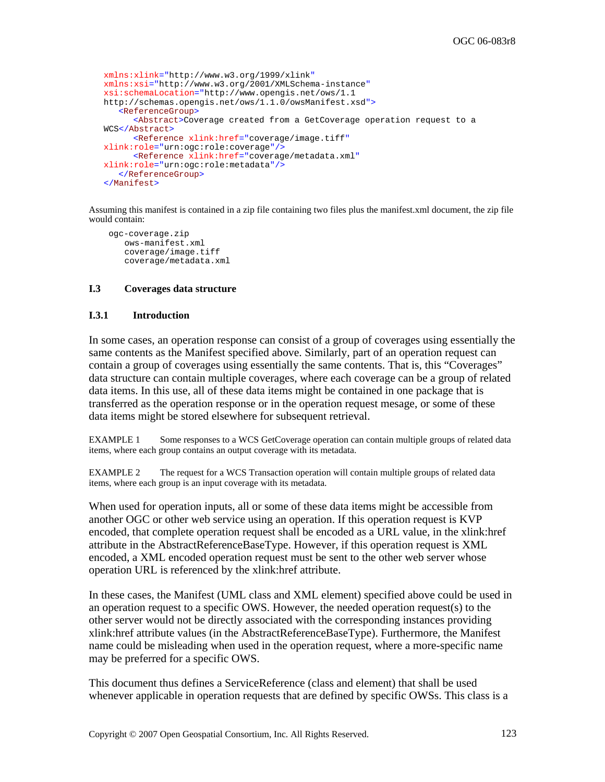```
xmlns:xlink="http://www.w3.org/1999/xlink" 
xmlns:xsi="http://www.w3.org/2001/XMLSchema-instance"
xsi:schemaLocation="http://www.opengis.net/ows/1.1 
http://schemas.opengis.net/ows/1.1.0/owsManifest.xsd">
   <ReferenceGroup>
       <Abstract>Coverage created from a GetCoverage operation request to a 
WCS</Abstract>
      <Reference xlink:href="coverage/image.tiff"
xlink:role="urn:ogc:role:coverage"/>
       <Reference xlink:href="coverage/metadata.xml"
xlink:role="urn:ogc:role:metadata"/>
   </ReferenceGroup>
</Manifest>
```
Assuming this manifest is contained in a zip file containing two files plus the manifest.xml document, the zip file would contain:

```
ogc-coverage.zip 
    ows-manifest.xml 
    coverage/image.tiff 
    coverage/metadata.xml
```
# **I.3 Coverages data structure**

## **I.3.1 Introduction**

In some cases, an operation response can consist of a group of coverages using essentially the same contents as the Manifest specified above. Similarly, part of an operation request can contain a group of coverages using essentially the same contents. That is, this "Coverages" data structure can contain multiple coverages, where each coverage can be a group of related data items. In this use, all of these data items might be contained in one package that is transferred as the operation response or in the operation request mesage, or some of these data items might be stored elsewhere for subsequent retrieval.

EXAMPLE 1 Some responses to a WCS GetCoverage operation can contain multiple groups of related data items, where each group contains an output coverage with its metadata.

EXAMPLE 2 The request for a WCS Transaction operation will contain multiple groups of related data items, where each group is an input coverage with its metadata.

When used for operation inputs, all or some of these data items might be accessible from another OGC or other web service using an operation. If this operation request is KVP encoded, that complete operation request shall be encoded as a URL value, in the xlink:href attribute in the AbstractReferenceBaseType. However, if this operation request is XML encoded, a XML encoded operation request must be sent to the other web server whose operation URL is referenced by the xlink:href attribute.

In these cases, the Manifest (UML class and XML element) specified above could be used in an operation request to a specific OWS. However, the needed operation request(s) to the other server would not be directly associated with the corresponding instances providing xlink:href attribute values (in the AbstractReferenceBaseType). Furthermore, the Manifest name could be misleading when used in the operation request, where a more-specific name may be preferred for a specific OWS.

This document thus defines a ServiceReference (class and element) that shall be used whenever applicable in operation requests that are defined by specific OWSs. This class is a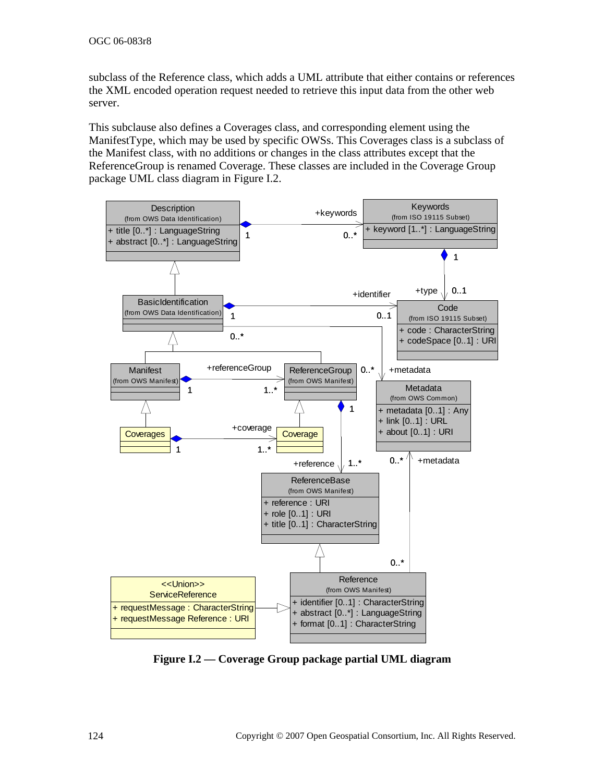subclass of the Reference class, which adds a UML attribute that either contains or references the XML encoded operation request needed to retrieve this input data from the other web server.

This subclause also defines a Coverages class, and corresponding element using the ManifestType, which may be used by specific OWSs. This Coverages class is a subclass of the Manifest class, with no additions or changes in the class attributes except that the ReferenceGroup is renamed Coverage. These classes are included in the Coverage Group package UML class diagram in Figure I.2.



**Figure I.2 — Coverage Group package partial UML diagram**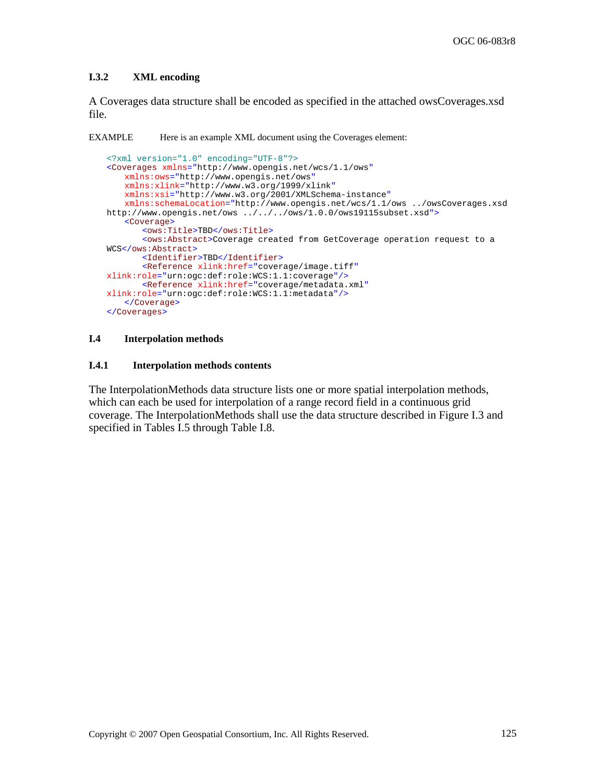# **I.3.2 XML encoding**

A Coverages data structure shall be encoded as specified in the attached owsCoverages.xsd file.

EXAMPLE Here is an example XML document using the Coverages element:

```
<?xml version="1.0" encoding="UTF-8"?> 
<Coverages xmlns="http://www.opengis.net/wcs/1.1/ows" 
    xmlns:ows="http://www.opengis.net/ows" 
    xmlns:xlink="http://www.w3.org/1999/xlink" 
    xmlns:xsi="http://www.w3.org/2001/XMLSchema-instance" 
    xmlns:schemaLocation="http://www.opengis.net/wcs/1.1/ows ../owsCoverages.xsd 
http://www.opengis.net/ows ../../../ows/1.0.0/ows19115subset.xsd">
   <Coverage>
        <ows:Title>TBD</ows:Title>
        <ows:Abstract>Coverage created from GetCoverage operation request to a 
WCS</ows:Abstract>
        <Identifier>TBD</Identifier>
        <Reference xlink:href="coverage/image.tiff"
xlink:role="urn:ogc:def:role:WCS:1.1:coverage"/>
        <Reference xlink:href="coverage/metadata.xml"
xlink:role="urn:ogc:def:role:WCS:1.1:metadata"/>
   </Coverage>
</Coverages>
```
# **I.4 Interpolation methods**

# **I.4.1 Interpolation methods contents**

The InterpolationMethods data structure lists one or more spatial interpolation methods, which can each be used for interpolation of a range record field in a continuous grid coverage. The InterpolationMethods shall use the data structure described in Figure I.3 and specified in Tables I.5 through Table I.8.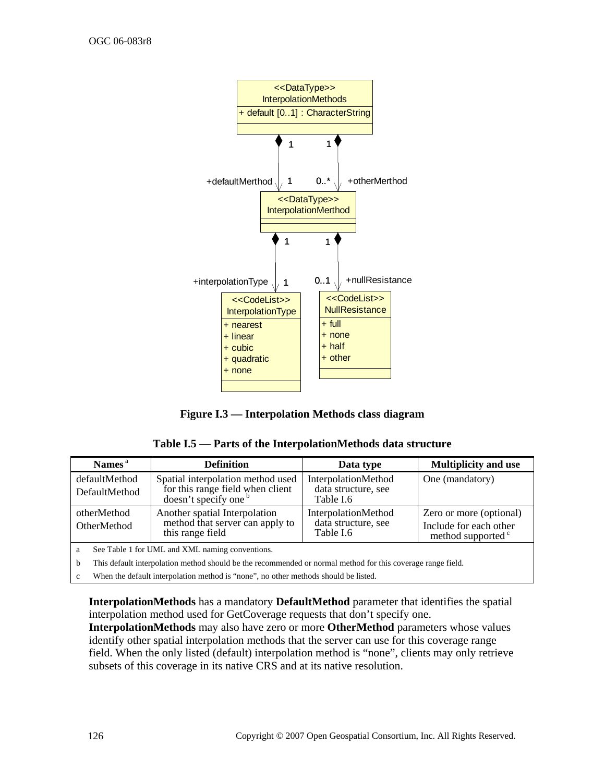

**Figure I.3 — Interpolation Methods class diagram** 

**Table I.5 — Parts of the InterpolationMethods data structure** 

| Names <sup>a</sup>                                                                                                                                                                                                                                                         | <b>Definition</b>                                                                                         | Data type                                               | <b>Multiplicity and use</b> |  |  |
|----------------------------------------------------------------------------------------------------------------------------------------------------------------------------------------------------------------------------------------------------------------------------|-----------------------------------------------------------------------------------------------------------|---------------------------------------------------------|-----------------------------|--|--|
| defaultMethod<br>DefaultMethod                                                                                                                                                                                                                                             | Spatial interpolation method used<br>for this range field when client<br>doesn't specify one <sup>b</sup> | InterpolationMethod<br>data structure, see<br>Table I.6 | One (mandatory)             |  |  |
| Another spatial Interpolation<br>InterpolationMethod<br>otherMethod<br>Zero or more (optional)<br>method that server can apply to<br>data structure, see<br>Include for each other<br><b>OtherMethod</b><br>this range field<br>Table I.6<br>method supported <sup>c</sup> |                                                                                                           |                                                         |                             |  |  |
| See Table 1 for UML and XML naming conventions.<br>a                                                                                                                                                                                                                       |                                                                                                           |                                                         |                             |  |  |
| This default interpolation method should be the recommended or normal method for this coverage range field.<br>b                                                                                                                                                           |                                                                                                           |                                                         |                             |  |  |

c When the default interpolation method is "none", no other methods should be listed.

**InterpolationMethods** has a mandatory **DefaultMethod** parameter that identifies the spatial interpolation method used for GetCoverage requests that don't specify one. **InterpolationMethods** may also have zero or more **OtherMethod** parameters whose values identify other spatial interpolation methods that the server can use for this coverage range field. When the only listed (default) interpolation method is "none", clients may only retrieve subsets of this coverage in its native CRS and at its native resolution.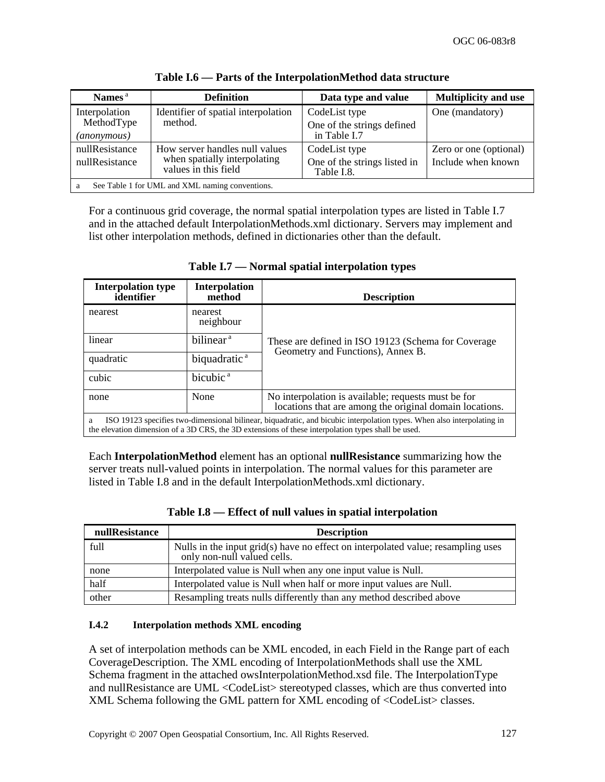| Names <sup>a</sup>                                   | <b>Definition</b>                                                                      | Data type and value                                         | <b>Multiplicity and use</b>                  |  |
|------------------------------------------------------|----------------------------------------------------------------------------------------|-------------------------------------------------------------|----------------------------------------------|--|
| Interpolation<br>MethodType<br>(anonymous)           | Identifier of spatial interpolation<br>method.                                         | CodeList type<br>One of the strings defined<br>in Table I.7 | One (mandatory)                              |  |
| nullResistance<br>nullResistance                     | How server handles null values<br>when spatially interpolating<br>values in this field | CodeList type<br>One of the strings listed in<br>Table I.8. | Zero or one (optional)<br>Include when known |  |
| See Table 1 for UML and XML naming conventions.<br>a |                                                                                        |                                                             |                                              |  |

|  |  | Table I.6 – Parts of the InterpolationMethod data structure |  |
|--|--|-------------------------------------------------------------|--|
|--|--|-------------------------------------------------------------|--|

For a continuous grid coverage, the normal spatial interpolation types are listed in Table I.7 and in the attached default InterpolationMethods.xml dictionary. Servers may implement and list other interpolation methods, defined in dictionaries other than the default.

| <b>Interpolation type</b><br>identifier | <b>Interpolation</b><br>method | <b>Description</b>                                                                                                                                                                                                           |  |
|-----------------------------------------|--------------------------------|------------------------------------------------------------------------------------------------------------------------------------------------------------------------------------------------------------------------------|--|
| nearest                                 | nearest<br>neighbour           |                                                                                                                                                                                                                              |  |
| linear                                  | bilinear <sup>a</sup>          | These are defined in ISO 19123 (Schema for Coverage                                                                                                                                                                          |  |
| quadratic                               | biquadratic <sup>a</sup>       | Geometry and Functions), Annex B.                                                                                                                                                                                            |  |
| cubic                                   | bicubic <sup>a</sup>           |                                                                                                                                                                                                                              |  |
| none                                    | None                           | No interpolation is available; requests must be for<br>locations that are among the original domain locations.                                                                                                               |  |
| a                                       |                                | ISO 19123 specifies two-dimensional bilinear, biquadratic, and bicubic interpolation types. When also interpolating in<br>the elevation dimension of a 3D CRS, the 3D extensions of these interpolation types shall be used. |  |

| Table I.7 – Normal spatial interpolation types |  |  |  |
|------------------------------------------------|--|--|--|
|------------------------------------------------|--|--|--|

Each **InterpolationMethod** element has an optional **nullResistance** summarizing how the server treats null-valued points in interpolation. The normal values for this parameter are listed in Table I.8 and in the default InterpolationMethods.xml dictionary.

| nullResistance | <b>Description</b>                                                                                              |
|----------------|-----------------------------------------------------------------------------------------------------------------|
| full           | Nulls in the input grid(s) have no effect on interpolated value; resampling uses<br>only non-null valued cells. |
| none           | Interpolated value is Null when any one input value is Null.                                                    |
| half           | Interpolated value is Null when half or more input values are Null.                                             |
| other          | Resampling treats nulls differently than any method described above                                             |

**Table I.8 — Effect of null values in spatial interpolation** 

# **I.4.2 Interpolation methods XML encoding**

A set of interpolation methods can be XML encoded, in each Field in the Range part of each CoverageDescription. The XML encoding of InterpolationMethods shall use the XML Schema fragment in the attached owsInterpolationMethod.xsd file. The InterpolationType and nullResistance are UML <CodeList> stereotyped classes, which are thus converted into XML Schema following the GML pattern for XML encoding of <CodeList> classes.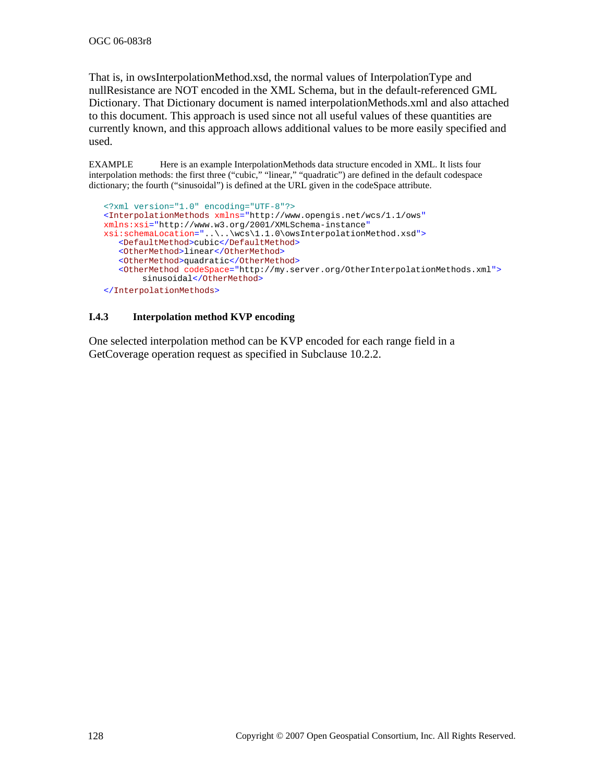That is, in owsInterpolationMethod.xsd, the normal values of InterpolationType and nullResistance are NOT encoded in the XML Schema, but in the default-referenced GML Dictionary. That Dictionary document is named interpolationMethods.xml and also attached to this document. This approach is used since not all useful values of these quantities are currently known, and this approach allows additional values to be more easily specified and used.

EXAMPLE Here is an example InterpolationMethods data structure encoded in XML. It lists four interpolation methods: the first three ("cubic," "linear," "quadratic") are defined in the default codespace dictionary; the fourth ("sinusoidal") is defined at the URL given in the codeSpace attribute.

```
<?xml version="1.0" encoding="UTF-8"?>
<InterpolationMethods xmlns="http://www.opengis.net/wcs/1.1/ows"
xmlns:xsi="http://www.w3.org/2001/XMLSchema-instance"
xsi:schemaLocation="..\..\wcs\1.1.0\owsInterpolationMethod.xsd">
   <DefaultMethod>cubic</DefaultMethod>
   <OtherMethod>linear</OtherMethod>
   <OtherMethod>quadratic</OtherMethod>
   <OtherMethod codeSpace="http://my.server.org/OtherInterpolationMethods.xml">
       sinusoidal</OtherMethod>
</InterpolationMethods>
```
# **I.4.3 Interpolation method KVP encoding**

One selected interpolation method can be KVP encoded for each range field in a GetCoverage operation request as specified in Subclause 10.2.2.